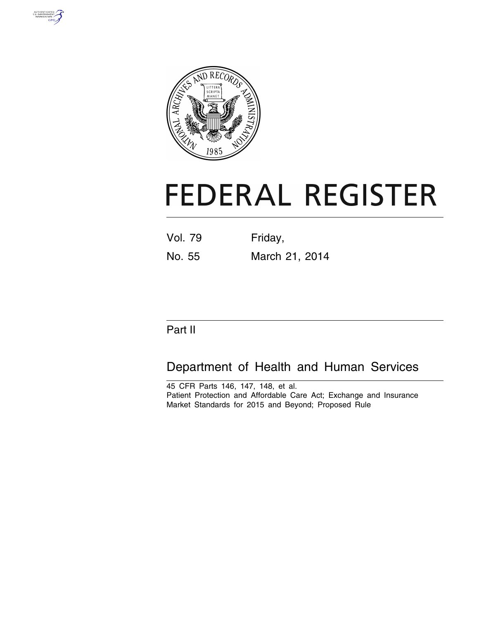



# **FEDERAL REGISTER**

Vol. 79 Friday, No. 55 March 21, 2014

## Part II

## Department of Health and Human Services

45 CFR Parts 146, 147, 148, et al. Patient Protection and Affordable Care Act; Exchange and Insurance Market Standards for 2015 and Beyond; Proposed Rule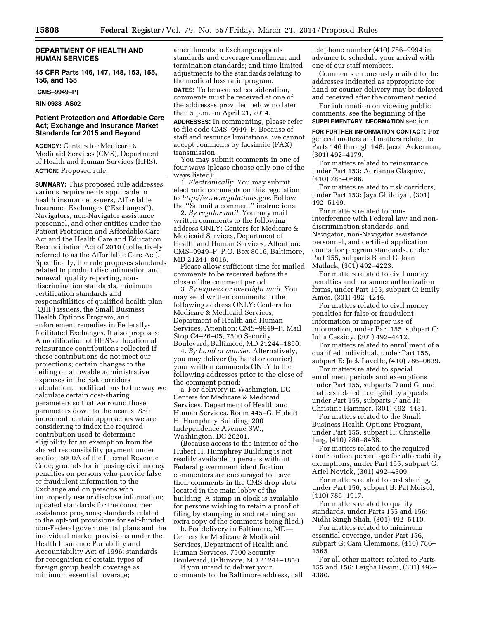#### **DEPARTMENT OF HEALTH AND HUMAN SERVICES**

**45 CFR Parts 146, 147, 148, 153, 155, 156, and 158** 

**[CMS–9949–P]** 

**RIN 0938–AS02** 

#### **Patient Protection and Affordable Care Act; Exchange and Insurance Market Standards for 2015 and Beyond**

**AGENCY:** Centers for Medicare & Medicaid Services (CMS), Department of Health and Human Services (HHS). **ACTION:** Proposed rule.

**SUMMARY:** This proposed rule addresses various requirements applicable to health insurance issuers, Affordable Insurance Exchanges (''Exchanges''), Navigators, non-Navigator assistance personnel, and other entities under the Patient Protection and Affordable Care Act and the Health Care and Education Reconciliation Act of 2010 (collectively referred to as the Affordable Care Act). Specifically, the rule proposes standards related to product discontinuation and renewal, quality reporting, nondiscrimination standards, minimum certification standards and responsibilities of qualified health plan (QHP) issuers, the Small Business Health Options Program, and enforcement remedies in Federallyfacilitated Exchanges. It also proposes: A modification of HHS's allocation of reinsurance contributions collected if those contributions do not meet our projections; certain changes to the ceiling on allowable administrative expenses in the risk corridors calculation; modifications to the way we calculate certain cost-sharing parameters so that we round those parameters down to the nearest \$50 increment; certain approaches we are considering to index the required contribution used to determine eligibility for an exemption from the shared responsibility payment under section 5000A of the Internal Revenue Code; grounds for imposing civil money penalties on persons who provide false or fraudulent information to the Exchange and on persons who improperly use or disclose information; updated standards for the consumer assistance programs; standards related to the opt-out provisions for self-funded, non-Federal governmental plans and the individual market provisions under the Health Insurance Portability and Accountability Act of 1996; standards for recognition of certain types of foreign group health coverage as minimum essential coverage;

amendments to Exchange appeals standards and coverage enrollment and termination standards; and time-limited adjustments to the standards relating to the medical loss ratio program. **DATES:** To be assured consideration, comments must be received at one of the addresses provided below no later than 5 p.m. on April 21, 2014.

**ADDRESSES:** In commenting, please refer to file code CMS–9949–P. Because of staff and resource limitations, we cannot accept comments by facsimile (FAX) transmission.

You may submit comments in one of four ways (please choose only one of the ways listed):

1. *Electronically.* You may submit electronic comments on this regulation to *[http://www.regulations.gov.](http://www.regulations.gov)* Follow the ''Submit a comment'' instructions.

2. *By regular mail.* You may mail written comments to the following address ONLY: Centers for Medicare & Medicaid Services, Department of Health and Human Services, Attention: CMS–9949–P, P.O. Box 8016, Baltimore, MD 21244–8016.

Please allow sufficient time for mailed comments to be received before the close of the comment period.

3. *By express or overnight mail.* You may send written comments to the following address ONLY: Centers for Medicare & Medicaid Services, Department of Health and Human Services, Attention: CMS–9949–P, Mail Stop C4–26–05, 7500 Security Boulevard, Baltimore, MD 21244–1850.

4. *By hand or courier.* Alternatively, you may deliver (by hand or courier) your written comments ONLY to the following addresses prior to the close of the comment period:

a. For delivery in Washington, DC— Centers for Medicare & Medicaid Services, Department of Health and Human Services, Room 445–G, Hubert H. Humphrey Building, 200 Independence Avenue SW., Washington, DC 20201.

(Because access to the interior of the Hubert H. Humphrey Building is not readily available to persons without Federal government identification, commenters are encouraged to leave their comments in the CMS drop slots located in the main lobby of the building. A stamp-in clock is available for persons wishing to retain a proof of filing by stamping in and retaining an extra copy of the comments being filed.)

b. For delivery in Baltimore, MD— Centers for Medicare & Medicaid Services, Department of Health and Human Services, 7500 Security Boulevard, Baltimore, MD 21244–1850.

If you intend to deliver your comments to the Baltimore address, call telephone number (410) 786–9994 in advance to schedule your arrival with one of our staff members.

Comments erroneously mailed to the addresses indicated as appropriate for hand or courier delivery may be delayed and received after the comment period.

For information on viewing public comments, see the beginning of the **SUPPLEMENTARY INFORMATION** section.

**FOR FURTHER INFORMATION CONTACT:** For general matters and matters related to Parts 146 through 148: Jacob Ackerman, (301) 492–4179.

For matters related to reinsurance, under Part 153: Adrianne Glasgow, (410) 786–0686.

For matters related to risk corridors, under Part 153: Jaya Ghildiyal, (301) 492–5149.

For matters related to noninterference with Federal law and nondiscrimination standards, and Navigator, non-Navigator assistance personnel, and certified application counselor program standards, under Part 155, subparts B and C: Joan Matlack, (301) 492–4223.

For matters related to civil money penalties and consumer authorization forms, under Part 155, subpart C: Emily Ames, (301) 492–4246.

For matters related to civil money penalties for false or fraudulent information or improper use of information, under Part 155, subpart C: Julia Cassidy, (301) 492–4412.

For matters related to enrollment of a qualified individual, under Part 155, subpart E: Jack Lavelle, (410) 786–0639.

For matters related to special enrollment periods and exemptions under Part 155, subparts D and G, and matters related to eligibility appeals, under Part 155, subparts F and H: Christine Hammer, (301) 492–4431.

For matters related to the Small Business Health Options Program, under Part 155, subpart H: Christelle Jang, (410) 786–8438.

For matters related to the required contribution percentage for affordability exemptions, under Part 155, subpart G: Ariel Novick, (301) 492–4309.

For matters related to cost sharing, under Part 156, subpart B: Pat Meisol, (410) 786–1917.

For matters related to quality standards, under Parts 155 and 156: Nidhi Singh Shah, (301) 492–5110.

For matters related to minimum essential coverage, under Part 156, subpart G: Cam Clemmons, (410) 786– 1565.

For all other matters related to Parts 155 and 156: Leigha Basini, (301) 492– 4380.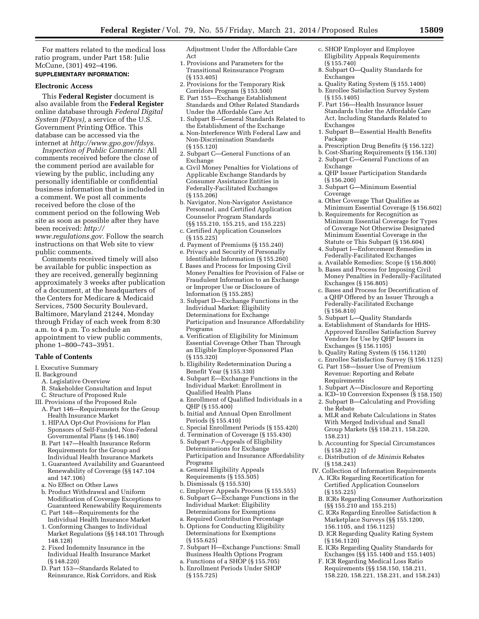For matters related to the medical loss ratio program, under Part 158: Julie McCune, (301) 492–4196.

#### **SUPPLEMENTARY INFORMATION:**

#### **Electronic Access**

This **Federal Register** document is also available from the **Federal Register**  online database through *Federal Digital System (FDsys),* a service of the U.S. Government Printing Office. This database can be accessed via the internet at *[http://www.gpo.gov/fdsys.](http://www.gpo.gov/fdsys)* 

*Inspection of Public Comments:* All comments received before the close of the comment period are available for viewing by the public, including any personally identifiable or confidential business information that is included in a comment. We post all comments received before the close of the comment period on the following Web site as soon as possible after they have been received: *[http://](http://www.regulations.gov)*

*[www.regulations.gov.](http://www.regulations.gov)* Follow the search instructions on that Web site to view public comments.

Comments received timely will also be available for public inspection as they are received, generally beginning approximately 3 weeks after publication of a document, at the headquarters of the Centers for Medicare & Medicaid Services, 7500 Security Boulevard, Baltimore, Maryland 21244, Monday through Friday of each week from 8:30 a.m. to 4 p.m. To schedule an appointment to view public comments, phone 1–800–743–3951.

#### **Table of Contents**

- I. Executive Summary
- II. Background
	- A. Legislative Overview
	- B. Stakeholder Consultation and Input
- C. Structure of Proposed Rule
- III. Provisions of the Proposed Rule A. Part 146—Requirements for the Group Health Insurance Market
	- 1. HIPAA Opt-Out Provisions for Plan Sponsors of Self-Funded, Non-Federal Governmental Plans (§ 146.180)
	- B. Part 147—Health Insurance Reform Requirements for the Group and Individual Health Insurance Markets
	- 1. Guaranteed Availability and Guaranteed Renewability of Coverage (§§ 147.104 and 147.106)
	- a. No Effect on Other Laws
	- b. Product Withdrawal and Uniform Modification of Coverage Exceptions to Guaranteed Renewability Requirements
	- C. Part 148—Requirements for the Individual Health Insurance Market
	- 1. Conforming Changes to Individual Market Regulations (§§ 148.101 Through 148.128)
	- 2. Fixed Indemnity Insurance in the Individual Health Insurance Market (§ 148.220)
	- D. Part 153—Standards Related to Reinsurance, Risk Corridors, and Risk

Adjustment Under the Affordable Care Act

- 1. Provisions and Parameters for the Transitional Reinsurance Program (§ 153.405)
- 2. Provisions for the Temporary Risk Corridors Program (§ 153.500)
- E. Part 155—Exchange Establishment Standards and Other Related Standards Under the Affordable Care Act
- 1. Subpart B—General Standards Related to the Establishment of the Exchange
- a. Non-Interference With Federal Law and Non-Discrimination Standards (§ 155.120)
- 2. Subpart C—General Functions of an Exchange
- a. Civil Money Penalties for Violations of Applicable Exchange Standards by Consumer Assistance Entities in Federally-Facilitated Exchanges (§ 155.206)
- b. Navigator, Non-Navigator Assistance Personnel, and Certified Application Counselor Program Standards (§§ 155.210, 155.215, and 155.225)
- c. Certified Application Counselors (§ 155.225)
- d. Payment of Premiums (§ 155.240)
- e. Privacy and Security of Personally Identifiable Information (§ 155.260)
- f. Bases and Process for Imposing Civil Money Penalties for Provision of False or Fraudulent Information to an Exchange or Improper Use or Disclosure of Information (§ 155.285)
- 3. Subpart D—Exchange Functions in the Individual Market: Eligibility Determinations for Exchange Participation and Insurance Affordability Programs
- a. Verification of Eligibility for Minimum Essential Coverage Other Than Through an Eligible Employer-Sponsored Plan (§ 155.320)
- b. Eligibility Redetermination During a Benefit Year (§ 155.330)
- 4. Subpart E—Exchange Functions in the Individual Market: Enrollment in Qualified Health Plans
- a. Enrollment of Qualified Individuals in a QHP (§ 155.400)
- b. Initial and Annual Open Enrollment Periods (§ 155.410)
- c. Special Enrollment Periods (§ 155.420)
- d. Termination of Coverage (§ 155.430)
- 5. Subpart F—Appeals of Eligibility Determinations for Exchange Participation and Insurance Affordability Programs
- a. General Eligibility Appeals Requirements (§ 155.505)
- b. Dismissals (§ 155.530)
- c. Employer Appeals Process (§ 155.555)
- 6. Subpart G—Exchange Functions in the Individual Market: Eligibility Determinations for Exemptions
- a. Required Contribution Percentage
- b. Options for Conducting Eligibility Determinations for Exemptions (§ 155.625)
- 7. Subpart H—Exchange Functions: Small Business Health Options Program
- a. Functions of a SHOP (§ 155.705)
- b. Enrollment Periods Under SHOP (§ 155.725)
- c. SHOP Employer and Employee Eligibility Appeals Requirements (§ 155.740)
- 8. Subpart O—Quality Standards for Exchanges
- a. Quality Rating System (§ 155.1400)
- b. Enrollee Satisfaction Survey System (§ 155.1405)
- F. Part 156—Health Insurance Issuer Standards Under the Affordable Care Act, Including Standards Related to Exchanges
- 1. Subpart B—Essential Health Benefits Package
- a. Prescription Drug Benefits (§ 156.122)
- b. Cost-Sharing Requirements (§ 156.130)
- 2. Subpart C—General Functions of an Exchange
- a. QHP Issuer Participation Standards (§ 156.200)
- 3. Subpart G—Minimum Essential Coverage
- a. Other Coverage That Qualifies as Minimum Essential Coverage (§ 156.602)
- b. Requirements for Recognition as Minimum Essential Coverage for Types of Coverage Not Otherwise Designated Minimum Essential Coverage in the Statute or This Subpart (§ 156.604)
- 4. Subpart I—Enforcement Remedies in Federally-Facilitated Exchanges
- a. Available Remedies; Scope (§ 156.800)
- b. Bases and Process for Imposing Civil Money Penalties in Federally-Facilitated Exchanges (§ 156.805)
- c. Bases and Process for Decertification of a QHP Offered by an Issuer Through a Federally-Facilitated Exchange (§ 156.810)
- 5. Subpart L—Quality Standards
- a. Establishment of Standards for HHS-Approved Enrollee Satisfaction Survey Vendors for Use by QHP Issuers in Exchanges (§ 156.1105)
- b. Quality Rating System (§ 156.1120)
- c. Enrollee Satisfaction Survey (§ 156.1125)
- G. Part 158—Issuer Use of Premium Revenue: Reporting and Rebate Requirements
- 1. Subpart A—Disclosure and Reporting
- a. ICD–10 Conversion Expenses (§ 158.150)
- 2. Subpart B—Calculating and Providing the Rebate
- a. MLR and Rebate Calculations in States With Merged Individual and Small Group Markets (§§ 158.211, 158.220, 158.231)
- b. Accounting for Special Circumstances (§ 158.221)
- c. Distribution of *de Minimis* Rebates (§ 158.243)
- IV. Collection of Information Requirements
	- A. ICRs Regarding Recertification for Certified Application Counselors (§ 155.225)
	- B. ICRs Regarding Consumer Authorization (§§ 155.210 and 155.215)
	- C. ICRs Regarding Enrollee Satisfaction & Marketplace Surveys (§§ 155.1200, 156.1105, and 156.1125)
	- D. ICR Regarding Quality Rating System (§ 156.1120)
	- E. ICRs Regarding Quality Standards for Exchanges (§§ 155.1400 and 155.1405)
	- F. ICR Regarding Medical Loss Ratio Requirements (§§ 158.150, 158.211, 158.220, 158.221, 158.231, and 158.243)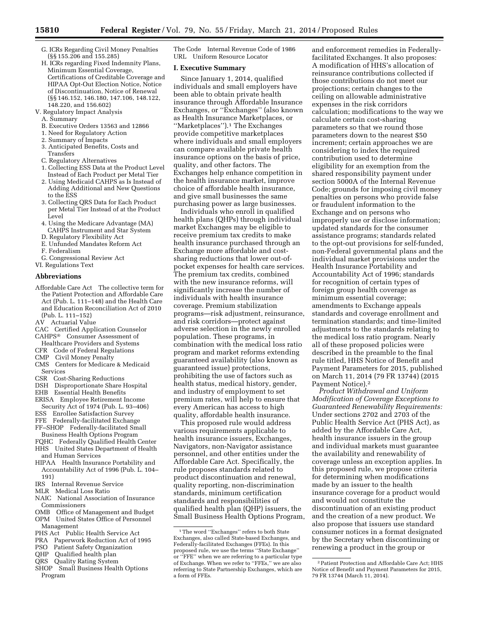- G. ICRs Regarding Civil Money Penalties (§§ 155.206 and 155.285)
- H. ICRs regarding Fixed Indemnity Plans, Minimum Essential Coverage, Certifications of Creditable Coverage and HIPAA Opt-Out Election Notice, Notice of Discontinuation, Notice of Renewal (§§ 146.152, 146.180, 147.106, 148.122, 148.220, and 156.602)
- V. Regulatory Impact Analysis
- A. Summary
- B. Executive Orders 13563 and 12866
- 1. Need for Regulatory Action
- 2. Summary of Impacts
- 3. Anticipated Benefits, Costs and Transfers
- 
- C. Regulatory Alternatives 1. Collecting ESS Data at the Product Level
- Instead of Each Product per Metal Tier 2. Using Medicaid CAHPS as Is Instead of
- Adding Additional and New Questions to the ESS
- 3. Collecting QRS Data for Each Product per Metal Tier Instead of at the Product Level
- 4. Using the Medicare Advantage (MA) CAHPS Instrument and Star System
- D. Regulatory Flexibility Act
- E. Unfunded Mandates Reform Act
- F. Federalism
- G. Congressional Review Act VI. Regulations Text

### **Abbreviations**

Affordable Care Act The collective term for the Patient Protection and Affordable Care Act (Pub. L. 111–148) and the Health Care and Education Reconciliation Act of 2010 (Pub. L. 111–152)

AV Actuarial Value

- CAC Certified Application Counselor CAHPS® Consumer Assessment of
- Healthcare Providers and Systems
- CFR Code of Federal Regulations
- CMP Civil Money Penalty
- CMS Centers for Medicare & Medicaid Services
- CSR Cost-Sharing Reductions
- DSH Disproportionate Share Hospital
- EHB Essential Health Benefits
- ERISA Employee Retirement Income Security Act of 1974 (Pub. L. 93–406)
- ESS Enrollee Satisfaction Survey
- FFE Federally-facilitated Exchange
- FF–SHOP Federally-facilitated Small
- Business Health Options Program
- FQHC Federally Qualified Health Center
- HHS United States Department of Health and Human Services
- HIPAA Health Insurance Portability and Accountability Act of 1996 (Pub. L. 104– 191)
- IRS Internal Revenue Service
- MLR Medical Loss Ratio
- NAIC National Association of Insurance Commissioners
- OMB Office of Management and Budget OPM United States Office of Personnel Management
- PHS Act Public Health Service Act
- PRA Paperwork Reduction Act of 1995
- PSO Patient Safety Organization
- QHP Qualified health plan
- QRS Quality Rating System
- SHOP Small Business Health Options Program

The Code Internal Revenue Code of 1986 URL Uniform Resource Locator

#### **I. Executive Summary**

Since January 1, 2014, qualified individuals and small employers have been able to obtain private health insurance through Affordable Insurance Exchanges, or ''Exchanges'' (also known as Health Insurance Marketplaces, or ''Marketplaces'').1 The Exchanges provide competitive marketplaces where individuals and small employers can compare available private health insurance options on the basis of price, quality, and other factors. The Exchanges help enhance competition in the health insurance market, improve choice of affordable health insurance, and give small businesses the same purchasing power as large businesses.

Individuals who enroll in qualified health plans (QHPs) through individual market Exchanges may be eligible to receive premium tax credits to make health insurance purchased through an Exchange more affordable and costsharing reductions that lower out-ofpocket expenses for health care services. The premium tax credits, combined with the new insurance reforms, will significantly increase the number of individuals with health insurance coverage. Premium stabilization programs—risk adjustment, reinsurance, and risk corridors—protect against adverse selection in the newly enrolled population. These programs, in combination with the medical loss ratio program and market reforms extending guaranteed availability (also known as guaranteed issue) protections, prohibiting the use of factors such as health status, medical history, gender, and industry of employment to set premium rates, will help to ensure that every American has access to high quality, affordable health insurance.

This proposed rule would address various requirements applicable to health insurance issuers, Exchanges, Navigators, non-Navigator assistance personnel, and other entities under the Affordable Care Act. Specifically, the rule proposes standards related to product discontinuation and renewal, quality reporting, non-discrimination standards, minimum certification standards and responsibilities of qualified health plan (QHP) issuers, the Small Business Health Options Program,

and enforcement remedies in Federallyfacilitated Exchanges. It also proposes: A modification of HHS's allocation of reinsurance contributions collected if those contributions do not meet our projections; certain changes to the ceiling on allowable administrative expenses in the risk corridors calculation; modifications to the way we calculate certain cost-sharing parameters so that we round those parameters down to the nearest \$50 increment; certain approaches we are considering to index the required contribution used to determine eligibility for an exemption from the shared responsibility payment under section 5000A of the Internal Revenue Code; grounds for imposing civil money penalties on persons who provide false or fraudulent information to the Exchange and on persons who improperly use or disclose information; updated standards for the consumer assistance programs; standards related to the opt-out provisions for self-funded, non-Federal governmental plans and the individual market provisions under the Health Insurance Portability and Accountability Act of 1996; standards for recognition of certain types of foreign group health coverage as minimum essential coverage; amendments to Exchange appeals standards and coverage enrollment and termination standards; and time-limited adjustments to the standards relating to the medical loss ratio program. Nearly all of these proposed policies were described in the preamble to the final rule titled, HHS Notice of Benefit and Payment Parameters for 2015, published on March 11, 2014 (79 FR 13744) (2015 Payment Notice).2

*Product Withdrawal and Uniform Modification of Coverage Exceptions to Guaranteed Renewability Requirements:*  Under sections 2702 and 2703 of the Public Health Service Act (PHS Act), as added by the Affordable Care Act, health insurance issuers in the group and individual markets must guarantee the availability and renewability of coverage unless an exception applies. In this proposed rule, we propose criteria for determining when modifications made by an issuer to the health insurance coverage for a product would and would not constitute the discontinuation of an existing product and the creation of a new product. We also propose that issuers use standard consumer notices in a format designated by the Secretary when discontinuing or renewing a product in the group or

<sup>&</sup>lt;sup>1</sup>The word "Exchanges" refers to both State Exchanges, also called State-based Exchanges, and Federally-facilitated Exchanges (FFEs). In this proposed rule, we use the terms ''State Exchange'' or ''FFE'' when we are referring to a particular type of Exchange. When we refer to ''FFEs,'' we are also referring to State Partnership Exchanges, which are a form of FFEs.

<sup>2</sup>Patient Protection and Affordable Care Act; HHS Notice of Benefit and Payment Parameters for 2015, 79 FR 13744 (March 11, 2014).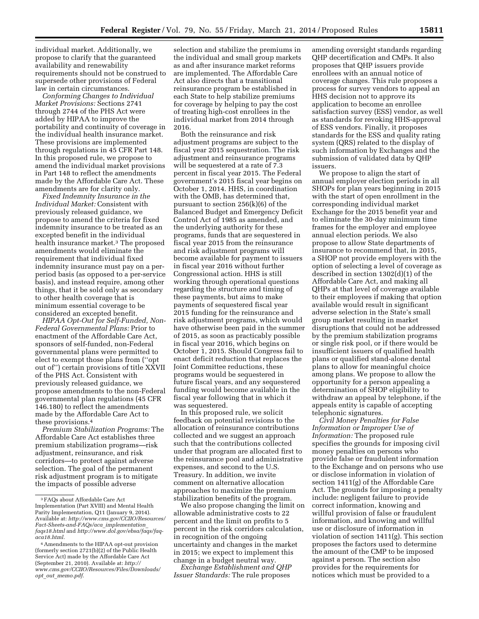individual market. Additionally, we propose to clarify that the guaranteed availability and renewability requirements should not be construed to supersede other provisions of Federal law in certain circumstances.

*Conforming Changes to Individual Market Provisions:* Sections 2741 through 2744 of the PHS Act were added by HIPAA to improve the portability and continuity of coverage in the individual health insurance market. These provisions are implemented through regulations in 45 CFR Part 148. In this proposed rule, we propose to amend the individual market provisions in Part 148 to reflect the amendments made by the Affordable Care Act. These amendments are for clarity only.

*Fixed Indemnity Insurance in the Individual Market:* Consistent with previously released guidance, we propose to amend the criteria for fixed indemnity insurance to be treated as an excepted benefit in the individual health insurance market.<sup>3</sup> The proposed amendments would eliminate the requirement that individual fixed indemnity insurance must pay on a perperiod basis (as opposed to a per-service basis), and instead require, among other things, that it be sold only as secondary to other health coverage that is minimum essential coverage to be considered an excepted benefit.

*HIPAA Opt-Out for Self-Funded, Non-Federal Governmental Plans:* Prior to enactment of the Affordable Care Act, sponsors of self-funded, non-Federal governmental plans were permitted to elect to exempt those plans from (''opt out of'') certain provisions of title XXVII of the PHS Act. Consistent with previously released guidance, we propose amendments to the non-Federal governmental plan regulations (45 CFR 146.180) to reflect the amendments made by the Affordable Care Act to these provisions.4

*Premium Stabilization Programs:* The Affordable Care Act establishes three premium stabilization programs—risk adjustment, reinsurance, and risk corridors—to protect against adverse selection. The goal of the permanent risk adjustment program is to mitigate the impacts of possible adverse

selection and stabilize the premiums in the individual and small group markets as and after insurance market reforms are implemented. The Affordable Care Act also directs that a transitional reinsurance program be established in each State to help stabilize premiums for coverage by helping to pay the cost of treating high-cost enrollees in the individual market from 2014 through 2016.

Both the reinsurance and risk adjustment programs are subject to the fiscal year 2015 sequestration. The risk adjustment and reinsurance programs will be sequestered at a rate of 7.3 percent in fiscal year 2015. The Federal government's 2015 fiscal year begins on October 1, 2014. HHS, in coordination with the OMB, has determined that, pursuant to section 256(k)(6) of the Balanced Budget and Emergency Deficit Control Act of 1985 as amended, and the underlying authority for these programs, funds that are sequestered in fiscal year 2015 from the reinsurance and risk adjustment programs will become available for payment to issuers in fiscal year 2016 without further Congressional action. HHS is still working through operational questions regarding the structure and timing of these payments, but aims to make payments of sequestered fiscal year 2015 funding for the reinsurance and risk adjustment programs, which would have otherwise been paid in the summer of 2015, as soon as practicably possible in fiscal year 2016, which begins on October 1, 2015. Should Congress fail to enact deficit reduction that replaces the Joint Committee reductions, these programs would be sequestered in future fiscal years, and any sequestered funding would become available in the fiscal year following that in which it was sequestered.

In this proposed rule, we solicit feedback on potential revisions to the allocation of reinsurance contributions collected and we suggest an approach such that the contributions collected under that program are allocated first to the reinsurance pool and administrative expenses, and second to the U.S. Treasury. In addition, we invite comment on alternative allocation approaches to maximize the premium stabilization benefits of the program.

We also propose changing the limit on allowable administrative costs to 22 percent and the limit on profits to 5 percent in the risk corridors calculation, in recognition of the ongoing uncertainty and changes in the market in 2015; we expect to implement this change in a budget neutral way.

*Exchange Establishment and QHP Issuer Standards:* The rule proposes

amending oversight standards regarding QHP decertification and CMPs. It also proposes that QHP issuers provide enrollees with an annual notice of coverage changes. This rule proposes a process for survey vendors to appeal an HHS decision not to approve its application to become an enrollee satisfaction survey (ESS) vendor, as well as standards for revoking HHS-approval of ESS vendors. Finally, it proposes standards for the ESS and quality rating system (QRS) related to the display of such information by Exchanges and the submission of validated data by QHP issuers.

We propose to align the start of annual employer election periods in all SHOPs for plan years beginning in 2015 with the start of open enrollment in the corresponding individual market Exchange for the 2015 benefit year and to eliminate the 30-day minimum time frames for the employer and employee annual election periods. We also propose to allow State departments of insurance to recommend that, in 2015, a SHOP not provide employers with the option of selecting a level of coverage as described in section 1302(d)(1) of the Affordable Care Act, and making all QHPs at that level of coverage available to their employees if making that option available would result in significant adverse selection in the State's small group market resulting in market disruptions that could not be addressed by the premium stabilization programs or single risk pool, or if there would be insufficient issuers of qualified health plans or qualified stand-alone dental plans to allow for meaningful choice among plans. We propose to allow the opportunity for a person appealing a determination of SHOP eligibility to withdraw an appeal by telephone, if the appeals entity is capable of accepting telephonic signatures.

*Civil Money Penalties for False Information or Improper Use of Information:* The proposed rule specifies the grounds for imposing civil money penalties on persons who provide false or fraudulent information to the Exchange and on persons who use or disclose information in violation of section 1411(g) of the Affordable Care Act. The grounds for imposing a penalty include: negligent failure to provide correct information, knowing and willful provision of false or fraudulent information, and knowing and willful use or disclosure of information in violation of section 1411(g). This section proposes the factors used to determine the amount of the CMP to be imposed against a person. The section also provides for the requirements for notices which must be provided to a

<sup>3</sup>FAQs about Affordable Care Act Implementation (Part XVIII) and Mental Health Parity Implementation, Q11 (January 9, 2014). Available at: *[http://www.cms.gov/CCIIO/Resources/](http://www.cms.gov/CCIIO/Resources/Fact-Sheets-and-FAQs/aca_implementation_faqs18.html)  [Fact-Sheets-and-FAQs/aca](http://www.cms.gov/CCIIO/Resources/Fact-Sheets-and-FAQs/aca_implementation_faqs18.html)*\_*implementation*\_ *[faqs18.html](http://www.cms.gov/CCIIO/Resources/Fact-Sheets-and-FAQs/aca_implementation_faqs18.html)* and *[http://www.dol.gov/ebsa/faqs/faq](http://www.dol.gov/ebsa/faqs/faq-aca18.html)[aca18.html.](http://www.dol.gov/ebsa/faqs/faq-aca18.html)* 

<sup>4</sup>Amendments to the HIPAA opt-out provision (formerly section 2721(b)(2) of the Public Health Service Act) made by the Affordable Care Act (September 21, 2010). Available at: *[http://](http://www.cms.gov/CCIIO/Resources/Files/Downloads/opt_out_memo.pdf) [www.cms.gov/CCIIO/Resources/Files/Downloads/](http://www.cms.gov/CCIIO/Resources/Files/Downloads/opt_out_memo.pdf) opt*\_*out*\_*[memo.pdf.](http://www.cms.gov/CCIIO/Resources/Files/Downloads/opt_out_memo.pdf)*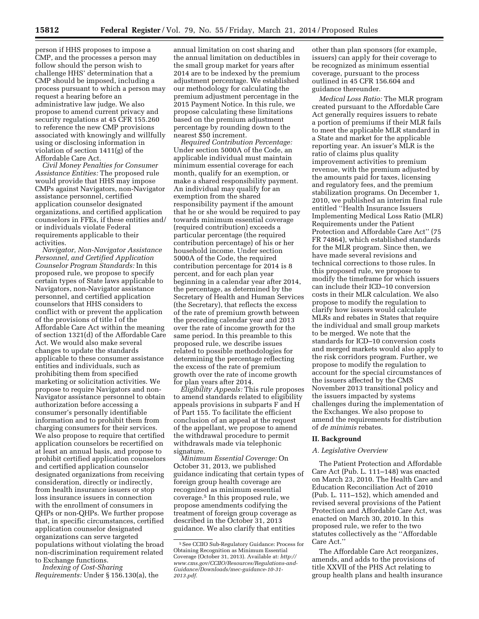person if HHS proposes to impose a CMP, and the processes a person may follow should the person wish to challenge HHS' determination that a CMP should be imposed, including a process pursuant to which a person may request a hearing before an administrative law judge. We also propose to amend current privacy and security regulations at 45 CFR 155.260 to reference the new CMP provisions associated with knowingly and willfully using or disclosing information in violation of section 1411(g) of the Affordable Care Act.

*Civil Money Penalties for Consumer Assistance Entities:* The proposed rule would provide that HHS may impose CMPs against Navigators, non-Navigator assistance personnel, certified application counselor designated organizations, and certified application counselors in FFEs, if these entities and/ or individuals violate Federal requirements applicable to their activities.

*Navigator, Non-Navigator Assistance Personnel, and Certified Application Counselor Program Standards:* In this proposed rule, we propose to specify certain types of State laws applicable to Navigators, non-Navigator assistance personnel, and certified application counselors that HHS considers to conflict with or prevent the application of the provisions of title I of the Affordable Care Act within the meaning of section 1321(d) of the Affordable Care Act. We would also make several changes to update the standards applicable to these consumer assistance entities and individuals, such as prohibiting them from specified marketing or solicitation activities. We propose to require Navigators and non-Navigator assistance personnel to obtain authorization before accessing a consumer's personally identifiable information and to prohibit them from charging consumers for their services. We also propose to require that certified application counselors be recertified on at least an annual basis, and propose to prohibit certified application counselors and certified application counselor designated organizations from receiving consideration, directly or indirectly, from health insurance issuers or stop loss insurance issuers in connection with the enrollment of consumers in QHPs or non-QHPs. We further propose that, in specific circumstances, certified application counselor designated organizations can serve targeted populations without violating the broad non-discrimination requirement related to Exchange functions.

*Indexing of Cost-Sharing Requirements:* Under § 156.130(a), the

annual limitation on cost sharing and the annual limitation on deductibles in the small group market for years after 2014 are to be indexed by the premium adjustment percentage. We established our methodology for calculating the premium adjustment percentage in the 2015 Payment Notice. In this rule, we propose calculating these limitations based on the premium adjustment percentage by rounding down to the nearest \$50 increment.

*Required Contribution Percentage:*  Under section 5000A of the Code, an applicable individual must maintain minimum essential coverage for each month, qualify for an exemption, or make a shared responsibility payment. An individual may qualify for an exemption from the shared responsibility payment if the amount that he or she would be required to pay towards minimum essential coverage (required contribution) exceeds a particular percentage (the required contribution percentage) of his or her household income. Under section 5000A of the Code, the required contribution percentage for 2014 is 8 percent, and for each plan year beginning in a calendar year after 2014, the percentage, as determined by the Secretary of Health and Human Services (the Secretary), that reflects the excess of the rate of premium growth between the preceding calendar year and 2013 over the rate of income growth for the same period. In this preamble to this proposed rule, we describe issues related to possible methodologies for determining the percentage reflecting the excess of the rate of premium growth over the rate of income growth for plan years after 2014.

*Eligibility Appeals:* This rule proposes to amend standards related to eligibility appeals provisions in subparts F and H of Part 155. To facilitate the efficient conclusion of an appeal at the request of the appellant, we propose to amend the withdrawal procedure to permit withdrawals made via telephonic signature.

*Minimum Essential Coverage:* On October 31, 2013, we published guidance indicating that certain types of foreign group health coverage are recognized as minimum essential coverage.5 In this proposed rule, we propose amendments codifying the treatment of foreign group coverage as described in the October 31, 2013 guidance. We also clarify that entities

other than plan sponsors (for example, issuers) can apply for their coverage to be recognized as minimum essential coverage, pursuant to the process outlined in 45 CFR 156.604 and guidance thereunder.

*Medical Loss Ratio:* The MLR program created pursuant to the Affordable Care Act generally requires issuers to rebate a portion of premiums if their MLR fails to meet the applicable MLR standard in a State and market for the applicable reporting year. An issuer's MLR is the ratio of claims plus quality improvement activities to premium revenue, with the premium adjusted by the amounts paid for taxes, licensing and regulatory fees, and the premium stabilization programs. On December 1, 2010, we published an interim final rule entitled ''Health Insurance Issuers Implementing Medical Loss Ratio (MLR) Requirements under the Patient Protection and Affordable Care Act'' (75 FR 74864), which established standards for the MLR program. Since then, we have made several revisions and technical corrections to those rules. In this proposed rule, we propose to modify the timeframe for which issuers can include their ICD–10 conversion costs in their MLR calculation. We also propose to modify the regulation to clarify how issuers would calculate MLRs and rebates in States that require the individual and small group markets to be merged. We note that the standards for ICD–10 conversion costs and merged markets would also apply to the risk corridors program. Further, we propose to modify the regulation to account for the special circumstances of the issuers affected by the CMS November 2013 transitional policy and the issuers impacted by systems challenges during the implementation of the Exchanges. We also propose to amend the requirements for distribution of *de minimis* rebates.

#### **II. Background**

#### *A. Legislative Overview*

The Patient Protection and Affordable Care Act (Pub. L. 111–148) was enacted on March 23, 2010. The Health Care and Education Reconciliation Act of 2010 (Pub. L. 111–152), which amended and revised several provisions of the Patient Protection and Affordable Care Act, was enacted on March 30, 2010. In this proposed rule, we refer to the two statutes collectively as the ''Affordable Care Act.''

The Affordable Care Act reorganizes, amends, and adds to the provisions of title XXVII of the PHS Act relating to group health plans and health insurance

<sup>5</sup>See CCIIO Sub-Regulatory Guidance: Process for Obtaining Recognition as Minimum Essential Coverage (October 31, 2013). Available at: *[http://](http://www.cms.gov/CCIIO/Resources/Regulations-and-Guidance/Downloads/mec-guidance-10-31-2013.pdf) [www.cms.gov/CCIIO/Resources/Regulations-and-](http://www.cms.gov/CCIIO/Resources/Regulations-and-Guidance/Downloads/mec-guidance-10-31-2013.pdf)[Guidance/Downloads/mec-guidance-10-31-](http://www.cms.gov/CCIIO/Resources/Regulations-and-Guidance/Downloads/mec-guidance-10-31-2013.pdf)  [2013.pdf.](http://www.cms.gov/CCIIO/Resources/Regulations-and-Guidance/Downloads/mec-guidance-10-31-2013.pdf)*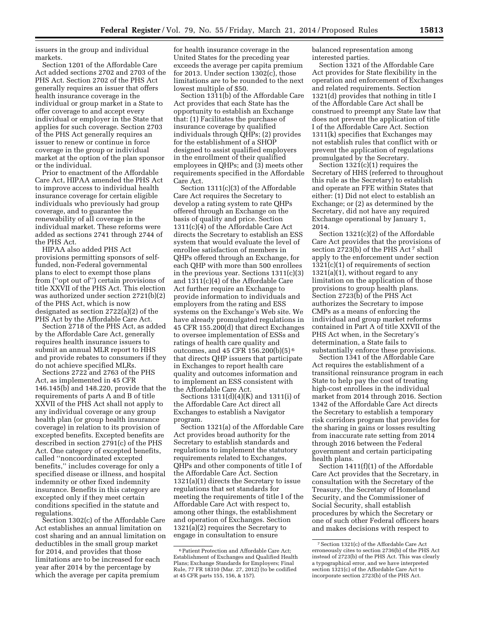issuers in the group and individual markets.

Section 1201 of the Affordable Care Act added sections 2702 and 2703 of the PHS Act. Section 2702 of the PHS Act generally requires an issuer that offers health insurance coverage in the individual or group market in a State to offer coverage to and accept every individual or employer in the State that applies for such coverage. Section 2703 of the PHS Act generally requires an issuer to renew or continue in force coverage in the group or individual market at the option of the plan sponsor or the individual.

Prior to enactment of the Affordable Care Act, HIPAA amended the PHS Act to improve access to individual health insurance coverage for certain eligible individuals who previously had group coverage, and to guarantee the renewability of all coverage in the individual market. These reforms were added as sections 2741 through 2744 of the PHS Act.

HIPAA also added PHS Act provisions permitting sponsors of selffunded, non-Federal governmental plans to elect to exempt those plans from (''opt out of'') certain provisions of title XXVII of the PHS Act. This election was authorized under section 2721(b)(2) of the PHS Act, which is now designated as section 2722(a)(2) of the PHS Act by the Affordable Care Act.

Section 2718 of the PHS Act, as added by the Affordable Care Act, generally requires health insurance issuers to submit an annual MLR report to HHS and provide rebates to consumers if they do not achieve specified MLRs.

Sections 2722 and 2763 of the PHS Act, as implemented in 45 CFR 146.145(b) and 148.220, provide that the requirements of parts A and B of title XXVII of the PHS Act shall not apply to any individual coverage or any group health plan (or group health insurance coverage) in relation to its provision of excepted benefits. Excepted benefits are described in section 2791(c) of the PHS Act. One category of excepted benefits, called ''noncoordinated excepted benefits,'' includes coverage for only a specified disease or illness, and hospital indemnity or other fixed indemnity insurance. Benefits in this category are excepted only if they meet certain conditions specified in the statute and regulations.

Section 1302(c) of the Affordable Care Act establishes an annual limitation on cost sharing and an annual limitation on deductibles in the small group market for 2014, and provides that those limitations are to be increased for each year after 2014 by the percentage by which the average per capita premium

for health insurance coverage in the United States for the preceding year exceeds the average per capita premium for 2013. Under section 1302(c), those limitations are to be rounded to the next lowest multiple of \$50.

Section 1311(b) of the Affordable Care Act provides that each State has the opportunity to establish an Exchange that: (1) Facilitates the purchase of insurance coverage by qualified individuals through QHPs; (2) provides for the establishment of a SHOP designed to assist qualified employers in the enrollment of their qualified employees in QHPs; and (3) meets other requirements specified in the Affordable Care Act.

Section 1311(c)(3) of the Affordable Care Act requires the Secretary to develop a rating system to rate QHPs offered through an Exchange on the basis of quality and price. Section 1311(c)(4) of the Affordable Care Act directs the Secretary to establish an ESS system that would evaluate the level of enrollee satisfaction of members in QHPs offered through an Exchange, for each QHP with more than 500 enrollees in the previous year. Sections 1311(c)(3) and 1311(c)(4) of the Affordable Care Act further require an Exchange to provide information to individuals and employers from the rating and ESS systems on the Exchange's Web site. We have already promulgated regulations in 45 CFR 155.200(d) that direct Exchanges to oversee implementation of ESSs and ratings of health care quality and outcomes, and 45 CFR 156.200(b)(5) 6 that directs QHP issuers that participate in Exchanges to report health care quality and outcomes information and to implement an ESS consistent with the Affordable Care Act.

Sections 1311(d)(4)(K) and 1311(i) of the Affordable Care Act direct all Exchanges to establish a Navigator program.

Section 1321(a) of the Affordable Care Act provides broad authority for the Secretary to establish standards and regulations to implement the statutory requirements related to Exchanges, QHPs and other components of title I of the Affordable Care Act. Section 1321(a)(1) directs the Secretary to issue regulations that set standards for meeting the requirements of title I of the Affordable Care Act with respect to, among other things, the establishment and operation of Exchanges. Section 1321(a)(2) requires the Secretary to engage in consultation to ensure

balanced representation among interested parties.

Section 1321 of the Affordable Care Act provides for State flexibility in the operation and enforcement of Exchanges and related requirements. Section 1321(d) provides that nothing in title I of the Affordable Care Act shall be construed to preempt any State law that does not prevent the application of title I of the Affordable Care Act. Section 1311(k) specifies that Exchanges may not establish rules that conflict with or prevent the application of regulations promulgated by the Secretary.

Section 1321(c)(1) requires the Secretary of HHS (referred to throughout this rule as the Secretary) to establish and operate an FFE within States that either: (1) Did not elect to establish an Exchange; or (2) as determined by the Secretary, did not have any required Exchange operational by January 1, 2014.

Section 1321(c)(2) of the Affordable Care Act provides that the provisions of section 2723(b) of the PHS Act<sup>7</sup> shall apply to the enforcement under section 1321(c)(1) of requirements of section 1321(a)(1), without regard to any limitation on the application of those provisions to group health plans. Section 2723(b) of the PHS Act authorizes the Secretary to impose CMPs as a means of enforcing the individual and group market reforms contained in Part A of title XXVII of the PHS Act when, in the Secretary's determination, a State fails to substantially enforce these provisions.

Section 1341 of the Affordable Care Act requires the establishment of a transitional reinsurance program in each State to help pay the cost of treating high-cost enrollees in the individual market from 2014 through 2016. Section 1342 of the Affordable Care Act directs the Secretary to establish a temporary risk corridors program that provides for the sharing in gains or losses resulting from inaccurate rate setting from 2014 through 2016 between the Federal government and certain participating health plans.

Section 1411(f)(1) of the Affordable Care Act provides that the Secretary, in consultation with the Secretary of the Treasury, the Secretary of Homeland Security, and the Commissioner of Social Security, shall establish procedures by which the Secretary or one of such other Federal officers hears and makes decisions with respect to

<sup>6</sup>Patient Protection and Affordable Care Act; Establishment of Exchanges and Qualified Health Plans; Exchange Standards for Employers; Final Rule, 77 FR 18310 (Mar. 27, 2012) (to be codified at 45 CFR parts 155, 156, & 157).

<sup>7</sup>Section 1321(c) of the Affordable Care Act erroneously cites to section 2736(b) of the PHS Act instead of 2723(b) of the PHS Act. This was clearly a typographical error, and we have interpreted section 1321(c) of the Affordable Care Act to incorporate section 2723(b) of the PHS Act.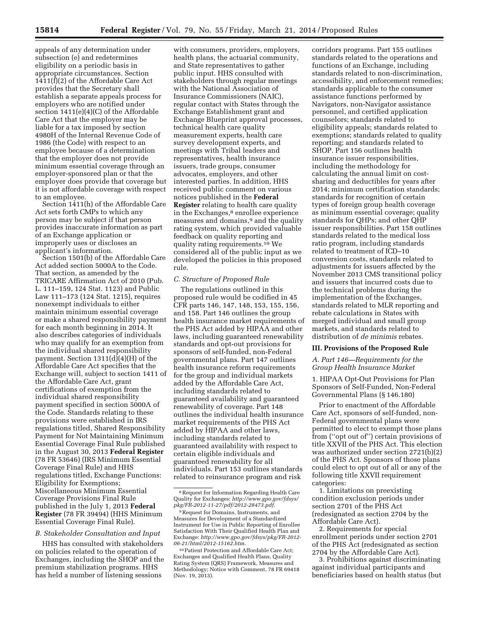appeals of any determination under subsection (e) and redetermines eligibility on a periodic basis in appropriate circumstances. Section 1411(f)(2) of the Affordable Care Act provides that the Secretary shall establish a separate appeals process for employers who are notified under section 1411(e)(4)(C) of the Affordable Care Act that the employer may be liable for a tax imposed by section 4980H of the Internal Revenue Code of 1986 (the Code) with respect to an employee because of a determination that the employer does not provide minimum essential coverage through an employer-sponsored plan or that the employer does provide that coverage but it is not affordable coverage with respect to an employee.

Section 1411(h) of the Affordable Care Act sets forth CMPs to which any person may be subject if that person provides inaccurate information as part of an Exchange application or improperly uses or discloses an applicant's information.

Section 1501(b) of the Affordable Care Act added section 5000A to the Code. That section, as amended by the TRICARE Affirmation Act of 2010 (Pub. L. 111–159, 124 Stat. 1123) and Public Law 111–173 (124 Stat. 1215), requires nonexempt individuals to either maintain minimum essential coverage or make a shared responsibility payment for each month beginning in 2014. It also describes categories of individuals who may qualify for an exemption from the individual shared responsibility payment. Section 1311(d)(4)(H) of the Affordable Care Act specifies that the Exchange will, subject to section 1411 of the Affordable Care Act, grant certifications of exemption from the individual shared responsibility payment specified in section 5000A of the Code. Standards relating to these provisions were established in IRS regulations titled, Shared Responsibility Payment for Not Maintaining Minimum Essential Coverage Final Rule published in the August 30, 2013 **Federal Register**  (78 FR 53646) (IRS Minimum Essential Coverage Final Rule) and HHS regulations titled, Exchange Functions: Eligibility for Exemptions; Miscellaneous Minimum Essential Coverage Provisions Final Rule published in the July 1, 2013 **Federal Register** (78 FR 39494) (HHS Minimum Essential Coverage Final Rule).

#### *B. Stakeholder Consultation and Input*

HHS has consulted with stakeholders on policies related to the operation of Exchanges, including the SHOP and the premium stabilization programs. HHS has held a number of listening sessions

with consumers, providers, employers, health plans, the actuarial community, and State representatives to gather public input. HHS consulted with stakeholders through regular meetings with the National Association of Insurance Commissioners (NAIC), regular contact with States through the Exchange Establishment grant and Exchange Blueprint approval processes, technical health care quality measurement experts, health care survey development experts, and meetings with Tribal leaders and representatives, health insurance issuers, trade groups, consumer advocates, employers, and other interested parties. In addition, HHS received public comment on various notices published in the **Federal Register** relating to health care quality in the Exchanges,<sup>8</sup> enrollee experience measures and domains,9 and the quality rating system, which provided valuable feedback on quality reporting and quality rating requirements.10 We considered all of the public input as we developed the policies in this proposed rule.

#### *C. Structure of Proposed Rule*

The regulations outlined in this proposed rule would be codified in 45 CFR parts 146, 147, 148, 153, 155, 156, and 158. Part 146 outlines the group health insurance market requirements of the PHS Act added by HIPAA and other laws, including guaranteed renewability standards and opt-out provisions for sponsors of self-funded, non-Federal governmental plans. Part 147 outlines health insurance reform requirements for the group and individual markets added by the Affordable Care Act, including standards related to guaranteed availability and guaranteed renewability of coverage. Part 148 outlines the individual health insurance market requirements of the PHS Act added by HIPAA and other laws, including standards related to guaranteed availability with respect to certain eligible individuals and guaranteed renewability for all individuals. Part 153 outlines standards related to reinsurance program and risk

corridors programs. Part 155 outlines standards related to the operations and functions of an Exchange, including standards related to non-discrimination, accessibility, and enforcement remedies; standards applicable to the consumer assistance functions performed by Navigators, non-Navigator assistance personnel, and certified application counselors; standards related to eligibility appeals; standards related to exemptions; standards related to quality reporting; and standards related to SHOP. Part 156 outlines health insurance issuer responsibilities, including the methodology for calculating the annual limit on costsharing and deductibles for years after 2014; minimum certification standards; standards for recognition of certain types of foreign group health coverage as minimum essential coverage; quality standards for QHPs; and other QHP issuer responsibilities. Part 158 outlines standards related to the medical loss ratio program, including standards related to treatment of ICD–10 conversion costs, standards related to adjustments for issuers affected by the November 2013 CMS transitional policy and issuers that incurred costs due to the technical problems during the implementation of the Exchanges, standards related to MLR reporting and rebate calculations in States with merged individual and small group markets, and standards related to distribution of *de minimis* rebates.

#### **III. Provisions of the Proposed Rule**

*A. Part 146—Requirements for the Group Health Insurance Market* 

1. HIPAA Opt-Out Provisions for Plan Sponsors of Self-Funded, Non-Federal Governmental Plans (§ 146.180)

Prior to enactment of the Affordable Care Act, sponsors of self-funded, non-Federal governmental plans were permitted to elect to exempt those plans from (''opt out of'') certain provisions of title XXVII of the PHS Act. This election was authorized under section 2721(b)(2) of the PHS Act. Sponsors of those plans could elect to opt out of all or any of the following title XXVII requirement categories:

1. Limitations on preexisting condition exclusion periods under section 2701 of the PHS Act (redesignated as section 2704 by the Affordable Care Act).

2. Requirements for special enrollment periods under section 2701 of the PHS Act (redesignated as section 2704 by the Affordable Care Act).

3. Prohibitions against discriminating against individual participants and beneficiaries based on health status (but

<sup>8</sup>Request for Information Regarding Health Care Quality for Exchanges: *[http://www.gpo.gov/fdsys/](http://www.gpo.gov/fdsys/pkg/FR-2012-11-27/pdf/2012-28473.pdf) [pkg/FR-2012-11-27/pdf/2012-28473.pdf](http://www.gpo.gov/fdsys/pkg/FR-2012-11-27/pdf/2012-28473.pdf)*.

<sup>9</sup>Request for Domains, Instruments, and Measures for Development of a Standardized Instrument for Use in Public Reporting of Enrollee Satisfaction With Their Qualified Health Plan and Exchange: *[http://www.gpo.gov/fdsys/pkg/FR-2012-](http://www.gpo.gov/fdsys/pkg/FR-2012-06-21/html/2012-15162.htm) [06-21/html/2012-15162.htm](http://www.gpo.gov/fdsys/pkg/FR-2012-06-21/html/2012-15162.htm)*.

<sup>10</sup>Patient Protection and Affordable Care Act; Exchanges and Qualified Health Plans, Quality Rating System (QRS) Framework, Measures and Methodology; Notice with Comment, 78 FR 69418 (Nov. 19, 2013).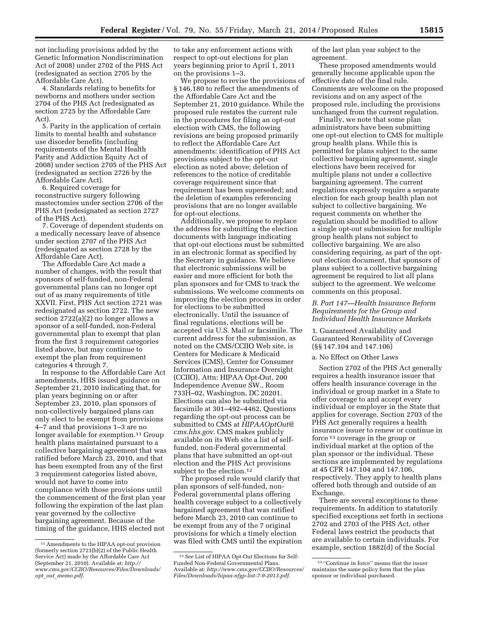not including provisions added by the Genetic Information Nondiscrimination Act of 2008) under 2702 of the PHS Act (redesignated as section 2705 by the

Affordable Care Act). 4. Standards relating to benefits for newborns and mothers under section 2704 of the PHS Act (redesignated as section 2725 by the Affordable Care Act).

5. Parity in the application of certain limits to mental health and substance use disorder benefits (including requirements of the Mental Health Parity and Addiction Equity Act of 2008) under section 2705 of the PHS Act (redesignated as section 2726 by the Affordable Care Act).

6. Required coverage for reconstructive surgery following mastectomies under section 2706 of the PHS Act (redesignated as section 2727 of the PHS Act).

7. Coverage of dependent students on a medically necessary leave of absence under section 2707 of the PHS Act (redesignated as section 2728 by the Affordable Care Act).

The Affordable Care Act made a number of changes, with the result that sponsors of self-funded, non-Federal governmental plans can no longer opt out of as many requirements of title XXVII. First, PHS Act section 2721 was redesignated as section 2722. The new section 2722(a)(2) no longer allows a sponsor of a self-funded, non-Federal governmental plan to exempt that plan from the first 3 requirement categories listed above, but may continue to exempt the plan from requirement categories 4 through 7.

In response to the Affordable Care Act amendments, HHS issued guidance on September 21, 2010 indicating that, for plan years beginning on or after September 23, 2010, plan sponsors of non-collectively bargained plans can only elect to be exempt from provisions 4–7 and that provisions 1–3 are no longer available for exemption.<sup>11</sup> Group health plans maintained pursuant to a collective bargaining agreement that was ratified before March 23, 2010, and that has been exempted from any of the first 3 requirement categories listed above, would not have to come into compliance with those provisions until the commencement of the first plan year following the expiration of the last plan year governed by the collective bargaining agreement. Because of the timing of the guidance, HHS elected not

to take any enforcement actions with respect to opt-out elections for plan years beginning prior to April 1, 2011 on the provisions 1–3.

We propose to revise the provisions of § 146.180 to reflect the amendments of the Affordable Care Act and the September 21, 2010 guidance. While the proposed rule restates the current rule in the procedures for filing an opt-out election with CMS, the following revisions are being proposed primarily to reflect the Affordable Care Act amendments: identification of PHS Act provisions subject to the opt-out election as noted above; deletion of references to the notice of creditable coverage requirement since that requirement has been superseded; and the deletion of examples referencing provisions that are no longer available for opt-out elections.

Additionally, we propose to replace the address for submitting the election documents with language indicating that opt-out elections must be submitted in an electronic format as specified by the Secretary in guidance. We believe that electronic submissions will be easier and more efficient for both the plan sponsors and for CMS to track the submissions. We welcome comments on improving the election process in order for elections to be submitted electronically. Until the issuance of final regulations, elections will be accepted via U.S. Mail or facsimile. The current address for the submission, as noted on the CMS/CCIIO Web site, is Centers for Medicare & Medicaid Services (CMS), Center for Consumer Information and Insurance Oversight (CCIIO), Attn: HIPAA Opt-Out, 200 Independence Avenue SW., Room 733H–02, Washington, DC 20201. Elections can also be submitted via facsimile at 301–492–4462. Questions regarding the opt-out process can be submitted to CMS at *[HIPAAOptOut@](mailto:HIPAAOptOut@cms.hhs.gov) [cms.hhs.gov](mailto:HIPAAOptOut@cms.hhs.gov)*. CMS makes publicly available on its Web site a list of selffunded, non-Federal governmental plans that have submitted an opt-out election and the PHS Act provisions subject to the election.<sup>12</sup>

The proposed rule would clarify that plan sponsors of self-funded, non-Federal governmental plans offering health coverage subject to a collectively bargained agreement that was ratified before March 23, 2010 can continue to be exempt from any of the 7 original provisions for which a timely election was filed with CMS until the expiration of the last plan year subject to the agreement.

These proposed amendments would generally become applicable upon the effective date of the final rule. Comments are welcome on the proposed revisions and on any aspect of the proposed rule, including the provisions unchanged from the current regulation.

Finally, we note that some plan administrators have been submitting one opt-out election to CMS for multiple group health plans. While this is permitted for plans subject to the same collective bargaining agreement, single elections have been received for multiple plans not under a collective bargaining agreement. The current regulations expressly require a separate election for each group health plan not subject to collective bargaining. We request comments on whether the regulation should be modified to allow a single opt-out submission for multiple group health plans not subject to collective bargaining. We are also considering requiring, as part of the optout election document, that sponsors of plans subject to a collective bargaining agreement be required to list all plans subject to the agreement. We welcome comments on this proposal.

#### *B. Part 147—Health Insurance Reform Requirements for the Group and Individual Health Insurance Markets*

#### 1. Guaranteed Availability and Guaranteed Renewability of Coverage (§§ 147.104 and 147.106)

#### a. No Effect on Other Laws

Section 2702 of the PHS Act generally requires a health insurance issuer that offers health insurance coverage in the individual or group market in a State to offer coverage to and accept every individual or employer in the State that applies for coverage. Section 2703 of the PHS Act generally requires a health insurance issuer to renew or continue in force 13 coverage in the group or individual market at the option of the plan sponsor or the individual. These sections are implemented by regulations at 45 CFR 147.104 and 147.106, respectively. They apply to health plans offered both through and outside of an Exchange.

There are several exceptions to these requirements. In addition to statutorily specified exceptions set forth in sections 2702 and 2703 of the PHS Act, other Federal laws restrict the products that are available to certain individuals. For example, section 1882(d) of the Social

<sup>11</sup>Amendments to the HIPAA opt-out provision (formerly section 2721(b)(2) of the Public Health Service Act) made by the Affordable Care Act (September 21, 2010). Available at: *[http://](http://www.cms.gov/CCIIO/Resources/Files/Downloads/opt_out_memo.pdf) [www.cms.gov/CCIIO/Resources/Files/Downloads/](http://www.cms.gov/CCIIO/Resources/Files/Downloads/opt_out_memo.pdf) opt*\_*out*\_*[memo.pdf](http://www.cms.gov/CCIIO/Resources/Files/Downloads/opt_out_memo.pdf)*.

<sup>12</sup>*See* List of HIPAA Opt-Out Elections for Self-Funded Non-Federal Governmental Plans. Available at: *[http://www.cms.gov/CCIIO/Resources/](http://www.cms.gov/CCIIO/Resources/Files/Downloads/hipaa-nfgp-list-7-9-2013.pdf)  [Files/Downloads/hipaa-nfgp-list-7-9-2013.pdf](http://www.cms.gov/CCIIO/Resources/Files/Downloads/hipaa-nfgp-list-7-9-2013.pdf)*.

<sup>13</sup> ''Continue in force'' means that the issuer maintains the same policy form that the plan sponsor or individual purchased.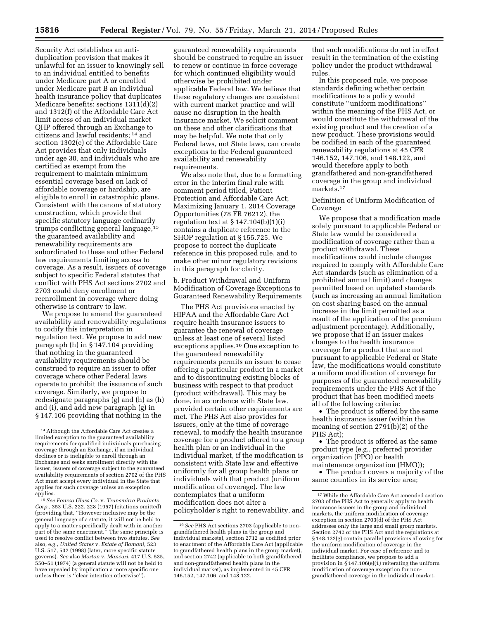Security Act establishes an antiduplication provision that makes it unlawful for an issuer to knowingly sell to an individual entitled to benefits under Medicare part A or enrolled under Medicare part B an individual health insurance policy that duplicates Medicare benefits; sections 1311(d)(2) and 1312(f) of the Affordable Care Act limit access of an individual market QHP offered through an Exchange to citizens and lawful residents; 14 and section 1302(e) of the Affordable Care Act provides that only individuals under age 30, and individuals who are certified as exempt from the requirement to maintain minimum essential coverage based on lack of affordable coverage or hardship, are eligible to enroll in catastrophic plans. Consistent with the canons of statutory construction, which provide that specific statutory language ordinarily trumps conflicting general language,15 the guaranteed availability and renewability requirements are subordinated to these and other Federal law requirements limiting access to coverage. As a result, issuers of coverage subject to specific Federal statutes that conflict with PHS Act sections 2702 and 2703 could deny enrollment or reenrollment in coverage where doing otherwise is contrary to law.

We propose to amend the guaranteed availability and renewability regulations to codify this interpretation in regulation text. We propose to add new paragraph (h) in § 147.104 providing that nothing in the guaranteed availability requirements should be construed to require an issuer to offer coverage where other Federal laws operate to prohibit the issuance of such coverage. Similarly, we propose to redesignate paragraphs (g) and (h) as (h) and (i), and add new paragraph (g) in § 147.106 providing that nothing in the

15*See Fourco Glass Co.* v. *Transmirra Products Corp.,* 353 U.S. 222, 228 (1957) (citations omitted) (providing that, ''However inclusive may be the general language of a statute, it will not be held to apply to a matter specifically dealt with in another part of the same enactment.'' The same principle is used to resolve conflict between two statutes. *See*  also, e.g., *United States* v. *Estate of Romani,* 523 U.S. 517, 532 (1998) (later, more specific statute governs). *See* also *Morton* v. *Mancari*, 417 U.S. 535, 550–51 (1974) (a general statute will not be held to have repealed by implication a more specific one unless there is ''clear intention otherwise'').

guaranteed renewability requirements should be construed to require an issuer to renew or continue in force coverage for which continued eligibility would otherwise be prohibited under applicable Federal law. We believe that these regulatory changes are consistent with current market practice and will cause no disruption in the health insurance market. We solicit comment on these and other clarifications that may be helpful. We note that only Federal laws, not State laws, can create exceptions to the Federal guaranteed availability and renewability requirements.

We also note that, due to a formatting error in the interim final rule with comment period titled, Patient Protection and Affordable Care Act; Maximizing January 1, 2014 Coverage Opportunities (78 FR 76212), the regulation text at  $\S 147.104(b)(1)(i)$ contains a duplicate reference to the SHOP regulation at § 155.725. We propose to correct the duplicate reference in this proposed rule, and to make other minor regulatory revisions in this paragraph for clarity.

b. Product Withdrawal and Uniform Modification of Coverage Exceptions to Guaranteed Renewability Requirements

The PHS Act provisions enacted by HIPAA and the Affordable Care Act require health insurance issuers to guarantee the renewal of coverage unless at least one of several listed exceptions applies.16 One exception to the guaranteed renewability requirements permits an issuer to cease offering a particular product in a market and to discontinuing existing blocks of business with respect to that product (product withdrawal). This may be done, in accordance with State law, provided certain other requirements are met. The PHS Act also provides for issuers, only at the time of coverage renewal, to modify the health insurance coverage for a product offered to a group health plan or an individual in the individual market, if the modification is consistent with State law and effective uniformly for all group health plans or individuals with that product (uniform modification of coverage). The law contemplates that a uniform modification does not alter a policyholder's right to renewability, and

that such modifications do not in effect result in the termination of the existing policy under the product withdrawal rules.

In this proposed rule, we propose standards defining whether certain modifications to a policy would constitute ''uniform modifications'' within the meaning of the PHS Act, or would constitute the withdrawal of the existing product and the creation of a new product. These provisions would be codified in each of the guaranteed renewability regulations at 45 CFR 146.152, 147.106, and 148.122, and would therefore apply to both grandfathered and non-grandfathered coverage in the group and individual markets.17

#### Definition of Uniform Modification of Coverage

We propose that a modification made solely pursuant to applicable Federal or State law would be considered a modification of coverage rather than a product withdrawal. These modifications could include changes required to comply with Affordable Care Act standards (such as elimination of a prohibited annual limit) and changes permitted based on updated standards (such as increasing an annual limitation on cost sharing based on the annual increase in the limit permitted as a result of the application of the premium adjustment percentage). Additionally, we propose that if an issuer makes changes to the health insurance coverage for a product that are not pursuant to applicable Federal or State law, the modifications would constitute a uniform modification of coverage for purposes of the guaranteed renewability requirements under the PHS Act if the product that has been modified meets all of the following criteria:

• The product is offered by the same health insurance issuer (within the meaning of section 2791(b)(2) of the PHS Act);

• The product is offered as the same product type (e.g., preferred provider organization (PPO) or health maintenance organization (HMO));

• The product covers a majority of the same counties in its service area;

<sup>14</sup>Although the Affordable Care Act creates a limited exception to the guaranteed availability requirements for qualified individuals purchasing coverage through an Exchange, if an individual declines or is ineligible to enroll through an Exchange and seeks enrollment directly with the issuer, issuers of coverage subject to the guaranteed availability requirements of section 2702 of the PHS Act must accept every individual in the State that applies for such coverage unless an exception applies.

<sup>16</sup>*See* PHS Act sections 2703 (applicable to nongrandfathered health plans in the group and individual markets), section 2712 as codified prior to enactment of the Affordable Care Act (applicable to grandfathered health plans in the group market), and section 2742 (applicable to both grandfathered and non-grandfathered health plans in the individual market), as implemented in 45 CFR 146.152, 147.106, and 148.122.

<sup>17</sup>While the Affordable Care Act amended section 2703 of the PHS Act to generally apply to health insurance issuers in the group and individual markets, the uniform modification of coverage exception in section 2703(d) of the PHS Act addresses only the large and small group markets. Section 2742 of the PHS Act and the regulations at § 148.122(g) contain parallel provisions allowing for the uniform modification of coverage in the individual market. For ease of reference and to facilitate compliance, we propose to add a provision in  $\frac{1}{5}$ 147.106(e)(1) reiterating the uniform modification of coverage exception for nongrandfathered coverage in the individual market.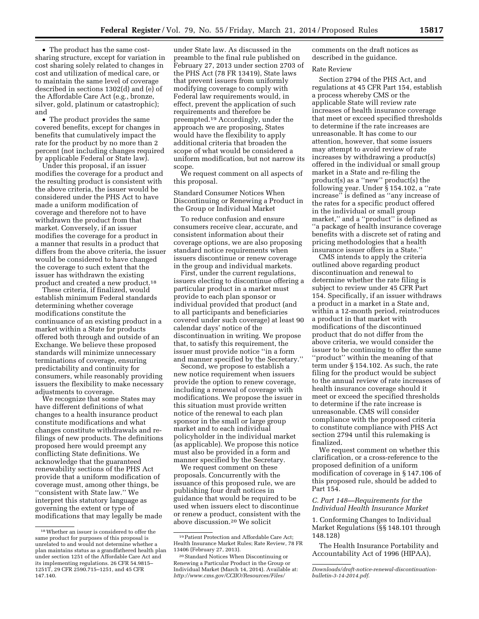• The product has the same costsharing structure, except for variation in cost sharing solely related to changes in cost and utilization of medical care, or to maintain the same level of coverage described in sections  $1302(d)$  and  $(e)$  of the Affordable Care Act (e.g., bronze, silver, gold, platinum or catastrophic);

and • The product provides the same covered benefits, except for changes in benefits that cumulatively impact the rate for the product by no more than 2 percent (not including changes required by applicable Federal or State law).

Under this proposal, if an issuer modifies the coverage for a product and the resulting product is consistent with the above criteria, the issuer would be considered under the PHS Act to have made a uniform modification of coverage and therefore not to have withdrawn the product from that market. Conversely, if an issuer modifies the coverage for a product in a manner that results in a product that differs from the above criteria, the issuer would be considered to have changed the coverage to such extent that the issuer has withdrawn the existing product and created a new product.<sup>18</sup>

These criteria, if finalized, would establish minimum Federal standards determining whether coverage modifications constitute the continuance of an existing product in a market within a State for products offered both through and outside of an Exchange. We believe these proposed standards will minimize unnecessary terminations of coverage, ensuring predictability and continuity for consumers, while reasonably providing issuers the flexibility to make necessary adjustments to coverage.

We recognize that some States may have different definitions of what changes to a health insurance product constitute modifications and what changes constitute withdrawals and refilings of new products. The definitions proposed here would preempt any conflicting State definitions. We acknowledge that the guaranteed renewability sections of the PHS Act provide that a uniform modification of coverage must, among other things, be ''consistent with State law.'' We interpret this statutory language as governing the extent or type of modifications that may legally be made

under State law. As discussed in the preamble to the final rule published on February 27, 2013 under section 2703 of the PHS Act (78 FR 13419), State laws that prevent issuers from uniformly modifying coverage to comply with Federal law requirements would, in effect, prevent the application of such requirements and therefore be preempted.19 Accordingly, under the approach we are proposing, States would have the flexibility to apply additional criteria that broaden the scope of what would be considered a uniform modification, but not narrow its scope.

We request comment on all aspects of this proposal.

Standard Consumer Notices When Discontinuing or Renewing a Product in the Group or Individual Market

To reduce confusion and ensure consumers receive clear, accurate, and consistent information about their coverage options, we are also proposing standard notice requirements when issuers discontinue or renew coverage in the group and individual markets.

First, under the current regulations, issuers electing to discontinue offering a particular product in a market must provide to each plan sponsor or individual provided that product (and to all participants and beneficiaries covered under such coverage) at least 90 calendar days' notice of the discontinuation in writing. We propose that, to satisfy this requirement, the issuer must provide notice ''in a form and manner specified by the Secretary.''

Second, we propose to establish a new notice requirement when issuers provide the option to renew coverage, including a renewal of coverage with modifications. We propose the issuer in this situation must provide written notice of the renewal to each plan sponsor in the small or large group market and to each individual policyholder in the individual market (as applicable). We propose this notice must also be provided in a form and manner specified by the Secretary.

We request comment on these proposals. Concurrently with the issuance of this proposed rule, we are publishing four draft notices in guidance that would be required to be used when issuers elect to discontinue or renew a product, consistent with the above discussion.20 We solicit

comments on the draft notices as described in the guidance.

#### Rate Review

Section 2794 of the PHS Act, and regulations at 45 CFR Part 154, establish a process whereby CMS or the applicable State will review rate increases of health insurance coverage that meet or exceed specified thresholds to determine if the rate increases are unreasonable. It has come to our attention, however, that some issuers may attempt to avoid review of rate increases by withdrawing a product(s) offered in the individual or small group market in a State and re-filing the product(s) as a ''new'' product(s) the following year. Under § 154.102, a ''rate increase'' is defined as ''any increase of the rates for a specific product offered in the individual or small group market,'' and a ''product'' is defined as ''a package of health insurance coverage benefits with a discrete set of rating and pricing methodologies that a health insurance issuer offers in a State.''

CMS intends to apply the criteria outlined above regarding product discontinuation and renewal to determine whether the rate filing is subject to review under 45 CFR Part 154. Specifically, if an issuer withdraws a product in a market in a State and, within a 12-month period, reintroduces a product in that market with modifications of the discontinued product that do not differ from the above criteria, we would consider the issuer to be continuing to offer the same ''product'' within the meaning of that term under § 154.102. As such, the rate filing for the product would be subject to the annual review of rate increases of health insurance coverage should it meet or exceed the specified thresholds to determine if the rate increase is unreasonable. CMS will consider compliance with the proposed criteria to constitute compliance with PHS Act section 2794 until this rulemaking is finalized.

We request comment on whether this clarification, or a cross-reference to the proposed definition of a uniform modification of coverage in § 147.106 of this proposed rule, should be added to Part 154.

#### *C. Part 148—Requirements for the Individual Health Insurance Market*

1. Conforming Changes to Individual Market Regulations (§§ 148.101 through 148.128)

The Health Insurance Portability and Accountability Act of 1996 (HIPAA),

 $^{\rm 18}$  Whether an issuer is considered to offer the same product for purposes of this proposal is unrelated to and would not determine whether a plan maintains status as a grandfathered health plan under section 1251 of the Affordable Care Act and its implementing regulations. 26 CFR 54.9815– 1251T, 29 CFR 2590.715–1251, and 45 CFR 147.140.

<sup>19</sup>Patient Protection and Affordable Care Act; Health Insurance Market Rules; Rate Review, 78 FR 13406 (February 27, 2013).

<sup>20</sup>Standard Notices When Discontinuing or Renewing a Particular Product in the Group or Individual Market (March 14, 2014). Available at: *[http://www.cms.gov/CCIIO/Resources/Files/](http://www.cms.gov/CCIIO/Resources/Files/Downloads/draft-notice-renewal-discontinuation-bulletin-3-14-2014.pdf)*

*[Downloads/draft-notice-renewal-discontinuation](http://www.cms.gov/CCIIO/Resources/Files/Downloads/draft-notice-renewal-discontinuation-bulletin-3-14-2014.pdf)[bulletin-3-14-2014.pdf](http://www.cms.gov/CCIIO/Resources/Files/Downloads/draft-notice-renewal-discontinuation-bulletin-3-14-2014.pdf)*.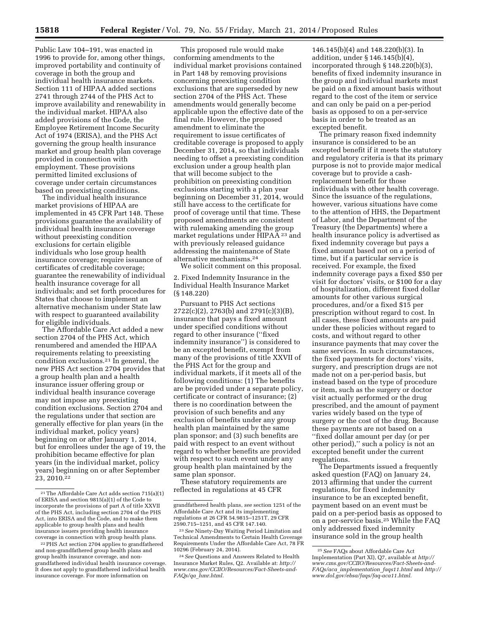Public Law 104–191, was enacted in 1996 to provide for, among other things, improved portability and continuity of coverage in both the group and individual health insurance markets. Section 111 of HIPAA added sections 2741 through 2744 of the PHS Act to improve availability and renewability in the individual market. HIPAA also added provisions of the Code, the Employee Retirement Income Security Act of 1974 (ERISA), and the PHS Act governing the group health insurance market and group health plan coverage provided in connection with employment. These provisions

permitted limited exclusions of coverage under certain circumstances based on preexisting conditions. The individual health insurance market provisions of HIPAA are implemented in 45 CFR Part 148. These

provisions guarantee the availability of individual health insurance coverage without preexisting condition exclusions for certain eligible individuals who lose group health insurance coverage; require issuance of certificates of creditable coverage; guarantee the renewability of individual health insurance coverage for all individuals; and set forth procedures for States that choose to implement an alternative mechanism under State law with respect to guaranteed availability for eligible individuals.

The Affordable Care Act added a new section 2704 of the PHS Act, which renumbered and amended the HIPAA requirements relating to preexisting condition exclusions.21 In general, the new PHS Act section 2704 provides that a group health plan and a health insurance issuer offering group or individual health insurance coverage may not impose any preexisting condition exclusions. Section 2704 and the regulations under that section are generally effective for plan years (in the individual market, policy years) beginning on or after January 1, 2014, but for enrollees under the age of 19, the prohibition became effective for plan years (in the individual market, policy years) beginning on or after September 23, 2010.22

This proposed rule would make conforming amendments to the individual market provisions contained in Part 148 by removing provisions concerning preexisting condition exclusions that are superseded by new section 2704 of the PHS Act. These amendments would generally become applicable upon the effective date of the final rule. However, the proposed amendment to eliminate the requirement to issue certificates of creditable coverage is proposed to apply December 31, 2014, so that individuals needing to offset a preexisting condition exclusion under a group health plan that will become subject to the prohibition on preexisting condition exclusions starting with a plan year beginning on December 31, 2014, would still have access to the certificate for proof of coverage until that time. These proposed amendments are consistent with rulemaking amending the group market regulations under HIPAA<sup>23</sup> and with previously released guidance addressing the maintenance of State alternative mechanisms.24

We solicit comment on this proposal. 2. Fixed Indemnity Insurance in the Individual Health Insurance Market

(§ 148.220)

Pursuant to PHS Act sections 2722(c)(2), 2763(b) and 2791(c)(3)(B), insurance that pays a fixed amount under specified conditions without regard to other insurance (''fixed indemnity insurance'') is considered to be an excepted benefit, exempt from many of the provisions of title XXVII of the PHS Act for the group and individual markets, if it meets all of the following conditions: (1) The benefits are be provided under a separate policy, certificate or contract of insurance; (2) there is no coordination between the provision of such benefits and any exclusion of benefits under any group health plan maintained by the same plan sponsor; and (3) such benefits are paid with respect to an event without regard to whether benefits are provided with respect to such event under any group health plan maintained by the same plan sponsor.

These statutory requirements are reflected in regulations at 45 CFR

146.145(b)(4) and 148.220(b)(3). In addition, under § 146.145(b)(4), incorporated through § 148.220(b)(3), benefits of fixed indemnity insurance in the group and individual markets must be paid on a fixed amount basis without regard to the cost of the item or service and can only be paid on a per-period basis as opposed to on a per-service basis in order to be treated as an excepted benefit.

The primary reason fixed indemnity insurance is considered to be an excepted benefit if it meets the statutory and regulatory criteria is that its primary purpose is not to provide major medical coverage but to provide a cashreplacement benefit for those individuals with other health coverage. Since the issuance of the regulations, however, various situations have come to the attention of HHS, the Department of Labor, and the Department of the Treasury (the Departments) where a health insurance policy is advertised as fixed indemnity coverage but pays a fixed amount based not on a period of time, but if a particular service is received. For example, the fixed indemnity coverage pays a fixed \$50 per visit for doctors' visits, or \$100 for a day of hospitalization, different fixed dollar amounts for other various surgical procedures, and/or a fixed \$15 per prescription without regard to cost. In all cases, these fixed amounts are paid under these policies without regard to costs, and without regard to other insurance payments that may cover the same services. In such circumstances, the fixed payments for doctors' visits, surgery, and prescription drugs are not made not on a per-period basis, but instead based on the type of procedure or item, such as the surgery or doctor visit actually performed or the drug prescribed, and the amount of payment varies widely based on the type of surgery or the cost of the drug. Because these payments are not based on a ''fixed dollar amount per day (or per other period),'' such a policy is not an excepted benefit under the current regulations.

The Departments issued a frequently asked question (FAQ) on January 24, 2013 affirming that under the current regulations, for fixed indemnity insurance to be an excepted benefit, payment based on an event must be paid on a per-period basis as opposed to on a per-service basis.25 While the FAQ only addressed fixed indemnity insurance sold in the group health

<sup>21</sup>The Affordable Care Act adds section 715(a)(1) of ERISA and section 9815(a)(1) of the Code to incorporate the provisions of part A of title XXVII of the PHS Act, including section 2704 of the PHS Act, into ERISA and the Code, and to make them applicable to group health plans and health insurance issuers providing health insurance coverage in connection with group health plans.

<sup>22</sup>PHS Act section 2704 applies to grandfathered and non-grandfathered group health plans and group health insurance coverage, and nongrandfathered individual health insurance coverage. It does not apply to grandfathered individual health insurance coverage. For more information on

grandfathered health plans, *see* section 1251 of the Affordable Care Act and its implementing regulations at 26 CFR 54.9815–1251T, 29 CFR 2590.715–1251, and 45 CFR 147.140.

<sup>23</sup>*See* Ninety-Day Waiting Period Limitation and Technical Amendments to Certain Health Coverage Requirements Under the Affordable Care Act, 78 FR 10296 (February 24, 2014).

<sup>24</sup>*See* Questions and Answers Related to Health Insurance Market Rules, Q2. Available at: *[http://](http://www.cms.gov/CCIIO/Resources/Fact-Sheets-and-FAQs/qa_hmr.html) [www.cms.gov/CCIIO/Resources/Fact-Sheets-and-](http://www.cms.gov/CCIIO/Resources/Fact-Sheets-and-FAQs/qa_hmr.html)FAQs/qa*\_*[hmr.html.](http://www.cms.gov/CCIIO/Resources/Fact-Sheets-and-FAQs/qa_hmr.html)* 

<sup>25</sup>*See* FAQs about Affordable Care Act Implementation (Part XI), Q7, available at *[http://](http://www.cms.gov/CCIIO/Resources/Fact-Sheets-and-FAQs/aca_implementation_faqs11.html) [www.cms.gov/CCIIO/Resources/Fact-Sheets-and-](http://www.cms.gov/CCIIO/Resources/Fact-Sheets-and-FAQs/aca_implementation_faqs11.html)FAQs/aca*\_*[implementation](http://www.cms.gov/CCIIO/Resources/Fact-Sheets-and-FAQs/aca_implementation_faqs11.html)*\_*faqs11.html* and *[http://](http://www.dol.gov/ebsa/faqs/faq-aca11.html) [www.dol.gov/ebsa/faqs/faq-aca11.html.](http://www.dol.gov/ebsa/faqs/faq-aca11.html)*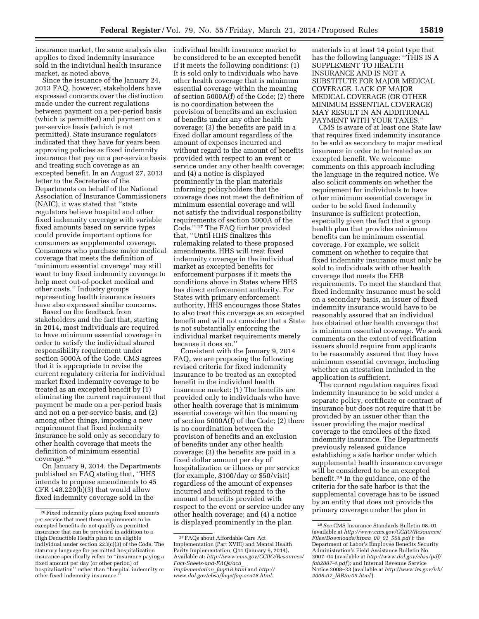insurance market, the same analysis also applies to fixed indemnity insurance sold in the individual health insurance market, as noted above.

Since the issuance of the January 24, 2013 FAQ, however, stakeholders have expressed concerns over the distinction made under the current regulations between payment on a per-period basis (which is permitted) and payment on a per-service basis (which is not permitted). State insurance regulators indicated that they have for years been approving policies as fixed indemnity insurance that pay on a per-service basis and treating such coverage as an excepted benefit. In an August 27, 2013 letter to the Secretaries of the Departments on behalf of the National Association of Insurance Commissioners (NAIC), it was stated that ''state regulators believe hospital and other fixed indemnity coverage with variable fixed amounts based on service types could provide important options for consumers as supplemental coverage. Consumers who purchase major medical coverage that meets the definition of 'minimum essential coverage' may still want to buy fixed indemnity coverage to help meet out-of-pocket medical and other costs.'' Industry groups representing health insurance issuers have also expressed similar concerns.

Based on the feedback from stakeholders and the fact that, starting in 2014, most individuals are required to have minimum essential coverage in order to satisfy the individual shared responsibility requirement under section 5000A of the Code, CMS agrees that it is appropriate to revise the current regulatory criteria for individual market fixed indemnity coverage to be treated as an excepted benefit by (1) eliminating the current requirement that payment be made on a per-period basis and not on a per-service basis, and (2) among other things, imposing a new requirement that fixed indemnity insurance be sold only as secondary to other health coverage that meets the definition of minimum essential coverage.26

On January 9, 2014, the Departments published an FAQ stating that, ''HHS intends to propose amendments to 45 CFR  $148.220(b)(3)$  that would allow fixed indemnity coverage sold in the

individual health insurance market to be considered to be an excepted benefit if it meets the following conditions: (1) It is sold only to individuals who have other health coverage that is minimum essential coverage within the meaning of section 5000A(f) of the Code; (2) there is no coordination between the provision of benefits and an exclusion of benefits under any other health coverage; (3) the benefits are paid in a fixed dollar amount regardless of the amount of expenses incurred and without regard to the amount of benefits provided with respect to an event or service under any other health coverage; and (4) a notice is displayed prominently in the plan materials informing policyholders that the coverage does not meet the definition of minimum essential coverage and will not satisfy the individual responsibility requirements of section 5000A of the Code.'' 27 The FAQ further provided that, ''Until HHS finalizes this rulemaking related to these proposed amendments, HHS will treat fixed indemnity coverage in the individual market as excepted benefits for enforcement purposes if it meets the conditions above in States where HHS has direct enforcement authority. For States with primary enforcement authority, HHS encourages those States to also treat this coverage as an excepted benefit and will not consider that a State is not substantially enforcing the individual market requirements merely because it does so.''

Consistent with the January 9, 2014 FAQ, we are proposing the following revised criteria for fixed indemnity insurance to be treated as an excepted benefit in the individual health insurance market: (1) The benefits are provided only to individuals who have other health coverage that is minimum essential coverage within the meaning of section  $5000\text{\AA}$ (f) of the Code; (2) there is no coordination between the provision of benefits and an exclusion of benefits under any other health coverage; (3) the benefits are paid in a fixed dollar amount per day of hospitalization or illness or per service (for example, \$100/day or \$50/visit) regardless of the amount of expenses incurred and without regard to the amount of benefits provided with respect to the event or service under any other health coverage; and (4) a notice is displayed prominently in the plan

materials in at least 14 point type that has the following language: ''THIS IS A SUPPLEMENT TO HEALTH INSURANCE AND IS NOT A SUBSTITUTE FOR MAJOR MEDICAL COVERAGE. LACK OF MAJOR MEDICAL COVERAGE (OR OTHER MINIMUM ESSENTIAL COVERAGE) MAY RESULT IN AN ADDITIONAL PAYMENT WITH YOUR TAXES.''

CMS is aware of at least one State law that requires fixed indemnity insurance to be sold as secondary to major medical insurance in order to be treated as an excepted benefit. We welcome comments on this approach including the language in the required notice. We also solicit comments on whether the requirement for individuals to have other minimum essential coverage in order to be sold fixed indemnity insurance is sufficient protection, especially given the fact that a group health plan that provides minimum benefits can be minimum essential coverage. For example, we solicit comment on whether to require that fixed indemnity insurance must only be sold to individuals with other health coverage that meets the EHB requirements. To meet the standard that fixed indemnity insurance must be sold on a secondary basis, an issuer of fixed indemnity insurance would have to be reasonably assured that an individual has obtained other health coverage that is minimum essential coverage. We seek comments on the extent of verification issuers should require from applicants to be reasonably assured that they have minimum essential coverage, including whether an attestation included in the application is sufficient.

The current regulation requires fixed indemnity insurance to be sold under a separate policy, certificate or contract of insurance but does not require that it be provided by an issuer other than the issuer providing the major medical coverage to the enrollees of the fixed indemnity insurance. The Departments previously released guidance establishing a safe harbor under which supplemental health insurance coverage will be considered to be an excepted benefit.28 In the guidance, one of the criteria for the safe harbor is that the supplemental coverage has to be issued by an entity that does not provide the primary coverage under the plan in

<sup>26</sup>Fixed indemnity plans paying fixed amounts per service that meet these requirements to be excepted benefits do not qualify as permitted insurance that can be provided in addition to a High Deductible Health plan to an eligible individual under section 223(c)(3) of the Code. The statutory language for permitted hospitalization insurance specifically refers to ''insurance paying a fixed amount per day (or other period) of hospitalization'' rather than ''hospital indemnity or other fixed indemnity insurance.

<sup>27</sup>FAQs about Affordable Care Act Implementation (Part XVIII) and Mental Health Parity Implementation, Q11 (January 9, 2014). Available at: *[http://www.cms.gov/CCIIO/Resources/](http://www.cms.gov/CCIIO/Resources/Fact-Sheets-and-FAQs/aca_implementation_faqs18.html)  [Fact-Sheets-and-FAQs/aca](http://www.cms.gov/CCIIO/Resources/Fact-Sheets-and-FAQs/aca_implementation_faqs18.html)*\_ *[implementation](http://www.cms.gov/CCIIO/Resources/Fact-Sheets-and-FAQs/aca_implementation_faqs18.html)*\_*faqs18.html* and *[http://](http://www.dol.gov/ebsa/faqs/faq-aca18.html) [www.dol.gov/ebsa/faqs/faq-aca18.html.](http://www.dol.gov/ebsa/faqs/faq-aca18.html)* 

<sup>28</sup>*See* CMS Insurance Standards Bulletin 08–01 (available at *[http://www.cms.gov/CCIIO/Resources/](http://www.cms.gov/CCIIO/Resources/Files/Downloads/hipaa_08_01_508.pdf) [Files/Downloads/hipaa](http://www.cms.gov/CCIIO/Resources/Files/Downloads/hipaa_08_01_508.pdf)*\_*08*\_*01*\_*508.pdf*); the Department of Labor's Employee Benefits Security Administration's Field Assistance Bulletin No. 2007–04 (available at *[http://www.dol.gov/ebsa/pdf/](http://www.dol.gov/ebsa/pdf/fab2007-4.pdf) [fab2007-4.pdf](http://www.dol.gov/ebsa/pdf/fab2007-4.pdf)*); and Internal Revenue Service Notice 2008–23 (available at *[http://www.irs.gov/irb/](http://www.irs.gov/irb/2008-07_IRB/ar09.html)  2008-07*\_*[IRB/ar09.html](http://www.irs.gov/irb/2008-07_IRB/ar09.html)*).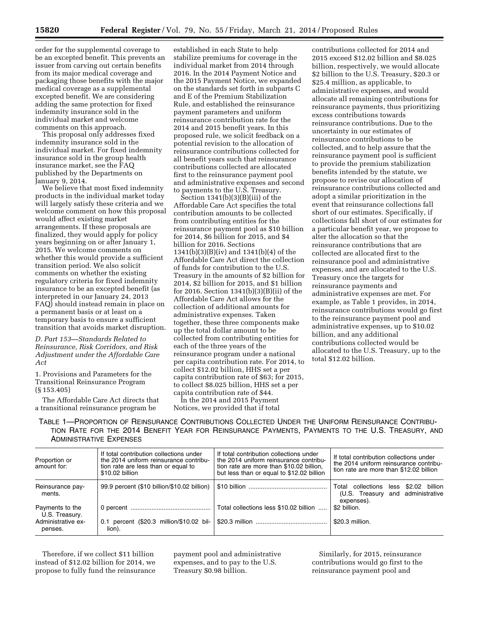order for the supplemental coverage to be an excepted benefit. This prevents an issuer from carving out certain benefits from its major medical coverage and packaging those benefits with the major medical coverage as a supplemental excepted benefit. We are considering adding the same protection for fixed indemnity insurance sold in the individual market and welcome comments on this approach.

This proposal only addresses fixed indemnity insurance sold in the individual market. For fixed indemnity insurance sold in the group health insurance market, see the FAQ published by the Departments on January 9, 2014.

We believe that most fixed indemnity products in the individual market today will largely satisfy these criteria and we welcome comment on how this proposal would affect existing market arrangements. If these proposals are finalized, they would apply for policy years beginning on or after January 1, 2015. We welcome comments on whether this would provide a sufficient transition period. We also solicit comments on whether the existing regulatory criteria for fixed indemnity insurance to be an excepted benefit (as interpreted in our January 24, 2013 FAQ) should instead remain in place on a permanent basis or at least on a temporary basis to ensure a sufficient transition that avoids market disruption.

*D. Part 153—Standards Related to Reinsurance, Risk Corridors, and Risk Adjustment under the Affordable Care Act* 

1. Provisions and Parameters for the Transitional Reinsurance Program (§ 153.405)

The Affordable Care Act directs that a transitional reinsurance program be

established in each State to help stabilize premiums for coverage in the individual market from 2014 through 2016. In the 2014 Payment Notice and the 2015 Payment Notice, we expanded on the standards set forth in subparts C and E of the Premium Stabilization Rule, and established the reinsurance payment parameters and uniform reinsurance contribution rate for the 2014 and 2015 benefit years. In this proposed rule, we solicit feedback on a potential revision to the allocation of reinsurance contributions collected for all benefit years such that reinsurance contributions collected are allocated first to the reinsurance payment pool and administrative expenses and second to payments to the U.S. Treasury.

Section  $1341(b)(3)(B)(iii)$  of the Affordable Care Act specifies the total contribution amounts to be collected from contributing entities for the reinsurance payment pool as \$10 billion for 2014, \$6 billion for 2015, and \$4 billion for 2016. Sections 1341(b)(3)(B)(iv) and 1341(b)(4) of the Affordable Care Act direct the collection of funds for contribution to the U.S. Treasury in the amounts of \$2 billion for 2014, \$2 billion for 2015, and \$1 billion for 2016. Section 1341(b)(3)(B)(ii) of the Affordable Care Act allows for the collection of additional amounts for administrative expenses. Taken together, these three components make up the total dollar amount to be collected from contributing entities for each of the three years of the reinsurance program under a national per capita contribution rate. For 2014, to collect \$12.02 billion, HHS set a per capita contribution rate of \$63; for 2015, to collect \$8.025 billion, HHS set a per capita contribution rate of \$44.

In the 2014 and 2015 Payment Notices, we provided that if total

contributions collected for 2014 and 2015 exceed \$12.02 billion and \$8.025 billion, respectively, we would allocate \$2 billion to the U.S. Treasury, \$20.3 or \$25.4 million, as applicable, to administrative expenses, and would allocate all remaining contributions for reinsurance payments, thus prioritizing excess contributions towards reinsurance contributions. Due to the uncertainty in our estimates of reinsurance contributions to be collected, and to help assure that the reinsurance payment pool is sufficient to provide the premium stabilization benefits intended by the statute, we propose to revise our allocation of reinsurance contributions collected and adopt a similar prioritization in the event that reinsurance collections fall short of our estimates. Specifically, if collections fall short of our estimates for a particular benefit year, we propose to alter the allocation so that the reinsurance contributions that are collected are allocated first to the reinsurance pool and administrative expenses, and are allocated to the U.S. Treasury once the targets for reinsurance payments and administrative expenses are met. For example, as Table 1 provides, in 2014, reinsurance contributions would go first to the reinsurance payment pool and administrative expenses, up to \$10.02 billion, and any additional contributions collected would be allocated to the U.S. Treasury, up to the total \$12.02 billion.

TABLE 1—PROPORTION OF REINSURANCE CONTRIBUTIONS COLLECTED UNDER THE UNIFORM REINSURANCE CONTRIBU-TION RATE FOR THE 2014 BENEFIT YEAR FOR REINSURANCE PAYMENTS, PAYMENTS TO THE U.S. TREASURY, AND ADMINISTRATIVE EXPENSES

| Proportion or<br>amount for:      | If total contribution collections under<br>the 2014 uniform reinsurance contribu-<br>tion rate are less than or equal to<br>\$10.02 billion | If total contribution collections under<br>the 2014 uniform reinsurance contribu-<br>tion rate are more than \$10.02 billion,<br>but less than or equal to \$12.02 billion | If total contribution collections under<br>the 2014 uniform reinsurance contribu-<br>tion rate are more than \$12.02 billion |
|-----------------------------------|---------------------------------------------------------------------------------------------------------------------------------------------|----------------------------------------------------------------------------------------------------------------------------------------------------------------------------|------------------------------------------------------------------------------------------------------------------------------|
| Reinsurance pay-<br>ments.        | 99.9 percent (\$10 billion/\$10.02 billion)                                                                                                 |                                                                                                                                                                            | less \$2.02 billion<br>Total collections<br>(U.S. Treasury and administrative<br>expenses).                                  |
| Payments to the<br>U.S. Treasury. |                                                                                                                                             | Total collections less \$10.02 billion                                                                                                                                     | \$2 billion.                                                                                                                 |
| Administrative ex-<br>penses.     | 0.1 percent (\$20.3 million/\$10.02 bil-<br>lion).                                                                                          |                                                                                                                                                                            | \$20.3 million.                                                                                                              |

Therefore, if we collect \$11 billion instead of \$12.02 billion for 2014, we propose to fully fund the reinsurance

payment pool and administrative expenses, and to pay to the U.S. Treasury \$0.98 billion.

Similarly, for 2015, reinsurance contributions would go first to the reinsurance payment pool and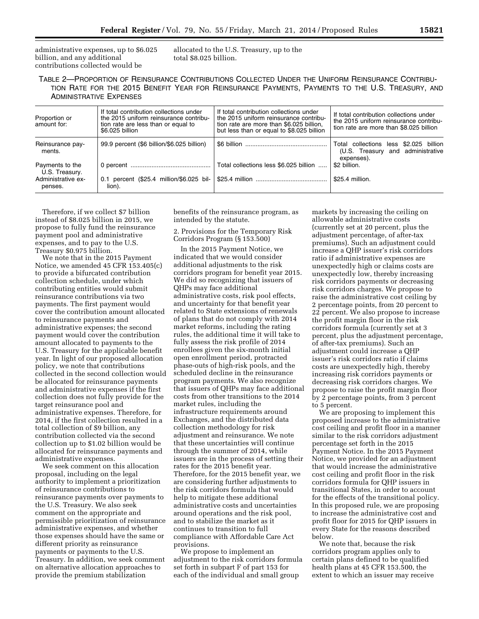administrative expenses, up to \$6.025 billion, and any additional contributions collected would be

allocated to the U.S. Treasury, up to the total \$8.025 billion.

TABLE 2—PROPORTION OF REINSURANCE CONTRIBUTIONS COLLECTED UNDER THE UNIFORM REINSURANCE CONTRIBU-TION RATE FOR THE 2015 BENEFIT YEAR FOR REINSURANCE PAYMENTS, PAYMENTS TO THE U.S. TREASURY, AND ADMINISTRATIVE EXPENSES

| Proportion or<br>amount for:      | If total contribution collections under<br>the 2015 uniform reinsurance contribu-<br>tion rate are less than or equal to<br>\$6,025 billion | If total contribution collections under<br>the 2015 uniform reinsurance contribu-<br>tion rate are more than \$6.025 billion.<br>but less than or equal to \$8.025 billion | If total contribution collections under<br>the 2015 uniform reinsurance contribu-<br>tion rate are more than \$8.025 billion |
|-----------------------------------|---------------------------------------------------------------------------------------------------------------------------------------------|----------------------------------------------------------------------------------------------------------------------------------------------------------------------------|------------------------------------------------------------------------------------------------------------------------------|
| Reinsurance pay-<br>ments.        | 99.9 percent (\$6 billion/\$6.025 billion)                                                                                                  |                                                                                                                                                                            | Total collections less \$2.025 billion<br>(U.S. Treasury and administrative<br>expenses).                                    |
| Payments to the<br>U.S. Treasury. |                                                                                                                                             | Total collections less \$6.025 billion                                                                                                                                     | \$2 billion.                                                                                                                 |
| Administrative ex-<br>penses.     | 0.1 percent (\$25.4 million/\$6.025 bil-<br>lion).                                                                                          |                                                                                                                                                                            | \$25.4 million.                                                                                                              |

Therefore, if we collect \$7 billion instead of \$8.025 billion in 2015, we propose to fully fund the reinsurance payment pool and administrative expenses, and to pay to the U.S. Treasury \$0.975 billion.

We note that in the 2015 Payment Notice, we amended 45 CFR 153.405(c) to provide a bifurcated contribution collection schedule, under which contributing entities would submit reinsurance contributions via two payments. The first payment would cover the contribution amount allocated to reinsurance payments and administrative expenses; the second payment would cover the contribution amount allocated to payments to the U.S. Treasury for the applicable benefit year. In light of our proposed allocation policy, we note that contributions collected in the second collection would be allocated for reinsurance payments and administrative expenses if the first collection does not fully provide for the target reinsurance pool and administrative expenses. Therefore, for 2014, if the first collection resulted in a total collection of \$9 billion, any contribution collected via the second collection up to \$1.02 billion would be allocated for reinsurance payments and administrative expenses.

We seek comment on this allocation proposal, including on the legal authority to implement a prioritization of reinsurance contributions to reinsurance payments over payments to the U.S. Treasury. We also seek comment on the appropriate and permissible prioritization of reinsurance administrative expenses, and whether those expenses should have the same or different priority as reinsurance payments or payments to the U.S. Treasury. In addition, we seek comment on alternative allocation approaches to provide the premium stabilization

benefits of the reinsurance program, as intended by the statute.

2. Provisions for the Temporary Risk Corridors Program (§ 153.500)

In the 2015 Payment Notice, we indicated that we would consider additional adjustments to the risk corridors program for benefit year 2015. We did so recognizing that issuers of QHPs may face additional administrative costs, risk pool effects, and uncertainty for that benefit year related to State extensions of renewals of plans that do not comply with 2014 market reforms, including the rating rules, the additional time it will take to fully assess the risk profile of 2014 enrollees given the six-month initial open enrollment period, protracted phase-outs of high-risk pools, and the scheduled decline in the reinsurance program payments. We also recognize that issuers of QHPs may face additional costs from other transitions to the 2014 market rules, including the infrastructure requirements around Exchanges, and the distributed data collection methodology for risk adjustment and reinsurance. We note that these uncertainties will continue through the summer of 2014, while issuers are in the process of setting their rates for the 2015 benefit year. Therefore, for the 2015 benefit year, we are considering further adjustments to the risk corridors formula that would help to mitigate these additional administrative costs and uncertainties around operations and the risk pool, and to stabilize the market as it continues to transition to full compliance with Affordable Care Act provisions.

We propose to implement an adjustment to the risk corridors formula set forth in subpart F of part 153 for each of the individual and small group

markets by increasing the ceiling on allowable administrative costs (currently set at 20 percent, plus the adjustment percentage, of after-tax premiums). Such an adjustment could increase a QHP issuer's risk corridors ratio if administrative expenses are unexpectedly high or claims costs are unexpectedly low, thereby increasing risk corridors payments or decreasing risk corridors charges. We propose to raise the administrative cost ceiling by 2 percentage points, from 20 percent to 22 percent. We also propose to increase the profit margin floor in the risk corridors formula (currently set at 3 percent, plus the adjustment percentage, of after-tax premiums). Such an adjustment could increase a QHP issuer's risk corridors ratio if claims costs are unexpectedly high, thereby increasing risk corridors payments or decreasing risk corridors charges. We propose to raise the profit margin floor by 2 percentage points, from 3 percent to 5 percent.

We are proposing to implement this proposed increase to the administrative cost ceiling and profit floor in a manner similar to the risk corridors adjustment percentage set forth in the 2015 Payment Notice. In the 2015 Payment Notice, we provided for an adjustment that would increase the administrative cost ceiling and profit floor in the risk corridors formula for QHP issuers in transitional States, in order to account for the effects of the transitional policy. In this proposed rule, we are proposing to increase the administrative cost and profit floor for 2015 for QHP issuers in every State for the reasons described below.

We note that, because the risk corridors program applies only to certain plans defined to be qualified health plans at 45 CFR 153.500, the extent to which an issuer may receive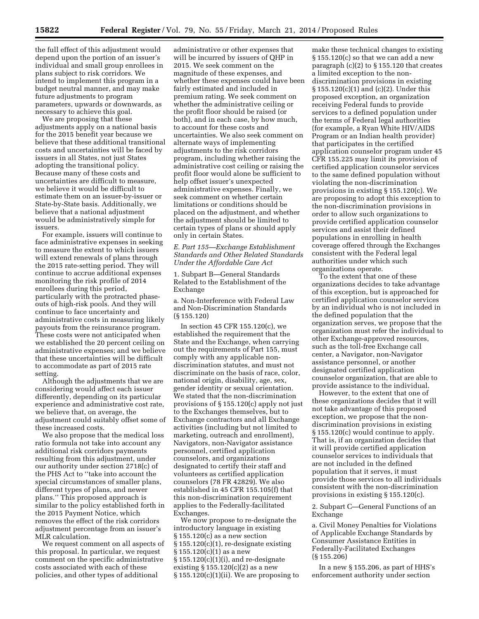the full effect of this adjustment would depend upon the portion of an issuer's individual and small group enrollees in plans subject to risk corridors. We intend to implement this program in a budget neutral manner, and may make future adjustments to program parameters, upwards or downwards, as necessary to achieve this goal.

We are proposing that these adjustments apply on a national basis for the 2015 benefit year because we believe that these additional transitional costs and uncertainties will be faced by issuers in all States, not just States adopting the transitional policy. Because many of these costs and uncertainties are difficult to measure, we believe it would be difficult to estimate them on an issuer-by-issuer or State-by-State basis. Additionally, we believe that a national adjustment would be administratively simple for issuers.

For example, issuers will continue to face administrative expenses in seeking to measure the extent to which issuers will extend renewals of plans through the 2015 rate-setting period. They will continue to accrue additional expenses monitoring the risk profile of 2014 enrollees during this period, particularly with the protracted phaseouts of high-risk pools. And they will continue to face uncertainty and administrative costs in measuring likely payouts from the reinsurance program. These costs were not anticipated when we established the 20 percent ceiling on administrative expenses; and we believe that these uncertainties will be difficult to accommodate as part of 2015 rate setting.

Although the adjustments that we are considering would affect each issuer differently, depending on its particular experience and administrative cost rate, we believe that, on average, the adjustment could suitably offset some of these increased costs.

We also propose that the medical loss ratio formula not take into account any additional risk corridors payments resulting from this adjustment, under our authority under section 2718(c) of the PHS Act to ''take into account the special circumstances of smaller plans, different types of plans, and newer plans.'' This proposed approach is similar to the policy established forth in the 2015 Payment Notice, which removes the effect of the risk corridors adjustment percentage from an issuer's MLR calculation.

We request comment on all aspects of this proposal. In particular, we request comment on the specific administrative costs associated with each of these policies, and other types of additional

administrative or other expenses that will be incurred by issuers of QHP in 2015. We seek comment on the magnitude of these expenses, and whether these expenses could have been fairly estimated and included in premium rating. We seek comment on whether the administrative ceiling or the profit floor should be raised (or both), and in each case, by how much, to account for these costs and uncertainties. We also seek comment on alternate ways of implementing adjustments to the risk corridors program, including whether raising the administrative cost ceiling or raising the profit floor would alone be sufficient to help offset issuer's unexpected administrative expenses. Finally, we seek comment on whether certain limitations or conditions should be placed on the adjustment, and whether the adjustment should be limited to certain types of plans or should apply only in certain States.

#### *E. Part 155—Exchange Establishment Standards and Other Related Standards Under the Affordable Care Act*

1. Subpart B—General Standards Related to the Establishment of the Exchange

a. Non-Interference with Federal Law and Non-Discrimination Standards (§ 155.120)

In section 45 CFR 155.120(c), we established the requirement that the State and the Exchange, when carrying out the requirements of Part 155, must comply with any applicable nondiscrimination statutes, and must not discriminate on the basis of race, color, national origin, disability, age, sex, gender identity or sexual orientation. We stated that the non-discrimination provisions of § 155.120(c) apply not just to the Exchanges themselves, but to Exchange contractors and all Exchange activities (including but not limited to marketing, outreach and enrollment), Navigators, non-Navigator assistance personnel, certified application counselors, and organizations designated to certify their staff and volunteers as certified application counselors (78 FR 42829). We also established in 45 CFR 155.105(f) that this non-discrimination requirement applies to the Federally-facilitated Exchanges.

We now propose to re-designate the introductory language in existing  $§ 155.120(c)$  as a new section § 155.120(c)(1), re-designate existing  $\S 155.120(c)(1)$  as a new § 155.120(c)(1)(i), and re-designate existing  $$155.120(c)(2)$  as a new  $§ 155.120(c)(1)(ii)$ . We are proposing to

make these technical changes to existing § 155.120(c) so that we can add a new paragraph  $(c)(2)$  to § 155.120 that creates a limited exception to the nondiscrimination provisions in existing § 155.120(c)(1) and (c)(2). Under this proposed exception, an organization receiving Federal funds to provide services to a defined population under the terms of Federal legal authorities (for example, a Ryan White HIV/AIDS Program or an Indian health provider) that participates in the certified application counselor program under 45 CFR 155.225 may limit its provision of certified application counselor services to the same defined population without violating the non-discrimination provisions in existing § 155.120(c). We are proposing to adopt this exception to the non-discrimination provisions in order to allow such organizations to provide certified application counselor services and assist their defined populations in enrolling in health coverage offered through the Exchanges consistent with the Federal legal authorities under which such organizations operate.

To the extent that one of these organizations decides to take advantage of this exception, but is approached for certified application counselor services by an individual who is not included in the defined population that the organization serves, we propose that the organization must refer the individual to other Exchange-approved resources, such as the toll-free Exchange call center, a Navigator, non-Navigator assistance personnel, or another designated certified application counselor organization, that are able to provide assistance to the individual.

However, to the extent that one of these organizations decides that it will not take advantage of this proposed exception, we propose that the nondiscrimination provisions in existing § 155.120(c) would continue to apply. That is, if an organization decides that it will provide certified application counselor services to individuals that are not included in the defined population that it serves, it must provide those services to all individuals consistent with the non-discrimination provisions in existing § 155.120(c).

2. Subpart C—General Functions of an Exchange

a. Civil Money Penalties for Violations of Applicable Exchange Standards by Consumer Assistance Entities in Federally-Facilitated Exchanges (§ 155.206)

In a new § 155.206, as part of HHS's enforcement authority under section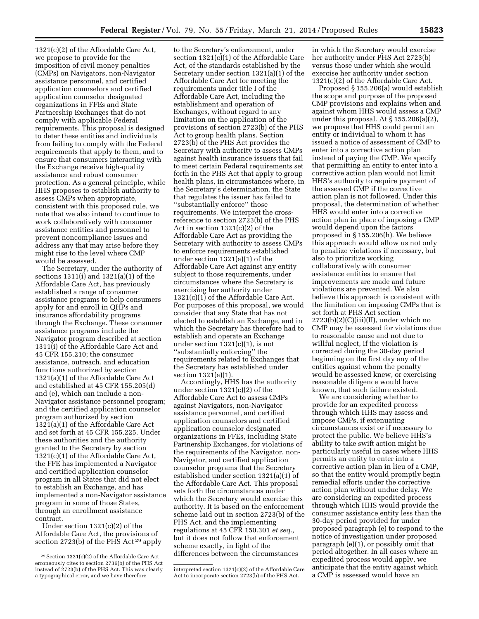1321(c)(2) of the Affordable Care Act, we propose to provide for the imposition of civil money penalties (CMPs) on Navigators, non-Navigator assistance personnel, and certified application counselors and certified application counselor designated organizations in FFEs and State Partnership Exchanges that do not comply with applicable Federal requirements. This proposal is designed to deter these entities and individuals from failing to comply with the Federal requirements that apply to them, and to ensure that consumers interacting with the Exchange receive high-quality assistance and robust consumer protection. As a general principle, while HHS proposes to establish authority to assess CMPs when appropriate, consistent with this proposed rule, we note that we also intend to continue to work collaboratively with consumer assistance entities and personnel to prevent noncompliance issues and address any that may arise before they might rise to the level where CMP would be assessed.

The Secretary, under the authority of sections 1311(i) and 1321(a)(1) of the Affordable Care Act, has previously established a range of consumer assistance programs to help consumers apply for and enroll in QHPs and insurance affordability programs through the Exchange. These consumer assistance programs include the Navigator program described at section 1311(i) of the Affordable Care Act and 45 CFR 155.210; the consumer assistance, outreach, and education functions authorized by section 1321(a)(1) of the Affordable Care Act and established at 45 CFR 155.205(d) and (e), which can include a non-Navigator assistance personnel program; and the certified application counselor program authorized by section 1321(a)(1) of the Affordable Care Act and set forth at 45 CFR 155.225. Under these authorities and the authority granted to the Secretary by section 1321(c)(1) of the Affordable Care Act, the FFE has implemented a Navigator and certified application counselor program in all States that did not elect to establish an Exchange, and has implemented a non-Navigator assistance program in some of those States, through an enrollment assistance contract.

Under section 1321(c)(2) of the Affordable Care Act, the provisions of section 2723(b) of the PHS Act 29 apply

to the Secretary's enforcement, under section 1321(c)(1) of the Affordable Care Act, of the standards established by the Secretary under section 1321(a)(1) of the Affordable Care Act for meeting the requirements under title I of the Affordable Care Act, including the establishment and operation of Exchanges, without regard to any limitation on the application of the provisions of section 2723(b) of the PHS Act to group health plans. Section 2723(b) of the PHS Act provides the Secretary with authority to assess CMPs against health insurance issuers that fail to meet certain Federal requirements set forth in the PHS Act that apply to group health plans, in circumstances where, in the Secretary's determination, the State that regulates the issuer has failed to ''substantially enforce'' those requirements. We interpret the crossreference to section 2723(b) of the PHS Act in section 1321(c)(2) of the Affordable Care Act as providing the Secretary with authority to assess CMPs to enforce requirements established under section 1321(a)(1) of the Affordable Care Act against any entity subject to those requirements, under circumstances where the Secretary is exercising her authority under 1321(c)(1) of the Affordable Care Act. For purposes of this proposal, we would consider that any State that has not elected to establish an Exchange, and in which the Secretary has therefore had to establish and operate an Exchange under section  $1321(c)(1)$ , is not ''substantially enforcing'' the requirements related to Exchanges that the Secretary has established under section 1321(a)(1).

Accordingly, HHS has the authority under section 1321(c)(2) of the Affordable Care Act to assess CMPs against Navigators, non-Navigator assistance personnel, and certified application counselors and certified application counselor designated organizations in FFEs, including State Partnership Exchanges, for violations of the requirements of the Navigator, non-Navigator, and certified application counselor programs that the Secretary established under section 1321(a)(1) of the Affordable Care Act. This proposal sets forth the circumstances under which the Secretary would exercise this authority. It is based on the enforcement scheme laid out in section 2723(b) of the PHS Act, and the implementing regulations at 45 CFR 150.301 *et seq.,*  but it does not follow that enforcement scheme exactly, in light of the differences between the circumstances

in which the Secretary would exercise her authority under PHS Act 2723(b) versus those under which she would exercise her authority under section 1321(c)(2) of the Affordable Care Act.

Proposed § 155.206(a) would establish the scope and purpose of the proposed CMP provisions and explains when and against whom HHS would assess a CMP under this proposal. At § 155.206(a)(2), we propose that HHS could permit an entity or individual to whom it has issued a notice of assessment of CMP to enter into a corrective action plan instead of paying the CMP. We specify that permitting an entity to enter into a corrective action plan would not limit HHS's authority to require payment of the assessed CMP if the corrective action plan is not followed. Under this proposal, the determination of whether HHS would enter into a corrective action plan in place of imposing a CMP would depend upon the factors proposed in § 155.206(h). We believe this approach would allow us not only to penalize violations if necessary, but also to prioritize working collaboratively with consumer assistance entities to ensure that improvements are made and future violations are prevented. We also believe this approach is consistent with the limitation on imposing CMPs that is set forth at PHS Act section 2723(b)(2)(C)(iii)(II), under which no CMP may be assessed for violations due to reasonable cause and not due to willful neglect, if the violation is corrected during the 30-day period beginning on the first day any of the entities against whom the penalty would be assessed knew, or exercising reasonable diligence would have known, that such failure existed.

We are considering whether to provide for an expedited process through which HHS may assess and impose CMPs, if extenuating circumstances exist or if necessary to protect the public. We believe HHS's ability to take swift action might be particularly useful in cases where HHS permits an entity to enter into a corrective action plan in lieu of a CMP, so that the entity would promptly begin remedial efforts under the corrective action plan without undue delay. We are considering an expedited process through which HHS would provide the consumer assistance entity less than the 30-day period provided for under proposed paragraph (e) to respond to the notice of investigation under proposed paragraph (e)(1), or possibly omit that period altogether. In all cases where an expedited process would apply, we anticipate that the entity against which a CMP is assessed would have an

<sup>29</sup>Section 1321(c)(2) of the Affordable Care Act erroneously cites to section 2736(b) of the PHS Act instead of 2723(b) of the PHS Act. This was clearly a typographical error, and we have therefore

interpreted section 1321(c)(2) of the Affordable Care Act to incorporate section 2723(b) of the PHS Act.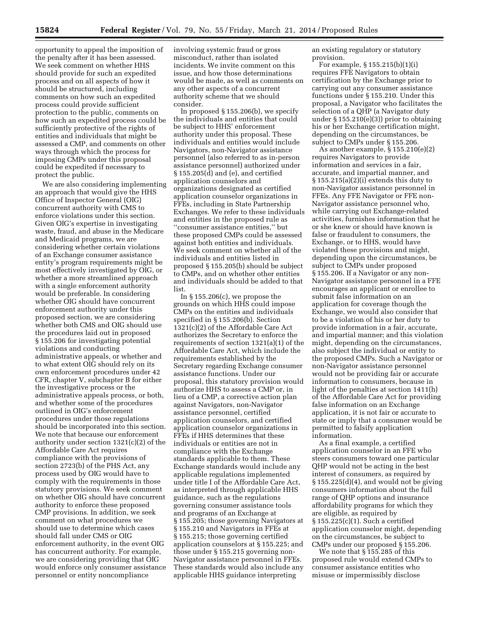opportunity to appeal the imposition of the penalty after it has been assessed. We seek comment on whether HHS should provide for such an expedited process and on all aspects of how it should be structured, including comments on how such an expedited process could provide sufficient protection to the public, comments on how such an expedited process could be sufficiently protective of the rights of entities and individuals that might be assessed a CMP, and comments on other ways through which the process for imposing CMPs under this proposal could be expedited if necessary to protect the public.

We are also considering implementing an approach that would give the HHS Office of Inspector General (OIG) concurrent authority with CMS to enforce violations under this section. Given OIG's expertise in investigating waste, fraud, and abuse in the Medicare and Medicaid programs, we are considering whether certain violations of an Exchange consumer assistance entity's program requirements might be most effectively investigated by OIG, or whether a more streamlined approach with a single enforcement authority would be preferable. In considering whether OIG should have concurrent enforcement authority under this proposed section, we are considering whether both CMS and OIG should use the procedures laid out in proposed § 155.206 for investigating potential violations and conducting administrative appeals, or whether and to what extent OIG should rely on its own enforcement procedures under 42 CFR, chapter V, subchapter B for either the investigative process or the administrative appeals process, or both, and whether some of the procedures outlined in OIG's enforcement procedures under those regulations should be incorporated into this section. We note that because our enforcement authority under section 1321(c)(2) of the Affordable Care Act requires compliance with the provisions of section 2723(b) of the PHS Act, any process used by OIG would have to comply with the requirements in those statutory provisions. We seek comment on whether OIG should have concurrent authority to enforce these proposed CMP provisions. In addition, we seek comment on what procedures we should use to determine which cases should fall under CMS or OIG enforcement authority, in the event OIG has concurrent authority. For example, we are considering providing that OIG would enforce only consumer assistance personnel or entity noncompliance

involving systemic fraud or gross misconduct, rather than isolated incidents. We invite comment on this issue, and how those determinations would be made, as well as comments on any other aspects of a concurrent authority scheme that we should consider.

In proposed § 155.206(b), we specify the individuals and entities that could be subject to HHS' enforcement authority under this proposal. These individuals and entities would include Navigators, non-Navigator assistance personnel (also referred to as in-person assistance personnel) authorized under § 155.205(d) and (e), and certified application counselors and organizations designated as certified application counselor organizations in FFEs, including in State Partnership Exchanges. We refer to these individuals and entities in the proposed rule as ''consumer assistance entities,'' but these proposed CMPs could be assessed against both entities and individuals. We seek comment on whether all of the individuals and entities listed in proposed § 155.205(b) should be subject to CMPs, and on whether other entities and individuals should be added to that list.

In  $\S 155.206(c)$ , we propose the grounds on which HHS could impose CMPs on the entities and individuals specified in § 155.206(b). Section 1321(c)(2) of the Affordable Care Act authorizes the Secretary to enforce the requirements of section 1321(a)(1) of the Affordable Care Act, which include the requirements established by the Secretary regarding Exchange consumer assistance functions. Under our proposal, this statutory provision would authorize HHS to assess a CMP or, in lieu of a CMP, a corrective action plan against Navigators, non-Navigator assistance personnel, certified application counselors, and certified application counselor organizations in FFEs if HHS determines that these individuals or entities are not in compliance with the Exchange standards applicable to them. These Exchange standards would include any applicable regulations implemented under title I of the Affordable Care Act, as interpreted through applicable HHS guidance, such as the regulations governing consumer assistance tools and programs of an Exchange at § 155.205; those governing Navigators at § 155.210 and Navigators in FFEs at § 155.215; those governing certified application counselors at § 155.225; and those under § 155.215 governing non-Navigator assistance personnel in FFEs. These standards would also include any applicable HHS guidance interpreting

an existing regulatory or statutory provision.

For example, § 155.215(b)(1)(i) requires FFE Navigators to obtain certification by the Exchange prior to carrying out any consumer assistance functions under § 155.210. Under this proposal, a Navigator who facilitates the selection of a QHP (a Navigator duty under § 155.210(e)(3)) prior to obtaining his or her Exchange certification might, depending on the circumstances, be subject to CMPs under § 155.206.

As another example, § 155.210(e)(2) requires Navigators to provide information and services in a fair, accurate, and impartial manner, and § 155.215(a)(2)(i) extends this duty to non-Navigator assistance personnel in FFEs. Any FFE Navigator or FFE non-Navigator assistance personnel who, while carrying out Exchange-related activities, furnishes information that he or she knew or should have known is false or fraudulent to consumers, the Exchange, or to HHS, would have violated these provisions and might, depending upon the circumstances, be subject to CMPs under proposed § 155.206. If a Navigator or any non-Navigator assistance personnel in a FFE encourages an applicant or enrollee to submit false information on an application for coverage though the Exchange, we would also consider that to be a violation of his or her duty to provide information in a fair, accurate, and impartial manner; and this violation might, depending on the circumstances, also subject the individual or entity to the proposed CMPs. Such a Navigator or non-Navigator assistance personnel would not be providing fair or accurate information to consumers, because in light of the penalties at section 1411(h) of the Affordable Care Act for providing false information on an Exchange application, it is not fair or accurate to state or imply that a consumer would be permitted to falsify application information.

As a final example, a certified application counselor in an FFE who steers consumers toward one particular QHP would not be acting in the best interest of consumers, as required by  $\S 155.225(d)(4)$ , and would not be giving consumers information about the full range of QHP options and insurance affordability programs for which they are eligible, as required by § 155.225(c)(1). Such a certified application counselor might, depending on the circumstances, be subject to CMPs under our proposed § 155.206.

We note that § 155.285 of this proposed rule would extend CMPs to consumer assistance entities who misuse or impermissibly disclose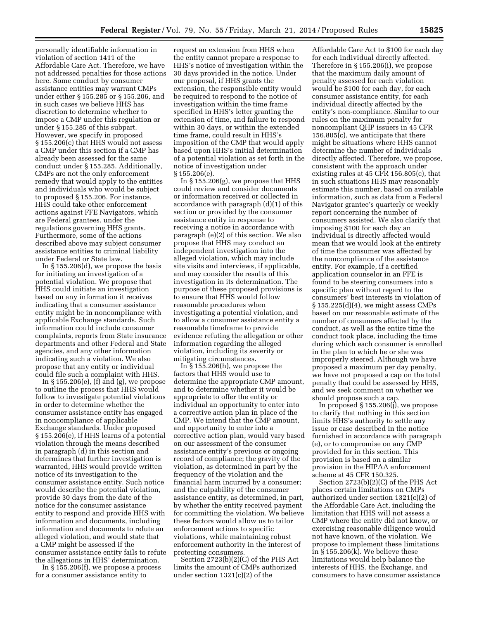personally identifiable information in violation of section 1411 of the Affordable Care Act. Therefore, we have not addressed penalties for those actions here. Some conduct by consumer assistance entities may warrant CMPs under either § 155.285 or § 155.206, and in such cases we believe HHS has discretion to determine whether to impose a CMP under this regulation or under § 155.285 of this subpart. However, we specify in proposed § 155.206(c) that HHS would not assess a CMP under this section if a CMP has already been assessed for the same conduct under § 155.285. Additionally, CMPs are not the only enforcement remedy that would apply to the entities and individuals who would be subject to proposed § 155.206. For instance, HHS could take other enforcement actions against FFE Navigators, which are Federal grantees, under the regulations governing HHS grants. Furthermore, some of the actions described above may subject consumer assistance entities to criminal liability under Federal or State law.

In  $\S 155.206(d)$ , we propose the basis for initiating an investigation of a potential violation. We propose that HHS could initiate an investigation based on any information it receives indicating that a consumer assistance entity might be in noncompliance with applicable Exchange standards. Such information could include consumer complaints, reports from State insurance departments and other Federal and State agencies, and any other information indicating such a violation. We also propose that any entity or individual could file such a complaint with HHS.

In  $\S 155.206(e)$ , (f) and (g), we propose to outline the process that HHS would follow to investigate potential violations in order to determine whether the consumer assistance entity has engaged in noncompliance of applicable Exchange standards. Under proposed § 155.206(e), if HHS learns of a potential violation through the means described in paragraph (d) in this section and determines that further investigation is warranted, HHS would provide written notice of its investigation to the consumer assistance entity. Such notice would describe the potential violation, provide 30 days from the date of the notice for the consumer assistance entity to respond and provide HHS with information and documents, including information and documents to refute an alleged violation, and would state that a CMP might be assessed if the consumer assistance entity fails to refute the allegations in HHS' determination.

In § 155.206(f), we propose a process for a consumer assistance entity to

request an extension from HHS when the entity cannot prepare a response to HHS's notice of investigation within the 30 days provided in the notice. Under our proposal, if HHS grants the extension, the responsible entity would be required to respond to the notice of investigation within the time frame specified in HHS's letter granting the extension of time, and failure to respond within 30 days, or within the extended time frame, could result in HHS's imposition of the CMP that would apply based upon HHS's initial determination of a potential violation as set forth in the notice of investigation under § 155.206(e).

In § 155.206(g), we propose that HHS could review and consider documents or information received or collected in accordance with paragraph (d)(1) of this section or provided by the consumer assistance entity in response to receiving a notice in accordance with paragraph (e)(2) of this section. We also propose that HHS may conduct an independent investigation into the alleged violation, which may include site visits and interviews, if applicable, and may consider the results of this investigation in its determination. The purpose of these proposed provisions is to ensure that HHS would follow reasonable procedures when investigating a potential violation, and to allow a consumer assistance entity a reasonable timeframe to provide evidence refuting the allegation or other information regarding the alleged violation, including its severity or mitigating circumstances.

In § 155.206(h), we propose the factors that HHS would use to determine the appropriate CMP amount, and to determine whether it would be appropriate to offer the entity or individual an opportunity to enter into a corrective action plan in place of the CMP. We intend that the CMP amount, and opportunity to enter into a corrective action plan, would vary based on our assessment of the consumer assistance entity's previous or ongoing record of compliance; the gravity of the violation, as determined in part by the frequency of the violation and the financial harm incurred by a consumer; and the culpability of the consumer assistance entity, as determined, in part, by whether the entity received payment for committing the violation. We believe these factors would allow us to tailor enforcement actions to specific violations, while maintaining robust enforcement authority in the interest of protecting consumers.

Section 2723(b)(2)(C) of the PHS Act limits the amount of CMPs authorized under section 1321(c)(2) of the

Affordable Care Act to \$100 for each day for each individual directly affected. Therefore in § 155.206(i), we propose that the maximum daily amount of penalty assessed for each violation would be \$100 for each day, for each consumer assistance entity, for each individual directly affected by the entity's non-compliance. Similar to our rules on the maximum penalty for noncompliant QHP issuers in 45 CFR 156.805(c), we anticipate that there might be situations where HHS cannot determine the number of individuals directly affected. Therefore, we propose, consistent with the approach under existing rules at 45 CFR 156.805(c), that in such situations HHS may reasonably estimate this number, based on available information, such as data from a Federal Navigator grantee's quarterly or weekly report concerning the number of consumers assisted. We also clarify that imposing \$100 for each day an individual is directly affected would mean that we would look at the entirety of time the consumer was affected by the noncompliance of the assistance entity. For example, if a certified application counselor in an FFE is found to be steering consumers into a specific plan without regard to the consumers' best interests in violation of § 155.225(d)(4), we might assess CMPs based on our reasonable estimate of the number of consumers affected by the conduct, as well as the entire time the conduct took place, including the time during which each consumer is enrolled in the plan to which he or she was improperly steered. Although we have proposed a maximum per day penalty, we have not proposed a cap on the total penalty that could be assessed by HHS, and we seek comment on whether we should propose such a cap.

In proposed § 155.206(j), we propose to clarify that nothing in this section limits HHS's authority to settle any issue or case described in the notice furnished in accordance with paragraph (e), or to compromise on any CMP provided for in this section. This provision is based on a similar provision in the HIPAA enforcement scheme at 45 CFR 150.325.

Section 2723(b)(2)(C) of the PHS Act places certain limitations on CMPs authorized under section 1321(c)(2) of the Affordable Care Act, including the limitation that HHS will not assess a CMP where the entity did not know, or exercising reasonable diligence would not have known, of the violation. We propose to implement these limitations in § 155.206(k). We believe these limitations would help balance the interests of HHS, the Exchange, and consumers to have consumer assistance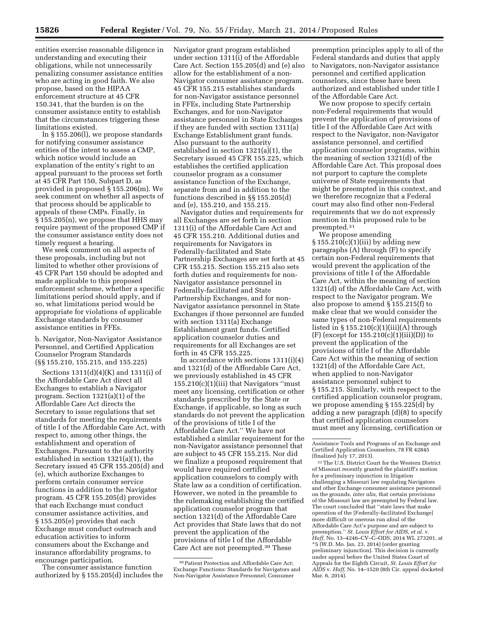entities exercise reasonable diligence in understanding and executing their obligations, while not unnecessarily penalizing consumer assistance entities who are acting in good faith. We also propose, based on the HIPAA enforcement structure at 45 CFR 150.341, that the burden is on the consumer assistance entity to establish that the circumstances triggering these limitations existed.

In § 155.206(l), we propose standards for notifying consumer assistance entities of the intent to assess a CMP, which notice would include an explanation of the entity's right to an appeal pursuant to the process set forth at 45 CFR Part 150, Subpart D, as provided in proposed § 155.206(m). We seek comment on whether all aspects of that process should be applicable to appeals of these CMPs. Finally, in § 155.205(n), we propose that HHS may require payment of the proposed CMP if the consumer assistance entity does not timely request a hearing.

We seek comment on all aspects of these proposals, including but not limited to whether other provisions of 45 CFR Part 150 should be adopted and made applicable to this proposed enforcement scheme, whether a specific limitations period should apply, and if so, what limitations period would be appropriate for violations of applicable Exchange standards by consumer assistance entities in FFEs.

b. Navigator, Non-Navigator Assistance Personnel, and Certified Application Counselor Program Standards (§§ 155.210, 155.215, and 155.225)

Sections 1311(d)(4)(K) and 1311(i) of the Affordable Care Act direct all Exchanges to establish a Navigator program. Section 1321(a)(1) of the Affordable Care Act directs the Secretary to issue regulations that set standards for meeting the requirements of title I of the Affordable Care Act, with respect to, among other things, the establishment and operation of Exchanges. Pursuant to the authority established in section 1321(a)(1), the Secretary issued 45 CFR 155.205(d) and (e), which authorize Exchanges to perform certain consumer service functions in addition to the Navigator program. 45 CFR 155.205(d) provides that each Exchange must conduct consumer assistance activities, and § 155.205(e) provides that each Exchange must conduct outreach and education activities to inform consumers about the Exchange and insurance affordability programs, to encourage participation.

The consumer assistance function authorized by § 155.205(d) includes the Navigator grant program established under section 1311(i) of the Affordable Care Act. Section 155.205(d) and (e) also allow for the establishment of a non-Navigator consumer assistance program. 45 CFR 155.215 establishes standards for non-Navigator assistance personnel in FFEs, including State Partnership Exchanges, and for non-Navigator assistance personnel in State Exchanges if they are funded with section 1311(a) Exchange Establishment grant funds. Also pursuant to the authority established in section 1321(a)(1), the Secretary issued 45 CFR 155.225, which establishes the certified application counselor program as a consumer assistance function of the Exchange, separate from and in addition to the functions described in §§ 155.205(d) and (e), 155.210, and 155.215.

Navigator duties and requirements for all Exchanges are set forth in section 1311(i) of the Affordable Care Act and 45 CFR 155.210. Additional duties and requirements for Navigators in Federally-facilitated and State Partnership Exchanges are set forth at 45 CFR 155.215. Section 155.215 also sets forth duties and requirements for non-Navigator assistance personnel in Federally-facilitated and State Partnership Exchanges, and for non-Navigator assistance personnel in State Exchanges if those personnel are funded with section 1311(a) Exchange Establishment grant funds. Certified application counselor duties and requirements for all Exchanges are set forth in 45 CFR 155.225.

In accordance with sections 1311(i)(4) and 1321(d) of the Affordable Care Act, we previously established in 45 CFR  $155.210(c)(1)(iii)$  that Navigators "must" meet any licensing, certification or other standards prescribed by the State or Exchange, if applicable, so long as such standards do not prevent the application of the provisions of title I of the Affordable Care Act.'' We have not established a similar requirement for the non-Navigator assistance personnel that are subject to 45 CFR 155.215. Nor did we finalize a proposed requirement that would have required certified application counselors to comply with State law as a condition of certification. However, we noted in the preamble to the rulemaking establishing the certified application counselor program that section 1321(d) of the Affordable Care Act provides that State laws that do not prevent the application of the provisions of title I of the Affordable Care Act are not preempted.30 These

preemption principles apply to all of the Federal standards and duties that apply to Navigators, non-Navigator assistance personnel and certified application counselors, since these have been authorized and established under title I of the Affordable Care Act.

We now propose to specify certain non-Federal requirements that would prevent the application of provisions of title I of the Affordable Care Act with respect to the Navigator, non-Navigator assistance personnel, and certified application counselor programs, within the meaning of section 1321(d) of the Affordable Care Act. This proposal does not purport to capture the complete universe of State requirements that might be preempted in this context, and we therefore recognize that a Federal court may also find other non-Federal requirements that we do not expressly mention in this proposed rule to be preempted.31

We propose amending  $\S 155.210(c)(1)(iii)$  by adding new paragraphs (A) through (F) to specify certain non-Federal requirements that would prevent the application of the provisions of title I of the Affordable Care Act, within the meaning of section 1321(d) of the Affordable Care Act, with respect to the Navigator program. We also propose to amend § 155.215(f) to make clear that we would consider the same types of non-Federal requirements listed in  $\S 155.210(c)(1)(iii)(A)$  through  $(F)$  (except for 155.210(c)(1)(iii)(D)) to prevent the application of the provisions of title I of the Affordable Care Act within the meaning of section 1321(d) of the Affordable Care Act, when applied to non-Navigator assistance personnel subject to § 155.215. Similarly, with respect to the certified application counselor program, we propose amending § 155.225(d) by adding a new paragraph (d)(8) to specify that certified application counselors must meet any licensing, certification or

31The U.S. District Court for the Western District of Missouri recently granted the plaintiff's motion for a preliminary injunction in litigation challenging a Missouri law regulating Navigators and other Exchange consumer assistance personnel on the grounds, *inter alia,* that certain provisions of the Missouri law are preempted by Federal law. The court concluded that ''state laws that make operation of the [Federally-facilitated Exchange] more difficult or onerous run afoul of the Affordable Care Act's purpose and are subject to preemption.'' *St. Louis Effort for AIDS, et al.* v. *Huff,* No. 13–4246–CV–C–ODS, 2014 WL 273201, at \*5 (W.D. Mo. Jan. 23, 2014) (order granting preliminary injunction). This decision is currently under appeal before the United States Court of Appeals for the Eighth Circuit, *St. Louis Effort for AIDS* v. *Huff,* No. 14–1520 (8th Cir. appeal docketed Mar. 6, 2014).

<sup>30</sup>Patient Protection and Affordable Care Act; Exchange Functions: Standards for Navigators and Non-Navigator Assistance Personnel; Consumer

Assistance Tools and Programs of an Exchange and Certified Application Counselors, 78 FR 42845 (finalized July 17, 2013).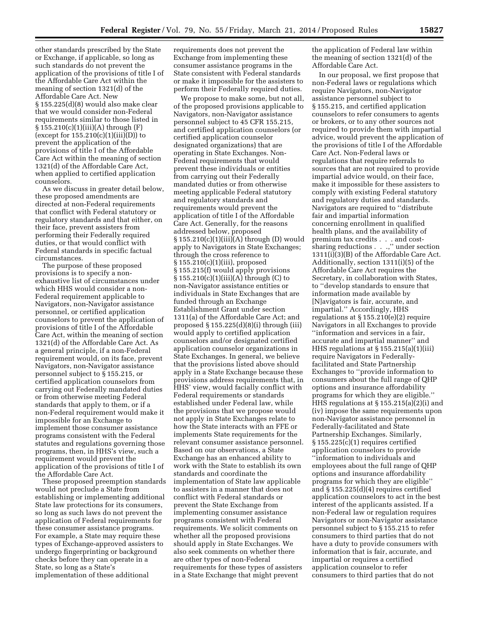other standards prescribed by the State or Exchange, if applicable, so long as such standards do not prevent the application of the provisions of title I of the Affordable Care Act within the meaning of section 1321(d) of the Affordable Care Act. New § 155.225(d)(8) would also make clear that we would consider non-Federal requirements similar to those listed in § 155.210(c)(1)(iii)(A) through (F) (except for  $155.210(c)(1)(iii)(D))$  to prevent the application of the provisions of title I of the Affordable Care Act within the meaning of section 1321(d) of the Affordable Care Act, when applied to certified application counselors.

As we discuss in greater detail below, these proposed amendments are directed at non-Federal requirements that conflict with Federal statutory or regulatory standards and that either, on their face, prevent assisters from performing their Federally required duties, or that would conflict with Federal standards in specific factual circumstances.

The purpose of these proposed provisions is to specify a nonexhaustive list of circumstances under which HHS would consider a non-Federal requirement applicable to Navigators, non-Navigator assistance personnel, or certified application counselors to prevent the application of provisions of title I of the Affordable Care Act, within the meaning of section 1321(d) of the Affordable Care Act. As a general principle, if a non-Federal requirement would, on its face, prevent Navigators, non-Navigator assistance personnel subject to § 155.215, or certified application counselors from carrying out Federally mandated duties or from otherwise meeting Federal standards that apply to them, or if a non-Federal requirement would make it impossible for an Exchange to implement those consumer assistance programs consistent with the Federal statutes and regulations governing those programs, then, in HHS's view, such a requirement would prevent the application of the provisions of title I of the Affordable Care Act.

These proposed preemption standards would not preclude a State from establishing or implementing additional State law protections for its consumers, so long as such laws do not prevent the application of Federal requirements for these consumer assistance programs. For example, a State may require these types of Exchange-approved assisters to undergo fingerprinting or background checks before they can operate in a State, so long as a State's implementation of these additional

requirements does not prevent the Exchange from implementing these consumer assistance programs in the State consistent with Federal standards or make it impossible for the assisters to perform their Federally required duties.

We propose to make some, but not all, of the proposed provisions applicable to Navigators, non-Navigator assistance personnel subject to 45 CFR 155.215, and certified application counselors (or certified application counselor designated organizations) that are operating in State Exchanges. Non-Federal requirements that would prevent these individuals or entities from carrying out their Federally mandated duties or from otherwise meeting applicable Federal statutory and regulatory standards and requirements would prevent the application of title I of the Affordable Care Act. Generally, for the reasons addressed below, proposed § 155.210(c)(1)(iii)(A) through (D) would apply to Navigators in State Exchanges; through the cross reference to § 155.210(c)(1)(iii), proposed § 155.215(f) would apply provisions  $§ 155.210(c)(1)(iii)(A)$  through (C) to non-Navigator assistance entities or individuals in State Exchanges that are funded through an Exchange Establishment Grant under section 1311(a) of the Affordable Care Act; and proposed  $\S 155.225(d)(8)(i)$  through (iii) would apply to certified application counselors and/or designated certified application counselor organizations in State Exchanges. In general, we believe that the provisions listed above should apply in a State Exchange because these provisions address requirements that, in HHS' view, would facially conflict with Federal requirements or standards established under Federal law, while the provisions that we propose would not apply in State Exchanges relate to how the State interacts with an FFE or implements State requirements for the relevant consumer assistance personnel. Based on our observations, a State Exchange has an enhanced ability to work with the State to establish its own standards and coordinate the implementation of State law applicable to assisters in a manner that does not conflict with Federal standards or prevent the State Exchange from implementing consumer assistance programs consistent with Federal requirements. We solicit comments on whether all the proposed provisions should apply in State Exchanges. We also seek comments on whether there are other types of non-Federal requirements for these types of assisters in a State Exchange that might prevent

the application of Federal law within the meaning of section 1321(d) of the Affordable Care Act.

In our proposal, we first propose that non-Federal laws or regulations which require Navigators, non-Navigator assistance personnel subject to § 155.215, and certified application counselors to refer consumers to agents or brokers, or to any other sources not required to provide them with impartial advice, would prevent the application of the provisions of title I of the Affordable Care Act. Non-Federal laws or regulations that require referrals to sources that are not required to provide impartial advice would, on their face, make it impossible for these assisters to comply with existing Federal statutory and regulatory duties and standards. Navigators are required to ''distribute fair and impartial information concerning enrollment in qualified health plans, and the availability of premium tax credits . . . and costsharing reductions . . .,'' under section 1311(i)(3)(B) of the Affordable Care Act. Additionally, section 1311(i)(5) of the Affordable Care Act requires the Secretary, in collaboration with States, to ''develop standards to ensure that information made available by [N]avigators is fair, accurate, and impartial.'' Accordingly, HHS regulations at § 155.210(e)(2) require Navigators in all Exchanges to provide ''information and services in a fair, accurate and impartial manner'' and HHS regulations at § 155.215(a)(1)(iii) require Navigators in Federallyfacilitated and State Partnership Exchanges to ''provide information to consumers about the full range of QHP options and insurance affordability programs for which they are eligible.'' HHS regulations at § 155.215(a)(2)(i) and (iv) impose the same requirements upon non-Navigator assistance personnel in Federally-facilitated and State Partnership Exchanges. Similarly, § 155.225(c)(1) requires certified application counselors to provide ''information to individuals and employees about the full range of QHP options and insurance affordability programs for which they are eligible'' and § 155.225(d)(4) requires certified application counselors to act in the best interest of the applicants assisted. If a non-Federal law or regulation requires Navigators or non-Navigator assistance personnel subject to § 155.215 to refer consumers to third parties that do not have a duty to provide consumers with information that is fair, accurate, and impartial or requires a certified application counselor to refer consumers to third parties that do not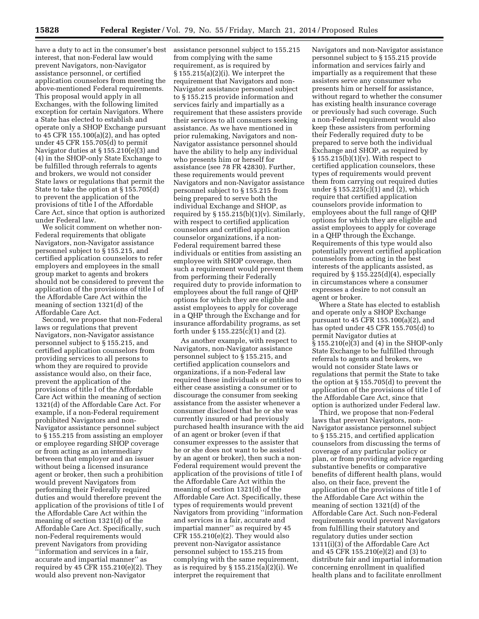have a duty to act in the consumer's best interest, that non-Federal law would prevent Navigators, non-Navigator assistance personnel, or certified application counselors from meeting the above-mentioned Federal requirements. This proposal would apply in all Exchanges, with the following limited exception for certain Navigators. Where a State has elected to establish and operate only a SHOP Exchange pursuant to 45 CFR 155.100(a)(2), and has opted under 45 CFR 155.705(d) to permit Navigator duties at § 155.210(e)(3) and (4) in the SHOP-only State Exchange to be fulfilled through referrals to agents and brokers, we would not consider State laws or regulations that permit the State to take the option at § 155.705(d) to prevent the application of the provisions of title I of the Affordable Care Act, since that option is authorized under Federal law.

We solicit comment on whether non-Federal requirements that obligate Navigators, non-Navigator assistance personnel subject to § 155.215, and certified application counselors to refer employers and employees in the small group market to agents and brokers should not be considered to prevent the application of the provisions of title I of the Affordable Care Act within the meaning of section 1321(d) of the Affordable Care Act.

Second, we propose that non-Federal laws or regulations that prevent Navigators, non-Navigator assistance personnel subject to § 155.215, and certified application counselors from providing services to all persons to whom they are required to provide assistance would also, on their face, prevent the application of the provisions of title I of the Affordable Care Act within the meaning of section 1321(d) of the Affordable Care Act. For example, if a non-Federal requirement prohibited Navigators and non-Navigator assistance personnel subject to § 155.215 from assisting an employer or employee regarding SHOP coverage or from acting as an intermediary between that employer and an issuer without being a licensed insurance agent or broker, then such a prohibition would prevent Navigators from performing their Federally required duties and would therefore prevent the application of the provisions of title I of the Affordable Care Act within the meaning of section 1321(d) of the Affordable Care Act. Specifically, such non-Federal requirements would prevent Navigators from providing ''information and services in a fair, accurate and impartial manner'' as required by 45 CFR 155.210(e)(2). They would also prevent non-Navigator

assistance personnel subject to 155.215 from complying with the same requirement, as is required by § 155.215(a)(2)(i). We interpret the requirement that Navigators and non-Navigator assistance personnel subject to § 155.215 provide information and services fairly and impartially as a requirement that these assisters provide their services to all consumers seeking assistance. As we have mentioned in prior rulemaking, Navigators and non-Navigator assistance personnel should have the ability to help any individual who presents him or herself for assistance (see 78 FR 42830). Further, these requirements would prevent Navigators and non-Navigator assistance personnel subject to § 155.215 from being prepared to serve both the individual Exchange and SHOP, as required by  $\S 155.215(b)(1)(v)$ . Similarly, with respect to certified application counselors and certified application counselor organizations, if a non-Federal requirement barred these individuals or entities from assisting an employee with SHOP coverage, then such a requirement would prevent them from performing their Federally required duty to provide information to employees about the full range of QHP options for which they are eligible and assist employees to apply for coverage in a QHP through the Exchange and for insurance affordability programs, as set forth under § 155.225(c)(1) and (2).

As another example, with respect to Navigators, non-Navigator assistance personnel subject to § 155.215, and certified application counselors and organizations, if a non-Federal law required these individuals or entities to either cease assisting a consumer or to discourage the consumer from seeking assistance from the assister whenever a consumer disclosed that he or she was currently insured or had previously purchased health insurance with the aid of an agent or broker (even if that consumer expresses to the assister that he or she does not want to be assisted by an agent or broker), then such a non-Federal requirement would prevent the application of the provisions of title I of the Affordable Care Act within the meaning of section 1321(d) of the Affordable Care Act. Specifically, these types of requirements would prevent Navigators from providing ''information and services in a fair, accurate and impartial manner'' as required by 45 CFR  $155.210(e)(2)$ . They would also prevent non-Navigator assistance personnel subject to 155.215 from complying with the same requirement, as is required by § 155.215(a)(2)(i). We interpret the requirement that

Navigators and non-Navigator assistance personnel subject to § 155.215 provide information and services fairly and impartially as a requirement that these assisters serve any consumer who presents him or herself for assistance, without regard to whether the consumer has existing health insurance coverage or previously had such coverage. Such a non-Federal requirement would also keep these assisters from performing their Federally required duty to be prepared to serve both the individual Exchange and SHOP, as required by § 155.215(b)(1)(v). With respect to certified application counselors, these types of requirements would prevent them from carrying out required duties under § 155.225(c)(1) and (2), which require that certified application counselors provide information to employees about the full range of QHP options for which they are eligible and assist employees to apply for coverage in a QHP through the Exchange. Requirements of this type would also potentially prevent certified application counselors from acting in the best interests of the applicants assisted, as required by § 155.225(d)(4), especially in circumstances where a consumer expresses a desire to not consult an agent or broker.

Where a State has elected to establish and operate only a SHOP Exchange pursuant to 45 CFR 155.100(a)(2), and has opted under 45 CFR 155.705(d) to permit Navigator duties at § 155.210(e)(3) and (4) in the SHOP-only State Exchange to be fulfilled through referrals to agents and brokers, we would not consider State laws or regulations that permit the State to take the option at § 155.705(d) to prevent the application of the provisions of title I of the Affordable Care Act, since that option is authorized under Federal law.

Third, we propose that non-Federal laws that prevent Navigators, non-Navigator assistance personnel subject to § 155.215, and certified application counselors from discussing the terms of coverage of any particular policy or plan, or from providing advice regarding substantive benefits or comparative benefits of different health plans, would also, on their face, prevent the application of the provisions of title I of the Affordable Care Act within the meaning of section 1321(d) of the Affordable Care Act. Such non-Federal requirements would prevent Navigators from fulfilling their statutory and regulatory duties under section 1311(i)(3) of the Affordable Care Act and 45 CFR 155.210(e)(2) and (3) to distribute fair and impartial information concerning enrollment in qualified health plans and to facilitate enrollment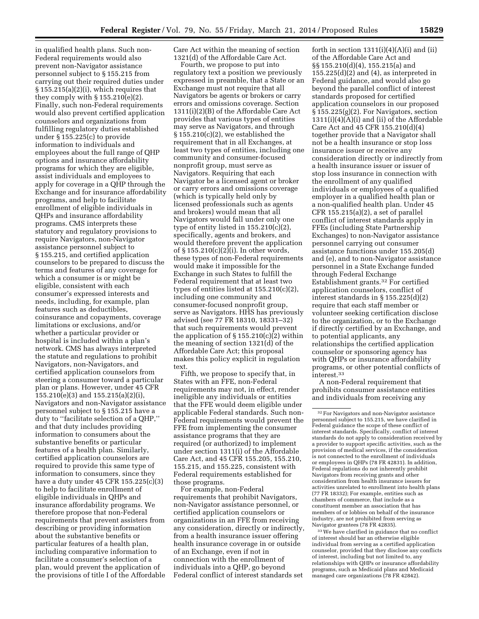in qualified health plans. Such non-Federal requirements would also prevent non-Navigator assistance personnel subject to § 155.215 from carrying out their required duties under  $§ 155.215(a)(2)(i)$ , which requires that they comply with  $\S 155.210(e)(2)$ . Finally, such non-Federal requirements would also prevent certified application counselors and organizations from fulfilling regulatory duties established under § 155.225(c) to provide information to individuals and employees about the full range of QHP options and insurance affordability programs for which they are eligible, assist individuals and employees to apply for coverage in a QHP through the Exchange and for insurance affordability programs, and help to facilitate enrollment of eligible individuals in QHPs and insurance affordability programs. CMS interprets these statutory and regulatory provisions to require Navigators, non-Navigator assistance personnel subject to § 155.215, and certified application counselors to be prepared to discuss the terms and features of any coverage for which a consumer is or might be eligible, consistent with each consumer's expressed interests and needs, including, for example, plan features such as deductibles, coinsurance and copayments, coverage limitations or exclusions, and/or whether a particular provider or hospital is included within a plan's network. CMS has always interpreted the statute and regulations to prohibit Navigators, non-Navigators, and certified application counselors from steering a consumer toward a particular plan or plans. However, under 45 CFR 155.210(e)(3) and 155.215(a)(2)(i), Navigators and non-Navigator assistance personnel subject to § 155.215 have a duty to ''facilitate selection of a QHP,'' and that duty includes providing information to consumers about the substantive benefits or particular features of a health plan. Similarly, certified application counselors are required to provide this same type of information to consumers, since they have a duty under 45 CFR 155.225(c)(3) to help to facilitate enrollment of eligible individuals in QHPs and insurance affordability programs. We therefore propose that non-Federal requirements that prevent assisters from describing or providing information about the substantive benefits or particular features of a health plan, including comparative information to facilitate a consumer's selection of a plan, would prevent the application of the provisions of title I of the Affordable

Care Act within the meaning of section 1321(d) of the Affordable Care Act.

Fourth, we propose to put into regulatory text a position we previously expressed in preamble, that a State or an Exchange must not require that all Navigators be agents or brokers or carry errors and omissions coverage. Section 1311(i)(2)(B) of the Affordable Care Act provides that various types of entities may serve as Navigators, and through § 155.210(c)(2), we established the requirement that in all Exchanges, at least two types of entities, including one community and consumer-focused nonprofit group, must serve as Navigators. Requiring that each Navigator be a licensed agent or broker or carry errors and omissions coverage (which is typically held only by licensed professionals such as agents and brokers) would mean that all Navigators would fall under only one type of entity listed in 155.210(c)(2), specifically, agents and brokers, and would therefore prevent the application of  $\S 155.210(c)(2)(i)$ . In other words, these types of non-Federal requirements would make it impossible for the Exchange in such States to fulfill the Federal requirement that at least two types of entities listed at 155.210(c)(2), including one community and consumer-focused nonprofit group, serve as Navigators. HHS has previously advised (see 77 FR 18310, 18331–32) that such requirements would prevent the application of  $\S 155.210(c)(2)$  within the meaning of section 1321(d) of the Affordable Care Act; this proposal makes this policy explicit in regulation text.

Fifth, we propose to specify that, in States with an FFE, non-Federal requirements may not, in effect, render ineligible any individuals or entities that the FFE would deem eligible under applicable Federal standards. Such non-Federal requirements would prevent the FFE from implementing the consumer assistance programs that they are required (or authorized) to implement under section 1311(i) of the Affordable Care Act, and 45 CFR 155.205, 155.210, 155.215, and 155.225, consistent with Federal requirements established for those programs.

For example, non-Federal requirements that prohibit Navigators, non-Navigator assistance personnel, or certified application counselors or organizations in an FFE from receiving any consideration, directly or indirectly, from a health insurance issuer offering health insurance coverage in or outside of an Exchange, even if not in connection with the enrollment of individuals into a QHP, go beyond Federal conflict of interest standards set

forth in section  $1311(i)(4)(A)(i)$  and (ii) of the Affordable Care Act and §§ 155.210(d)(4), 155.215(a) and 155.225(d)(2) and (4), as interpreted in Federal guidance, and would also go beyond the parallel conflict of interest standards proposed for certified application counselors in our proposed § 155.225(g)(2). For Navigators, section 1311(i)(4)(A)(i) and (ii) of the Affordable Care Act and 45 CFR 155.210(d)(4) together provide that a Navigator shall not be a health insurance or stop loss insurance issuer or receive any consideration directly or indirectly from a health insurance issuer or issuer of stop loss insurance in connection with the enrollment of any qualified individuals or employees of a qualified employer in a qualified health plan or a non-qualified health plan. Under 45 CFR 155.215(a)(2), a set of parallel conflict of interest standards apply in FFEs (including State Partnership Exchanges) to non-Navigator assistance personnel carrying out consumer assistance functions under 155.205(d) and (e), and to non-Navigator assistance personnel in a State Exchange funded through Federal Exchange Establishment grants.32 For certified application counselors, conflict of interest standards in § 155.225(d)(2) require that each staff member or volunteer seeking certification disclose to the organization, or to the Exchange if directly certified by an Exchange, and to potential applicants, any relationships the certified application counselor or sponsoring agency has with QHPs or insurance affordability programs, or other potential conflicts of interest.33

A non-Federal requirement that prohibits consumer assistance entities and individuals from receiving any

 $^{\rm 33}\!$  We have clarified in guidance that no conflict of interest should bar an otherwise eligible individual from serving as a certified application counselor, provided that they disclose any conflicts of interest, including but not limited to, any relationships with QHPs or insurance affordability programs, such as Medicaid plans and Medicaid managed care organizations (78 FR 42842).

<sup>32</sup>For Navigators and non-Navigator assistance personnel subject to 155.215, we have clarified in Federal guidance the scope of these conflict of interest standards. Specifically, conflict of interest standards do not apply to consideration received by a provider to support specific activities, such as the provision of medical services, if the consideration is not connected to the enrollment of individuals or employees in QHPs (78 FR 42831). In addition, Federal regulations do not inherently prohibit Navigators from receiving grants and other consideration from health insurance issuers for activities unrelated to enrollment into health plans (77 FR 18332); For example, entities such as chambers of commerce, that include as a constituent member an association that has members of or lobbies on behalf of the insurance industry, are not prohibited from serving as Navigator grantees (78 FR 42835).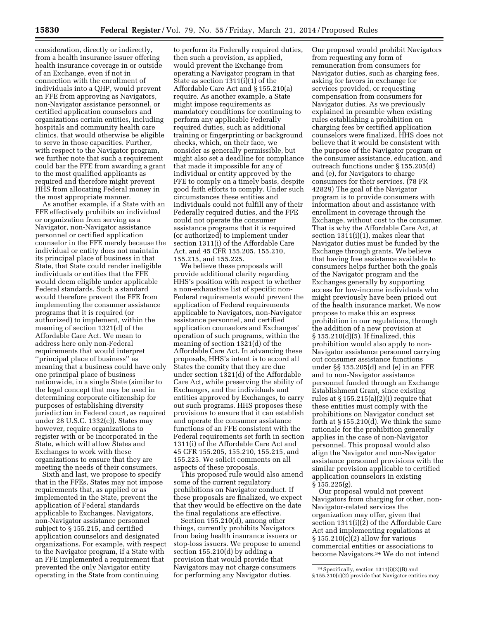consideration, directly or indirectly, from a health insurance issuer offering health insurance coverage in or outside of an Exchange, even if not in connection with the enrollment of individuals into a QHP, would prevent an FFE from approving as Navigators, non-Navigator assistance personnel, or certified application counselors and organizations certain entities, including hospitals and community health care clinics, that would otherwise be eligible to serve in those capacities. Further, with respect to the Navigator program, we further note that such a requirement could bar the FFE from awarding a grant to the most qualified applicants as required and therefore might prevent HHS from allocating Federal money in the most appropriate manner.

As another example, if a State with an FFE effectively prohibits an individual or organization from serving as a Navigator, non-Navigator assistance personnel or certified application counselor in the FFE merely because the individual or entity does not maintain its principal place of business in that State, that State could render ineligible individuals or entities that the FFE would deem eligible under applicable Federal standards. Such a standard would therefore prevent the FFE from implementing the consumer assistance programs that it is required (or authorized) to implement, within the meaning of section 1321(d) of the Affordable Care Act. We mean to address here only non-Federal requirements that would interpret ''principal place of business'' as meaning that a business could have only one principal place of business nationwide, in a single State (similar to the legal concept that may be used in determining corporate citizenship for purposes of establishing diversity jurisdiction in Federal court, as required under 28 U.S.C. 1332(c)). States may however, require organizations to register with or be incorporated in the State, which will allow States and Exchanges to work with these organizations to ensure that they are meeting the needs of their consumers.

Sixth and last, we propose to specify that in the FFEs, States may not impose requirements that, as applied or as implemented in the State, prevent the application of Federal standards applicable to Exchanges, Navigators, non-Navigator assistance personnel subject to § 155.215, and certified application counselors and designated organizations. For example, with respect to the Navigator program, if a State with an FFE implemented a requirement that prevented the only Navigator entity operating in the State from continuing

to perform its Federally required duties, then such a provision, as applied, would prevent the Exchange from operating a Navigator program in that State as section 1311(i)(1) of the Affordable Care Act and § 155.210(a) require. As another example, a State might impose requirements as mandatory conditions for continuing to perform any applicable Federally required duties, such as additional training or fingerprinting or background checks, which, on their face, we consider as generally permissible, but might also set a deadline for compliance that made it impossible for any of individual or entity approved by the FFE to comply on a timely basis, despite good faith efforts to comply. Under such circumstances these entities and individuals could not fulfill any of their Federally required duties, and the FFE could not operate the consumer assistance programs that it is required (or authorized) to implement under section 1311(i) of the Affordable Care Act, and 45 CFR 155.205, 155.210, 155.215, and 155.225.

We believe these proposals will provide additional clarity regarding HHS's position with respect to whether a non-exhaustive list of specific non-Federal requirements would prevent the application of Federal requirements applicable to Navigators, non-Navigator assistance personnel, and certified application counselors and Exchanges' operation of such programs, within the meaning of section 1321(d) of the Affordable Care Act. In advancing these proposals, HHS's intent is to accord all States the comity that they are due under section 1321(d) of the Affordable Care Act, while preserving the ability of Exchanges, and the individuals and entities approved by Exchanges, to carry out such programs. HHS proposes these provisions to ensure that it can establish and operate the consumer assistance functions of an FFE consistent with the Federal requirements set forth in section 1311(i) of the Affordable Care Act and 45 CFR 155.205, 155.210, 155.215, and 155.225. We solicit comments on all aspects of these proposals.

This proposed rule would also amend some of the current regulatory prohibitions on Navigator conduct. If these proposals are finalized, we expect that they would be effective on the date the final regulations are effective.

Section 155.210(d), among other things, currently prohibits Navigators from being health insurance issuers or stop-loss issuers. We propose to amend section 155.210(d) by adding a provision that would provide that Navigators may not charge consumers for performing any Navigator duties.

Our proposal would prohibit Navigators from requesting any form of remuneration from consumers for Navigator duties, such as charging fees, asking for favors in exchange for services provided, or requesting compensation from consumers for Navigator duties. As we previously explained in preamble when existing rules establishing a prohibition on charging fees by certified application counselors were finalized, HHS does not believe that it would be consistent with the purpose of the Navigator program or the consumer assistance, education, and outreach functions under § 155.205(d) and (e), for Navigators to charge consumers for their services. (78 FR 42829) The goal of the Navigator program is to provide consumers with information about and assistance with enrollment in coverage through the Exchange, without cost to the consumer. That is why the Affordable Care Act, at section 1311(i)(1), makes clear that Navigator duties must be funded by the Exchange through grants. We believe that having free assistance available to consumers helps further both the goals of the Navigator program and the Exchanges generally by supporting access for low-income individuals who might previously have been priced out of the health insurance market. We now propose to make this an express prohibition in our regulations, through the addition of a new provision at § 155.210(d)(5). If finalized, this prohibition would also apply to non-Navigator assistance personnel carrying out consumer assistance functions under §§ 155.205(d) and (e) in an FFE and to non-Navigator assistance personnel funded through an Exchange Establishment Grant, since existing rules at § 155.215(a)(2)(i) require that these entities must comply with the prohibitions on Navigator conduct set forth at § 155.210(d). We think the same rationale for the prohibition generally applies in the case of non-Navigator personnel. This proposal would also align the Navigator and non-Navigator assistance personnel provisions with the similar provision applicable to certified application counselors in existing § 155.225(g).

Our proposal would not prevent Navigators from charging for other, non-Navigator-related services the organization may offer, given that section 1311(i)(2) of the Affordable Care Act and implementing regulations at § 155.210(c)(2) allow for various commercial entities or associations to become Navigators.34 We do not intend

<sup>34</sup>Specifically, section 1311(i)(2)(B) and § 155.210(c)(2) provide that Navigator entities may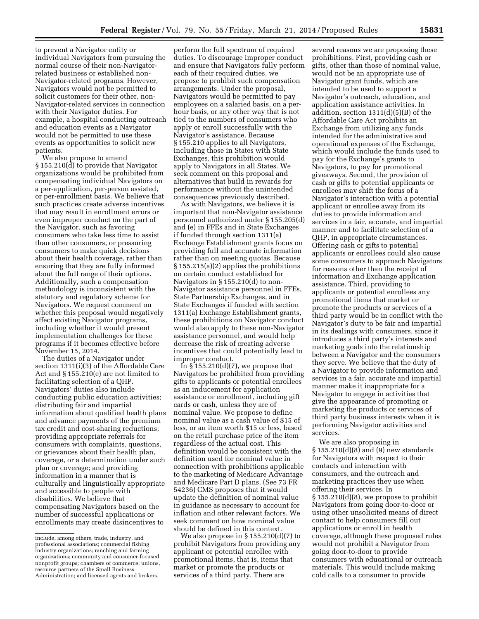to prevent a Navigator entity or individual Navigators from pursuing the normal course of their non-Navigatorrelated business or established non-Navigator-related programs. However, Navigators would not be permitted to solicit customers for their other, non-Navigator-related services in connection with their Navigator duties. For example, a hospital conducting outreach and education events as a Navigator would not be permitted to use these events as opportunities to solicit new patients.

We also propose to amend § 155.210(d) to provide that Navigator organizations would be prohibited from compensating individual Navigators on a per-application, per-person assisted, or per-enrollment basis. We believe that such practices create adverse incentives that may result in enrollment errors or even improper conduct on the part of the Navigator, such as favoring consumers who take less time to assist than other consumers, or pressuring consumers to make quick decisions about their health coverage, rather than ensuring that they are fully informed about the full range of their options. Additionally, such a compensation methodology is inconsistent with the statutory and regulatory scheme for Navigators. We request comment on whether this proposal would negatively affect existing Navigator programs, including whether it would present implementation challenges for these programs if it becomes effective before November 15, 2014.

The duties of a Navigator under section 1311(i)(3) of the Affordable Care Act and § 155.210(e) are not limited to facilitating selection of a QHP. Navigators' duties also include conducting public education activities; distributing fair and impartial information about qualified health plans and advance payments of the premium tax credit and cost-sharing reductions; providing appropriate referrals for consumers with complaints, questions, or grievances about their health plan, coverage, or a determination under such plan or coverage; and providing information in a manner that is culturally and linguistically appropriate and accessible to people with disabilities. We believe that compensating Navigators based on the number of successful applications or enrollments may create disincentives to

perform the full spectrum of required duties. To discourage improper conduct and ensure that Navigators fully perform each of their required duties, we propose to prohibit such compensation arrangements. Under the proposal, Navigators would be permitted to pay employees on a salaried basis, on a perhour basis, or any other way that is not tied to the numbers of consumers who apply or enroll successfully with the Navigator's assistance. Because § 155.210 applies to all Navigators, including those in States with State Exchanges, this prohibition would apply to Navigators in all States. We seek comment on this proposal and alternatives that build in rewards for performance without the unintended consequences previously described.

As with Navigators, we believe it is important that non-Navigator assistance personnel authorized under § 155.205(d) and (e) in FFEs and in State Exchanges if funded through section 1311(a) Exchange Establishment grants focus on providing full and accurate information rather than on meeting quotas. Because § 155.215(a)(2) applies the prohibitions on certain conduct established for Navigators in § 155.210(d) to non-Navigator assistance personnel in FFEs, State Partnership Exchanges, and in State Exchanges if funded with section 1311(a) Exchange Establishment grants, these prohibitions on Navigator conduct would also apply to these non-Navigator assistance personnel, and would help decrease the risk of creating adverse incentives that could potentially lead to improper conduct.

In  $\S 155.210(d)(7)$ , we propose that Navigators be prohibited from providing gifts to applicants or potential enrollees as an inducement for application assistance or enrollment, including gift cards or cash, unless they are of nominal value. We propose to define nominal value as a cash value of \$15 of less, or an item worth \$15 or less, based on the retail purchase price of the item regardless of the actual cost. This definition would be consistent with the definition used for nominal value in connection with prohibitions applicable to the marketing of Medicare Advantage and Medicare Part D plans. (See 73 FR 54236) CMS proposes that it would update the definition of nominal value in guidance as necessary to account for inflation and other relevant factors. We seek comment on how nominal value should be defined in this context.

We also propose in § 155.210(d)(7) to prohibit Navigators from providing any applicant or potential enrollee with promotional items, that is, items that market or promote the products or services of a third party. There are

several reasons we are proposing these prohibitions. First, providing cash or gifts, other than those of nominal value, would not be an appropriate use of Navigator grant funds, which are intended to be used to support a Navigator's outreach, education, and application assistance activities. In addition, section 1311(d)(5)(B) of the Affordable Care Act prohibits an Exchange from utilizing any funds intended for the administrative and operational expenses of the Exchange, which would include the funds used to pay for the Exchange's grants to Navigators, to pay for promotional giveaways. Second, the provision of cash or gifts to potential applicants or enrollees may shift the focus of a Navigator's interaction with a potential applicant or enrollee away from its duties to provide information and services in a fair, accurate, and impartial manner and to facilitate selection of a QHP, in appropriate circumstances. Offering cash or gifts to potential applicants or enrollees could also cause some consumers to approach Navigators for reasons other than the receipt of information and Exchange application assistance. Third, providing to applicants or potential enrollees any promotional items that market or promote the products or services of a third party would be in conflict with the Navigator's duty to be fair and impartial in its dealings with consumers, since it introduces a third party's interests and marketing goals into the relationship between a Navigator and the consumers they serve. We believe that the duty of a Navigator to provide information and services in a fair, accurate and impartial manner make it inappropriate for a Navigator to engage in activities that give the appearance of promoting or marketing the products or services of third party business interests when it is performing Navigator activities and services.

We are also proposing in § 155.210(d)(8) and (9) new standards for Navigators with respect to their contacts and interaction with consumers, and the outreach and marketing practices they use when offering their services. In § 155.210(d)(8), we propose to prohibit Navigators from going door-to-door or using other unsolicited means of direct contact to help consumers fill out applications or enroll in health coverage, although these proposed rules would not prohibit a Navigator from going door-to-door to provide consumers with educational or outreach materials. This would include making cold calls to a consumer to provide

include, among others, trade, industry, and professional associations; commercial fishing industry organizations; ranching and farming organizations; community and consumer-focused nonprofit groups; chambers of commerce; unions, resource partners of the Small Business Administration; and licensed agents and brokers.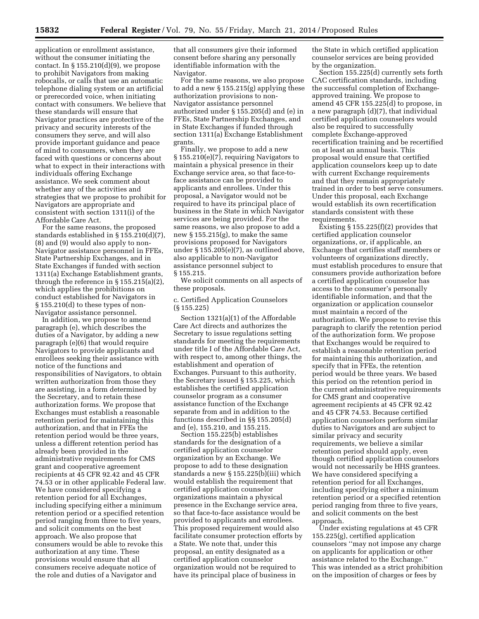application or enrollment assistance, without the consumer initiating the contact. In  $\S 155.210(d)(9)$ , we propose to prohibit Navigators from making robocalls, or calls that use an automatic telephone dialing system or an artificial or prerecorded voice, when initiating contact with consumers. We believe that these standards will ensure that Navigator practices are protective of the privacy and security interests of the consumers they serve, and will also provide important guidance and peace of mind to consumers, when they are faced with questions or concerns about what to expect in their interactions with individuals offering Exchange assistance. We seek comment about whether any of the activities and strategies that we propose to prohibit for Navigators are appropriate and consistent with section 1311(i) of the Affordable Care Act.

For the same reasons, the proposed standards established in § 155.210(d)(7), (8) and (9) would also apply to non-Navigator assistance personnel in FFEs, State Partnership Exchanges, and in State Exchanges if funded with section 1311(a) Exchange Establishment grants, through the reference in § 155.215(a)(2), which applies the prohibitions on conduct established for Navigators in § 155.210(d) to these types of non-Navigator assistance personnel.

In addition, we propose to amend paragraph (e), which describes the duties of a Navigator, by adding a new paragraph (e)(6) that would require Navigators to provide applicants and enrollees seeking their assistance with notice of the functions and responsibilities of Navigators, to obtain written authorization from those they are assisting, in a form determined by the Secretary, and to retain these authorization forms. We propose that Exchanges must establish a reasonable retention period for maintaining this authorization, and that in FFEs the retention period would be three years, unless a different retention period has already been provided in the administrative requirements for CMS grant and cooperative agreement recipients at 45 CFR 92.42 and 45 CFR 74.53 or in other applicable Federal law. We have considered specifying a retention period for all Exchanges, including specifying either a minimum retention period or a specified retention period ranging from three to five years, and solicit comments on the best approach. We also propose that consumers would be able to revoke this authorization at any time. These provisions would ensure that all consumers receive adequate notice of the role and duties of a Navigator and

that all consumers give their informed consent before sharing any personally identifiable information with the Navigator.

For the same reasons, we also propose to add a new § 155.215(g) applying these authorization provisions to non-Navigator assistance personnel authorized under § 155.205(d) and (e) in FFEs, State Partnership Exchanges, and in State Exchanges if funded through section 1311(a) Exchange Establishment grants.

Finally, we propose to add a new § 155.210(e)(7), requiring Navigators to maintain a physical presence in their Exchange service area, so that face-toface assistance can be provided to applicants and enrollees. Under this proposal, a Navigator would not be required to have its principal place of business in the State in which Navigator services are being provided. For the same reasons, we also propose to add a new § 155.215(g), to make the same provisions proposed for Navigators under § 155.205(e)(7), as outlined above, also applicable to non-Navigator assistance personnel subject to § 155.215.

We solicit comments on all aspects of these proposals.

c. Certified Application Counselors (§ 155.225)

Section 1321(a)(1) of the Affordable Care Act directs and authorizes the Secretary to issue regulations setting standards for meeting the requirements under title I of the Affordable Care Act, with respect to, among other things, the establishment and operation of Exchanges. Pursuant to this authority, the Secretary issued § 155.225, which establishes the certified application counselor program as a consumer assistance function of the Exchange separate from and in addition to the functions described in §§ 155.205(d) and (e), 155.210, and 155.215.

Section 155.225(b) establishes standards for the designation of a certified application counselor organization by an Exchange. We propose to add to these designation standards a new § 155.225(b)(iii) which would establish the requirement that certified application counselor organizations maintain a physical presence in the Exchange service area, so that face-to-face assistance would be provided to applicants and enrollees. This proposed requirement would also facilitate consumer protection efforts by a State. We note that, under this proposal, an entity designated as a certified application counselor organization would not be required to have its principal place of business in

the State in which certified application counselor services are being provided by the organization.

Section 155.225(d) currently sets forth CAC certification standards, including the successful completion of Exchangeapproved training. We propose to amend 45 CFR 155.225(d) to propose, in a new paragraph (d)(7), that individual certified application counselors would also be required to successfully complete Exchange-approved recertification training and be recertified on at least an annual basis. This proposal would ensure that certified application counselors keep up to date with current Exchange requirements and that they remain appropriately trained in order to best serve consumers. Under this proposal, each Exchange would establish its own recertification standards consistent with these requirements.

Existing  $\S 155.225(f)(2)$  provides that certified application counselor organizations, or, if applicable, an Exchange that certifies staff members or volunteers of organizations directly, must establish procedures to ensure that consumers provide authorization before a certified application counselor has access to the consumer's personally identifiable information, and that the organization or application counselor must maintain a record of the authorization. We propose to revise this paragraph to clarify the retention period of the authorization form. We propose that Exchanges would be required to establish a reasonable retention period for maintaining this authorization, and specify that in FFEs, the retention period would be three years. We based this period on the retention period in the current administrative requirements for CMS grant and cooperative agreement recipients at 45 CFR 92.42 and 45 CFR 74.53. Because certified application counselors perform similar duties to Navigators and are subject to similar privacy and security requirements, we believe a similar retention period should apply, even though certified application counselors would not necessarily be HHS grantees. We have considered specifying a retention period for all Exchanges, including specifying either a minimum retention period or a specified retention period ranging from three to five years, and solicit comments on the best approach.

Under existing regulations at 45 CFR 155.225(g), certified application counselors ''may not impose any charge on applicants for application or other assistance related to the Exchange.'' This was intended as a strict prohibition on the imposition of charges or fees by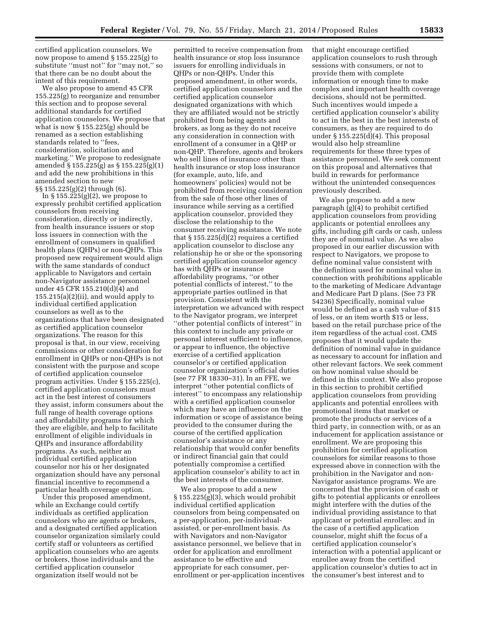certified application counselors. We now propose to amend § 155.225(g) to substitute ''must not'' for ''may not,'' so that there can be no doubt about the intent of this requirement.

We also propose to amend 45 CFR 155.225(g) to reorganize and renumber this section and to propose several additional standards for certified application counselors. We propose that what is now § 155.225(g) should be renamed as a section establishing standards related to ''fees, consideration, solicitation and marketing.'' We propose to redesignate amended § 155.225(g) as § 155.225(g)(1) and add the new prohibitions in this amended section to new §§ 155.225(g)(2) through (6).

In §  $155.225(g)(2)$ , we propose to expressly prohibit certified application counselors from receiving consideration, directly or indirectly, from health insurance issuers or stop loss issuers in connection with the enrollment of consumers in qualified health plans (QHPs) or non-QHPs. This proposed new requirement would align with the same standards of conduct applicable to Navigators and certain non-Navigator assistance personnel under 45 CFR 155.210(d)(4) and  $155.215(a)(2)(ii)$ , and would apply to individual certified application counselors as well as to the organizations that have been designated as certified application counselor organizations. The reason for this proposal is that, in our view, receiving commissions or other consideration for enrollment in QHPs or non-QHPs is not consistent with the purpose and scope of certified application counselor program activities. Under § 155.225(c), certified application counselors must act in the best interest of consumers they assist, inform consumers about the full range of health coverage options and affordability programs for which they are eligible, and help to facilitate enrollment of eligible individuals in QHPs and insurance affordability programs. As such, neither an individual certified application counselor nor his or her designated organization should have any personal financial incentive to recommend a particular health coverage option.

Under this proposed amendment, while an Exchange could certify individuals as certified application counselors who are agents or brokers, and a designated certified application counselor organization similarly could certify staff or volunteers as certified application counselors who are agents or brokers, those individuals and the certified application counselor organization itself would not be

permitted to receive compensation from health insurance or stop loss insurance issuers for enrolling individuals in QHPs or non-QHPs. Under this proposed amendment, in other words, certified application counselors and the certified application counselor designated organizations with which they are affiliated would not be strictly prohibited from being agents and brokers, as long as they do not receive any consideration in connection with enrollment of a consumer in a QHP or non-QHP. Therefore, agents and brokers who sell lines of insurance other than health insurance or stop loss insurance (for example, auto, life, and homeowners' policies) would not be prohibited from receiving consideration from the sale of those other lines of insurance while serving as a certified application counselor, provided they disclose the relationship to the consumer receiving assistance. We note that § 155.225(d)(2) requires a certified application counselor to disclose any relationship he or she or the sponsoring certified application counselor agency has with QHPs or insurance affordability programs, ''or other potential conflicts of interest,'' to the appropriate parties outlined in that provision. Consistent with the interpretation we advanced with respect to the Navigator program, we interpret ''other potential conflicts of interest'' in this context to include any private or personal interest sufficient to influence, or appear to influence, the objective exercise of a certified application counselor's or certified application counselor organization's official duties (see 77 FR 18330–31). In an FFE, we interpret ''other potential conflicts of interest'' to encompass any relationship with a certified application counselor which may have an influence on the information or scope of assistance being provided to the consumer during the course of the certified application counselor's assistance or any relationship that would confer benefits or indirect financial gain that could potentially compromise a certified application counselor's ability to act in the best interests of the consumer.

We also propose to add a new  $\S 155.225(g)(3)$ , which would prohibit individual certified application counselors from being compensated on a per-application, per-individualassisted, or per-enrollment basis. As with Navigators and non-Navigator assistance personnel, we believe that in order for application and enrollment assistance to be effective and appropriate for each consumer, perenrollment or per-application incentives

that might encourage certified application counselors to rush through sessions with consumers, or not to provide them with complete information or enough time to make complex and important health coverage decisions, should not be permitted. Such incentives would impede a certified application counselor's ability to act in the best in the best interests of consumers, as they are required to do under  $\S 155.225(d)(4)$ . This proposal would also help streamline requirements for these three types of assistance personnel. We seek comment on this proposal and alternatives that build in rewards for performance without the unintended consequences previously described.

We also propose to add a new paragraph (g)(4) to prohibit certified application counselors from providing applicants or potential enrollees any gifts, including gift cards or cash, unless they are of nominal value. As we also proposed in our earlier discussion with respect to Navigators, we propose to define nominal value consistent with the definition used for nominal value in connection with prohibitions applicable to the marketing of Medicare Advantage and Medicare Part D plans. (See 73 FR 54236) Specifically, nominal value would be defined as a cash value of \$15 of less, or an item worth \$15 or less, based on the retail purchase price of the item regardless of the actual cost. CMS proposes that it would update the definition of nominal value in guidance as necessary to account for inflation and other relevant factors. We seek comment on how nominal value should be defined in this context. We also propose in this section to prohibit certified application counselors from providing applicants and potential enrollees with promotional items that market or promote the products or services of a third party, in connection with, or as an inducement for application assistance or enrollment. We are proposing this prohibition for certified application counselors for similar reasons to those expressed above in connection with the prohibition in the Navigator and non-Navigator assistance programs. We are concerned that the provision of cash or gifts to potential applicants or enrollees might interfere with the duties of the individual providing assistance to that applicant or potential enrollee; and in the case of a certified application counselor, might shift the focus of a certified application counselor's interaction with a potential applicant or enrollee away from the certified application counselor's duties to act in the consumer's best interest and to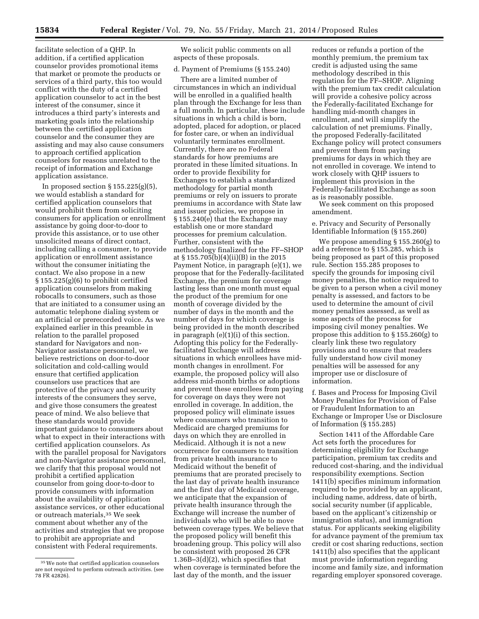facilitate selection of a QHP. In addition, if a certified application counselor provides promotional items that market or promote the products or services of a third party, this too would conflict with the duty of a certified application counselor to act in the best interest of the consumer, since it introduces a third party's interests and marketing goals into the relationship between the certified application counselor and the consumer they are assisting and may also cause consumers to approach certified application counselors for reasons unrelated to the receipt of information and Exchange application assistance.

In proposed section  $\S 155.225(g)(5)$ , we would establish a standard for certified application counselors that would prohibit them from soliciting consumers for application or enrollment assistance by going door-to-door to provide this assistance, or to use other unsolicited means of direct contact, including calling a consumer, to provide application or enrollment assistance without the consumer initiating the contact. We also propose in a new § 155.225(g)(6) to prohibit certified application counselors from making robocalls to consumers, such as those that are initiated to a consumer using an automatic telephone dialing system or an artificial or prerecorded voice. As we explained earlier in this preamble in relation to the parallel proposed standard for Navigators and non-Navigator assistance personnel, we believe restrictions on door-to-door solicitation and cold-calling would ensure that certified application counselors use practices that are protective of the privacy and security interests of the consumers they serve, and give those consumers the greatest peace of mind. We also believe that these standards would provide important guidance to consumers about what to expect in their interactions with certified application counselors. As with the parallel proposal for Navigators and non-Navigator assistance personnel, we clarify that this proposal would not prohibit a certified application counselor from going door-to-door to provide consumers with information about the availability of application assistance services, or other educational or outreach materials,35 We seek comment about whether any of the activities and strategies that we propose to prohibit are appropriate and consistent with Federal requirements.

We solicit public comments on all aspects of these proposals.

#### d. Payment of Premiums (§ 155.240)

There are a limited number of circumstances in which an individual will be enrolled in a qualified health plan through the Exchange for less than a full month. In particular, these include situations in which a child is born, adopted, placed for adoption, or placed for foster care, or when an individual voluntarily terminates enrollment. Currently, there are no Federal standards for how premiums are prorated in these limited situations. In order to provide flexibility for Exchanges to establish a standardized methodology for partial month premiums or rely on issuers to prorate premiums in accordance with State law and issuer policies, we propose in § 155.240(e) that the Exchange may establish one or more standard processes for premium calculation. Further, consistent with the methodology finalized for the FF–SHOP at § 155.705(b)(4)(ii)(B) in the 2015 Payment Notice, in paragraph (e)(1), we propose that for the Federally-facilitated Exchange, the premium for coverage lasting less than one month must equal the product of the premium for one month of coverage divided by the number of days in the month and the number of days for which coverage is being provided in the month described in paragraph (e)(1)(i) of this section. Adopting this policy for the Federallyfacilitated Exchange will address situations in which enrollees have midmonth changes in enrollment. For example, the proposed policy will also address mid-month births or adoptions and prevent these enrollees from paying for coverage on days they were not enrolled in coverage. In addition, the proposed policy will eliminate issues where consumers who transition to Medicaid are charged premiums for days on which they are enrolled in Medicaid. Although it is not a new occurrence for consumers to transition from private health insurance to Medicaid without the benefit of premiums that are prorated precisely to the last day of private health insurance and the first day of Medicaid coverage, we anticipate that the expansion of private health insurance through the Exchange will increase the number of individuals who will be able to move between coverage types. We believe that the proposed policy will benefit this broadening group. This policy will also be consistent with proposed 26 CFR 1.36B–3(d)(2), which specifies that when coverage is terminated before the last day of the month, and the issuer

reduces or refunds a portion of the monthly premium, the premium tax credit is adjusted using the same methodology described in this regulation for the FF–SHOP. Aligning with the premium tax credit calculation will provide a cohesive policy across the Federally-facilitated Exchange for handling mid-month changes in enrollment, and will simplify the calculation of net premiums. Finally, the proposed Federally-facilitated Exchange policy will protect consumers and prevent them from paying premiums for days in which they are not enrolled in coverage. We intend to work closely with QHP issuers to implement this provision in the Federally-facilitated Exchange as soon as is reasonably possible.

We seek comment on this proposed amendment.

e. Privacy and Security of Personally Identifiable Information (§ 155.260)

We propose amending § 155.260(g) to add a reference to § 155.285, which is being proposed as part of this proposed rule. Section 155.285 proposes to specify the grounds for imposing civil money penalties, the notice required to be given to a person when a civil money penalty is assessed, and factors to be used to determine the amount of civil money penalties assessed, as well as some aspects of the process for imposing civil money penalties. We propose this addition to § 155.260(g) to clearly link these two regulatory provisions and to ensure that readers fully understand how civil money penalties will be assessed for any improper use or disclosure of information.

f. Bases and Process for Imposing Civil Money Penalties for Provision of False or Fraudulent Information to an Exchange or Improper Use or Disclosure of Information (§ 155.285)

Section 1411 of the Affordable Care Act sets forth the procedures for determining eligibility for Exchange participation, premium tax credits and reduced cost-sharing, and the individual responsibility exemptions. Section 1411(b) specifies minimum information required to be provided by an applicant, including name, address, date of birth, social security number (if applicable, based on the applicant's citizenship or immigration status), and immigration status. For applicants seeking eligibility for advance payment of the premium tax credit or cost sharing reductions, section 1411(b) also specifies that the applicant must provide information regarding income and family size, and information regarding employer sponsored coverage.

<sup>35</sup>We note that certified application counselors are not required to perform outreach activities. (see 78 FR 42826).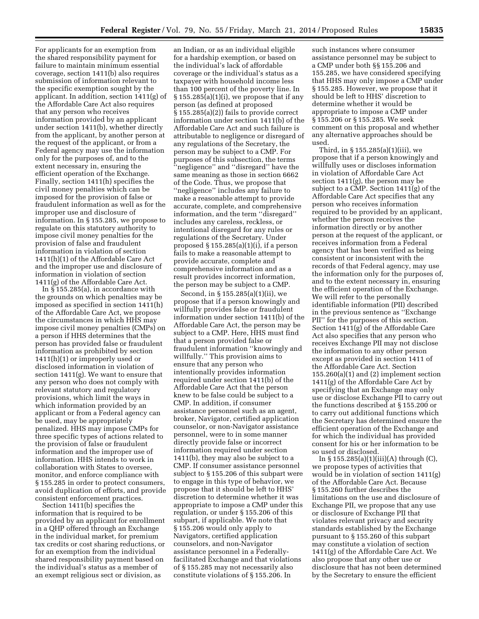For applicants for an exemption from the shared responsibility payment for failure to maintain minimum essential coverage, section 1411(b) also requires submission of information relevant to the specific exemption sought by the applicant. In addition, section 1411(g) of the Affordable Care Act also requires that any person who receives information provided by an applicant under section 1411(b), whether directly from the applicant, by another person at the request of the applicant, or from a Federal agency may use the information only for the purposes of, and to the extent necessary in, ensuring the efficient operation of the Exchange. Finally, section 1411(h) specifies the civil money penalties which can be imposed for the provision of false or fraudulent information as well as for the improper use and disclosure of information. In § 155.285, we propose to regulate on this statutory authority to impose civil money penalties for the provision of false and fraudulent information in violation of section 1411(h)(1) of the Affordable Care Act and the improper use and disclosure of information in violation of section 1411(g) of the Affordable Care Act.

In § 155.285(a), in accordance with the grounds on which penalties may be imposed as specified in section 1411(h) of the Affordable Care Act, we propose the circumstances in which HHS may impose civil money penalties (CMPs) on a person if HHS determines that the person has provided false or fraudulent information as prohibited by section 1411(h)(1) or improperly used or disclosed information in violation of section 1411(g). We want to ensure that any person who does not comply with relevant statutory and regulatory provisions, which limit the ways in which information provided by an applicant or from a Federal agency can be used, may be appropriately penalized. HHS may impose CMPs for three specific types of actions related to the provision of false or fraudulent information and the improper use of information. HHS intends to work in collaboration with States to oversee, monitor, and enforce compliance with § 155.285 in order to protect consumers, avoid duplication of efforts, and provide consistent enforcement practices.

Section 1411(b) specifies the information that is required to be provided by an applicant for enrollment in a QHP offered through an Exchange in the individual market, for premium tax credits or cost sharing reductions, or for an exemption from the individual shared responsibility payment based on the individual's status as a member of an exempt religious sect or division, as

an Indian, or as an individual eligible for a hardship exemption, or based on the individual's lack of affordable coverage or the individual's status as a taxpayer with household income less than 100 percent of the poverty line. In  $\S 155.285(a)(1)(i)$ , we propose that if any person (as defined at proposed § 155.285(a)(2)) fails to provide correct information under section 1411(b) of the Affordable Care Act and such failure is attributable to negligence or disregard of any regulations of the Secretary, the person may be subject to a CMP. For purposes of this subsection, the terms ''negligence'' and ''disregard'' have the same meaning as those in section 6662 of the Code. Thus, we propose that ''negligence'' includes any failure to make a reasonable attempt to provide accurate, complete, and comprehensive information, and the term ''disregard'' includes any careless, reckless, or intentional disregard for any rules or regulations of the Secretary. Under proposed § 155.285(a)(1)(i), if a person fails to make a reasonable attempt to provide accurate, complete and comprehensive information and as a result provides incorrect information, the person may be subject to a CMP.

Second, in § 155.285(a)(1)(ii), we propose that if a person knowingly and willfully provides false or fraudulent information under section 1411(b) of the Affordable Care Act, the person may be subject to a CMP. Here, HHS must find that a person provided false or fraudulent information ''knowingly and willfully.'' This provision aims to ensure that any person who intentionally provides information required under section 1411(b) of the Affordable Care Act that the person knew to be false could be subject to a CMP. In addition, if consumer assistance personnel such as an agent, broker, Navigator, certified application counselor, or non-Navigator assistance personnel, were to in some manner directly provide false or incorrect information required under section 1411(b), they may also be subject to a CMP. If consumer assistance personnel subject to § 155.206 of this subpart were to engage in this type of behavior, we propose that it should be left to HHS' discretion to determine whether it was appropriate to impose a CMP under this regulation, or under § 155.206 of this subpart, if applicable. We note that § 155.206 would only apply to Navigators, certified application counselors, and non-Navigator assistance personnel in a Federallyfacilitated Exchange and that violations of § 155.285 may not necessarily also constitute violations of § 155.206. In

such instances where consumer assistance personnel may be subject to a CMP under both §§ 155.206 and 155.285, we have considered specifying that HHS may only impose a CMP under § 155.285. However, we propose that it should be left to HHS' discretion to determine whether it would be appropriate to impose a CMP under § 155.206 or § 155.285. We seek comment on this proposal and whether any alternative approaches should be used.

Third, in § 155.285(a)(1)(iii), we propose that if a person knowingly and willfully uses or discloses information in violation of Affordable Care Act section 1411(g), the person may be subject to a CMP. Section 1411(g) of the Affordable Care Act specifies that any person who receives information required to be provided by an applicant, whether the person receives the information directly or by another person at the request of the applicant, or receives information from a Federal agency that has been verified as being consistent or inconsistent with the records of that Federal agency, may use the information only for the purposes of, and to the extent necessary in, ensuring the efficient operation of the Exchange. We will refer to the personally identifiable information (PII) described in the previous sentence as ''Exchange PII'' for the purposes of this section. Section 1411(g) of the Affordable Care Act also specifies that any person who receives Exchange PII may not disclose the information to any other person except as provided in section 1411 of the Affordable Care Act. Section 155.260(a)(1) and (2) implement section 1411(g) of the Affordable Care Act by specifying that an Exchange may only use or disclose Exchange PII to carry out the functions described at § 155.200 or to carry out additional functions which the Secretary has determined ensure the efficient operation of the Exchange and for which the individual has provided consent for his or her information to be so used or disclosed.

In  $\S 155.285(a)(1)(iii)(A)$  through (C), we propose types of activities that would be in violation of section 1411(g) of the Affordable Care Act. Because § 155.260 further describes the limitations on the use and disclosure of Exchange PII, we propose that any use or disclosure of Exchange PII that violates relevant privacy and security standards established by the Exchange pursuant to § 155.260 of this subpart may constitute a violation of section 1411(g) of the Affordable Care Act. We also propose that any other use or disclosure that has not been determined by the Secretary to ensure the efficient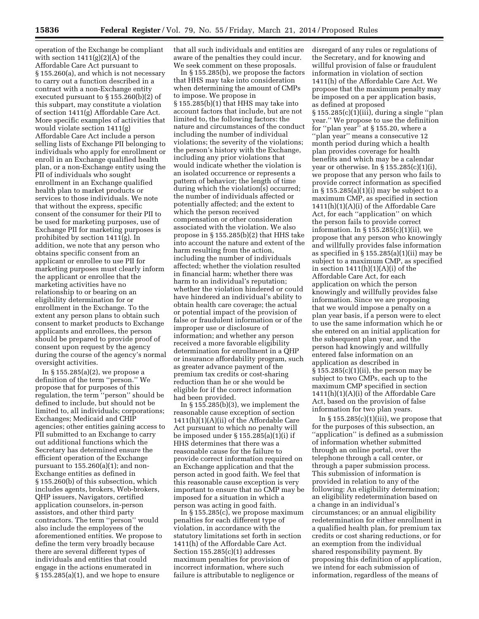operation of the Exchange be compliant with section  $1411(g)(2)(A)$  of the Affordable Care Act pursuant to § 155.260(a), and which is not necessary to carry out a function described in a contract with a non-Exchange entity executed pursuant to § 155.260(b)(2) of this subpart, may constitute a violation of section 1411(g) Affordable Care Act. More specific examples of activities that would violate section 1411(g) Affordable Care Act include a person selling lists of Exchange PII belonging to individuals who apply for enrollment or enroll in an Exchange qualified health plan, or a non-Exchange entity using the PII of individuals who sought enrollment in an Exchange qualified health plan to market products or services to those individuals. We note that without the express, specific consent of the consumer for their PII to be used for marketing purposes, use of Exchange PII for marketing purposes is prohibited by section 1411(g). In addition, we note that any person who obtains specific consent from an applicant or enrollee to use PII for marketing purposes must clearly inform the applicant or enrollee that the marketing activities have no relationship to or bearing on an eligibility determination for or enrollment in the Exchange. To the extent any person plans to obtain such consent to market products to Exchange applicants and enrollees, the person should be prepared to provide proof of consent upon request by the agency during the course of the agency's normal oversight activities.

In § 155.285(a)(2), we propose a definition of the term ''person.'' We propose that for purposes of this regulation, the term ''person'' should be defined to include, but should not be limited to, all individuals; corporations; Exchanges; Medicaid and CHIP agencies; other entities gaining access to PII submitted to an Exchange to carry out additional functions which the Secretary has determined ensure the efficient operation of the Exchange pursuant to  $155.260(a)(1)$ ; and non-Exchange entities as defined in § 155.260(b) of this subsection, which includes agents, brokers, Web-brokers, QHP issuers, Navigators, certified application counselors, in-person assistors, and other third party contractors. The term ''person'' would also include the employees of the aforementioned entities. We propose to define the term very broadly because there are several different types of individuals and entities that could engage in the actions enumerated in § 155.285(a)(1), and we hope to ensure

that all such individuals and entities are aware of the penalties they could incur. We seek comment on these proposals.

In § 155.285(b), we propose the factors that HHS may take into consideration when determining the amount of CMPs to impose. We propose in § 155.285(b)(1) that HHS may take into account factors that include, but are not limited to, the following factors: the nature and circumstances of the conduct including the number of individual violations; the severity of the violations; the person's history with the Exchange, including any prior violations that would indicate whether the violation is an isolated occurrence or represents a pattern of behavior; the length of time during which the violation(s) occurred; the number of individuals affected or potentially affected; and the extent to which the person received compensation or other consideration associated with the violation. We also propose in § 155.285(b)(2) that HHS take into account the nature and extent of the harm resulting from the action, including the number of individuals affected; whether the violation resulted in financial harm; whether there was harm to an individual's reputation; whether the violation hindered or could have hindered an individual's ability to obtain health care coverage; the actual or potential impact of the provision of false or fraudulent information or of the improper use or disclosure of information; and whether any person received a more favorable eligibility determination for enrollment in a QHP or insurance affordability program, such as greater advance payment of the premium tax credits or cost-sharing reduction than he or she would be eligible for if the correct information had been provided.

In  $\S 155.285(b)(3)$ , we implement the reasonable cause exception of section 1411(h)(1)(A)(ii) of the Affordable Care Act pursuant to which no penalty will be imposed under § 155.285(a)(1)(i) if HHS determines that there was a reasonable cause for the failure to provide correct information required on an Exchange application and that the person acted in good faith. We feel that this reasonable cause exception is very important to ensure that no CMP may be imposed for a situation in which a person was acting in good faith.

In § 155.285(c), we propose maximum penalties for each different type of violation, in accordance with the statutory limitations set forth in section 1411(h) of the Affordable Care Act. Section 155.285(c)(1) addresses maximum penalties for provision of incorrect information, where such failure is attributable to negligence or

disregard of any rules or regulations of the Secretary, and for knowing and willful provision of false or fraudulent information in violation of section 1411(h) of the Affordable Care Act. We propose that the maximum penalty may be imposed on a per application basis, as defined at proposed § 155.285(c)(1)(iii), during a single ''plan year.'' We propose to use the definition for ''plan year'' at § 155.20, where a ''plan year'' means a consecutive 12 month period during which a health plan provides coverage for health benefits and which may be a calendar year or otherwise. In  $\S 155.285(c)(1)(i)$ , we propose that any person who fails to provide correct information as specified in § 155.285(a)(1)(i) may be subject to a maximum CMP, as specified in section 1411(h)(1)(A)(i) of the Affordable Care Act, for each ''application'' on which the person fails to provide correct information. In  $\S 155.285(c)(1)(ii)$ , we propose that any person who knowingly and willfully provides false information as specified in  $\S 155.285(a)(1)(ii)$  may be subject to a maximum CMP, as specified in section  $1411(h)(1)(A)(i)$  of the Affordable Care Act, for each application on which the person knowingly and willfully provides false information. Since we are proposing that we would impose a penalty on a plan year basis, if a person were to elect to use the same information which he or she entered on an initial application for the subsequent plan year, and the person had knowingly and willfully entered false information on an application as described in § 155.285(c)(1)(ii), the person may be subject to two CMPs, each up to the maximum CMP specified in section 1411(h)(1)(A)(i) of the Affordable Care Act, based on the provision of false information for two plan years.

In  $§ 155.285(c)(1)(iii)$ , we propose that for the purposes of this subsection, an ''application'' is defined as a submission of information whether submitted through an online portal, over the telephone through a call center, or through a paper submission process. This submission of information is provided in relation to any of the following: An eligibility determination; an eligibility redetermination based on a change in an individual's circumstances; or an annual eligibility redetermination for either enrollment in a qualified health plan, for premium tax credits or cost sharing reductions, or for an exemption from the individual shared responsibility payment. By proposing this definition of application, we intend for each submission of information, regardless of the means of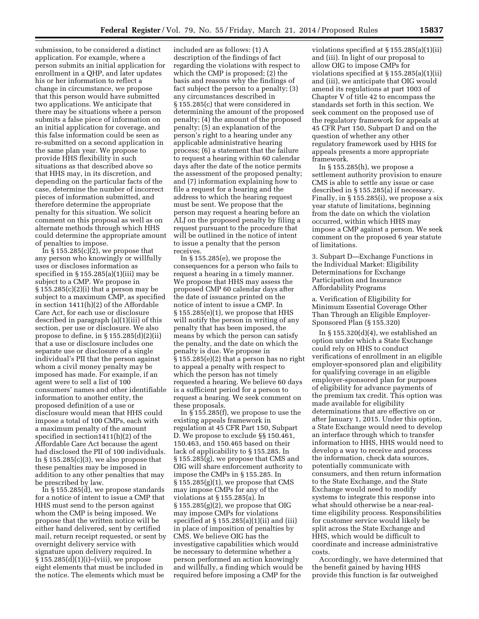submission, to be considered a distinct application. For example, where a person submits an initial application for enrollment in a QHP, and later updates his or her information to reflect a change in circumstance, we propose that this person would have submitted two applications. We anticipate that there may be situations where a person submits a false piece of information on an initial application for coverage, and this false information could be seen as re-submitted on a second application in the same plan year. We propose to provide HHS flexibility in such situations as that described above so that HHS may, in its discretion, and depending on the particular facts of the case, determine the number of incorrect pieces of information submitted, and therefore determine the appropriate penalty for this situation. We solicit comment on this proposal as well as on alternate methods through which HHS could determine the appropriate amount of penalties to impose.

In § 155.285(c)(2), we propose that any person who knowingly or willfully uses or discloses information as specified in  $\S 155.285(a)(1)(iii)$  may be subject to a CMP. We propose in § 155.285(c)(2)(i) that a person may be subject to a maximum CMP, as specified in section 1411(h)(2) of the Affordable Care Act, for each use or disclosure described in paragraph (a)(1)(iii) of this section, per use or disclosure. We also propose to define, in § 155.285(d)(2)(ii) that a use or disclosure includes one separate use or disclosure of a single individual's PII that the person against whom a civil money penalty may be imposed has made. For example, if an agent were to sell a list of 100 consumers' names and other identifiable information to another entity, the proposed definition of a use or disclosure would mean that HHS could impose a total of 100 CMPs, each with a maximum penalty of the amount specified in section1411(h)(2) of the Affordable Care Act because the agent had disclosed the PII of 100 individuals. In  $\S 155.285(c)(3)$ , we also propose that these penalties may be imposed in addition to any other penalties that may be prescribed by law.

In § 155.285(d), we propose standards for a notice of intent to issue a CMP that HHS must send to the person against whom the CMP is being imposed. We propose that the written notice will be either hand delivered, sent by certified mail, return receipt requested, or sent by overnight delivery service with signature upon delivery required. In § 155.285(d)(1)(i)–(viii), we propose eight elements that must be included in the notice. The elements which must be

included are as follows: (1) A description of the findings of fact regarding the violations with respect to which the CMP is proposed; (2) the basis and reasons why the findings of fact subject the person to a penalty; (3) any circumstances described in § 155.285(c) that were considered in determining the amount of the proposed penalty; (4) the amount of the proposed penalty; (5) an explanation of the person's right to a hearing under any applicable administrative hearing process; (6) a statement that the failure to request a hearing within 60 calendar days after the date of the notice permits the assessment of the proposed penalty; and (7) information explaining how to file a request for a hearing and the address to which the hearing request must be sent. We propose that the person may request a hearing before an ALJ on the proposed penalty by filing a request pursuant to the procedure that will be outlined in the notice of intent to issue a penalty that the person receives.

In § 155.285(e), we propose the consequences for a person who fails to request a hearing in a timely manner. We propose that HHS may assess the proposed CMP 60 calendar days after the date of issuance printed on the notice of intent to issue a CMP. In  $\S 155.285(e)(1)$ , we propose that HHS will notify the person in writing of any penalty that has been imposed, the means by which the person can satisfy the penalty, and the date on which the penalty is due. We propose in § 155.285(e)(2) that a person has no right to appeal a penalty with respect to which the person has not timely requested a hearing. We believe 60 days is a sufficient period for a person to request a hearing. We seek comment on these proposals.

In § 155.285(f), we propose to use the existing appeals framework in regulation at 45 CFR Part 150, Subpart D. We propose to exclude §§ 150.461, 150.463, and 150.465 based on their lack of applicability to § 155.285. In § 155.285(g), we propose that CMS and OIG will share enforcement authority to impose the CMPs in § 155.285. In  $\S 155.285(g)(1)$ , we propose that CMS may impose CMPs for any of the violations at § 155.285(a). In  $\S 155.285(g)(2)$ , we propose that OIG may impose CMPs for violations specified at § 155.285(a)(1)(ii) and (iii) in place of imposition of penalties by CMS. We believe OIG has the investigative capabilities which would be necessary to determine whether a person performed an action knowingly and willfully, a finding which would be required before imposing a CMP for the

violations specified at § 155.285(a)(1)(ii) and (iii). In light of our proposal to allow OIG to impose CMPs for violations specified at § 155.285(a)(1)(ii) and (iii), we anticipate that OIG would amend its regulations at part 1003 of Chapter V of title 42 to encompass the standards set forth in this section. We seek comment on the proposed use of the regulatory framework for appeals at 45 CFR Part 150, Subpart D and on the question of whether any other regulatory framework used by HHS for appeals presents a more appropriate framework.

In  $\S 155.285(h)$ , we propose a settlement authority provision to ensure CMS is able to settle any issue or case described in § 155.285(a) if necessary. Finally, in § 155.285(i), we propose a six year statute of limitations, beginning from the date on which the violation occurred, within which HHS may impose a CMP against a person. We seek comment on the proposed 6 year statute of limitations.

3. Subpart D—Exchange Functions in the Individual Market: Eligibility Determinations for Exchange Participation and Insurance Affordability Programs

a. Verification of Eligibility for Minimum Essential Coverage Other Than Through an Eligible Employer-Sponsored Plan (§ 155.320)

In  $\S 155.320(d)(4)$ , we established an option under which a State Exchange could rely on HHS to conduct verifications of enrollment in an eligible employer-sponsored plan and eligibility for qualifying coverage in an eligible employer-sponsored plan for purposes of eligibility for advance payments of the premium tax credit. This option was made available for eligibility determinations that are effective on or after January 1, 2015. Under this option, a State Exchange would need to develop an interface through which to transfer information to HHS, HHS would need to develop a way to receive and process the information, check data sources, potentially communicate with consumers, and then return information to the State Exchange, and the State Exchange would need to modify systems to integrate this response into what should otherwise be a near-realtime eligibility process. Responsibilities for customer service would likely be split across the State Exchange and HHS, which would be difficult to coordinate and increase administrative costs.

Accordingly, we have determined that the benefit gained by having HHS provide this function is far outweighed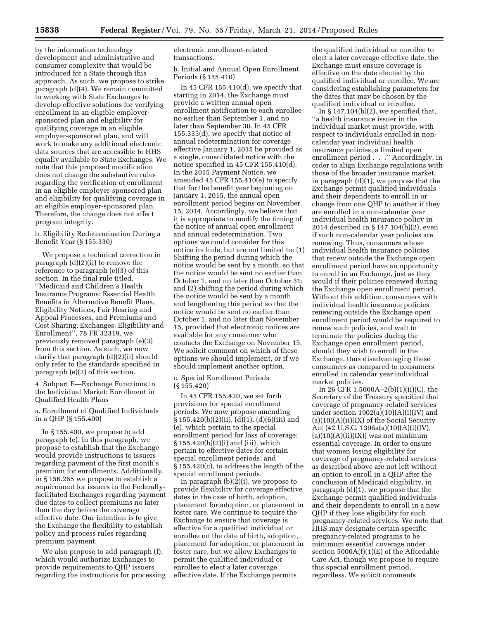by the information technology development and administrative and consumer complexity that would be introduced for a State through this approach. As such, we propose to strike paragraph (d)(4). We remain committed to working with State Exchanges to develop effective solutions for verifying enrollment in an eligible employersponsored plan and eligibility for qualifying coverage in an eligible employer-sponsored plan, and will work to make any additional electronic data sources that are accessible to HHS equally available to State Exchanges. We note that this proposed modification does not change the substantive rules regarding the verification of enrollment in an eligible employer-sponsored plan and eligibility for qualifying coverage in an eligible employer-sponsored plan. Therefore, the change does not affect program integrity.

b. Eligibility Redetermination During a Benefit Year (§ 155.330)

We propose a technical correction in paragraph (d)(2)(ii) to remove the reference to paragraph (e)(3) of this section. In the final rule titled, ''Medicaid and Children's Health Insurance Programs: Essential Health Benefits in Alternative Benefit Plans, Eligibility Notices, Fair Hearing and Appeal Processes, and Premiums and Cost Sharing; Exchanges: Eligibility and Enrollment'', 78 FR 32319, we previously removed paragraph (e)(3) from this section. As such, we now clarify that paragraph (d)(2)(ii) should only refer to the standards specified in paragraph (e)(2) of this section.

4. Subpart E—Exchange Functions in the Individual Market: Enrollment in Qualified Health Plans

a. Enrollment of Qualified Individuals in a QHP (§ 155.400)

In § 155.400, we propose to add paragraph (e). In this paragraph, we propose to establish that the Exchange would provide instructions to issuers regarding payment of the first month's premium for enrollments. Additionally, in § 156.265 we propose to establish a requirement for issuers in the Federallyfacilitated Exchanges regarding payment due dates to collect premiums no later than the day before the coverage effective date. Our intention is to give the Exchange the flexibility to establish policy and process rules regarding premium payment.

We also propose to add paragraph (f), which would authorize Exchanges to provide requirements to QHP issuers regarding the instructions for processing electronic enrollment-related transactions.

b. Initial and Annual Open Enrollment Periods (§ 155.410)

In 45 CFR 155.410 $(d)$ , we specify that starting in 2014, the Exchange must provide a written annual open enrollment notification to each enrollee no earlier than September 1, and no later than September 30. In 45 CFR 155.335(d), we specify that notice of annual redetermination for coverage effective January 1, 2015 be provided as a single, consolidated notice with the notice specified in 45 CFR 155.410(d). In the 2015 Payment Notice, we amended 45 CFR 155.410(e) to specify that for the benefit year beginning on January 1, 2015, the annual open enrollment period begins on November 15, 2014. Accordingly, we believe that it is appropriate to modify the timing of the notice of annual open enrollment and annual redetermination. Two options we could consider for this notice include, but are not limited to: (1) Shifting the period during which the notice would be sent by a month, so that the notice would be sent no earlier than October 1, and no later than October 31; and (2) shifting the period during which the notice would be sent by a month and lengthening this period so that the notice would be sent no earlier than October 1, and no later than November 15, provided that electronic notices are available for any consumer who contacts the Exchange on November 15. We solicit comment on which of these options we should implement, or if we should implement another option.

c. Special Enrollment Periods (§ 155.420)

In 45 CFR 155.420, we set forth provisions for special enrollment periods. We now propose amending  $\S 155.420(b)(2)(ii)$ , (d)(1), (d)(6)(iii) and (e), which pertain to the special enrollment period for loss of coverage; § 155.420(b)(2)(i) and (iii), which pertain to effective dates for certain special enrollment periods; and § 155.420(c), to address the length of the special enrollment periods.

In paragraph  $(b)(2)(i)$ , we propose to provide flexibility for coverage effective dates in the case of birth, adoption, placement for adoption, or placement in foster care. We continue to require the Exchange to ensure that coverage is effective for a qualified individual or enrollee on the date of birth, adoption, placement for adoption, or placement in foster care, but we allow Exchanges to permit the qualified individual or enrollee to elect a later coverage effective date. If the Exchange permits

the qualified individual or enrollee to elect a later coverage effective date, the Exchange must ensure coverage is effective on the date elected by the qualified individual or enrollee. We are considering establishing parameters for the dates that may be chosen by the qualified individual or enrollee.

In  $\S 147.104(b)(2)$ , we specified that, ''a health insurance issuer in the individual market must provide, with respect to individuals enrolled in noncalendar year individual health insurance policies, a limited open enrollment period . . .'' Accordingly, in order to align Exchange regulations with those of the broader insurance market, in paragraph (d)(1), we propose that the Exchange permit qualified individuals and their dependents to enroll in or change from one QHP to another if they are enrolled in a non-calendar year individual health insurance policy in 2014 described in § 147.104(b)(2), even if such non-calendar year policies are renewing. Thus, consumers whose individual health insurance policies that renew outside the Exchange open enrollment period have an opportunity to enroll in an Exchange, just as they would if their policies renewed during the Exchange open enrollment period. Without this addition, consumers with individual health insurance policies renewing outside the Exchange open enrollment period would be required to renew such policies, and wait to terminate the policies during the Exchange open enrollment period, should they wish to enroll in the Exchange, thus disadvantaging these consumers as compared to consumers enrolled in calendar year individual market policies.

In 26 CFR 1.5000A–2(b)(1)(ii)(C), the Secretary of the Treasury specified that coverage of pregnancy-related services under section  $1902(a)(10)(A)(i)(IV)$  and (a)(10)(A)(ii)(IX) of the Social Security Act (42 U.S.C. 1396a(a)(10)(A)(i)(IV),  $(a)(10)(A)(ii)(IX)$  was not minimum essential coverage. In order to ensure that women losing eligibility for coverage of pregnancy-related services as described above are not left without an option to enroll in a QHP after the conclusion of Medicaid eligibility, in paragraph (d)(1), we propose that the Exchange permit qualified individuals and their dependents to enroll in a new QHP if they lose eligibility for such pregnancy-related services. We note that HHS may designate certain specific pregnancy-related programs to be minimum essential coverage under section  $5000A(f)(1)(E)$  of the Affordable Care Act, though we propose to require this special enrollment period, regardless. We solicit comments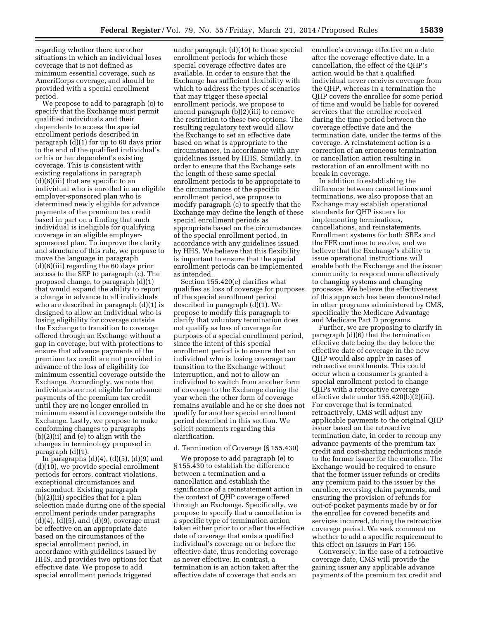regarding whether there are other situations in which an individual loses coverage that is not defined as minimum essential coverage, such as AmeriCorps coverage, and should be provided with a special enrollment period.

We propose to add to paragraph (c) to specify that the Exchange must permit qualified individuals and their dependents to access the special enrollment periods described in paragraph (d)(1) for up to 60 days prior to the end of the qualified individual's or his or her dependent's existing coverage. This is consistent with existing regulations in paragraph (d)(6)(iii) that are specific to an individual who is enrolled in an eligible employer-sponsored plan who is determined newly eligible for advance payments of the premium tax credit based in part on a finding that such individual is ineligible for qualifying coverage in an eligible employersponsored plan. To improve the clarity and structure of this rule, we propose to move the language in paragraph (d)(6)(iii) regarding the 60 days prior access to the SEP to paragraph (c). The proposed change, to paragraph (d)(1) that would expand the ability to report a change in advance to all individuals who are described in paragraph  $(d)(1)$  is designed to allow an individual who is losing eligibility for coverage outside the Exchange to transition to coverage offered through an Exchange without a gap in coverage, but with protections to ensure that advance payments of the premium tax credit are not provided in advance of the loss of eligibility for minimum essential coverage outside the Exchange. Accordingly, we note that individuals are not eligible for advance payments of the premium tax credit until they are no longer enrolled in minimum essential coverage outside the Exchange. Lastly, we propose to make conforming changes to paragraphs (b)(2)(ii) and (e) to align with the changes in terminology proposed in paragraph (d)(1).

In paragraphs  $(d)(4)$ ,  $(d)(5)$ ,  $(d)(9)$  and (d)(10), we provide special enrollment periods for errors, contract violations, exceptional circumstances and misconduct. Existing paragraph (b)(2)(iii) specifies that for a plan selection made during one of the special enrollment periods under paragraphs  $(d)(4)$ ,  $(d)(5)$ , and  $(d)(9)$ , coverage must be effective on an appropriate date based on the circumstances of the special enrollment period, in accordance with guidelines issued by HHS, and provides two options for that effective date. We propose to add special enrollment periods triggered

under paragraph (d)(10) to those special enrollment periods for which these special coverage effective dates are available. In order to ensure that the Exchange has sufficient flexibility with which to address the types of scenarios that may trigger these special enrollment periods, we propose to amend paragraph (b)(2)(iii) to remove the restriction to these two options. The resulting regulatory text would allow the Exchange to set an effective date based on what is appropriate to the circumstances, in accordance with any guidelines issued by HHS. Similarly, in order to ensure that the Exchange sets the length of these same special enrollment periods to be appropriate to the circumstances of the specific enrollment period, we propose to modify paragraph (c) to specify that the Exchange may define the length of these special enrollment periods as appropriate based on the circumstances of the special enrollment period, in accordance with any guidelines issued by HHS. We believe that this flexibility is important to ensure that the special enrollment periods can be implemented as intended.

Section 155.420(e) clarifies what qualifies as loss of coverage for purposes of the special enrollment period described in paragraph (d)(1). We propose to modify this paragraph to clarify that voluntary termination does not qualify as loss of coverage for purposes of a special enrollment period, since the intent of this special enrollment period is to ensure that an individual who is losing coverage can transition to the Exchange without interruption, and not to allow an individual to switch from another form of coverage to the Exchange during the year when the other form of coverage remains available and he or she does not qualify for another special enrollment period described in this section. We solicit comments regarding this clarification.

#### d. Termination of Coverage (§ 155.430)

We propose to add paragraph (e) to § 155.430 to establish the difference between a termination and a cancellation and establish the significance of a reinstatement action in the context of QHP coverage offered through an Exchange. Specifically, we propose to specify that a cancellation is a specific type of termination action taken either prior to or after the effective date of coverage that ends a qualified individual's coverage on or before the effective date, thus rendering coverage as never effective. In contrast, a termination is an action taken after the effective date of coverage that ends an

enrollee's coverage effective on a date after the coverage effective date. In a cancellation, the effect of the QHP's action would be that a qualified individual never receives coverage from the QHP, whereas in a termination the QHP covers the enrollee for some period of time and would be liable for covered services that the enrollee received during the time period between the coverage effective date and the termination date, under the terms of the coverage. A reinstatement action is a correction of an erroneous termination or cancellation action resulting in restoration of an enrollment with no break in coverage.

In addition to establishing the difference between cancellations and terminations, we also propose that an Exchange may establish operational standards for QHP issuers for implementing terminations, cancellations, and reinstatements. Enrollment systems for both SBEs and the FFE continue to evolve, and we believe that the Exchange's ability to issue operational instructions will enable both the Exchange and the issuer community to respond more effectively to changing systems and changing processes. We believe the effectiveness of this approach has been demonstrated in other programs administered by CMS, specifically the Medicare Advantage and Medicare Part D programs.

Further, we are proposing to clarify in paragraph (d)(6) that the termination effective date being the day before the effective date of coverage in the new QHP would also apply in cases of retroactive enrollments. This could occur when a consumer is granted a special enrollment period to change QHPs with a retroactive coverage effective date under 155.420(b)(2)(iii). For coverage that is terminated retroactively, CMS will adjust any applicable payments to the original QHP issuer based on the retroactive termination date, in order to recoup any advance payments of the premium tax credit and cost-sharing reductions made to the former issuer for the enrollee. The Exchange would be required to ensure that the former issuer refunds or credits any premium paid to the issuer by the enrollee, reversing claim payments, and ensuring the provision of refunds for out-of-pocket payments made by or for the enrollee for covered benefits and services incurred, during the retroactive coverage period. We seek comment on whether to add a specific requirement to this effect on issuers in Part 156.

Conversely, in the case of a retroactive coverage date, CMS will provide the gaining issuer any applicable advance payments of the premium tax credit and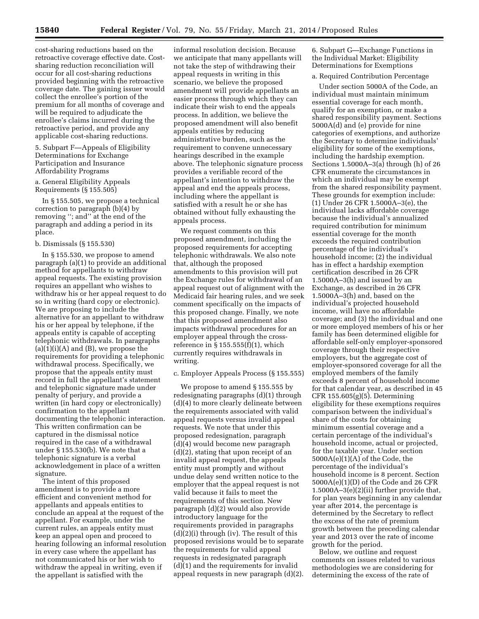cost-sharing reductions based on the retroactive coverage effective date. Costsharing reduction reconciliation will occur for all cost-sharing reductions provided beginning with the retroactive coverage date. The gaining issuer would collect the enrollee's portion of the premium for all months of coverage and will be required to adjudicate the enrollee's claims incurred during the retroactive period, and provide any applicable cost-sharing reductions.

5. Subpart F—Appeals of Eligibility Determinations for Exchange Participation and Insurance Affordability Programs

a. General Eligibility Appeals Requirements (§ 155.505)

In § 155.505, we propose a technical correction to paragraph (b)(4) by removing ''; and'' at the end of the paragraph and adding a period in its place.

#### b. Dismissals (§ 155.530)

In § 155.530, we propose to amend paragraph (a)(1) to provide an additional method for appellants to withdraw appeal requests. The existing provision requires an appellant who wishes to withdraw his or her appeal request to do so in writing (hard copy or electronic). We are proposing to include the alternative for an appellant to withdraw his or her appeal by telephone, if the appeals entity is capable of accepting telephonic withdrawals. In paragraphs  $(a)(1)(i)(A)$  and  $(B)$ , we propose the requirements for providing a telephonic withdrawal process. Specifically, we propose that the appeals entity must record in full the appellant's statement and telephonic signature made under penalty of perjury, and provide a written (in hard copy or electronically) confirmation to the appellant documenting the telephonic interaction. This written confirmation can be captured in the dismissal notice required in the case of a withdrawal under § 155.530(b). We note that a telephonic signature is a verbal acknowledgement in place of a written signature.

The intent of this proposed amendment is to provide a more efficient and convenient method for appellants and appeals entities to conclude an appeal at the request of the appellant. For example, under the current rules, an appeals entity must keep an appeal open and proceed to hearing following an informal resolution in every case where the appellant has not communicated his or her wish to withdraw the appeal in writing, even if the appellant is satisfied with the

informal resolution decision. Because we anticipate that many appellants will not take the step of withdrawing their appeal requests in writing in this scenario, we believe the proposed amendment will provide appellants an easier process through which they can indicate their wish to end the appeals process. In addition, we believe the proposed amendment will also benefit appeals entities by reducing administrative burden, such as the requirement to convene unnecessary hearings described in the example above. The telephonic signature process provides a verifiable record of the appellant's intention to withdraw the appeal and end the appeals process, including where the appellant is satisfied with a result he or she has obtained without fully exhausting the appeals process.

We request comments on this proposed amendment, including the proposed requirements for accepting telephonic withdrawals. We also note that, although the proposed amendments to this provision will put the Exchange rules for withdrawal of an appeal request out of alignment with the Medicaid fair hearing rules, and we seek comment specifically on the impacts of this proposed change. Finally, we note that this proposed amendment also impacts withdrawal procedures for an employer appeal through the crossreference in  $\S 155.555(f)(1)$ , which currently requires withdrawals in writing.

#### c. Employer Appeals Process (§ 155.555)

We propose to amend § 155.555 by redesignating paragraphs (d)(1) through (d)(4) to more clearly delineate between the requirements associated with valid appeal requests versus invalid appeal requests. We note that under this proposed redesignation, paragraph (d)(4) would become new paragraph (d)(2), stating that upon receipt of an invalid appeal request, the appeals entity must promptly and without undue delay send written notice to the employer that the appeal request is not valid because it fails to meet the requirements of this section. New paragraph (d)(2) would also provide introductory language for the requirements provided in paragraphs (d)(2)(i) through (iv). The result of this proposed revisions would be to separate the requirements for valid appeal requests in redesignated paragraph (d)(1) and the requirements for invalid appeal requests in new paragraph (d)(2). 6. Subpart G—Exchange Functions in the Individual Market: Eligibility Determinations for Exemptions

#### a. Required Contribution Percentage

Under section 5000A of the Code, an individual must maintain minimum essential coverage for each month, qualify for an exemption, or make a shared responsibility payment. Sections 5000A(d) and (e) provide for nine categories of exemptions, and authorize the Secretary to determine individuals' eligibility for some of the exemptions, including the hardship exemption. Sections 1.5000A–3(a) through (h) of 26 CFR enumerate the circumstances in which an individual may be exempt from the shared responsibility payment. These grounds for exemption include: (1) Under 26 CFR 1.5000A–3(e), the individual lacks affordable coverage because the individual's annualized required contribution for minimum essential coverage for the month exceeds the required contribution percentage of the individual's household income; (2) the individual has in effect a hardship exemption certification described in 26 CFR 1.5000A–3(h) and issued by an Exchange, as described in 26 CFR 1.5000A–3(h) and, based on the individual's projected household income, will have no affordable coverage; and (3) the individual and one or more employed members of his or her family has been determined eligible for affordable self-only employer-sponsored coverage through their respective employers, but the aggregate cost of employer-sponsored coverage for all the employed members of the family exceeds 8 percent of household income for that calendar year, as described in 45 CFR 155.605(g)(5). Determining eligibility for these exemptions requires comparison between the individual's share of the costs for obtaining minimum essential coverage and a certain percentage of the individual's household income, actual or projected, for the taxable year. Under section 5000A(e)(1)(A) of the Code, the percentage of the individual's household income is 8 percent. Section 5000A(e)(1)(D) of the Code and 26 CFR 1.5000A–3(e)(2)(ii) further provide that, for plan years beginning in any calendar year after 2014, the percentage is determined by the Secretary to reflect the excess of the rate of premium growth between the preceding calendar year and 2013 over the rate of income growth for the period.

Below, we outline and request comments on issues related to various methodologies we are considering for determining the excess of the rate of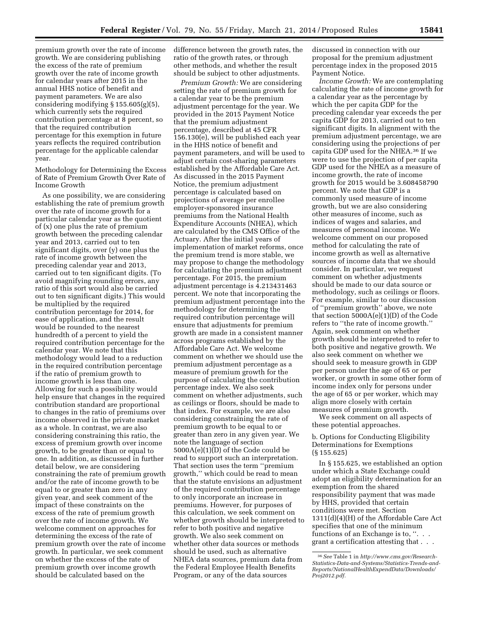premium growth over the rate of income growth. We are considering publishing the excess of the rate of premium growth over the rate of income growth for calendar years after 2015 in the annual HHS notice of benefit and payment parameters. We are also considering modifying § 155.605(g)(5), which currently sets the required contribution percentage at 8 percent, so that the required contribution percentage for this exemption in future years reflects the required contribution percentage for the applicable calendar year.

Methodology for Determining the Excess of Rate of Premium Growth Over Rate of Income Growth

As one possibility, we are considering establishing the rate of premium growth over the rate of income growth for a particular calendar year as the quotient of (x) one plus the rate of premium growth between the preceding calendar year and 2013, carried out to ten significant digits, over (y) one plus the rate of income growth between the preceding calendar year and 2013, carried out to ten significant digits. (To avoid magnifying rounding errors, any ratio of this sort would also be carried out to ten significant digits.) This would be multiplied by the required contribution percentage for 2014, for ease of application, and the result would be rounded to the nearest hundredth of a percent to yield the required contribution percentage for the calendar year. We note that this methodology would lead to a reduction in the required contribution percentage if the ratio of premium growth to income growth is less than one. Allowing for such a possibility would help ensure that changes in the required contribution standard are proportional to changes in the ratio of premiums over income observed in the private market as a whole. In contrast, we are also considering constraining this ratio, the excess of premium growth over income growth, to be greater than or equal to one. In addition, as discussed in further detail below, we are considering constraining the rate of premium growth and/or the rate of income growth to be equal to or greater than zero in any given year, and seek comment of the impact of these constraints on the excess of the rate of premium growth over the rate of income growth. We welcome comment on approaches for determining the excess of the rate of premium growth over the rate of income growth. In particular, we seek comment on whether the excess of the rate of premium growth over income growth should be calculated based on the

difference between the growth rates, the ratio of the growth rates, or through other methods, and whether the result should be subject to other adjustments.

*Premium Growth:* We are considering setting the rate of premium growth for a calendar year to be the premium adjustment percentage for the year. We provided in the 2015 Payment Notice that the premium adjustment percentage, described at 45 CFR 156.130(e), will be published each year in the HHS notice of benefit and payment parameters, and will be used to adjust certain cost-sharing parameters established by the Affordable Care Act. As discussed in the 2015 Payment Notice, the premium adjustment percentage is calculated based on projections of average per enrollee employer-sponsored insurance premiums from the National Health Expenditure Accounts (NHEA), which are calculated by the CMS Office of the Actuary. After the initial years of implementation of market reforms, once the premium trend is more stable, we may propose to change the methodology for calculating the premium adjustment percentage. For 2015, the premium adjustment percentage is 4.213431463 percent. We note that incorporating the premium adjustment percentage into the methodology for determining the required contribution percentage will ensure that adjustments for premium growth are made in a consistent manner across programs established by the Affordable Care Act. We welcome comment on whether we should use the premium adjustment percentage as a measure of premium growth for the purpose of calculating the contribution percentage index. We also seek comment on whether adjustments, such as ceilings or floors, should be made to that index. For example, we are also considering constraining the rate of premium growth to be equal to or greater than zero in any given year. We note the language of section 5000A(e)(1)(D) of the Code could be read to support such an interpretation. That section uses the term ''premium growth,'' which could be read to mean that the statute envisions an adjustment of the required contribution percentage to only incorporate an increase in premiums. However, for purposes of this calculation, we seek comment on whether growth should be interpreted to refer to both positive and negative growth. We also seek comment on whether other data sources or methods should be used, such as alternative NHEA data sources, premium data from the Federal Employee Health Benefits Program, or any of the data sources

discussed in connection with our proposal for the premium adjustment percentage index in the proposed 2015 Payment Notice.

*Income Growth:* We are contemplating calculating the rate of income growth for a calendar year as the percentage by which the per capita GDP for the preceding calendar year exceeds the per capita GDP for 2013, carried out to ten significant digits. In alignment with the premium adjustment percentage, we are considering using the projections of per capita GDP used for the NHEA.36 If we were to use the projection of per capita GDP used for the NHEA as a measure of income growth, the rate of income growth for 2015 would be 3.608458790 percent. We note that GDP is a commonly used measure of income growth, but we are also considering other measures of income, such as indices of wages and salaries, and measures of personal income. We welcome comment on our proposed method for calculating the rate of income growth as well as alternative sources of income data that we should consider. In particular, we request comment on whether adjustments should be made to our data source or methodology, such as ceilings or floors. For example, similar to our discussion of ''premium growth'' above, we note that section 5000A(e)(1)(D) of the Code refers to ''the rate of income growth.'' Again, seek comment on whether growth should be interpreted to refer to both positive and negative growth. We also seek comment on whether we should seek to measure growth in GDP per person under the age of 65 or per worker, or growth in some other form of income index only for persons under the age of 65 or per worker, which may align more closely with certain measures of premium growth.

We seek comment on all aspects of these potential approaches.

b. Options for Conducting Eligibility Determinations for Exemptions (§ 155.625)

In § 155.625, we established an option under which a State Exchange could adopt an eligibility determination for an exemption from the shared responsibility payment that was made by HHS, provided that certain conditions were met. Section 1311(d)(4)(H) of the Affordable Care Act specifies that one of the minimum functions of an Exchange is to, "... grant a certification attesting that . . .

<sup>36</sup>*See* Table 1 in *[http://www.cms.gov/Research-](http://www.cms.gov/Research-Statistics-Data-and-Systems/Statistics-Trends-and-Reports/NationalHealthExpendData/Downloads/Proj2012.pdf)[Statistics-Data-and-Systems/Statistics-Trends-and-](http://www.cms.gov/Research-Statistics-Data-and-Systems/Statistics-Trends-and-Reports/NationalHealthExpendData/Downloads/Proj2012.pdf)[Reports/NationalHealthExpendData/Downloads/](http://www.cms.gov/Research-Statistics-Data-and-Systems/Statistics-Trends-and-Reports/NationalHealthExpendData/Downloads/Proj2012.pdf) [Proj2012.pdf.](http://www.cms.gov/Research-Statistics-Data-and-Systems/Statistics-Trends-and-Reports/NationalHealthExpendData/Downloads/Proj2012.pdf)*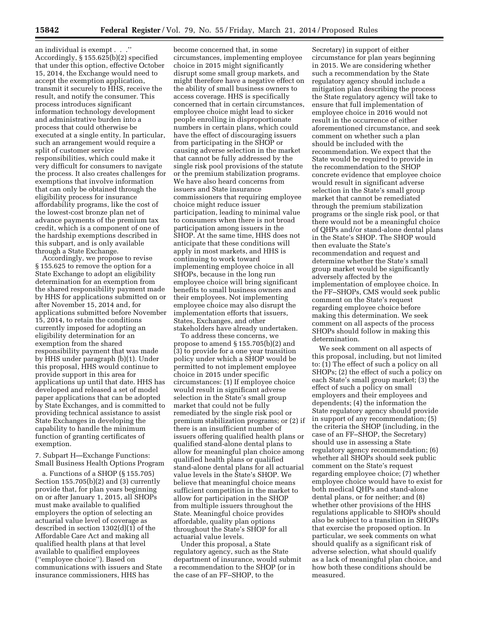an individual is exempt . . .'' Accordingly, § 155.625(b)(2) specified that under this option, effective October 15, 2014, the Exchange would need to accept the exemption application, transmit it securely to HHS, receive the result, and notify the consumer. This process introduces significant information technology development and administrative burden into a process that could otherwise be executed at a single entity. In particular, such an arrangement would require a split of customer service responsibilities, which could make it very difficult for consumers to navigate the process. It also creates challenges for exemptions that involve information that can only be obtained through the eligibility process for insurance affordability programs, like the cost of the lowest-cost bronze plan net of advance payments of the premium tax credit, which is a component of one of the hardship exemptions described in this subpart, and is only available through a State Exchange.

Accordingly, we propose to revise § 155.625 to remove the option for a State Exchange to adopt an eligibility determination for an exemption from the shared responsibility payment made by HHS for applications submitted on or after November 15, 2014 and, for applications submitted before November 15, 2014, to retain the conditions currently imposed for adopting an eligibility determination for an exemption from the shared responsibility payment that was made by HHS under paragraph (b)(1). Under this proposal, HHS would continue to provide support in this area for applications up until that date. HHS has developed and released a set of model paper applications that can be adopted by State Exchanges, and is committed to providing technical assistance to assist State Exchanges in developing the capability to handle the minimum function of granting certificates of exemption.

7. Subpart H—Exchange Functions: Small Business Health Options Program

a. Functions of a SHOP (§ 155.705) Section 155.705(b)(2) and (3) currently provide that, for plan years beginning on or after January 1, 2015, all SHOPs must make available to qualified employers the option of selecting an actuarial value level of coverage as described in section 1302(d)(1) of the Affordable Care Act and making all qualified health plans at that level available to qualified employees (''employee choice''). Based on communications with issuers and State insurance commissioners, HHS has

become concerned that, in some circumstances, implementing employee choice in 2015 might significantly disrupt some small group markets, and might therefore have a negative effect on the ability of small business owners to access coverage. HHS is specifically concerned that in certain circumstances, employee choice might lead to sicker people enrolling in disproportionate numbers in certain plans, which could have the effect of discouraging issuers from participating in the SHOP or causing adverse selection in the market that cannot be fully addressed by the single risk pool provisions of the statute or the premium stabilization programs. We have also heard concerns from issuers and State insurance commissioners that requiring employee choice might reduce issuer participation, leading to minimal value to consumers when there is not broad participation among issuers in the SHOP. At the same time, HHS does not anticipate that these conditions will apply in most markets, and HHS is continuing to work toward implementing employee choice in all SHOPs, because in the long run employee choice will bring significant benefits to small business owners and their employees. Not implementing employee choice may also disrupt the implementation efforts that issuers, States, Exchanges, and other stakeholders have already undertaken.

To address these concerns, we propose to amend § 155.705(b)(2) and (3) to provide for a one year transition policy under which a SHOP would be permitted to not implement employee choice in 2015 under specific circumstances: (1) If employee choice would result in significant adverse selection in the State's small group market that could not be fully remediated by the single risk pool or premium stabilization programs; or (2) if there is an insufficient number of issuers offering qualified health plans or qualified stand-alone dental plans to allow for meaningful plan choice among qualified health plans or qualified stand-alone dental plans for all actuarial value levels in the State's SHOP. We believe that meaningful choice means sufficient competition in the market to allow for participation in the SHOP from multiple issuers throughout the State. Meaningful choice provides affordable, quality plan options throughout the State's SHOP for all actuarial value levels.

Under this proposal, a State regulatory agency, such as the State department of insurance, would submit a recommendation to the SHOP (or in the case of an FF–SHOP, to the

Secretary) in support of either circumstance for plan years beginning in 2015. We are considering whether such a recommendation by the State regulatory agency should include a mitigation plan describing the process the State regulatory agency will take to ensure that full implementation of employee choice in 2016 would not result in the occurrence of either aforementioned circumstance, and seek comment on whether such a plan should be included with the recommendation. We expect that the State would be required to provide in the recommendation to the SHOP concrete evidence that employee choice would result in significant adverse selection in the State's small group market that cannot be remediated through the premium stabilization programs or the single risk pool, or that there would not be a meaningful choice of QHPs and/or stand-alone dental plans in the State's SHOP. The SHOP would then evaluate the State's recommendation and request and determine whether the State's small group market would be significantly adversely affected by the implementation of employee choice. In the FF–SHOPs, CMS would seek public comment on the State's request regarding employee choice before making this determination. We seek comment on all aspects of the process SHOPs should follow in making this determination.

We seek comment on all aspects of this proposal, including, but not limited to: (1) The effect of such a policy on all SHOPs; (2) the effect of such a policy on each State's small group market; (3) the effect of such a policy on small employers and their employees and dependents; (4) the information the State regulatory agency should provide in support of any recommendation; (5) the criteria the SHOP (including, in the case of an FF–SHOP, the Secretary) should use in assessing a State regulatory agency recommendation; (6) whether all SHOPs should seek public comment on the State's request regarding employee choice; (7) whether employee choice would have to exist for both medical QHPs and stand-alone dental plans, or for neither; and (8) whether other provisions of the HHS regulations applicable to SHOPs should also be subject to a transition in SHOPs that exercise the proposed option. In particular, we seek comments on what should qualify as a significant risk of adverse selection, what should qualify as a lack of meaningful plan choice, and how both these conditions should be measured.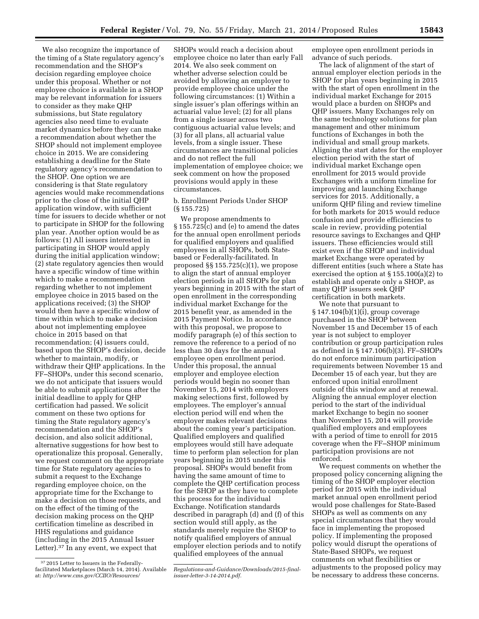employee open enrollment periods in advance of such periods. The lack of alignment of the start of annual employer election periods in the SHOP for plan years beginning in 2015

the timing of a State regulatory agency's recommendation and the SHOP's decision regarding employee choice under this proposal. Whether or not employee choice is available in a SHOP may be relevant information for issuers to consider as they make QHP submissions, but State regulatory agencies also need time to evaluate market dynamics before they can make a recommendation about whether the SHOP should not implement employee choice in 2015. We are considering establishing a deadline for the State regulatory agency's recommendation to the SHOP. One option we are considering is that State regulatory agencies would make recommendations prior to the close of the initial QHP application window, with sufficient time for issuers to decide whether or not to participate in SHOP for the following plan year. Another option would be as follows: (1) All issuers interested in participating in SHOP would apply during the initial application window; (2) state regulatory agencies then would have a specific window of time within which to make a recommendation regarding whether to not implement employee choice in 2015 based on the applications received; (3) the SHOP would then have a specific window of time within which to make a decision about not implementing employee choice in 2015 based on that recommendation; (4) issuers could, based upon the SHOP's decision, decide whether to maintain, modify, or withdraw their QHP applications. In the FF–SHOPs, under this second scenario, we do not anticipate that issuers would be able to submit applications after the initial deadline to apply for QHP certification had passed. We solicit comment on these two options for timing the State regulatory agency's recommendation and the SHOP's decision, and also solicit additional, alternative suggestions for how best to operationalize this proposal. Generally, we request comment on the appropriate time for State regulatory agencies to submit a request to the Exchange regarding employee choice, on the appropriate time for the Exchange to make a decision on those requests, and on the effect of the timing of the decision making process on the QHP certification timeline as described in HHS regulations and guidance (including in the 2015 Annual Issuer Letter).37 In any event, we expect that

We also recognize the importance of

SHOPs would reach a decision about employee choice no later than early Fall 2014. We also seek comment on whether adverse selection could be avoided by allowing an employer to provide employee choice under the following circumstances: (1) Within a single issuer's plan offerings within an actuarial value level; (2) for all plans from a single issuer across two contiguous actuarial value levels; and (3) for all plans, all actuarial value levels, from a single issuer. These circumstances are transitional policies and do not reflect the full implementation of employee choice; we seek comment on how the proposed provisions would apply in these circumstances.

b. Enrollment Periods Under SHOP (§ 155.725)

We propose amendments to § 155.725(c) and (e) to amend the dates for the annual open enrollment periods for qualified employers and qualified employees in all SHOPs, both Statebased or Federally-facilitated. In proposed §§ 155.725(c)(1), we propose to align the start of annual employer election periods in all SHOPs for plan years beginning in 2015 with the start of open enrollment in the corresponding individual market Exchange for the 2015 benefit year, as amended in the 2015 Payment Notice. In accordance with this proposal, we propose to modify paragraph (e) of this section to remove the reference to a period of no less than 30 days for the annual employee open enrollment period. Under this proposal, the annual employer and employee election periods would begin no sooner than November 15, 2014 with employers making selections first, followed by employees. The employer's annual election period will end when the employer makes relevant decisions about the coming year's participation. Qualified employers and qualified employees would still have adequate time to perform plan selection for plan years beginning in 2015 under this proposal. SHOPs would benefit from having the same amount of time to complete the QHP certification process for the SHOP as they have to complete this process for the individual Exchange. Notification standards described in paragraph (d) and (f) of this section would still apply, as the standards merely require the SHOP to notify qualified employers of annual employer election periods and to notify qualified employees of the annual

with the start of open enrollment in the individual market Exchange for 2015 would place a burden on SHOPs and QHP issuers. Many Exchanges rely on the same technology solutions for plan management and other minimum functions of Exchanges in both the individual and small group markets. Aligning the start dates for the employer election period with the start of individual market Exchange open enrollment for 2015 would provide Exchanges with a uniform timeline for improving and launching Exchange services for 2015. Additionally, a uniform QHP filing and review timeline for both markets for 2015 would reduce confusion and provide efficiencies to scale in review, providing potential resource savings to Exchanges and QHP issuers. These efficiencies would still exist even if the SHOP and individual market Exchange were operated by different entities (such where a State has exercised the option at § 155.100(a)(2) to establish and operate only a SHOP, as many QHP issuers seek QHP certification in both markets.

We note that pursuant to § 147.104(b)(1)(i), group coverage purchased in the SHOP between November 15 and December 15 of each year is not subject to employer contribution or group participation rules as defined in § 147.106(b)(3). FF–SHOPs do not enforce minimum participation requirements between November 15 and December 15 of each year, but they are enforced upon initial enrollment outside of this window and at renewal. Aligning the annual employer election period to the start of the individual market Exchange to begin no sooner than November 15, 2014 will provide qualified employers and employees with a period of time to enroll for 2015 coverage when the FF–SHOP minimum participation provisions are not enforced.

We request comments on whether the proposed policy concerning aligning the timing of the SHOP employer election period for 2015 with the individual market annual open enrollment period would pose challenges for State-Based SHOPs as well as comments on any special circumstances that they would face in implementing the proposed policy. If implementing the proposed policy would disrupt the operations of State-Based SHOPs, we request comments on what flexibilities or adjustments to the proposed policy may be necessary to address these concerns.

<sup>37</sup> 2015 Letter to Issuers in the Federallyfacilitated Marketplaces (March 14, 2014). Available at: *[http://www.cms.gov/CCIIO/Resources/](http://www.cms.gov/CCIIO/Resources/Regulations-and-Guidance/Downloads/2015-final-issuer-letter-3-14-2014.pdf)*

*[Regulations-and-Guidance/Downloads/2015-final](http://www.cms.gov/CCIIO/Resources/Regulations-and-Guidance/Downloads/2015-final-issuer-letter-3-14-2014.pdf)[issuer-letter-3-14-2014.pdf.](http://www.cms.gov/CCIIO/Resources/Regulations-and-Guidance/Downloads/2015-final-issuer-letter-3-14-2014.pdf)*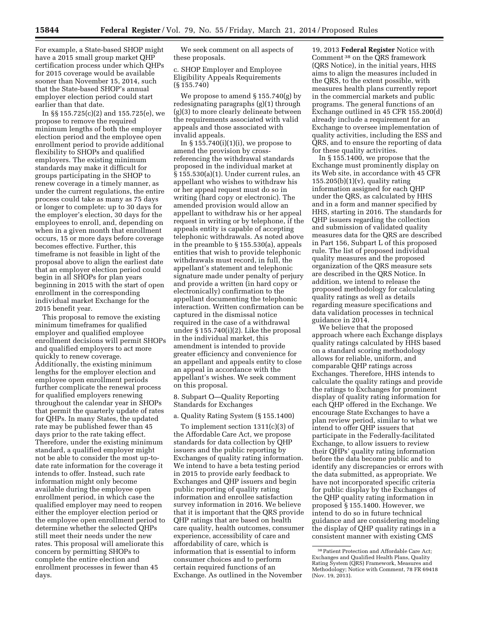For example, a State-based SHOP might have a 2015 small group market QHP certification process under which QHPs for 2015 coverage would be available sooner than November 15, 2014, such that the State-based SHOP's annual employer election period could start earlier than that date.

In §§ 155.725(c)(2) and 155.725(e), we propose to remove the required minimum lengths of both the employer election period and the employee open enrollment period to provide additional flexibility to SHOPs and qualified employers. The existing minimum standards may make it difficult for groups participating in the SHOP to renew coverage in a timely manner, as under the current regulations, the entire process could take as many as 75 days or longer to complete: up to 30 days for the employer's election, 30 days for the employees to enroll, and, depending on when in a given month that enrollment occurs, 15 or more days before coverage becomes effective. Further, this timeframe is not feasible in light of the proposal above to align the earliest date that an employer election period could begin in all SHOPs for plan years beginning in 2015 with the start of open enrollment in the corresponding individual market Exchange for the 2015 benefit year.

This proposal to remove the existing minimum timeframes for qualified employer and qualified employee enrollment decisions will permit SHOPs and qualified employers to act more quickly to renew coverage. Additionally, the existing minimum lengths for the employer election and employee open enrollment periods further complicate the renewal process for qualified employers renewing throughout the calendar year in SHOPs that permit the quarterly update of rates for QHPs. In many States, the updated rate may be published fewer than 45 days prior to the rate taking effect. Therefore, under the existing minimum standard, a qualified employer might not be able to consider the most up-todate rate information for the coverage it intends to offer. Instead, such rate information might only become available during the employee open enrollment period, in which case the qualified employer may need to reopen either the employer election period or the employee open enrollment period to determine whether the selected QHPs still meet their needs under the new rates. This proposal will ameliorate this concern by permitting SHOPs to complete the entire election and enrollment processes in fewer than 45 days.

We seek comment on all aspects of these proposals.

c. SHOP Employer and Employee Eligibility Appeals Requirements (§ 155.740)

We propose to amend § 155.740(g) by redesignating paragraphs (g)(1) through (g)(3) to more clearly delineate between the requirements associated with valid appeals and those associated with invalid appeals.

In  $\S 155.740(i)(1)(i)$ , we propose to amend the provision by crossreferencing the withdrawal standards proposed in the individual market at § 155.530(a)(1). Under current rules, an appellant who wishes to withdraw his or her appeal request must do so in writing (hard copy or electronic). The amended provision would allow an appellant to withdraw his or her appeal request in writing or by telephone, if the appeals entity is capable of accepting telephonic withdrawals. As noted above in the preamble to § 155.530(a), appeals entities that wish to provide telephonic withdrawals must record, in full, the appellant's statement and telephonic signature made under penalty of perjury and provide a written (in hard copy or electronically) confirmation to the appellant documenting the telephonic interaction. Written confirmation can be captured in the dismissal notice required in the case of a withdrawal under § 155.740(i)(2). Like the proposal in the individual market, this amendment is intended to provide greater efficiency and convenience for an appellant and appeals entity to close an appeal in accordance with the appellant's wishes. We seek comment on this proposal.

8. Subpart O—Quality Reporting Standards for Exchanges

a. Quality Rating System (§ 155.1400)

To implement section 1311(c)(3) of the Affordable Care Act, we propose standards for data collection by QHP issuers and the public reporting by Exchanges of quality rating information. We intend to have a beta testing period in 2015 to provide early feedback to Exchanges and QHP issuers and begin public reporting of quality rating information and enrollee satisfaction survey information in 2016. We believe that it is important that the QRS provide QHP ratings that are based on health care quality, health outcomes, consumer experience, accessibility of care and affordability of care, which is information that is essential to inform consumer choices and to perform certain required functions of an Exchange. As outlined in the November

19, 2013 **Federal Register** Notice with Comment 38 on the QRS framework (QRS Notice), in the initial years, HHS aims to align the measures included in the QRS, to the extent possible, with measures health plans currently report in the commercial markets and public programs. The general functions of an Exchange outlined in 45 CFR 155.200(d) already include a requirement for an Exchange to oversee implementation of quality activities, including the ESS and QRS, and to ensure the reporting of data for these quality activities.

In § 155.1400, we propose that the Exchange must prominently display on its Web site, in accordance with 45 CFR  $155.205(b)(1)(v)$ , quality rating information assigned for each QHP under the QRS, as calculated by HHS and in a form and manner specified by HHS, starting in 2016. The standards for QHP issuers regarding the collection and submission of validated quality measures data for the QRS are described in Part 156, Subpart L of this proposed rule. The list of proposed individual quality measures and the proposed organization of the QRS measure sets are described in the QRS Notice. In addition, we intend to release the proposed methodology for calculating quality ratings as well as details regarding measure specifications and data validation processes in technical guidance in 2014.

We believe that the proposed approach where each Exchange displays quality ratings calculated by HHS based on a standard scoring methodology allows for reliable, uniform, and comparable QHP ratings across Exchanges. Therefore, HHS intends to calculate the quality ratings and provide the ratings to Exchanges for prominent display of quality rating information for each QHP offered in the Exchange. We encourage State Exchanges to have a plan review period, similar to what we intend to offer QHP issuers that participate in the Federally-facilitated Exchange, to allow issuers to review their QHPs' quality rating information before the data become public and to identify any discrepancies or errors with the data submitted, as appropriate. We have not incorporated specific criteria for public display by the Exchanges of the QHP quality rating information in proposed § 155.1400. However, we intend to do so in future technical guidance and are considering modeling the display of QHP quality ratings in a consistent manner with existing CMS

<sup>38</sup>Patient Protection and Affordable Care Act; Exchanges and Qualified Health Plans, Quality Rating System (QRS) Framework, Measures and Methodology; Notice with Comment, 78 FR 69418 (Nov. 19, 2013).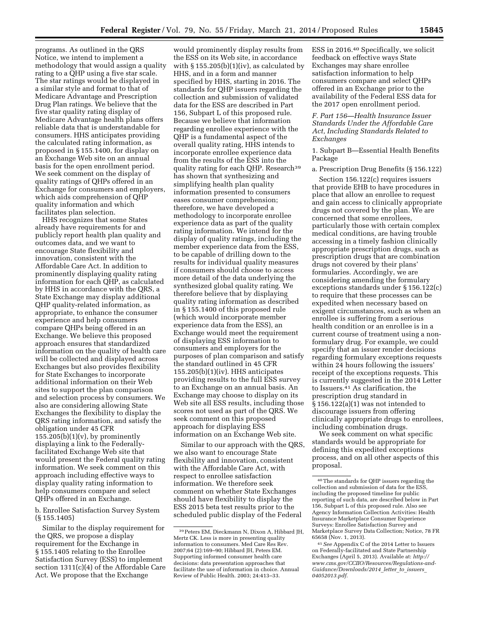programs. As outlined in the QRS Notice, we intend to implement a methodology that would assign a quality rating to a QHP using a five star scale. The star ratings would be displayed in a similar style and format to that of Medicare Advantage and Prescription Drug Plan ratings. We believe that the five star quality rating display of Medicare Advantage health plans offers reliable data that is understandable for consumers. HHS anticipates providing the calculated rating information, as proposed in § 155.1400, for display on an Exchange Web site on an annual basis for the open enrollment period. We seek comment on the display of quality ratings of QHPs offered in an Exchange for consumers and employers, which aids comprehension of QHP quality information and which facilitates plan selection.

HHS recognizes that some States already have requirements for and publicly report health plan quality and outcomes data, and we want to encourage State flexibility and innovation, consistent with the Affordable Care Act. In addition to prominently displaying quality rating information for each QHP, as calculated by HHS in accordance with the QRS, a State Exchange may display additional QHP quality-related information, as appropriate, to enhance the consumer experience and help consumers compare QHPs being offered in an Exchange. We believe this proposed approach ensures that standardized information on the quality of health care will be collected and displayed across Exchanges but also provides flexibility for State Exchanges to incorporate additional information on their Web sites to support the plan comparison and selection process by consumers. We also are considering allowing State Exchanges the flexibility to display the QRS rating information, and satisfy the obligation under 45 CFR  $155.205(b)(1)(v)$ , by prominently displaying a link to the Federallyfacilitated Exchange Web site that would present the Federal quality rating information. We seek comment on this approach including effective ways to display quality rating information to help consumers compare and select QHPs offered in an Exchange.

b. Enrollee Satisfaction Survey System (§ 155.1405)

Similar to the display requirement for the QRS, we propose a display requirement for the Exchange in § 155.1405 relating to the Enrollee Satisfaction Survey (ESS) to implement section 1311(c)(4) of the Affordable Care Act. We propose that the Exchange

would prominently display results from the ESS on its Web site, in accordance with  $\S 155.205(b)(1)(iv)$ , as calculated by HHS, and in a form and manner specified by HHS, starting in 2016. The standards for QHP issuers regarding the collection and submission of validated data for the ESS are described in Part 156, Subpart L of this proposed rule. Because we believe that information regarding enrollee experience with the QHP is a fundamental aspect of the overall quality rating, HHS intends to incorporate enrollee experience data from the results of the ESS into the quality rating for each QHP. Research<sup>39</sup> has shown that synthesizing and simplifying health plan quality information presented to consumers eases consumer comprehension; therefore, we have developed a methodology to incorporate enrollee experience data as part of the quality rating information. We intend for the display of quality ratings, including the member experience data from the ESS, to be capable of drilling down to the results for individual quality measures if consumers should choose to access more detail of the data underlying the synthesized global quality rating. We therefore believe that by displaying quality rating information as described in § 155.1400 of this proposed rule (which would incorporate member experience data from the ESS), an Exchange would meet the requirement of displaying ESS information to consumers and employers for the purposes of plan comparison and satisfy the standard outlined in 45 CFR 155.205(b)(1)(iv). HHS anticipates providing results to the full ESS survey to an Exchange on an annual basis. An Exchange may choose to display on its Web site all ESS results, including those scores not used as part of the QRS. We seek comment on this proposed approach for displaying ESS information on an Exchange Web site.

Similar to our approach with the QRS, we also want to encourage State flexibility and innovation, consistent with the Affordable Care Act, with respect to enrollee satisfaction information. We therefore seek comment on whether State Exchanges should have flexibility to display the ESS 2015 beta test results prior to the scheduled public display of the Federal

ESS in 2016.40 Specifically, we solicit feedback on effective ways State Exchanges may share enrollee satisfaction information to help consumers compare and select QHPs offered in an Exchange prior to the availability of the Federal ESS data for the 2017 open enrollment period.

*F. Part 156—Health Insurance Issuer Standards Under the Affordable Care Act, Including Standards Related to Exchanges* 

1. Subpart B—Essential Health Benefits Package

a. Prescription Drug Benefits (§ 156.122)

Section 156.122(c) requires issuers that provide EHB to have procedures in place that allow an enrollee to request and gain access to clinically appropriate drugs not covered by the plan. We are concerned that some enrollees, particularly those with certain complex medical conditions, are having trouble accessing in a timely fashion clinically appropriate prescription drugs, such as prescription drugs that are combination drugs not covered by their plans' formularies. Accordingly, we are considering amending the formulary exceptions standards under § 156.122(c) to require that these processes can be expedited when necessary based on exigent circumstances, such as when an enrollee is suffering from a serious health condition or an enrollee is in a current course of treatment using a nonformulary drug. For example, we could specify that an issuer render decisions regarding formulary exceptions requests within 24 hours following the issuers' receipt of the exceptions requests. This is currently suggested in the 2014 Letter to Issuers.41 As clarification, the prescription drug standard in § 156.122(a)(1) was not intended to discourage issuers from offering clinically appropriate drugs to enrollees, including combination drugs.

We seek comment on what specific standards would be appropriate for defining this expedited exceptions process, and on all other aspects of this proposal.

<sup>39</sup>Peters EM, Dieckmann N, Dixon A, Hibbard JH, Mertz CK. Less is more in presenting quality information to consumers. Med Care Res Rev. 2007;64 (2):169–90; Hibbard JH, Peters EM. Supporting informed consumer health care decisions: data presentation approaches that facilitate the use of information in choice. Annual Review of Public Health. 2003; 24:413–33.

<sup>40</sup>The standards for QHP issuers regarding the collection and submission of data for the ESS, including the proposed timeline for public reporting of such data, are described below in Part 156, Subpart L of this proposed rule. Also see Agency Information Collection Activities: Health Insurance Marketplace Consumer Experience Surveys: Enrollee Satisfaction Survey and Marketplace Survey Data Collection; Notice, 78 FR 65658 (Nov. 1, 2013).

<sup>41</sup>*See* Appendix C of the 2014 Letter to Issuers on Federally-facilitated and State Partnership Exchanges (April 5, 2013). Available at: *[http://](http://www.cms.gov/CCIIO/Resources/Regulations-and-Guidance/Downloads/2014_letter_to_issuers_04052013.pdf) [www.cms.gov/CCIIO/Resources/Regulations-and-](http://www.cms.gov/CCIIO/Resources/Regulations-and-Guidance/Downloads/2014_letter_to_issuers_04052013.pdf)[Guidance/Downloads/2014](http://www.cms.gov/CCIIO/Resources/Regulations-and-Guidance/Downloads/2014_letter_to_issuers_04052013.pdf)*\_*letter*\_*to*\_*issuers*\_ *[04052013.pdf.](http://www.cms.gov/CCIIO/Resources/Regulations-and-Guidance/Downloads/2014_letter_to_issuers_04052013.pdf)*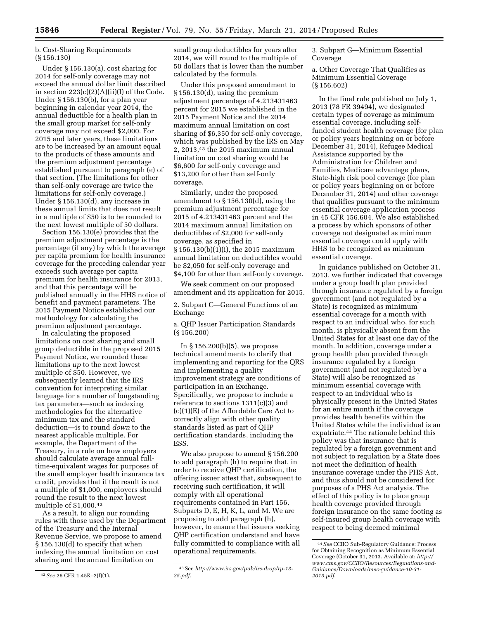b. Cost-Sharing Requirements (§ 156.130)

Under § 156.130(a), cost sharing for 2014 for self-only coverage may not exceed the annual dollar limit described in section  $223(c)(2)(A)(ii)(I)$  of the Code. Under § 156.130(b), for a plan year beginning in calendar year 2014, the annual deductible for a health plan in the small group market for self-only coverage may not exceed \$2,000. For 2015 and later years, these limitations are to be increased by an amount equal to the products of these amounts and the premium adjustment percentage established pursuant to paragraph (e) of that section. (The limitations for other than self-only coverage are twice the limitations for self-only coverage.) Under § 156.130(d), any increase in these annual limits that does not result in a multiple of \$50 is to be rounded to the next lowest multiple of 50 dollars.

Section 156.130(e) provides that the premium adjustment percentage is the percentage (if any) by which the average per capita premium for health insurance coverage for the preceding calendar year exceeds such average per capita premium for health insurance for 2013, and that this percentage will be published annually in the HHS notice of benefit and payment parameters. The 2015 Payment Notice established our methodology for calculating the premium adjustment percentage.

In calculating the proposed limitations on cost sharing and small group deductible in the proposed 2015 Payment Notice, we rounded these limitations *up* to the next lowest multiple of \$50. However, we subsequently learned that the IRS convention for interpreting similar language for a number of longstanding tax parameters—such as indexing methodologies for the alternative minimum tax and the standard deduction—is to round *down* to the nearest applicable multiple. For example, the Department of the Treasury, in a rule on how employers should calculate average annual fulltime-equivalent wages for purposes of the small employer health insurance tax credit, provides that if the result is not a multiple of \$1,000, employers should round the result to the next lowest multiple of \$1,000.42

As a result, to align our rounding rules with those used by the Department of the Treasury and the Internal Revenue Service, we propose to amend § 156.130(d) to specify that when indexing the annual limitation on cost sharing and the annual limitation on

small group deductibles for years after 2014, we will round to the multiple of 50 dollars that is lower than the number calculated by the formula.

Under this proposed amendment to § 156.130(d), using the premium adjustment percentage of 4.213431463 percent for 2015 we established in the 2015 Payment Notice and the 2014 maximum annual limitation on cost sharing of \$6,350 for self-only coverage, which was published by the IRS on May 2, 2013,43 the 2015 maximum annual limitation on cost sharing would be \$6,600 for self-only coverage and \$13,200 for other than self-only coverage.

Similarly, under the proposed amendment to § 156.130(d), using the premium adjustment percentage for 2015 of 4.213431463 percent and the 2014 maximum annual limitation on deductibles of \$2,000 for self-only coverage, as specified in § 156.130(b)(1)(i), the 2015 maximum annual limitation on deductibles would be \$2,050 for self-only coverage and \$4,100 for other than self-only coverage.

We seek comment on our proposed amendment and its application for 2015.

2. Subpart C—General Functions of an Exchange

a. QHP Issuer Participation Standards (§ 156.200)

In § 156.200(b)(5), we propose technical amendments to clarify that implementing and reporting for the QRS and implementing a quality improvement strategy are conditions of participation in an Exchange. Specifically, we propose to include a reference to sections 1311(c)(3) and (c)(1)(E) of the Affordable Care Act to correctly align with other quality standards listed as part of QHP certification standards, including the ESS.

We also propose to amend § 156.200 to add paragraph (h) to require that, in order to receive QHP certification, the offering issuer attest that, subsequent to receiving such certification, it will comply with all operational requirements contained in Part 156, Subparts D, E, H, K, L, and M. We are proposing to add paragraph (h), however, to ensure that issuers seeking QHP certification understand and have fully committed to compliance with all operational requirements.

3. Subpart G—Minimum Essential Coverage

a. Other Coverage That Qualifies as Minimum Essential Coverage (§ 156.602)

In the final rule published on July 1, 2013 (78 FR 39494), we designated certain types of coverage as minimum essential coverage, including selffunded student health coverage (for plan or policy years beginning on or before December 31, 2014), Refugee Medical Assistance supported by the Administration for Children and Families, Medicare advantage plans, State-high risk pool coverage (for plan or policy years beginning on or before December 31, 2014) and other coverage that qualifies pursuant to the minimum essential coverage application process in 45 CFR 156.604. We also established a process by which sponsors of other coverage not designated as minimum essential coverage could apply with HHS to be recognized as minimum essential coverage.

In guidance published on October 31, 2013, we further indicated that coverage under a group health plan provided through insurance regulated by a foreign government (and not regulated by a State) is recognized as minimum essential coverage for a month with respect to an individual who, for such month, is physically absent from the United States for at least one day of the month. In addition, coverage under a group health plan provided through insurance regulated by a foreign government (and not regulated by a State) will also be recognized as minimum essential coverage with respect to an individual who is physically present in the United States for an entire month if the coverage provides health benefits within the United States while the individual is an expatriate.44 The rationale behind this policy was that insurance that is regulated by a foreign government and not subject to regulation by a State does not meet the definition of health insurance coverage under the PHS Act, and thus should not be considered for purposes of a PHS Act analysis. The effect of this policy is to place group health coverage provided through foreign insurance on the same footing as self-insured group health coverage with respect to being deemed minimal

<sup>42</sup>*See* 26 CFR 1.45R–2(f)(1).

<sup>43</sup>See *[http://www.irs.gov/pub/irs-drop/rp-13-](http://www.irs.gov/pub/irs-drop/rp-13-25.pdf)  [25.pdf.](http://www.irs.gov/pub/irs-drop/rp-13-25.pdf)* 

<sup>44</sup>*See* CCIIO Sub-Regulatory Guidance: Process for Obtaining Recognition as Minimum Essential Coverage (October 31, 2013. Available at: *[http://](http://www.cms.gov/CCIIO/Resources/Regulations-and-Guidance/Downloads/mec-guidance-10-31-2013.pdf) [www.cms.gov/CCIIO/Resources/Regulations-and-](http://www.cms.gov/CCIIO/Resources/Regulations-and-Guidance/Downloads/mec-guidance-10-31-2013.pdf)[Guidance/Downloads/mec-guidance-10-31-](http://www.cms.gov/CCIIO/Resources/Regulations-and-Guidance/Downloads/mec-guidance-10-31-2013.pdf)  [2013.pdf](http://www.cms.gov/CCIIO/Resources/Regulations-and-Guidance/Downloads/mec-guidance-10-31-2013.pdf)*.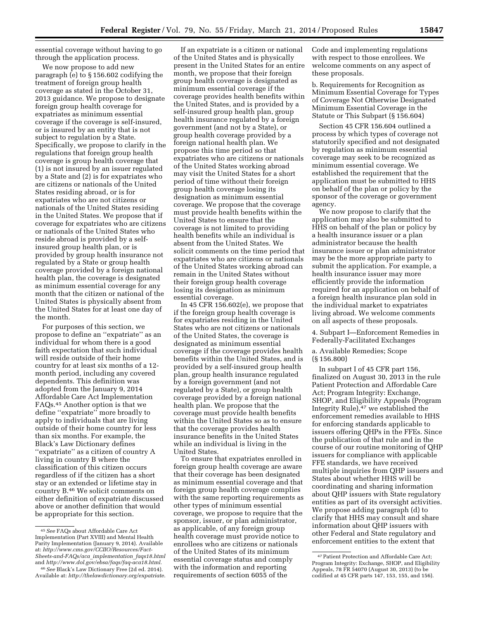essential coverage without having to go through the application process.

We now propose to add new paragraph (e) to § 156.602 codifying the treatment of foreign group health coverage as stated in the October 31, 2013 guidance. We propose to designate foreign group health coverage for expatriates as minimum essential coverage if the coverage is self-insured, or is insured by an entity that is not subject to regulation by a State. Specifically, we propose to clarify in the regulations that foreign group health coverage is group health coverage that (1) is not insured by an issuer regulated by a State and (2) is for expatriates who are citizens or nationals of the United States residing abroad, or is for expatriates who are not citizens or nationals of the United States residing in the United States. We propose that if coverage for expatriates who are citizens or nationals of the United States who reside abroad is provided by a selfinsured group health plan, or is provided by group health insurance not regulated by a State or group health coverage provided by a foreign national health plan, the coverage is designated as minimum essential coverage for any month that the citizen or national of the United States is physically absent from the United States for at least one day of the month.

For purposes of this section, we propose to define an ''expatriate'' as an individual for whom there is a good faith expectation that such individual will reside outside of their home country for at least six months of a 12 month period, including any covered dependents. This definition was adopted from the January 9, 2014 Affordable Care Act Implementation FAQs.45 Another option is that we define ''expatriate'' more broadly to apply to individuals that are living outside of their home country for less than six months. For example, the Black's Law Dictionary defines ''expatriate'' as a citizen of country A living in country B where the classification of this citizen occurs regardless of if the citizen has a short stay or an extended or lifetime stay in country B.46 We solicit comments on either definition of expatriate discussed above or another definition that would be appropriate for this section.

If an expatriate is a citizen or national of the United States and is physically present in the United States for an entire month, we propose that their foreign group health coverage is designated as minimum essential coverage if the coverage provides health benefits within the United States, and is provided by a self-insured group health plan, group health insurance regulated by a foreign government (and not by a State), or group health coverage provided by a foreign national health plan. We propose this time period so that expatriates who are citizens or nationals of the United States working abroad may visit the United States for a short period of time without their foreign group health coverage losing its designation as minimum essential coverage. We propose that the coverage must provide health benefits within the United States to ensure that the coverage is not limited to providing health benefits while an individual is absent from the United States. We solicit comments on the time period that expatriates who are citizens or nationals of the United States working abroad can remain in the United States without their foreign group health coverage losing its designation as minimum essential coverage.

In 45 CFR 156.602(e), we propose that if the foreign group health coverage is for expatriates residing in the United States who are not citizens or nationals of the United States, the coverage is designated as minimum essential coverage if the coverage provides health benefits within the United States, and is provided by a self-insured group health plan, group health insurance regulated by a foreign government (and not regulated by a State), or group health coverage provided by a foreign national health plan. We propose that the coverage must provide health benefits within the United States so as to ensure that the coverage provides health insurance benefits in the United States while an individual is living in the United States.

To ensure that expatriates enrolled in foreign group health coverage are aware that their coverage has been designated as minimum essential coverage and that foreign group health coverage complies with the same reporting requirements as other types of minimum essential coverage, we propose to require that the sponsor, issuer, or plan administrator, as applicable, of any foreign group health coverage must provide notice to enrollees who are citizens or nationals of the United States of its minimum essential coverage status and comply with the information and reporting requirements of section 6055 of the

Code and implementing regulations with respect to those enrollees. We welcome comments on any aspect of these proposals.

b. Requirements for Recognition as Minimum Essential Coverage for Types of Coverage Not Otherwise Designated Minimum Essential Coverage in the Statute or This Subpart (§ 156.604)

Section 45 CFR 156.604 outlined a process by which types of coverage not statutorily specified and not designated by regulation as minimum essential coverage may seek to be recognized as minimum essential coverage. We established the requirement that the application must be submitted to HHS on behalf of the plan or policy by the sponsor of the coverage or government agency.

We now propose to clarify that the application may also be submitted to HHS on behalf of the plan or policy by a health insurance issuer or a plan administrator because the health insurance issuer or plan administrator may be the more appropriate party to submit the application. For example, a health insurance issuer may more efficiently provide the information required for an application on behalf of a foreign health insurance plan sold in the individual market to expatriates living abroad. We welcome comments on all aspects of these proposals.

4. Subpart I—Enforcement Remedies in Federally-Facilitated Exchanges

a. Available Remedies; Scope (§ 156.800)

In subpart I of 45 CFR part 156, finalized on August 30, 2013 in the rule Patient Protection and Affordable Care Act; Program Integrity: Exchange, SHOP, and Eligibility Appeals (Program Integrity Rule), $47$  we established the enforcement remedies available to HHS for enforcing standards applicable to issuers offering QHPs in the FFEs. Since the publication of that rule and in the course of our routine monitoring of QHP issuers for compliance with applicable FFE standards, we have received multiple inquiries from QHP issuers and States about whether HHS will be coordinating and sharing information about QHP issuers with State regulatory entities as part of its oversight activities. We propose adding paragraph (d) to clarify that HHS may consult and share information about QHP issuers with other Federal and State regulatory and enforcement entities to the extent that

<sup>45</sup>*See* FAQs about Affordable Care Act Implementation (Part XVIII) and Mental Health Parity Implementation (January 9, 2014). Available at: *[http://www.cms.gov/CCIIO/Resources/Fact-](http://www.cms.gov/CCIIO/Resources/Fact-Sheets-and-FAQs/aca_implementation_faqs18.html)[Sheets-and-FAQs/aca](http://www.cms.gov/CCIIO/Resources/Fact-Sheets-and-FAQs/aca_implementation_faqs18.html)*\_*implementation*\_*faqs18.html*  and *<http://www.dol.gov/ebsa/faqs/faq-aca18.html>*.

<sup>46</sup>*See* Black's Law Dictionary Free (2d ed. 2014). Available at: *<http://thelawdictionary.org/expatriate>*.

<sup>47</sup>Patient Protection and Affordable Care Act; Program Integrity: Exchange, SHOP, and Eligibility Appeals, 78 FR 54070 (August 30, 2013) (to be codified at 45 CFR parts 147, 153, 155, and 156).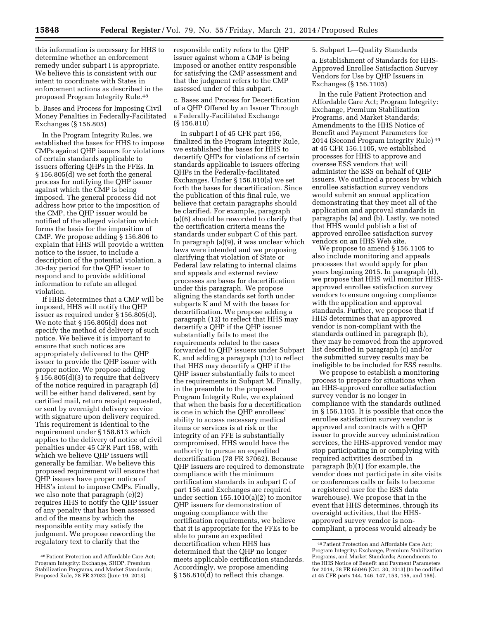this information is necessary for HHS to determine whether an enforcement remedy under subpart I is appropriate. We believe this is consistent with our intent to coordinate with States in enforcement actions as described in the proposed Program Integrity Rule.48

b. Bases and Process for Imposing Civil Money Penalties in Federally-Facilitated Exchanges (§ 156.805)

In the Program Integrity Rules, we established the bases for HHS to impose CMPs against QHP issuers for violations of certain standards applicable to issuers offering QHPs in the FFEs. In § 156.805(d) we set forth the general process for notifying the QHP issuer against which the CMP is being imposed. The general process did not address how prior to the imposition of the CMP, the QHP issuer would be notified of the alleged violation which forms the basis for the imposition of CMP. We propose adding § 156.806 to explain that HHS will provide a written notice to the issuer, to include a description of the potential violation, a 30-day period for the QHP issuer to respond and to provide additional information to refute an alleged violation.

If HHS determines that a CMP will be imposed, HHS will notify the QHP issuer as required under § 156.805(d). We note that § 156.805(d) does not specify the method of delivery of such notice. We believe it is important to ensure that such notices are appropriately delivered to the QHP issuer to provide the QHP issuer with proper notice. We propose adding § 156.805(d)(3) to require that delivery of the notice required in paragraph (d) will be either hand delivered, sent by certified mail, return receipt requested, or sent by overnight delivery service with signature upon delivery required. This requirement is identical to the requirement under § 158.613 which applies to the delivery of notice of civil penalties under 45 CFR Part 158, with which we believe QHP issuers will generally be familiar. We believe this proposed requirement will ensure that QHP issuers have proper notice of HHS's intent to impose CMPs. Finally, we also note that paragraph (e)(2) requires HHS to notify the QHP issuer of any penalty that has been assessed and of the means by which the responsible entity may satisfy the judgment. We propose rewording the regulatory text to clarify that the

responsible entity refers to the QHP issuer against whom a CMP is being imposed or another entity responsible for satisfying the CMP assessment and that the judgment refers to the CMP assessed under of this subpart.

c. Bases and Process for Decertification of a QHP Offered by an Issuer Through a Federally-Facilitated Exchange (§ 156.810)

In subpart I of 45 CFR part 156, finalized in the Program Integrity Rule, we established the bases for HHS to decertify QHPs for violations of certain standards applicable to issuers offering QHPs in the Federally-facilitated Exchanges. Under § 156.810(a) we set forth the bases for decertification. Since the publication of this final rule, we believe that certain paragraphs should be clarified. For example, paragraph (a)(6) should be reworded to clarify that the certification criteria means the standards under subpart C of this part. In paragraph (a)(9), it was unclear which laws were intended and we proposing clarifying that violation of State or Federal law relating to internal claims and appeals and external review processes are bases for decertification under this paragraph. We propose aligning the standards set forth under subparts K and M with the bases for decertification. We propose adding a paragraph (12) to reflect that HHS may decertify a QHP if the QHP issuer substantially fails to meet the requirements related to the cases forwarded to QHP issuers under Subpart K, and adding a paragraph (13) to reflect that HHS may decertify a QHP if the QHP issuer substantially fails to meet the requirements in Subpart M. Finally, in the preamble to the proposed Program Integrity Rule, we explained that when the basis for a decertification is one in which the QHP enrollees' ability to access necessary medical items or services is at risk or the integrity of an FFE is substantially compromised, HHS would have the authority to pursue an expedited decertification (78 FR 37062). Because QHP issuers are required to demonstrate compliance with the minimum certification standards in subpart C of part 156 and Exchanges are required under section 155.1010(a)(2) to monitor QHP issuers for demonstration of ongoing compliance with the certification requirements, we believe that it is appropriate for the FFEs to be able to pursue an expedited decertification when HHS has determined that the QHP no longer meets applicable certification standards. Accordingly, we propose amending § 156.810(d) to reflect this change.

5. Subpart L—Quality Standards

a. Establishment of Standards for HHS-Approved Enrollee Satisfaction Survey Vendors for Use by QHP Issuers in Exchanges (§ 156.1105)

In the rule Patient Protection and Affordable Care Act; Program Integrity: Exchange, Premium Stabilization Programs, and Market Standards; Amendments to the HHS Notice of Benefit and Payment Parameters for 2014 (Second Program Integrity Rule)<sup>49</sup> at 45 CFR 156.1105, we established processes for HHS to approve and oversee ESS vendors that will administer the ESS on behalf of QHP issuers. We outlined a process by which enrollee satisfaction survey vendors would submit an annual application demonstrating that they meet all of the application and approval standards in paragraphs (a) and (b). Lastly, we noted that HHS would publish a list of approved enrollee satisfaction survey vendors on an HHS Web site.

We propose to amend § 156.1105 to also include monitoring and appeals processes that would apply for plan years beginning 2015. In paragraph (d), we propose that HHS will monitor HHSapproved enrollee satisfaction survey vendors to ensure ongoing compliance with the application and approval standards. Further, we propose that if HHS determines that an approved vendor is non-compliant with the standards outlined in paragraph (b), they may be removed from the approved list described in paragraph (c) and/or the submitted survey results may be ineligible to be included for ESS results.

We propose to establish a monitoring process to prepare for situations when an HHS-approved enrollee satisfaction survey vendor is no longer in compliance with the standards outlined in § 156.1105. It is possible that once the enrollee satisfaction survey vendor is approved and contracts with a QHP issuer to provide survey administration services, the HHS-approved vendor may stop participating in or complying with required activities described in paragraph (b)(1) (for example, the vendor does not participate in site visits or conferences calls or fails to become a registered user for the ESS data warehouse). We propose that in the event that HHS determines, through its oversight activities, that the HHSapproved survey vendor is noncompliant, a process would already be

<sup>48</sup>Patient Protection and Affordable Care Act; Program Integrity: Exchange, SHOP, Premium Stabilization Programs, and Market Standards; Proposed Rule, 78 FR 37032 (June 19, 2013).

<sup>49</sup>Patient Protection and Affordable Care Act; Program Integrity: Exchange, Premium Stabilization Programs, and Market Standards; Amendments to the HHS Notice of Benefit and Payment Parameters for 2014, 78 FR 65046 (Oct. 30, 2013) (to be codified at 45 CFR parts 144, 146, 147, 153, 155, and 156).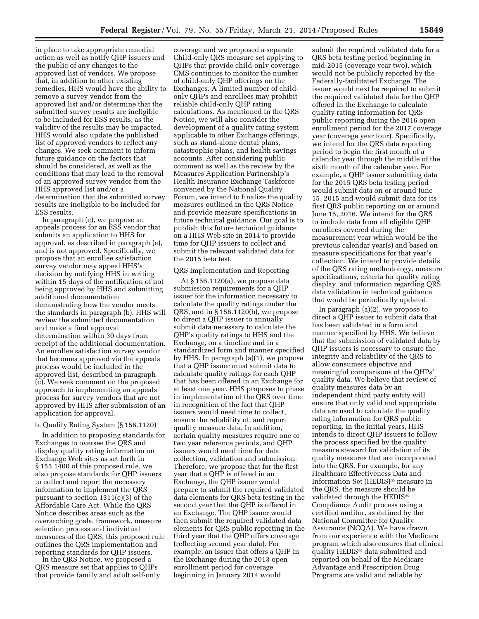in place to take appropriate remedial action as well as notify QHP issuers and the public of any changes to the approved list of vendors. We propose that, in addition to other existing remedies, HHS would have the ability to remove a survey vendor from the approved list and/or determine that the submitted survey results are ineligible to be included for ESS results, as the validity of the results may be impacted. HHS would also update the published list of approved vendors to reflect any changes. We seek comment to inform future guidance on the factors that should be considered, as well as the conditions that may lead to the removal of an approved survey vendor from the HHS approved list and/or a determination that the submitted survey results are ineligible to be included for ESS results.

In paragraph (e), we propose an appeals process for an ESS vendor that submits an application to HHS for approval, as described in paragraph (a), and is not approved. Specifically, we propose that an enrollee satisfaction survey vendor may appeal HHS's decision by notifying HHS in writing within 15 days of the notification of not being approved by HHS and submitting additional documentation demonstrating how the vendor meets the standards in paragraph (b). HHS will review the submitted documentation and make a final approval determination within 30 days from receipt of the additional documentation. An enrollee satisfaction survey vendor that becomes approved via the appeals process would be included in the approved list, described in paragraph (c). We seek comment on the proposed approach to implementing an appeals process for survey vendors that are not approved by HHS after submission of an application for approval.

# b. Quality Rating System (§ 156.1120)

In addition to proposing standards for Exchanges to oversee the QRS and display quality rating information on Exchange Web sites as set forth in § 155.1400 of this proposed rule, we also propose standards for QHP issuers to collect and report the necessary information to implement the QRS pursuant to section 1311(c)(3) of the Affordable Care Act. While the QRS Notice describes areas such as the overarching goals, framework, measure selection process and individual measures of the QRS, this proposed rule outlines the QRS implementation and reporting standards for QHP issuers.

In the QRS Notice, we proposed a QRS measure set that applies to QHPs that provide family and adult self-only

coverage and we proposed a separate Child-only QRS measure set applying to QHPs that provide child-only coverage. CMS continues to monitor the number of child-only QHP offerings on the Exchanges. A limited number of childonly QHPs and enrollees may prohibit reliable child-only QHP rating calculations. As mentioned in the QRS Notice, we will also consider the development of a quality rating system applicable to other Exchange offerings, such as stand-alone dental plans, catastrophic plans, and health savings accounts. After considering public comment as well as the review by the Measures Application Partnership's Health Insurance Exchange Taskforce convened by the National Quality Forum, we intend to finalize the quality measures outlined in the QRS Notice and provide measure specifications in future technical guidance. Our goal is to publish this future technical guidance on a HHS Web site in 2014 to provide time for QHP issuers to collect and submit the relevant validated data for the 2015 beta test.

### QRS Implementation and Reporting

At § 156.1120(a), we propose data submission requirements for a QHP issuer for the information necessary to calculate the quality ratings under the QRS, and in § 156.1120(b), we propose to direct a QHP issuer to annually submit data necessary to calculate the QHP's quality ratings to HHS and the Exchange, on a timeline and in a standardized form and manner specified by HHS. In paragraph (a)(1), we propose that a QHP issuer must submit data to calculate quality ratings for each QHP that has been offered in an Exchange for at least one year. HHS proposes to phase in implementation of the QRS over time in recognition of the fact that QHP issuers would need time to collect, ensure the reliability of, and report quality measure data. In addition, certain quality measures require one or two year reference periods, and QHP issuers would need time for data collection, validation and submission. Therefore, we propose that for the first year that a QHP is offered in an Exchange, the QHP issuer would prepare to submit the required validated data elements for QRS beta testing in the second year that the QHP is offered in an Exchange. The QHP issuer would then submit the required validated data elements for QRS public reporting in the third year that the QHP offers coverage (reflecting second year data). For example, an issuer that offers a QHP in the Exchange during the 2013 open enrollment period for coverage beginning in January 2014 would

submit the required validated data for a QRS beta testing period beginning in mid-2015 (coverage year two), which would not be publicly reported by the Federally-facilitated Exchange. The issuer would next be required to submit the required validated data for the QHP offered in the Exchange to calculate quality rating information for QRS public reporting during the 2016 open enrollment period for the 2017 coverage year (coverage year four). Specifically, we intend for the QRS data reporting period to begin the first month of a calendar year through the middle of the sixth month of the calendar year. For example, a QHP issuer submitting data for the 2015 QRS beta testing period would submit data on or around June 15, 2015 and would submit data for its first QRS public reporting on or around June 15, 2016. We intend for the QRS to include data from all eligible QHP enrollees covered during the measurement year which would be the previous calendar year(s) and based on measure specifications for that year's collection. We intend to provide details of the QRS rating methodology, measure specifications, criteria for quality rating display, and information regarding QRS data validation in technical guidance that would be periodically updated.

In paragraph (a)(2), we propose to direct a QHP issuer to submit data that has been validated in a form and manner specified by HHS. We believe that the submission of validated data by QHP issuers is necessary to ensure the integrity and reliability of the QRS to allow consumers objective and meaningful comparisons of the QHPs' quality data. We believe that review of quality measures data by an independent third party entity will ensure that only valid and appropriate data are used to calculate the quality rating information for QRS public reporting. In the initial years, HHS intends to direct QHP issuers to follow the process specified by the quality measure steward for validation of its quality measures that are incorporated into the QRS. For example, for any Healthcare Effectiveness Data and Information Set (HEDIS)® measure in the QRS, the measure should be validated through the HEDIS® Compliance Audit process using a certified auditor, as defined by the National Committee for Quality Assurance (NCQA). We have drawn from our experience with the Medicare program which also ensures that clinical quality HEDIS® data submitted and reported on behalf of the Medicare Advantage and Prescription Drug Programs are valid and reliable by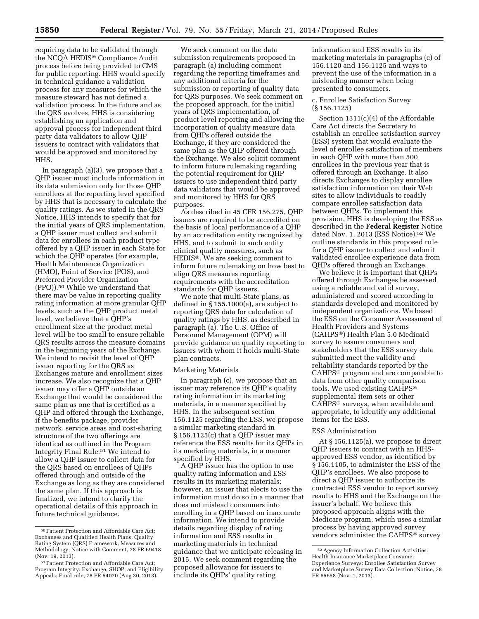requiring data to be validated through the NCQA HEDIS® Compliance Audit process before being provided to CMS for public reporting. HHS would specify in technical guidance a validation process for any measures for which the measure steward has not defined a validation process. In the future and as the QRS evolves, HHS is considering establishing an application and approval process for independent third party data validators to allow QHP issuers to contract with validators that would be approved and monitored by HHS.

In paragraph (a)(3), we propose that a QHP issuer must include information in its data submission only for those QHP enrollees at the reporting level specified by HHS that is necessary to calculate the quality ratings. As we stated in the QRS Notice, HHS intends to specify that for the initial years of QRS implementation, a QHP issuer must collect and submit data for enrollees in each product type offered by a QHP issuer in each State for which the QHP operates (for example, Health Maintenance Organization (HMO), Point of Service (POS), and Preferred Provider Organization (PPO)).50 While we understand that there may be value in reporting quality rating information at more granular QHP levels, such as the QHP product metal level, we believe that a QHP's enrollment size at the product metal level will be too small to ensure reliable QRS results across the measure domains in the beginning years of the Exchange. We intend to revisit the level of QHP issuer reporting for the QRS as Exchanges mature and enrollment sizes increase. We also recognize that a QHP issuer may offer a QHP outside an Exchange that would be considered the same plan as one that is certified as a QHP and offered through the Exchange, if the benefits package, provider network, service areas and cost-sharing structure of the two offerings are identical as outlined in the Program Integrity Final Rule.51 We intend to allow a QHP issuer to collect data for the QRS based on enrollees of QHPs offered through and outside of the Exchange as long as they are considered the same plan. If this approach is finalized, we intend to clarify the operational details of this approach in future technical guidance.

We seek comment on the data submission requirements proposed in paragraph (a) including comment regarding the reporting timeframes and any additional criteria for the submission or reporting of quality data for QRS purposes. We seek comment on the proposed approach, for the initial years of QRS implementation, of product level reporting and allowing the incorporation of quality measure data from QHPs offered outside the Exchange, if they are considered the same plan as the QHP offered through the Exchange. We also solicit comment to inform future rulemaking regarding the potential requirement for QHP issuers to use independent third party data validators that would be approved and monitored by HHS for QRS purposes.

As described in 45 CFR 156.275, QHP issuers are required to be accredited on the basis of local performance of a QHP by an accreditation entity recognized by HHS, and to submit to such entity clinical quality measures, such as HEDIS®. We are seeking comment to inform future rulemaking on how best to align QRS measures reporting requirements with the accreditation standards for QHP issuers.

We note that multi-State plans, as defined in § 155.1000(a), are subject to reporting QRS data for calculation of quality ratings by HHS, as described in paragraph (a). The U.S. Office of Personnel Management (OPM) will provide guidance on quality reporting to issuers with whom it holds multi-State plan contracts.

# Marketing Materials

In paragraph (c), we propose that an issuer may reference its QHP's quality rating information in its marketing materials, in a manner specified by HHS. In the subsequent section 156.1125 regarding the ESS, we propose a similar marketing standard in § 156.1125(c) that a QHP issuer may reference the ESS results for its QHPs in its marketing materials, in a manner specified by HHS.

A QHP issuer has the option to use quality rating information and ESS results in its marketing materials; however, an issuer that elects to use the information must do so in a manner that does not mislead consumers into enrolling in a QHP based on inaccurate information. We intend to provide details regarding display of rating information and ESS results in marketing materials in technical guidance that we anticipate releasing in 2015. We seek comment regarding the proposed allowance for issuers to include its QHPs' quality rating

information and ESS results in its marketing materials in paragraphs (c) of 156.1120 and 156.1125 and ways to prevent the use of the information in a misleading manner when being presented to consumers.

### c. Enrollee Satisfaction Survey (§ 156.1125)

Section 1311(c)(4) of the Affordable Care Act directs the Secretary to establish an enrollee satisfaction survey (ESS) system that would evaluate the level of enrollee satisfaction of members in each QHP with more than 500 enrollees in the previous year that is offered through an Exchange. It also directs Exchanges to display enrollee satisfaction information on their Web sites to allow individuals to readily compare enrollee satisfaction data between QHPs. To implement this provision, HHS is developing the ESS as described in the **Federal Register** Notice dated Nov. 1, 2013 (ESS Notice).52 We outline standards in this proposed rule for a QHP issuer to collect and submit validated enrollee experience data from QHPs offered through an Exchange.

We believe it is important that QHPs offered through Exchanges be assessed using a reliable and valid survey, administered and scored according to standards developed and monitored by independent organizations. We based the ESS on the Consumer Assessment of Health Providers and Systems (CAHPS®) Health Plan 5.0 Medicaid survey to assure consumers and stakeholders that the ESS survey data submitted meet the validity and reliability standards reported by the CAHPS® program and are comparable to data from other quality comparison tools. We used existing CAHPS® supplemental item sets or other CAHPS® surveys, when available and appropriate, to identify any additional items for the ESS.

#### ESS Administration

At § 156.1125(a), we propose to direct QHP issuers to contract with an HHSapproved ESS vendor, as identified by § 156.1105, to administer the ESS of the QHP's enrollees. We also propose to direct a QHP issuer to authorize its contracted ESS vendor to report survey results to HHS and the Exchange on the issuer's behalf. We believe this proposed approach aligns with the Medicare program, which uses a similar process by having approved survey vendors administer the CAHPS® survey

<sup>50</sup>Patient Protection and Affordable Care Act; Exchanges and Qualified Health Plans, Quality Rating System (QRS) Framework, Measures and Methodology; Notice with Comment, 78 FR 69418 (Nov. 19, 2013).

<sup>51</sup>Patient Protection and Affordable Care Act; Program Integrity: Exchange, SHOP, and Eligibility Appeals; Final rule, 78 FR 54070 (Aug 30, 2013).

<sup>52</sup>Agency Information Collection Activities: Health Insurance Marketplace Consumer Experience Surveys: Enrollee Satisfaction Survey and Marketplace Survey Data Collection; Notice, 78 FR 65658 (Nov. 1, 2013).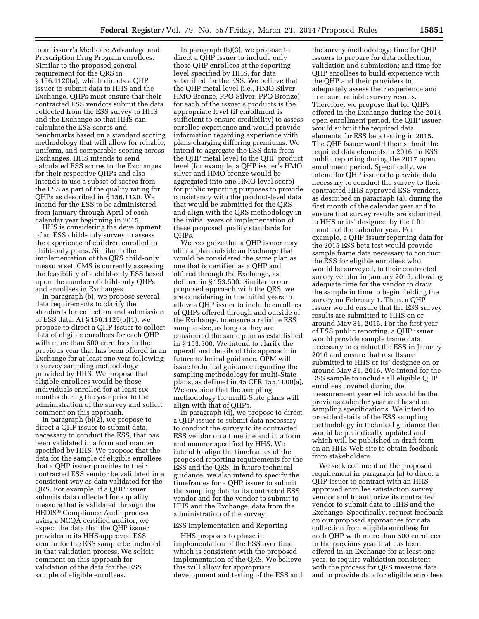to an issuer's Medicare Advantage and Prescription Drug Program enrollees. Similar to the proposed general requirement for the QRS in § 156.1120(a), which directs a QHP issuer to submit data to HHS and the Exchange, QHPs must ensure that their contracted ESS vendors submit the data collected from the ESS survey to HHS and the Exchange so that HHS can calculate the ESS scores and benchmarks based on a standard scoring methodology that will allow for reliable, uniform, and comparable scoring across Exchanges. HHS intends to send calculated ESS scores to the Exchanges for their respective QHPs and also intends to use a subset of scores from the ESS as part of the quality rating for QHPs as described in § 156.1120. We intend for the ESS to be administered from January through April of each calendar year beginning in 2015.

HHS is considering the development of an ESS child-only survey to assess the experience of children enrolled in child-only plans. Similar to the implementation of the QRS child-only measure set, CMS is currently assessing the feasibility of a child-only ESS based upon the number of child-only QHPs and enrollees in Exchanges.

In paragraph (b), we propose several data requirements to clarify the standards for collection and submission of ESS data. At § 156.1125(b)(1), we propose to direct a QHP issuer to collect data of eligible enrollees for each QHP with more than 500 enrollees in the previous year that has been offered in an Exchange for at least one year following a survey sampling methodology provided by HHS. We propose that eligible enrollees would be those individuals enrolled for at least six months during the year prior to the administration of the survey and solicit comment on this approach.

In paragraph  $(b)(2)$ , we propose to direct a QHP issuer to submit data, necessary to conduct the ESS, that has been validated in a form and manner specified by HHS. We propose that the data for the sample of eligible enrollees that a QHP issuer provides to their contracted ESS vendor be validated in a consistent way as data validated for the QRS. For example, if a QHP issuer submits data collected for a quality measure that is validated through the HEDIS® Compliance Audit process using a NCQA certified auditor, we expect the data that the QHP issuer provides to its HHS-approved ESS vendor for the ESS sample be included in that validation process. We solicit comment on this approach for validation of the data for the ESS sample of eligible enrollees.

In paragraph (b)(3), we propose to direct a QHP issuer to include only those QHP enrollees at the reporting level specified by HHS, for data submitted for the ESS. We believe that the QHP metal level (i.e., HMO Silver, HMO Bronze, PPO Silver, PPO Bronze) for each of the issuer's products is the appropriate level (if enrollment is sufficient to ensure credibility) to assess enrollee experience and would provide information regarding experience with plans charging differing premiums. We intend to aggregate the ESS data from the QHP metal level to the QHP product level (for example, a QHP issuer's HMO silver and HMO bronze would be aggregated into one HMO level score) for public reporting purposes to provide consistency with the product-level data that would be submitted for the QRS and align with the QRS methodology in the initial years of implementation of these proposed quality standards for QHPs.

We recognize that a QHP issuer may offer a plan outside an Exchange that would be considered the same plan as one that is certified as a QHP and offered through the Exchange, as defined in § 153.500. Similar to our proposed approach with the QRS, we are considering in the initial years to allow a QHP issuer to include enrollees of QHPs offered through and outside of the Exchange, to ensure a reliable ESS sample size, as long as they are considered the same plan as established in § 153.500. We intend to clarify the operational details of this approach in future technical guidance. OPM will issue technical guidance regarding the sampling methodology for multi-State plans, as defined in 45 CFR 155.1000(a). We envision that the sampling methodology for multi-State plans will align with that of QHPs.

In paragraph (d), we propose to direct a QHP issuer to submit data necessary to conduct the survey to its contracted ESS vendor on a timeline and in a form and manner specified by HHS. We intend to align the timeframes of the proposed reporting requirements for the ESS and the QRS. In future technical guidance, we also intend to specify the timeframes for a QHP issuer to submit the sampling data to its contracted ESS vendor and for the vendor to submit to HHS and the Exchange, data from the administration of the survey.

#### ESS Implementation and Reporting

HHS proposes to phase in implementation of the ESS over time which is consistent with the proposed implementation of the QRS. We believe this will allow for appropriate development and testing of the ESS and

the survey methodology; time for QHP issuers to prepare for data collection, validation and submission; and time for QHP enrollees to build experience with the QHP and their providers to adequately assess their experience and to ensure reliable survey results. Therefore, we propose that for QHPs offered in the Exchange during the 2014 open enrollment period, the QHP issuer would submit the required data elements for ESS beta testing in 2015. The QHP Issuer would then submit the required data elements in 2016 for ESS public reporting during the 2017 open enrollment period. Specifically, we intend for QHP issuers to provide data necessary to conduct the survey to their contracted HHS-approved ESS vendors, as described in paragraph (a), during the first month of the calendar year and to ensure that survey results are submitted to HHS or its' designee, by the fifth month of the calendar year. For example, a QHP issuer reporting data for the 2015 ESS beta test would provide sample frame data necessary to conduct the ESS for eligible enrollees who would be surveyed, to their contracted survey vendor in January 2015, allowing adequate time for the vendor to draw the sample in time to begin fielding the survey on February 1. Then, a QHP issuer would ensure that the ESS survey results are submitted to HHS on or around May 31, 2015. For the first year of ESS public reporting, a QHP issuer would provide sample frame data necessary to conduct the ESS in January 2016 and ensure that results are submitted to HHS or its' designee on or around May 31, 2016. We intend for the ESS sample to include all eligible QHP enrollees covered during the measurement year which would be the previous calendar year and based on sampling specifications. We intend to provide details of the ESS sampling methodology in technical guidance that would be periodically updated and which will be published in draft form on an HHS Web site to obtain feedback from stakeholders.

We seek comment on the proposed requirement in paragraph (a) to direct a QHP issuer to contract with an HHSapproved enrollee satisfaction survey vendor and to authorize its contracted vendor to submit data to HHS and the Exchange. Specifically, request feedback on our proposed approaches for data collection from eligible enrollees for each QHP with more than 500 enrollees in the previous year that has been offered in an Exchange for at least one year, to require validation consistent with the process for QRS measure data and to provide data for eligible enrollees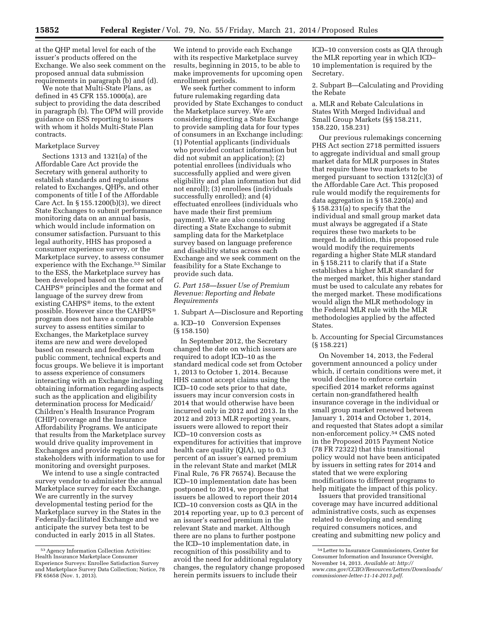at the QHP metal level for each of the issuer's products offered on the Exchange. We also seek comment on the proposed annual data submission requirements in paragraph (b) and (d).

We note that Multi-State Plans, as defined in 45 CFR 155.1000(a), are subject to providing the data described in paragraph (b). The OPM will provide guidance on ESS reporting to issuers with whom it holds Multi-State Plan contracts.

### Marketplace Survey

Sections 1313 and 1321(a) of the Affordable Care Act provide the Secretary with general authority to establish standards and regulations related to Exchanges, QHPs, and other components of title I of the Affordable Care Act. In § 155.1200(b)(3), we direct State Exchanges to submit performance monitoring data on an annual basis, which would include information on consumer satisfaction. Pursuant to this legal authority, HHS has proposed a consumer experience survey, or the Marketplace survey, to assess consumer experience with the Exchange.<sup>53</sup> Similar to the ESS, the Marketplace survey has been developed based on the core set of CAHPS® principles and the format and language of the survey drew from existing CAHPS® items, to the extent possible. However since the CAHPS® program does not have a comparable survey to assess entities similar to Exchanges, the Marketplace survey items are new and were developed based on research and feedback from public comment, technical experts and focus groups. We believe it is important to assess experience of consumers interacting with an Exchange including obtaining information regarding aspects such as the application and eligibility determination process for Medicaid/ Children's Health Insurance Program (CHIP) coverage and the Insurance Affordability Programs. We anticipate that results from the Marketplace survey would drive quality improvement in Exchanges and provide regulators and stakeholders with information to use for monitoring and oversight purposes.

We intend to use a single contracted survey vendor to administer the annual Marketplace survey for each Exchange. We are currently in the survey developmental testing period for the Marketplace survey in the States in the Federally-facilitated Exchange and we anticipate the survey beta test to be conducted in early 2015 in all States.

We intend to provide each Exchange with its respective Marketplace survey results, beginning in 2015, to be able to make improvements for upcoming open enrollment periods.

We seek further comment to inform future rulemaking regarding data provided by State Exchanges to conduct the Marketplace survey. We are considering directing a State Exchange to provide sampling data for four types of consumers in an Exchange including: (1) Potential applicants (individuals who provided contact information but did not submit an application); (2) potential enrollees (individuals who successfully applied and were given eligibility and plan information but did not enroll); (3) enrollees (individuals successfully enrolled); and (4) effectuated enrollees (individuals who have made their first premium payment). We are also considering directing a State Exchange to submit sampling data for the Marketplace survey based on language preference and disability status across each Exchange and we seek comment on the feasibility for a State Exchange to provide such data.

*G. Part 158—Issuer Use of Premium Revenue: Reporting and Rebate Requirements* 

1. Subpart A—Disclosure and Reporting

a. ICD–10 Conversion Expenses (§ 158.150)

In September 2012, the Secretary changed the date on which issuers are required to adopt ICD–10 as the standard medical code set from October 1, 2013 to October 1, 2014. Because HHS cannot accept claims using the ICD–10 code sets prior to that date, issuers may incur conversion costs in 2014 that would otherwise have been incurred only in 2012 and 2013. In the 2012 and 2013 MLR reporting years, issuers were allowed to report their ICD–10 conversion costs as expenditures for activities that improve health care quality (QIA), up to 0.3 percent of an issuer's earned premium in the relevant State and market (MLR Final Rule, 76 FR 76574). Because the ICD–10 implementation date has been postponed to 2014, we propose that issuers be allowed to report their 2014 ICD–10 conversion costs as QIA in the 2014 reporting year, up to 0.3 percent of an issuer's earned premium in the relevant State and market. Although there are no plans to further postpone the ICD–10 implementation date, in recognition of this possibility and to avoid the need for additional regulatory changes, the regulatory change proposed herein permits issuers to include their

ICD–10 conversion costs as QIA through the MLR reporting year in which ICD– 10 implementation is required by the Secretary.

2. Subpart B—Calculating and Providing the Rebate

a. MLR and Rebate Calculations in States With Merged Individual and Small Group Markets (§§ 158.211, 158.220, 158.231)

Our previous rulemakings concerning PHS Act section 2718 permitted issuers to aggregate individual and small group market data for MLR purposes in States that require these two markets to be merged pursuant to section 1312(c)(3) of the Affordable Care Act. This proposed rule would modify the requirements for data aggregation in § 158.220(a) and § 158.231(a) to specify that the individual and small group market data must always be aggregated if a State requires these two markets to be merged. In addition, this proposed rule would modify the requirements regarding a higher State MLR standard in § 158.211 to clarify that if a State establishes a higher MLR standard for the merged market, this higher standard must be used to calculate any rebates for the merged market. These modifications would align the MLR methodology in the Federal MLR rule with the MLR methodologies applied by the affected States.

b. Accounting for Special Circumstances (§ 158.221)

On November 14, 2013, the Federal government announced a policy under which, if certain conditions were met, it would decline to enforce certain specified 2014 market reforms against certain non-grandfathered health insurance coverage in the individual or small group market renewed between January 1, 2014 and October 1, 2014, and requested that States adopt a similar non-enforcement policy.54 CMS noted in the Proposed 2015 Payment Notice (78 FR 72322) that this transitional policy would not have been anticipated by issuers in setting rates for 2014 and stated that we were exploring modifications to different programs to help mitigate the impact of this policy.

Issuers that provided transitional coverage may have incurred additional administrative costs, such as expenses related to developing and sending required consumers notices, and creating and submitting new policy and

<sup>53</sup>Agency Information Collection Activities: Health Insurance Marketplace Consumer Experience Surveys: Enrollee Satisfaction Survey and Marketplace Survey Data Collection; Notice, 78 FR 65658 (Nov. 1, 2013).

<sup>54</sup>Letter to Insurance Commissioners, Center for Consumer Information and Insurance Oversight, November 14, 2013. *Available at: [http://](http://www.cms.gov/CCIIO/Resources/Letters/Downloads/commissioner-letter-11-14-2013.pdf) [www.cms.gov/CCIIO/Resources/Letters/Downloads/](http://www.cms.gov/CCIIO/Resources/Letters/Downloads/commissioner-letter-11-14-2013.pdf) [commissioner-letter-11-14-2013.pdf.](http://www.cms.gov/CCIIO/Resources/Letters/Downloads/commissioner-letter-11-14-2013.pdf)*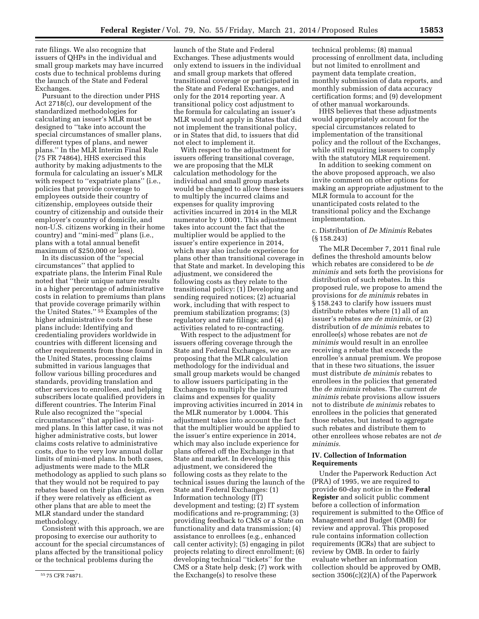rate filings. We also recognize that issuers of QHPs in the individual and small group markets may have incurred costs due to technical problems during the launch of the State and Federal Exchanges.

Pursuant to the direction under PHS Act 2718(c), our development of the standardized methodologies for calculating an issuer's MLR must be designed to ''take into account the special circumstances of smaller plans, different types of plans, and newer plans.'' In the MLR Interim Final Rule (75 FR 74864), HHS exercised this authority by making adjustments to the formula for calculating an issuer's MLR with respect to "expatriate plans" (i.e., policies that provide coverage to employees outside their country of citizenship, employees outside their country of citizenship and outside their employer's country of domicile, and non-U.S. citizens working in their home country) and ''mini-med'' plans (i.e., plans with a total annual benefit maximum of \$250,000 or less).

In its discussion of the ''special circumstances'' that applied to expatriate plans, the Interim Final Rule noted that ''their unique nature results in a higher percentage of administrative costs in relation to premiums than plans that provide coverage primarily within the United States.'' 55 Examples of the higher administrative costs for these plans include: Identifying and credentialing providers worldwide in countries with different licensing and other requirements from those found in the United States, processing claims submitted in various languages that follow various billing procedures and standards, providing translation and other services to enrollees, and helping subscribers locate qualified providers in different countries. The Interim Final Rule also recognized the ''special circumstances'' that applied to minimed plans. In this latter case, it was not higher administrative costs, but lower claims costs relative to administrative costs, due to the very low annual dollar limits of mini-med plans. In both cases, adjustments were made to the MLR methodology as applied to such plans so that they would not be required to pay rebates based on their plan design, even if they were relatively as efficient as other plans that are able to meet the MLR standard under the standard methodology.

Consistent with this approach, we are proposing to exercise our authority to account for the special circumstances of plans affected by the transitional policy or the technical problems during the

launch of the State and Federal Exchanges. These adjustments would only extend to issuers in the individual and small group markets that offered transitional coverage or participated in the State and Federal Exchanges, and only for the 2014 reporting year. A transitional policy cost adjustment to the formula for calculating an issuer's MLR would not apply in States that did not implement the transitional policy, or in States that did, to issuers that did not elect to implement it.

With respect to the adjustment for issuers offering transitional coverage, we are proposing that the MLR calculation methodology for the individual and small group markets would be changed to allow these issuers to multiply the incurred claims and expenses for quality improving activities incurred in 2014 in the MLR numerator by 1.0001. This adjustment takes into account the fact that the multiplier would be applied to the issuer's entire experience in 2014, which may also include experience for plans other than transitional coverage in that State and market. In developing this adjustment, we considered the following costs as they relate to the transitional policy: (1) Developing and sending required notices; (2) actuarial work, including that with respect to premium stabilization programs; (3) regulatory and rate filings; and (4) activities related to re-contracting.

With respect to the adjustment for issuers offering coverage through the State and Federal Exchanges, we are proposing that the MLR calculation methodology for the individual and small group markets would be changed to allow issuers participating in the Exchanges to multiply the incurred claims and expenses for quality improving activities incurred in 2014 in the MLR numerator by 1.0004. This adjustment takes into account the fact that the multiplier would be applied to the issuer's entire experience in 2014, which may also include experience for plans offered off the Exchange in that State and market. In developing this adjustment, we considered the following costs as they relate to the technical issues during the launch of the State and Federal Exchanges: (1) Information technology (IT) development and testing; (2) IT system modifications and re-programming; (3) providing feedback to CMS or a State on functionality and data transmission; (4) assistance to enrollees (e.g., enhanced call center activity); (5) engaging in pilot projects relating to direct enrollment; (6) developing technical ''tickets'' for the CMS or a State help desk; (7) work with the Exchange(s) to resolve these

technical problems; (8) manual processing of enrollment data, including but not limited to enrollment and payment data template creation, monthly submission of data reports, and monthly submission of data accuracy certification forms; and (9) development of other manual workarounds.

HHS believes that these adjustments would appropriately account for the special circumstances related to implementation of the transitional policy and the rollout of the Exchanges, while still requiring issuers to comply with the statutory MLR requirement.

In addition to seeking comment on the above proposed approach, we also invite comment on other options for making an appropriate adjustment to the MLR formula to account for the unanticipated costs related to the transitional policy and the Exchange implementation.

# c. Distribution of *De Minimis* Rebates (§ 158.243)

The MLR December 7, 2011 final rule defines the threshold amounts below which rebates are considered to be *de minimis* and sets forth the provisions for distribution of such rebates. In this proposed rule, we propose to amend the provisions for *de minimis* rebates in § 158.243 to clarify how issuers must distribute rebates where (1) all of an issuer's rebates are *de minimis,* or (2) distribution of *de minimis* rebates to enrollee(s) whose rebates are not *de minimis* would result in an enrollee receiving a rebate that exceeds the enrollee's annual premium. We propose that in these two situations, the issuer must distribute *de minimis* rebates to enrollees in the policies that generated the *de minimis* rebates. The current *de minimis* rebate provisions allow issuers not to distribute *de minimis* rebates to enrollees in the policies that generated those rebates, but instead to aggregate such rebates and distribute them to other enrollees whose rebates are not *de minimis.* 

## **IV. Collection of Information Requirements**

Under the Paperwork Reduction Act (PRA) of 1995, we are required to provide 60-day notice in the **Federal Register** and solicit public comment before a collection of information requirement is submitted to the Office of Management and Budget (OMB) for review and approval. This proposed rule contains information collection requirements (ICRs) that are subject to review by OMB. In order to fairly evaluate whether an information collection should be approved by OMB, section 3506(c)(2)(A) of the Paperwork

<sup>55</sup> 75 CFR 74871.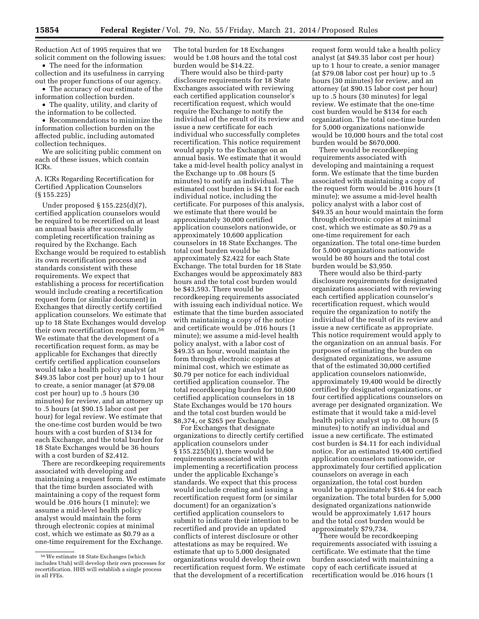Reduction Act of 1995 requires that we solicit comment on the following issues:

• The need for the information collection and its usefulness in carrying out the proper functions of our agency. • The accuracy of our estimate of the

information collection burden. • The quality, utility, and clarity of

the information to be collected.

• Recommendations to minimize the information collection burden on the affected public, including automated collection techniques.

We are soliciting public comment on each of these issues, which contain ICRs.

A. ICRs Regarding Recertification for Certified Application Counselors (§ 155.225)

Under proposed § 155.225(d)(7), certified application counselors would be required to be recertified on at least an annual basis after successfully completing recertification training as required by the Exchange. Each Exchange would be required to establish its own recertification process and standards consistent with these requirements. We expect that establishing a process for recertification would include creating a recertification request form (or similar document) in Exchanges that directly certify certified application counselors. We estimate that up to 18 State Exchanges would develop their own recertification request form.56 We estimate that the development of a recertification request form, as may be applicable for Exchanges that directly certify certified application counselors would take a health policy analyst (at \$49.35 labor cost per hour) up to 1 hour to create, a senior manager (at \$79.08 cost per hour) up to .5 hours (30 minutes) for review, and an attorney up to .5 hours (at \$90.15 labor cost per hour) for legal review. We estimate that the one-time cost burden would be two hours with a cost burden of \$134 for each Exchange, and the total burden for 18 State Exchanges would be 36 hours with a cost burden of \$2,412.

There are recordkeeping requirements associated with developing and maintaining a request form. We estimate that the time burden associated with maintaining a copy of the request form would be .016 hours (1 minute); we assume a mid-level health policy analyst would maintain the form through electronic copies at minimal cost, which we estimate as \$0.79 as a one-time requirement for the Exchange.

The total burden for 18 Exchanges would be 1.08 hours and the total cost burden would be \$14.22.

There would also be third-party disclosure requirements for 18 State Exchanges associated with reviewing each certified application counselor's recertification request, which would require the Exchange to notify the individual of the result of its review and issue a new certificate for each individual who successfully completes recertification. This notice requirement would apply to the Exchange on an annual basis. We estimate that it would take a mid-level health policy analyst in the Exchange up to .08 hours (5 minutes) to notify an individual. The estimated cost burden is \$4.11 for each individual notice, including the certificate. For purposes of this analysis, we estimate that there would be approximately 30,000 certified application counselors nationwide, or approximately 10,600 application counselors in 18 State Exchanges. The total cost burden would be approximately \$2,422 for each State Exchange. The total burden for 18 State Exchanges would be approximately 883 hours and the total cost burden would be \$43,593. There would be recordkeeping requirements associated with issuing each individual notice. We estimate that the time burden associated with maintaining a copy of the notice and certificate would be .016 hours (1 minute); we assume a mid-level health policy analyst, with a labor cost of \$49.35 an hour, would maintain the form through electronic copies at minimal cost, which we estimate as \$0.79 per notice for each individual certified application counselor. The total recordkeeping burden for 10,600 certified application counselors in 18 State Exchanges would be 170 hours and the total cost burden would be \$8,374, or \$265 per Exchange.

For Exchanges that designate organizations to directly certify certified application counselors under § 155.225(b)(1), there would be requirements associated with implementing a recertification process under the applicable Exchange's standards. We expect that this process would include creating and issuing a recertification request form (or similar document) for an organization's certified application counselors to submit to indicate their intention to be recertified and provide an updated conflicts of interest disclosure or other attestations as may be required. We estimate that up to 5,000 designated organizations would develop their own recertification request form. We estimate that the development of a recertification

request form would take a health policy analyst (at \$49.35 labor cost per hour) up to 1 hour to create, a senior manager (at \$79.08 labor cost per hour) up to .5 hours (30 minutes) for review, and an attorney (at \$90.15 labor cost per hour) up to .5 hours (30 minutes) for legal review. We estimate that the one-time cost burden would be \$134 for each organization. The total one-time burden for 5,000 organizations nationwide would be 10,000 hours and the total cost burden would be \$670,000.

There would be recordkeeping requirements associated with developing and maintaining a request form. We estimate that the time burden associated with maintaining a copy of the request form would be .016 hours (1 minute); we assume a mid-level health policy analyst with a labor cost of \$49.35 an hour would maintain the form through electronic copies at minimal cost, which we estimate as \$0.79 as a one-time requirement for each organization. The total one-time burden for 5,000 organizations nationwide would be 80 hours and the total cost burden would be \$3,950.

There would also be third-party disclosure requirements for designated organizations associated with reviewing each certified application counselor's recertification request, which would require the organization to notify the individual of the result of its review and issue a new certificate as appropriate. This notice requirement would apply to the organization on an annual basis. For purposes of estimating the burden on designated organizations, we assume that of the estimated 30,000 certified application counselors nationwide, approximately 19,400 would be directly certified by designated organizations, or four certified applications counselors on average per designated organization. We estimate that it would take a mid-level health policy analyst up to .08 hours (5 minutes) to notify an individual and issue a new certificate. The estimated cost burden is \$4.11 for each individual notice. For an estimated 19,400 certified application counselors nationwide, or approximately four certified application counselors on average in each organization, the total cost burden would be approximately \$16.44 for each organization. The total burden for 5,000 designated organizations nationwide would be approximately 1,617 hours and the total cost burden would be approximately \$79,734.

There would be recordkeeping requirements associated with issuing a certificate. We estimate that the time burden associated with maintaining a copy of each certificate issued at recertification would be .016 hours (1

<sup>56</sup>We estimate 18 State Exchanges (which includes Utah) will develop their own processes for recertification. HHS will establish a single process in all FFEs.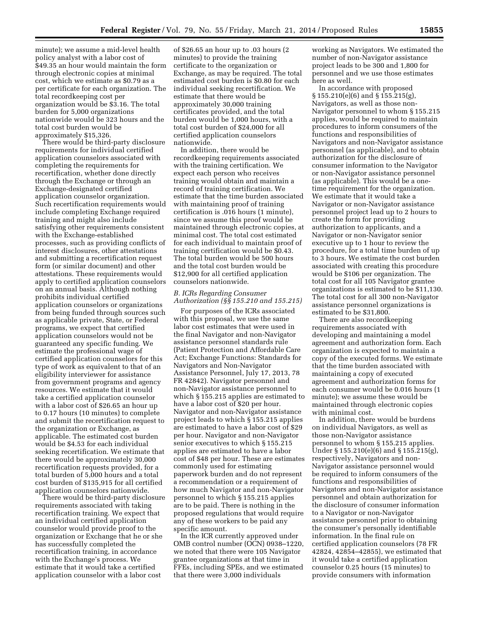minute); we assume a mid-level health policy analyst with a labor cost of \$49.35 an hour would maintain the form through electronic copies at minimal cost, which we estimate as \$0.79 as a per certificate for each organization. The total recordkeeping cost per organization would be \$3.16. The total burden for 5,000 organizations nationwide would be 323 hours and the total cost burden would be approximately \$15,326.

There would be third-party disclosure requirements for individual certified application counselors associated with completing the requirements for recertification, whether done directly through the Exchange or through an Exchange-designated certified application counselor organization. Such recertification requirements would include completing Exchange required training and might also include satisfying other requirements consistent with the Exchange-established processes, such as providing conflicts of interest disclosures, other attestations and submitting a recertification request form (or similar document) and other attestations. These requirements would apply to certified application counselors on an annual basis. Although nothing prohibits individual certified application counselors or organizations from being funded through sources such as applicable private, State, or Federal programs, we expect that certified application counselors would not be guaranteed any specific funding. We estimate the professional wage of certified application counselors for this type of work as equivalent to that of an eligibility interviewer for assistance from government programs and agency resources. We estimate that it would take a certified application counselor with a labor cost of \$26.65 an hour up to 0.17 hours (10 minutes) to complete and submit the recertification request to the organization or Exchange, as applicable. The estimated cost burden would be \$4.53 for each individual seeking recertification. We estimate that there would be approximately 30,000 recertification requests provided, for a total burden of 5,000 hours and a total cost burden of \$135,915 for all certified application counselors nationwide.

There would be third-party disclosure requirements associated with taking recertification training. We expect that an individual certified application counselor would provide proof to the organization or Exchange that he or she has successfully completed the recertification training, in accordance with the Exchange's process. We estimate that it would take a certified application counselor with a labor cost

of \$26.65 an hour up to .03 hours (2 minutes) to provide the training certificate to the organization or Exchange, as may be required. The total estimated cost burden is \$0.80 for each individual seeking recertification. We estimate that there would be approximately 30,000 training certificates provided, and the total burden would be 1,000 hours, with a total cost burden of \$24,000 for all certified application counselors nationwide.

In addition, there would be recordkeeping requirements associated with the training certification. We expect each person who receives training would obtain and maintain a record of training certification. We estimate that the time burden associated with maintaining proof of training certification is .016 hours (1 minute), since we assume this proof would be maintained through electronic copies, at minimal cost. The total cost estimated for each individual to maintain proof of training certification would be \$0.43. The total burden would be 500 hours and the total cost burden would be \$12,900 for all certified application counselors nationwide.

# *B. ICRs Regarding Consumer Authorization (§§ 155.210 and 155.215)*

For purposes of the ICRs associated with this proposal, we use the same labor cost estimates that were used in the final Navigator and non-Navigator assistance personnel standards rule (Patient Protection and Affordable Care Act; Exchange Functions: Standards for Navigators and Non-Navigator Assistance Personnel, July 17, 2013, 78 FR 42842). Navigator personnel and non-Navigator assistance personnel to which § 155.215 applies are estimated to have a labor cost of \$20 per hour. Navigator and non-Navigator assistance project leads to which § 155.215 applies are estimated to have a labor cost of \$29 per hour. Navigator and non-Navigator senior executives to which § 155.215 applies are estimated to have a labor cost of \$48 per hour. These are estimates commonly used for estimating paperwork burden and do not represent a recommendation or a requirement of how much Navigator and non-Navigator personnel to which § 155.215 applies are to be paid. There is nothing in the proposed regulations that would require any of these workers to be paid any specific amount.

In the ICR currently approved under OMB control number (OCN) 0938–1220, we noted that there were 105 Navigator grantee organizations at that time in FFEs, including SPEs, and we estimated that there were 3,000 individuals

working as Navigators. We estimated the number of non-Navigator assistance project leads to be 300 and 1,800 for personnel and we use those estimates here as well.

In accordance with proposed § 155.210(e)(6) and § 155.215(g), Navigators, as well as those non-Navigator personnel to whom § 155.215 applies, would be required to maintain procedures to inform consumers of the functions and responsibilities of Navigators and non-Navigator assistance personnel (as applicable), and to obtain authorization for the disclosure of consumer information to the Navigator or non-Navigator assistance personnel (as applicable). This would be a onetime requirement for the organization. We estimate that it would take a Navigator or non-Navigator assistance personnel project lead up to 2 hours to create the form for providing authorization to applicants, and a Navigator or non-Navigator senior executive up to 1 hour to review the procedure, for a total time burden of up to 3 hours. We estimate the cost burden associated with creating this procedure would be \$106 per organization. The total cost for all 105 Navigator grantee organizations is estimated to be \$11,130. The total cost for all 300 non-Navigator assistance personnel organizations is estimated to be \$31,800.

There are also recordkeeping requirements associated with developing and maintaining a model agreement and authorization form. Each organization is expected to maintain a copy of the executed forms. We estimate that the time burden associated with maintaining a copy of executed agreement and authorization forms for each consumer would be 0.016 hours (1 minute); we assume these would be maintained through electronic copies with minimal cost.

In addition, there would be burdens on individual Navigators, as well as those non-Navigator assistance personnel to whom § 155.215 applies. Under § 155.210(e)(6) and § 155.215(g), respectively, Navigators and non-Navigator assistance personnel would be required to inform consumers of the functions and responsibilities of Navigators and non-Navigator assistance personnel and obtain authorization for the disclosure of consumer information to a Navigator or non-Navigator assistance personnel prior to obtaining the consumer's personally identifiable information. In the final rule on certified application counselors (78 FR 42824, 42854–42855), we estimated that it would take a certified application counselor 0.25 hours (15 minutes) to provide consumers with information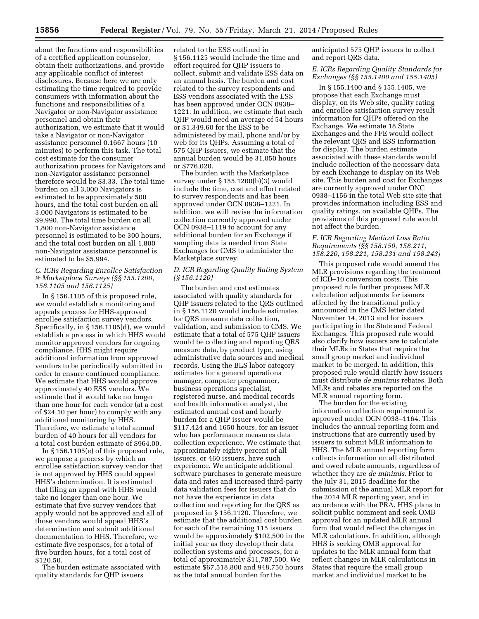about the functions and responsibilities of a certified application counselor, obtain their authorizations, and provide any applicable conflict of interest disclosures. Because here we are only estimating the time required to provide consumers with information about the functions and responsibilities of a Navigator or non-Navigator assistance personnel and obtain their authorization, we estimate that it would take a Navigator or non-Navigator assistance personnel 0.1667 hours (10 minutes) to perform this task. The total cost estimate for the consumer authorization process for Navigators and non-Navigator assistance personnel therefore would be \$3.33. The total time burden on all 3,000 Navigators is estimated to be approximately 500 hours, and the total cost burden on all 3,000 Navigators is estimated to be \$9,990. The total time burden on all 1,800 non-Navigator assistance personnel is estimated to be 300 hours, and the total cost burden on all 1,800 non-Navigator assistance personnel is estimated to be \$5,994.

# *C. ICRs Regarding Enrollee Satisfaction & Marketplace Surveys (§§ 155.1200, 156.1105 and 156.1125)*

In § 156.1105 of this proposed rule, we would establish a monitoring and appeals process for HHS-approved enrollee satisfaction survey vendors. Specifically, in § 156.1105(d), we would establish a process in which HHS would monitor approved vendors for ongoing compliance. HHS might require additional information from approved vendors to be periodically submitted in order to ensure continued compliance. We estimate that HHS would approve approximately 40 ESS vendors. We estimate that it would take no longer than one hour for each vendor (at a cost of \$24.10 per hour) to comply with any additional monitoring by HHS. Therefore, we estimate a total annual burden of 40 hours for all vendors for a total cost burden estimate of \$964.00.

In § 156.1105(e) of this proposed rule, we propose a process by which an enrollee satisfaction survey vendor that is not approved by HHS could appeal HHS's determination. It is estimated that filing an appeal with HHS would take no longer than one hour. We estimate that five survey vendors that apply would not be approved and all of those vendors would appeal HHS's determination and submit additional documentation to HHS. Therefore, we estimate five responses, for a total of five burden hours, for a total cost of \$120.50.

The burden estimate associated with quality standards for QHP issuers

related to the ESS outlined in § 156.1125 would include the time and effort required for QHP issuers to collect, submit and validate ESS data on an annual basis. The burden and cost related to the survey respondents and ESS vendors associated with the ESS has been approved under OCN 0938– 1221. In addition, we estimate that each QHP would need an average of 54 hours or \$1,349.60 for the ESS to be administered by mail, phone and/or by web for its QHPs. Assuming a total of 575 QHP issuers, we estimate that the annual burden would be 31,050 hours or \$776,020.

The burden with the Marketplace survey under § 155.1200(b)(3) would include the time, cost and effort related to survey respondents and has been approved under OCN 0938–1221. In addition, we will revise the information collection currently approved under OCN 0938–1119 to account for any additional burden for an Exchange if sampling data is needed from State Exchanges for CMS to administer the Marketplace survey.

# *D. ICR Regarding Quality Rating System (§ 156.1120)*

The burden and cost estimates associated with quality standards for QHP issuers related to the QRS outlined in § 156.1120 would include estimates for QRS measure data collection, validation, and submission to CMS. We estimate that a total of 575 QHP issuers would be collecting and reporting QRS measure data, by product type, using administrative data sources and medical records. Using the BLS labor category estimates for a general operations manager, computer programmer, business operations specialist, registered nurse, and medical records and health information analyst, the estimated annual cost and hourly burden for a QHP issuer would be \$117,424 and 1650 hours, for an issuer who has performance measures data collection experience. We estimate that approximately eighty percent of all issuers, or 460 issuers, have such experience. We anticipate additional software purchases to generate measure data and rates and increased third-party data validation fees for issuers that do not have the experience in data collection and reporting for the QRS as proposed in § 156.1120. Therefore, we estimate that the additional cost burden for each of the remaining 115 issuers would be approximately \$102,500 in the initial year as they develop their data collection systems and processes, for a total of approximately \$11,787,500. We estimate \$67,518,800 and 948,750 hours as the total annual burden for the

anticipated 575 QHP issuers to collect and report QRS data.

# *E. ICRs Regarding Quality Standards for Exchanges (§§ 155.1400 and 155.1405)*

In § 155.1400 and § 155.1405, we propose that each Exchange must display, on its Web site, quality rating and enrollee satisfaction survey result information for QHPs offered on the Exchange. We estimate 18 State Exchanges and the FFE would collect the relevant QRS and ESS information for display. The burden estimate associated with these standards would include collection of the necessary data by each Exchange to display on its Web site. This burden and cost for Exchanges are currently approved under ONC 0938–1156 in the total Web site site that provides information including ESS and quality ratings, on available QHPs. The provisions of this proposed rule would not affect the burden.

# *F. ICR Regarding Medical Loss Ratio Requirements (§§ 158.150, 158.211, 158.220, 158.221, 158.231 and 158.243)*

This proposed rule would amend the MLR provisions regarding the treatment of ICD–10 conversion costs. This proposed rule further proposes MLR calculation adjustments for issuers affected by the transitional policy announced in the CMS letter dated November 14, 2013 and for issuers participating in the State and Federal Exchanges. This proposed rule would also clarify how issuers are to calculate their MLRs in States that require the small group market and individual market to be merged. In addition, this proposed rule would clarify how issuers must distribute *de minimis* rebates. Both MLRs and rebates are reported on the MLR annual reporting form.

The burden for the existing information collection requirement is approved under OCN 0938–1164. This includes the annual reporting form and instructions that are currently used by issuers to submit MLR information to HHS. The MLR annual reporting form collects information on all distributed and owed rebate amounts, regardless of whether they are *de minimis.* Prior to the July 31, 2015 deadline for the submission of the annual MLR report for the 2014 MLR reporting year, and in accordance with the PRA, HHS plans to solicit public comment and seek OMB approval for an updated MLR annual form that would reflect the changes in MLR calculations. In addition, although HHS is seeking OMB approval for updates to the MLR annual form that reflect changes in MLR calculations in States that require the small group market and individual market to be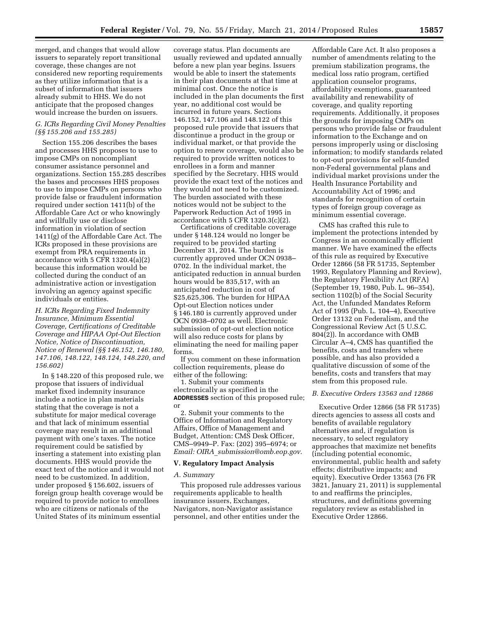merged, and changes that would allow issuers to separately report transitional coverage, these changes are not considered new reporting requirements as they utilize information that is a subset of information that issuers already submit to HHS. We do not anticipate that the proposed changes would increase the burden on issuers.

# *G. ICRs Regarding Civil Money Penalties (§§ 155.206 and 155.285)*

Section 155.206 describes the bases and processes HHS proposes to use to impose CMPs on noncompliant consumer assistance personnel and organizations. Section 155.285 describes the bases and processes HHS proposes to use to impose CMPs on persons who provide false or fraudulent information required under section 1411(b) of the Affordable Care Act or who knowingly and willfully use or disclose information in violation of section 1411(g) of the Affordable Care Act. The ICRs proposed in these provisions are exempt from PRA requirements in accordance with 5 CFR 1320.4(a)(2) because this information would be collected during the conduct of an administrative action or investigation involving an agency against specific individuals or entities.

*H. ICRs Regarding Fixed Indemnity Insurance, Minimum Essential Coverage, Certifications of Creditable Coverage and HIPAA Opt-Out Election Notice, Notice of Discontinuation, Notice of Renewal (§§ 146.152, 146.180, 147.106, 148.122, 148.124, 148.220, and 156.602)* 

In § 148.220 of this proposed rule, we propose that issuers of individual market fixed indemnity insurance include a notice in plan materials stating that the coverage is not a substitute for major medical coverage and that lack of minimum essential coverage may result in an additional payment with one's taxes. The notice requirement could be satisfied by inserting a statement into existing plan documents. HHS would provide the exact text of the notice and it would not need to be customized. In addition, under proposed § 156.602, issuers of foreign group health coverage would be required to provide notice to enrollees who are citizens or nationals of the United States of its minimum essential

coverage status. Plan documents are usually reviewed and updated annually before a new plan year begins. Issuers would be able to insert the statements in their plan documents at that time at minimal cost. Once the notice is included in the plan documents the first year, no additional cost would be incurred in future years. Sections 146.152, 147.106 and 148.122 of this proposed rule provide that issuers that discontinue a product in the group or individual market, or that provide the option to renew coverage, would also be required to provide written notices to enrollees in a form and manner specified by the Secretary. HHS would provide the exact text of the notices and they would not need to be customized. The burden associated with these notices would not be subject to the Paperwork Reduction Act of 1995 in accordance with  $5$  CFR  $1320.3(c)(2)$ .

Certifications of creditable coverage under § 148.124 would no longer be required to be provided starting December 31, 2014. The burden is currently approved under OCN 0938– 0702. In the individual market, the anticipated reduction in annual burden hours would be 835,517, with an anticipated reduction in cost of \$25,625,306. The burden for HIPAA Opt-out Election notices under § 146.180 is currently approved under OCN 0938–0702 as well. Electronic submission of opt-out election notice will also reduce costs for plans by eliminating the need for mailing paper forms.

If you comment on these information collection requirements, please do either of the following:

1. Submit your comments electronically as specified in the **ADDRESSES** section of this proposed rule; or

2. Submit your comments to the Office of Information and Regulatory Affairs, Office of Management and Budget, Attention: CMS Desk Officer, CMS–9949–P. Fax: (202) 395–6974; or *Email: OIRA*\_*[submission@omb.eop.gov](mailto:OIRA_submission@omb.eop.gov)*.

### **V. Regulatory Impact Analysis**

#### *A. Summary*

This proposed rule addresses various requirements applicable to health insurance issuers, Exchanges, Navigators, non-Navigator assistance personnel, and other entities under the

Affordable Care Act. It also proposes a number of amendments relating to the premium stabilization programs, the medical loss ratio program, certified application counselor programs, affordability exemptions, guaranteed availability and renewability of coverage, and quality reporting requirements. Additionally, it proposes the grounds for imposing CMPs on persons who provide false or fraudulent information to the Exchange and on persons improperly using or disclosing information; to modify standards related to opt-out provisions for self-funded non-Federal governmental plans and individual market provisions under the Health Insurance Portability and Accountability Act of 1996; and standards for recognition of certain types of foreign group coverage as minimum essential coverage.

CMS has crafted this rule to implement the protections intended by Congress in an economically efficient manner. We have examined the effects of this rule as required by Executive Order 12866 (58 FR 51735, September 1993, Regulatory Planning and Review), the Regulatory Flexibility Act (RFA) (September 19, 1980, Pub. L. 96–354), section 1102(b) of the Social Security Act, the Unfunded Mandates Reform Act of 1995 (Pub. L. 104–4), Executive Order 13132 on Federalism, and the Congressional Review Act (5 U.S.C. 804(2)). In accordance with OMB Circular A–4, CMS has quantified the benefits, costs and transfers where possible, and has also provided a qualitative discussion of some of the benefits, costs and transfers that may stem from this proposed rule.

#### *B. Executive Orders 13563 and 12866*

Executive Order 12866 (58 FR 51735) directs agencies to assess all costs and benefits of available regulatory alternatives and, if regulation is necessary, to select regulatory approaches that maximize net benefits (including potential economic, environmental, public health and safety effects; distributive impacts; and equity). Executive Order 13563 (76 FR 3821, January 21, 2011) is supplemental to and reaffirms the principles, structures, and definitions governing regulatory review as established in Executive Order 12866.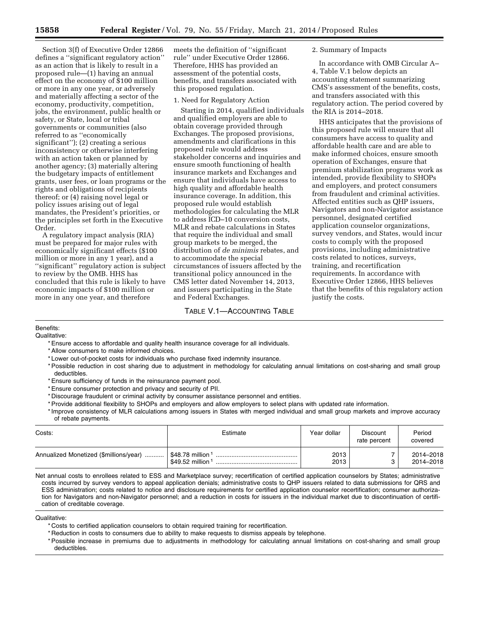Section 3(f) of Executive Order 12866 defines a ''significant regulatory action'' as an action that is likely to result in a proposed rule—(1) having an annual effect on the economy of \$100 million or more in any one year, or adversely and materially affecting a sector of the economy, productivity, competition, jobs, the environment, public health or safety, or State, local or tribal governments or communities (also referred to as ''economically significant''); (2) creating a serious inconsistency or otherwise interfering with an action taken or planned by another agency; (3) materially altering the budgetary impacts of entitlement grants, user fees, or loan programs or the rights and obligations of recipients thereof; or (4) raising novel legal or policy issues arising out of legal mandates, the President's priorities, or the principles set forth in the Executive Order.

A regulatory impact analysis (RIA) must be prepared for major rules with economically significant effects (\$100 million or more in any 1 year), and a ''significant'' regulatory action is subject to review by the OMB. HHS has concluded that this rule is likely to have economic impacts of \$100 million or more in any one year, and therefore

meets the definition of ''significant rule'' under Executive Order 12866. Therefore, HHS has provided an assessment of the potential costs, benefits, and transfers associated with this proposed regulation.

#### 1. Need for Regulatory Action

Starting in 2014, qualified individuals and qualified employers are able to obtain coverage provided through Exchanges. The proposed provisions, amendments and clarifications in this proposed rule would address stakeholder concerns and inquiries and ensure smooth functioning of health insurance markets and Exchanges and ensure that individuals have access to high quality and affordable health insurance coverage. In addition, this proposed rule would establish methodologies for calculating the MLR to address ICD–10 conversion costs, MLR and rebate calculations in States that require the individual and small group markets to be merged, the distribution of *de minimis* rebates, and to accommodate the special circumstances of issuers affected by the transitional policy announced in the CMS letter dated November 14, 2013, and issuers participating in the State and Federal Exchanges.

# TABLE V.1—ACCOUNTING TABLE

# 2. Summary of Impacts

In accordance with OMB Circular A– 4, Table V.1 below depicts an accounting statement summarizing CMS's assessment of the benefits, costs, and transfers associated with this regulatory action. The period covered by the RIA is 2014–2018.

HHS anticipates that the provisions of this proposed rule will ensure that all consumers have access to quality and affordable health care and are able to make informed choices, ensure smooth operation of Exchanges, ensure that premium stabilization programs work as intended, provide flexibility to SHOPs and employers, and protect consumers from fraudulent and criminal activities. Affected entities such as QHP issuers, Navigators and non-Navigator assistance personnel, designated certified application counselor organizations, survey vendors, and States, would incur costs to comply with the proposed provisions, including administrative costs related to notices, surveys, training, and recertification requirements. In accordance with Executive Order 12866, HHS believes that the benefits of this regulatory action justify the costs.

# Benefits:

Qualitative:

- \* Ensure access to affordable and quality health insurance coverage for all individuals.
- \* Allow consumers to make informed choices.
- \* Lower out-of-pocket costs for individuals who purchase fixed indemnity insurance.
- \* Possible reduction in cost sharing due to adjustment in methodology for calculating annual limitations on cost-sharing and small group deductibles.
- \* Ensure sufficiency of funds in the reinsurance payment pool.
- \* Ensure consumer protection and privacy and security of PII.
- \* Discourage fraudulent or criminal activity by consumer assistance personnel and entities.
- \* Provide additional flexibility to SHOPs and employers and allow employers to select plans with updated rate information.
- \* Improve consistency of MLR calculations among issuers in States with merged individual and small group markets and improve accuracy of rebate payments.

| Costs:                                 | Estimate                                             | Year dollar  | <b>Discount</b><br>rate percent | Period<br>covered      |
|----------------------------------------|------------------------------------------------------|--------------|---------------------------------|------------------------|
| Annualized Monetized (\$millions/year) | $$48.78$ million <sup>1</sup><br>\$49.52 million $1$ | 2013<br>2013 |                                 | 2014-2018<br>2014-2018 |

Net annual costs to enrollees related to ESS and Marketplace survey; recertification of certified application counselors by States; administrative costs incurred by survey vendors to appeal application denials; administrative costs to QHP issuers related to data submissions for QRS and ESS administration; costs related to notice and disclosure requirements for certified application counselor recertification; consumer authorization for Navigators and non-Navigator personnel; and a reduction in costs for issuers in the individual market due to discontinuation of certification of creditable coverage.

Qualitative:

- \* Costs to certified application counselors to obtain required training for recertification.
- \* Reduction in costs to consumers due to ability to make requests to dismiss appeals by telephone.
- \* Possible increase in premiums due to adjustments in methodology for calculating annual limitations on cost-sharing and small group deductibles.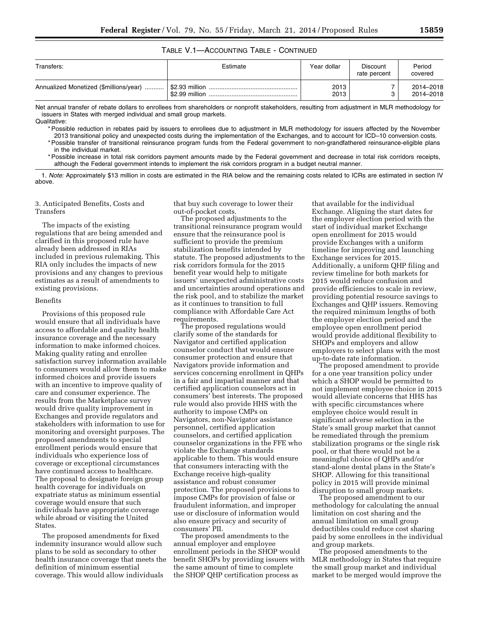# TABLE V.1—ACCOUNTING TABLE - CONTINUED

| Transfers:                             | Estimate | Year dollar  | Discount<br>rate percent | Period<br>covered      |
|----------------------------------------|----------|--------------|--------------------------|------------------------|
| Annualized Monetized (\$millions/year) |          | 2013<br>2013 |                          | 2014-2018<br>2014-2018 |

Net annual transfer of rebate dollars to enrollees from shareholders or nonprofit stakeholders, resulting from adjustment in MLR methodology for issuers in States with merged individual and small group markets. Qualitative:

\* Possible reduction in rebates paid by issuers to enrollees due to adjustment in MLR methodology for issuers affected by the November 2013 transitional policy and unexpected costs during the implementation of the Exchanges, and to account for ICD–10 conversion costs.

\* Possible transfer of transitional reinsurance program funds from the Federal government to non-grandfathered reinsurance-eligible plans in the individual market.

\* Possible increase in total risk corridors payment amounts made by the Federal government and decrease in total risk corridors receipts, although the Federal government intends to implement the risk corridors program in a budget neutral manner.

1. *Note:* Approximately \$13 million in costs are estimated in the RIA below and the remaining costs related to ICRs are estimated in section IV above.

# 3. Anticipated Benefits, Costs and Transfers

The impacts of the existing regulations that are being amended and clarified in this proposed rule have already been addressed in RIAs included in previous rulemaking. This RIA only includes the impacts of new provisions and any changes to previous estimates as a result of amendments to existing provisions.

#### Benefits

Provisions of this proposed rule would ensure that all individuals have access to affordable and quality health insurance coverage and the necessary information to make informed choices. Making quality rating and enrollee satisfaction survey information available to consumers would allow them to make informed choices and provide issuers with an incentive to improve quality of care and consumer experience. The results from the Marketplace survey would drive quality improvement in Exchanges and provide regulators and stakeholders with information to use for monitoring and oversight purposes. The proposed amendments to special enrollment periods would ensure that individuals who experience loss of coverage or exceptional circumstances have continued access to healthcare. The proposal to designate foreign group health coverage for individuals on expatriate status as minimum essential coverage would ensure that such individuals have appropriate coverage while abroad or visiting the United States.

The proposed amendments for fixed indemnity insurance would allow such plans to be sold as secondary to other health insurance coverage that meets the definition of minimum essential coverage. This would allow individuals

that buy such coverage to lower their out-of-pocket costs.

The proposed adjustments to the transitional reinsurance program would ensure that the reinsurance pool is sufficient to provide the premium stabilization benefits intended by statute. The proposed adjustments to the risk corridors formula for the 2015 benefit year would help to mitigate issuers' unexpected administrative costs and uncertainties around operations and the risk pool, and to stabilize the market as it continues to transition to full compliance with Affordable Care Act requirements.

The proposed regulations would clarify some of the standards for Navigator and certified application counselor conduct that would ensure consumer protection and ensure that Navigators provide information and services concerning enrollment in QHPs in a fair and impartial manner and that certified application counselors act in consumers' best interests. The proposed rule would also provide HHS with the authority to impose CMPs on Navigators, non-Navigator assistance personnel, certified application counselors, and certified application counselor organizations in the FFE who violate the Exchange standards applicable to them. This would ensure that consumers interacting with the Exchange receive high-quality assistance and robust consumer protection. The proposed provisions to impose CMPs for provision of false or fraudulent information, and improper use or disclosure of information would also ensure privacy and security of consumers' PII.

The proposed amendments to the annual employer and employee enrollment periods in the SHOP would benefit SHOPs by providing issuers with the same amount of time to complete the SHOP QHP certification process as

that available for the individual Exchange. Aligning the start dates for the employer election period with the start of individual market Exchange open enrollment for 2015 would provide Exchanges with a uniform timeline for improving and launching Exchange services for 2015. Additionally, a uniform QHP filing and review timeline for both markets for 2015 would reduce confusion and provide efficiencies to scale in review, providing potential resource savings to Exchanges and QHP issuers. Removing the required minimum lengths of both the employer election period and the employee open enrollment period would provide additional flexibility to SHOPs and employers and allow employers to select plans with the most up-to-date rate information.

The proposed amendment to provide for a one year transition policy under which a SHOP would be permitted to not implement employee choice in 2015 would alleviate concerns that HHS has with specific circumstances where employee choice would result in significant adverse selection in the State's small group market that cannot be remediated through the premium stabilization programs or the single risk pool, or that there would not be a meaningful choice of QHPs and/or stand-alone dental plans in the State's SHOP. Allowing for this transitional policy in 2015 will provide minimal disruption to small group markets.

The proposed amendment to our methodology for calculating the annual limitation on cost sharing and the annual limitation on small group deductibles could reduce cost sharing paid by some enrollees in the individual and group markets.

The proposed amendments to the MLR methodology in States that require the small group market and individual market to be merged would improve the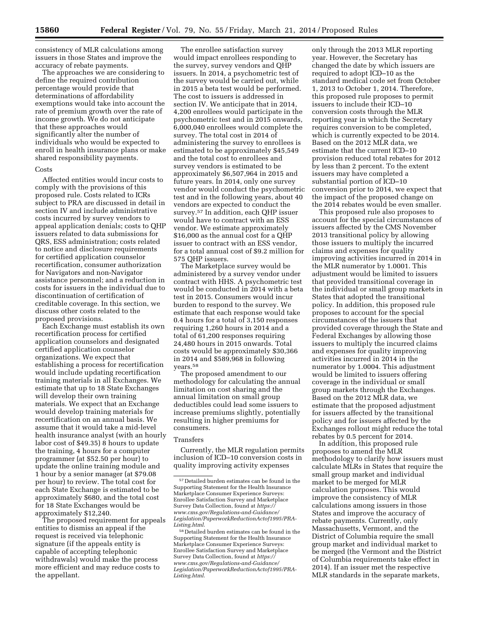consistency of MLR calculations among issuers in those States and improve the accuracy of rebate payments.

The approaches we are considering to define the required contribution percentage would provide that determinations of affordability exemptions would take into account the rate of premium growth over the rate of income growth. We do not anticipate that these approaches would significantly alter the number of individuals who would be expected to enroll in health insurance plans or make shared responsibility payments.

#### Costs

Affected entities would incur costs to comply with the provisions of this proposed rule. Costs related to ICRs subject to PRA are discussed in detail in section IV and include administrative costs incurred by survey vendors to appeal application denials; costs to QHP issuers related to data submissions for QRS, ESS administration; costs related to notice and disclosure requirements for certified application counselor recertification, consumer authorization for Navigators and non-Navigator assistance personnel; and a reduction in costs for issuers in the individual due to discontinuation of certification of creditable coverage. In this section, we discuss other costs related to the proposed provisions.

Each Exchange must establish its own recertification process for certified application counselors and designated certified application counselor organizations. We expect that establishing a process for recertification would include updating recertification training materials in all Exchanges. We estimate that up to 18 State Exchanges will develop their own training materials. We expect that an Exchange would develop training materials for recertification on an annual basis. We assume that it would take a mid-level health insurance analyst (with an hourly labor cost of \$49.35) 8 hours to update the training, 4 hours for a computer programmer (at \$52.50 per hour) to update the online training module and 1 hour by a senior manager (at \$79.08 per hour) to review. The total cost for each State Exchange is estimated to be approximately \$680, and the total cost for 18 State Exchanges would be approximately \$12,240.

The proposed requirement for appeals entities to dismiss an appeal if the request is received via telephonic signature (if the appeals entity is capable of accepting telephonic withdrawals) would make the process more efficient and may reduce costs to the appellant.

The enrollee satisfaction survey would impact enrollees responding to the survey, survey vendors and QHP issuers. In 2014, a psychometric test of the survey would be carried out, while in 2015 a beta test would be performed. The cost to issuers is addressed in section IV. We anticipate that in 2014, 4,200 enrollees would participate in the psychometric test and in 2015 onwards, 6,000,040 enrollees would complete the survey. The total cost in 2014 of administering the survey to enrollees is estimated to be approximately \$45,549 and the total cost to enrollees and survey vendors is estimated to be approximately \$6,507,964 in 2015 and future years. In 2014, only one survey vendor would conduct the psychometric test and in the following years, about 40 vendors are expected to conduct the survey.57 In addition, each QHP issuer would have to contract with an ESS vendor. We estimate approximately \$16,000 as the annual cost for a QHP issuer to contract with an ESS vendor, for a total annual cost of \$9.2 million for 575 QHP issuers.

The Marketplace survey would be administered by a survey vendor under contract with HHS. A psychometric test would be conducted in 2014 with a beta test in 2015. Consumers would incur burden to respond to the survey. We estimate that each response would take 0.4 hours for a total of 3,150 responses requiring 1,260 hours in 2014 and a total of 61,200 responses requiring 24,480 hours in 2015 onwards. Total costs would be approximately \$30,366 in 2014 and \$589,968 in following years.58

The proposed amendment to our methodology for calculating the annual limitation on cost sharing and the annual limitation on small group deductibles could lead some issuers to increase premiums slightly, potentially resulting in higher premiums for consumers.

### Transfers

Currently, the MLR regulation permits inclusion of ICD–10 conversion costs in quality improving activity expenses

only through the 2013 MLR reporting year. However, the Secretary has changed the date by which issuers are required to adopt ICD–10 as the standard medical code set from October 1, 2013 to October 1, 2014. Therefore, this proposed rule proposes to permit issuers to include their ICD–10 conversion costs through the MLR reporting year in which the Secretary requires conversion to be completed, which is currently expected to be 2014. Based on the 2012 MLR data, we estimate that the current ICD–10 provision reduced total rebates for 2012 by less than 2 percent. To the extent issuers may have completed a substantial portion of ICD–10 conversion prior to 2014, we expect that the impact of the proposed change on the 2014 rebates would be even smaller.

This proposed rule also proposes to account for the special circumstances of issuers affected by the CMS November 2013 transitional policy by allowing those issuers to multiply the incurred claims and expenses for quality improving activities incurred in 2014 in the MLR numerator by 1.0001. This adjustment would be limited to issuers that provided transitional coverage in the individual or small group markets in States that adopted the transitional policy. In addition, this proposed rule proposes to account for the special circumstances of the issuers that provided coverage through the State and Federal Exchanges by allowing those issuers to multiply the incurred claims and expenses for quality improving activities incurred in 2014 in the numerator by 1.0004. This adjustment would be limited to issuers offering coverage in the individual or small group markets through the Exchanges. Based on the 2012 MLR data, we estimate that the proposed adjustment for issuers affected by the transitional policy and for issuers affected by the Exchanges rollout might reduce the total rebates by 0.5 percent for 2014.

In addition, this proposed rule proposes to amend the MLR methodology to clarify how issuers must calculate MLRs in States that require the small group market and individual market to be merged for MLR calculation purposes. This would improve the consistency of MLR calculations among issuers in those States and improve the accuracy of rebate payments. Currently, only Massachusetts, Vermont, and the District of Columbia require the small group market and individual market to be merged (the Vermont and the District of Columbia requirements take effect in 2014). If an issuer met the respective MLR standards in the separate markets,

<sup>57</sup> Detailed burden estimates can be found in the Supporting Statement for the Health Insurance Marketplace Consumer Experience Surveys: Enrollee Satisfaction Survey and Marketplace Survey Data Collection, found at *[https://](https://www.cms.gov/Regulations-and-Guidance/Legislation/PaperworkReductionActof1995/PRA-Listing.html) [www.cms.gov/Regulations-and-Guidance/](https://www.cms.gov/Regulations-and-Guidance/Legislation/PaperworkReductionActof1995/PRA-Listing.html) [Legislation/PaperworkReductionActof1995/PRA-](https://www.cms.gov/Regulations-and-Guidance/Legislation/PaperworkReductionActof1995/PRA-Listing.html)[Listing.html](https://www.cms.gov/Regulations-and-Guidance/Legislation/PaperworkReductionActof1995/PRA-Listing.html)*.

<sup>58</sup> Detailed burden estimates can be found in the Supporting Statement for the Health Insurance Marketplace Consumer Experience Surveys: Enrollee Satisfaction Survey and Marketplace Survey Data Collection, found at *[https://](https://www.cms.gov/Regulations-and-Guidance/Legislation/PaperworkReductionActof1995/PRA-Listing.html) [www.cms.gov/Regulations-and-Guidance/](https://www.cms.gov/Regulations-and-Guidance/Legislation/PaperworkReductionActof1995/PRA-Listing.html) [Legislation/PaperworkReductionActof1995/PRA-](https://www.cms.gov/Regulations-and-Guidance/Legislation/PaperworkReductionActof1995/PRA-Listing.html)[Listing.html](https://www.cms.gov/Regulations-and-Guidance/Legislation/PaperworkReductionActof1995/PRA-Listing.html)*.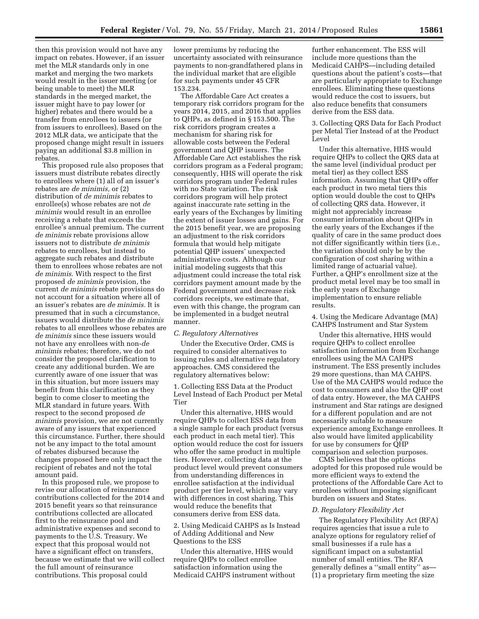then this provision would not have any impact on rebates. However, if an issuer met the MLR standards only in one market and merging the two markets would result in the issuer meeting (or being unable to meet) the MLR standards in the merged market, the issuer might have to pay lower (or higher) rebates and there would be a transfer from enrollees to issuers (or from issuers to enrollees). Based on the 2012 MLR data, we anticipate that the proposed change might result in issuers paying an additional \$3.8 million in rebates.

This proposed rule also proposes that issuers must distribute rebates directly to enrollees where (1) all of an issuer's rebates are *de minimis,* or (2) distribution of *de minimis* rebates to enrollee(s) whose rebates are not *de minimis* would result in an enrollee receiving a rebate that exceeds the enrollee's annual premium. The current *de minimis* rebate provisions allow issuers not to distribute *de minimis*  rebates to enrollees, but instead to aggregate such rebates and distribute them to enrollees whose rebates are not *de minimis.* With respect to the first proposed *de minimis* provision, the current *de minimis* rebate provisions do not account for a situation where all of an issuer's rebates are *de minimis.* It is presumed that in such a circumstance, issuers would distribute the *de minimis*  rebates to all enrollees whose rebates are *de minimis* since these issuers would not have any enrollees with non-*de minimis* rebates; therefore, we do not consider the proposed clarification to create any additional burden. We are currently aware of one issuer that was in this situation, but more issuers may benefit from this clarification as they begin to come closer to meeting the MLR standard in future years. With respect to the second proposed *de minimis* provision, we are not currently aware of any issuers that experienced this circumstance. Further, there should not be any impact to the total amount of rebates disbursed because the changes proposed here only impact the recipient of rebates and not the total amount paid.

In this proposed rule, we propose to revise our allocation of reinsurance contributions collected for the 2014 and 2015 benefit years so that reinsurance contributions collected are allocated first to the reinsurance pool and administrative expenses and second to payments to the U.S. Treasury. We expect that this proposal would not have a significant effect on transfers, because we estimate that we will collect the full amount of reinsurance contributions. This proposal could

lower premiums by reducing the uncertainty associated with reinsurance payments to non-grandfathered plans in the individual market that are eligible for such payments under 45 CFR 153.234.

The Affordable Care Act creates a temporary risk corridors program for the years 2014, 2015, and 2016 that applies to QHPs, as defined in § 153.500. The risk corridors program creates a mechanism for sharing risk for allowable costs between the Federal government and QHP issuers. The Affordable Care Act establishes the risk corridors program as a Federal program; consequently, HHS will operate the risk corridors program under Federal rules with no State variation. The risk corridors program will help protect against inaccurate rate setting in the early years of the Exchanges by limiting the extent of issuer losses and gains. For the 2015 benefit year, we are proposing an adjustment to the risk corridors formula that would help mitigate potential QHP issuers' unexpected administrative costs. Although our initial modeling suggests that this adjustment could increase the total risk corridors payment amount made by the Federal government and decrease risk corridors receipts, we estimate that, even with this change, the program can be implemented in a budget neutral manner.

#### *C. Regulatory Alternatives*

Under the Executive Order, CMS is required to consider alternatives to issuing rules and alternative regulatory approaches. CMS considered the regulatory alternatives below:

1. Collecting ESS Data at the Product Level Instead of Each Product per Metal Tier

Under this alternative, HHS would require QHPs to collect ESS data from a single sample for each product (versus each product in each metal tier). This option would reduce the cost for issuers who offer the same product in multiple tiers. However, collecting data at the product level would prevent consumers from understanding differences in enrollee satisfaction at the individual product per tier level, which may vary with differences in cost sharing. This would reduce the benefits that consumers derive from ESS data.

2. Using Medicaid CAHPS as Is Instead of Adding Additional and New Questions to the ESS

Under this alternative, HHS would require QHPs to collect enrollee satisfaction information using the Medicaid CAHPS instrument without

further enhancement. The ESS will include more questions than the Medicaid CAHPS—including detailed questions about the patient's costs—that are particularly appropriate to Exchange enrollees. Eliminating these questions would reduce the cost to issuers, but also reduce benefits that consumers derive from the ESS data.

3. Collecting QRS Data for Each Product per Metal Tier Instead of at the Product Level

Under this alternative, HHS would require QHPs to collect the QRS data at the same level (individual product per metal tier) as they collect ESS information. Assuming that QHPs offer each product in two metal tiers this option would double the cost to QHPs of collecting QRS data. However, it might not appreciably increase consumer information about QHPs in the early years of the Exchanges if the quality of care in the same product does not differ significantly within tiers (i.e., the variation should only be by the configuration of cost sharing within a limited range of actuarial value). Further, a QHP's enrollment size at the product metal level may be too small in the early years of Exchange implementation to ensure reliable results.

4. Using the Medicare Advantage (MA) CAHPS Instrument and Star System

Under this alternative, HHS would require QHPs to collect enrollee satisfaction information from Exchange enrollees using the MA CAHPS instrument. The ESS presently includes 29 more questions, than MA CAHPS. Use of the MA CAHPS would reduce the cost to consumers and also the QHP cost of data entry. However, the MA CAHPS instrument and Star ratings are designed for a different population and are not necessarily suitable to measure experience among Exchange enrollees. It also would have limited applicability for use by consumers for QHP comparison and selection purposes.

CMS believes that the options adopted for this proposed rule would be more efficient ways to extend the protections of the Affordable Care Act to enrollees without imposing significant burden on issuers and States.

#### *D. Regulatory Flexibility Act*

The Regulatory Flexibility Act (RFA) requires agencies that issue a rule to analyze options for regulatory relief of small businesses if a rule has a significant impact on a substantial number of small entities. The RFA generally defines a ''small entity'' as— (1) a proprietary firm meeting the size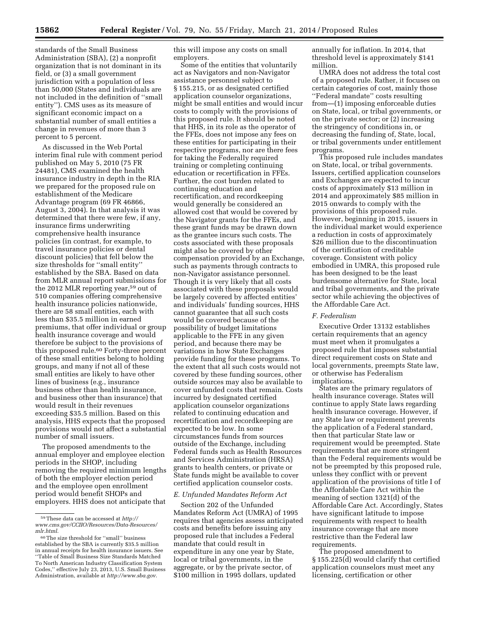standards of the Small Business Administration (SBA), (2) a nonprofit organization that is not dominant in its field, or (3) a small government jurisdiction with a population of less than 50,000 (States and individuals are not included in the definition of ''small entity''). CMS uses as its measure of significant economic impact on a substantial number of small entities a change in revenues of more than 3 percent to 5 percent.

As discussed in the Web Portal interim final rule with comment period published on May 5, 2010 (75 FR 24481), CMS examined the health insurance industry in depth in the RIA we prepared for the proposed rule on establishment of the Medicare Advantage program (69 FR 46866, August 3, 2004). In that analysis it was determined that there were few, if any, insurance firms underwriting comprehensive health insurance policies (in contrast, for example, to travel insurance policies or dental discount policies) that fell below the size thresholds for ''small entity'' established by the SBA. Based on data from MLR annual report submissions for the 2012 MLR reporting year,59 out of 510 companies offering comprehensive health insurance policies nationwide, there are 58 small entities, each with less than \$35.5 million in earned premiums, that offer individual or group health insurance coverage and would therefore be subject to the provisions of this proposed rule.60 Forty-three percent of these small entities belong to holding groups, and many if not all of these small entities are likely to have other lines of business (e.g., insurance business other than health insurance, and business other than insurance) that would result in their revenues exceeding \$35.5 million. Based on this analysis, HHS expects that the proposed provisions would not affect a substantial number of small issuers.

The proposed amendments to the annual employer and employee election periods in the SHOP, including removing the required minimum lengths of both the employer election period and the employee open enrollment period would benefit SHOPs and employers. HHS does not anticipate that this will impose any costs on small employers.

Some of the entities that voluntarily act as Navigators and non-Navigator assistance personnel subject to § 155.215, or as designated certified application counselor organizations, might be small entities and would incur costs to comply with the provisions of this proposed rule. It should be noted that HHS, in its role as the operator of the FFEs, does not impose any fees on these entities for participating in their respective programs, nor are there fees for taking the Federally required training or completing continuing education or recertification in FFEs. Further, the cost burden related to continuing education and recertification, and recordkeeping would generally be considered an allowed cost that would be covered by the Navigator grants for the FFEs, and these grant funds may be drawn down as the grantee incurs such costs. The costs associated with these proposals might also be covered by other compensation provided by an Exchange, such as payments through contracts to non-Navigator assistance personnel. Though it is very likely that all costs associated with these proposals would be largely covered by affected entities' and individuals' funding sources, HHS cannot guarantee that all such costs would be covered because of the possibility of budget limitations applicable to the FFE in any given period, and because there may be variations in how State Exchanges provide funding for these programs. To the extent that all such costs would not covered by these funding sources, other outside sources may also be available to cover unfunded costs that remain. Costs incurred by designated certified application counselor organizations related to continuing education and recertification and recordkeeping are expected to be low. In some circumstances funds from sources outside of the Exchange, including Federal funds such as Health Resources and Services Administration (HRSA) grants to health centers, or private or State funds might be available to cover certified application counselor costs.

#### *E. Unfunded Mandates Reform Act*

Section 202 of the Unfunded Mandates Reform Act (UMRA) of 1995 requires that agencies assess anticipated costs and benefits before issuing any proposed rule that includes a Federal mandate that could result in expenditure in any one year by State, local or tribal governments, in the aggregate, or by the private sector, of \$100 million in 1995 dollars, updated

annually for inflation. In 2014, that threshold level is approximately \$141 million.

UMRA does not address the total cost of a proposed rule. Rather, it focuses on certain categories of cost, mainly those ''Federal mandate'' costs resulting from—(1) imposing enforceable duties on State, local, or tribal governments, or on the private sector; or (2) increasing the stringency of conditions in, or decreasing the funding of, State, local, or tribal governments under entitlement programs.

This proposed rule includes mandates on State, local, or tribal governments. Issuers, certified application counselors and Exchanges are expected to incur costs of approximately \$13 million in 2014 and approximately \$85 million in 2015 onwards to comply with the provisions of this proposed rule. However, beginning in 2015, issuers in the individual market would experience a reduction in costs of approximately \$26 million due to the discontinuation of the certification of creditable coverage. Consistent with policy embodied in UMRA, this proposed rule has been designed to be the least burdensome alternative for State, local and tribal governments, and the private sector while achieving the objectives of the Affordable Care Act.

#### *F. Federalism*

Executive Order 13132 establishes certain requirements that an agency must meet when it promulgates a proposed rule that imposes substantial direct requirement costs on State and local governments, preempts State law, or otherwise has Federalism implications.

States are the primary regulators of health insurance coverage. States will continue to apply State laws regarding health insurance coverage. However, if any State law or requirement prevents the application of a Federal standard, then that particular State law or requirement would be preempted. State requirements that are more stringent than the Federal requirements would be not be preempted by this proposed rule, unless they conflict with or prevent application of the provisions of title I of the Affordable Care Act within the meaning of section 1321(d) of the Affordable Care Act. Accordingly, States have significant latitude to impose requirements with respect to health insurance coverage that are more restrictive than the Federal law requirements.

The proposed amendment to § 155.225(d) would clarify that certified application counselors must meet any licensing, certification or other

<sup>59</sup>These data can be accessed at *[http://](http://www.cms.gov/CCIIO/Resources/Data-Resources/mlr.html) [www.cms.gov/CCIIO/Resources/Data-Resources/](http://www.cms.gov/CCIIO/Resources/Data-Resources/mlr.html) [mlr.html](http://www.cms.gov/CCIIO/Resources/Data-Resources/mlr.html)*.

<sup>60</sup>The size threshold for ''small'' business established by the SBA is currently \$35.5 million in annual receipts for health insurance issuers. See ''Table of Small Business Size Standards Matched To North American Industry Classification System Codes,'' effective July 23, 2013, U.S. Small Business Administration, available at *<http://www.sba.gov>*.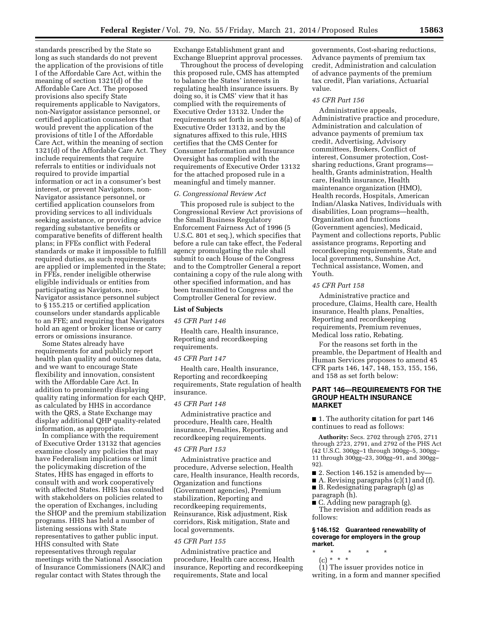standards prescribed by the State so long as such standards do not prevent the application of the provisions of title I of the Affordable Care Act, within the meaning of section 1321(d) of the Affordable Care Act. The proposed provisions also specify State requirements applicable to Navigators, non-Navigator assistance personnel, or certified application counselors that would prevent the application of the provisions of title I of the Affordable Care Act, within the meaning of section 1321(d) of the Affordable Care Act. They include requirements that require referrals to entities or individuals not required to provide impartial information or act in a consumer's best interest, or prevent Navigators, non-Navigator assistance personnel, or certified application counselors from providing services to all individuals seeking assistance, or providing advice regarding substantive benefits or comparative benefits of different health plans; in FFEs conflict with Federal standards or make it impossible to fulfill required duties, as such requirements are applied or implemented in the State; in FFEs, render ineligible otherwise eligible individuals or entities from participating as Navigators, non-Navigator assistance personnel subject to § 155.215 or certified application counselors under standards applicable to an FFE; and requiring that Navigators hold an agent or broker license or carry errors or omissions insurance.

Some States already have requirements for and publicly report health plan quality and outcomes data, and we want to encourage State flexibility and innovation, consistent with the Affordable Care Act. In addition to prominently displaying quality rating information for each QHP, as calculated by HHS in accordance with the QRS, a State Exchange may display additional QHP quality-related information, as appropriate.

In compliance with the requirement of Executive Order 13132 that agencies examine closely any policies that may have Federalism implications or limit the policymaking discretion of the States, HHS has engaged in efforts to consult with and work cooperatively with affected States. HHS has consulted with stakeholders on policies related to the operation of Exchanges, including the SHOP and the premium stabilization programs. HHS has held a number of listening sessions with State representatives to gather public input. HHS consulted with State representatives through regular meetings with the National Association of Insurance Commissioners (NAIC) and regular contact with States through the

Exchange Establishment grant and Exchange Blueprint approval processes.

Throughout the process of developing this proposed rule, CMS has attempted to balance the States' interests in regulating health insurance issuers. By doing so, it is CMS' view that it has complied with the requirements of Executive Order 13132. Under the requirements set forth in section 8(a) of Executive Order 13132, and by the signatures affixed to this rule, HHS certifies that the CMS Center for Consumer Information and Insurance Oversight has complied with the requirements of Executive Order 13132 for the attached proposed rule in a meaningful and timely manner.

#### *G. Congressional Review Act*

This proposed rule is subject to the Congressional Review Act provisions of the Small Business Regulatory Enforcement Fairness Act of 1996 (5 U.S.C. 801 et seq.), which specifies that before a rule can take effect, the Federal agency promulgating the rule shall submit to each House of the Congress and to the Comptroller General a report containing a copy of the rule along with other specified information, and has been transmitted to Congress and the Comptroller General for review.

# **List of Subjects**

# *45 CFR Part 146*

Health care, Health insurance, Reporting and recordkeeping requirements.

#### *45 CFR Part 147*

Health care, Health insurance, Reporting and recordkeeping requirements, State regulation of health insurance.

## *45 CFR Part 148*

Administrative practice and procedure, Health care, Health insurance, Penalties, Reporting and recordkeeping requirements.

#### *45 CFR Part 153*

Administrative practice and procedure, Adverse selection, Health care, Health insurance, Health records, Organization and functions (Government agencies), Premium stabilization, Reporting and recordkeeping requirements, Reinsurance, Risk adjustment, Risk corridors, Risk mitigation, State and local governments.

#### *45 CFR Part 155*

Administrative practice and procedure, Health care access, Health insurance, Reporting and recordkeeping requirements, State and local

governments, Cost-sharing reductions, Advance payments of premium tax credit, Administration and calculation of advance payments of the premium tax credit, Plan variations, Actuarial value.

#### *45 CFR Part 156*

Administrative appeals, Administrative practice and procedure, Administration and calculation of advance payments of premium tax credit, Advertising, Advisory committees, Brokers, Conflict of interest, Consumer protection, Costsharing reductions, Grant programs health, Grants administration, Health care, Health insurance, Health maintenance organization (HMO), Health records, Hospitals, American Indian/Alaska Natives, Individuals with disabilities, Loan programs—health, Organization and functions (Government agencies), Medicaid, Payment and collections reports, Public assistance programs, Reporting and recordkeeping requirements, State and local governments, Sunshine Act, Technical assistance, Women, and Youth.

### *45 CFR Part 158*

Administrative practice and procedure, Claims, Health care, Health insurance, Health plans, Penalties, Reporting and recordkeeping requirements, Premium revenues, Medical loss ratio, Rebating.

For the reasons set forth in the preamble, the Department of Health and Human Services proposes to amend 45 CFR parts 146, 147, 148, 153, 155, 156, and 158 as set forth below:

# **PART 146—REQUIREMENTS FOR THE GROUP HEALTH INSURANCE MARKET**

■ 1. The authority citation for part 146 continues to read as follows:

**Authority:** Secs. 2702 through 2705, 2711 through 2723, 2791, and 2792 of the PHS Act (42 U.S.C. 300gg–1 through 300gg–5, 300gg– 11 through 300gg–23, 300gg–91, and 300gg– 92).

- 2. Section 146.152 is amended by-
- A. Revising paragraphs (c)(1) and (f).
- B. Redesignating paragraph (g) as paragraph (h).
- C. Adding new paragraph (g).

The revision and addition reads as follows:

#### **§ 146.152 Guaranteed renewability of coverage for employers in the group market.**

- \* \* \* \* \*
- (c) \* \* \*

(1) The issuer provides notice in writing, in a form and manner specified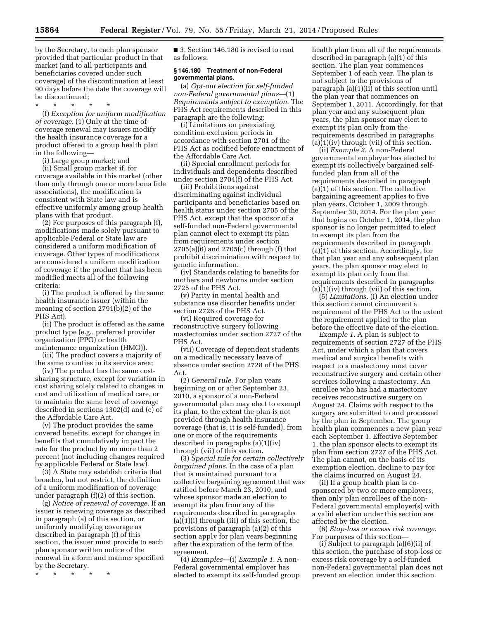by the Secretary, to each plan sponsor provided that particular product in that market (and to all participants and beneficiaries covered under such coverage) of the discontinuation at least 90 days before the date the coverage will be discontinued;

\* \* \* \* \* (f) *Exception for uniform modification of coverage.* (1) Only at the time of coverage renewal may issuers modify the health insurance coverage for a product offered to a group health plan in the following—

(i) Large group market; and

(ii) Small group market if, for coverage available in this market (other than only through one or more bona fide associations), the modification is consistent with State law and is effective uniformly among group health plans with that product.

(2) For purposes of this paragraph (f), modifications made solely pursuant to applicable Federal or State law are considered a uniform modification of coverage. Other types of modifications are considered a uniform modification of coverage if the product that has been modified meets all of the following criteria:

(i) The product is offered by the same health insurance issuer (within the meaning of section 2791(b)(2) of the PHS Act).

(ii) The product is offered as the same product type (e.g., preferred provider organization (PPO) or health maintenance organization (HMO)).

(iii) The product covers a majority of the same counties in its service area;

(iv) The product has the same costsharing structure, except for variation in cost sharing solely related to changes in cost and utilization of medical care, or to maintain the same level of coverage described in sections 1302(d) and (e) of the Affordable Care Act.

(v) The product provides the same covered benefits, except for changes in benefits that cumulatively impact the rate for the product by no more than 2 percent (not including changes required by applicable Federal or State law).

(3) A State may establish criteria that broaden, but not restrict, the definition of a uniform modification of coverage under paragraph (f)(2) of this section.

(g) *Notice of renewal of coverage.* If an issuer is renewing coverage as described in paragraph (a) of this section, or uniformly modifying coverage as described in paragraph (f) of this section, the issuer must provide to each plan sponsor written notice of the renewal in a form and manner specified by the Secretary.

\* \* \* \* \*

■ 3. Section 146.180 is revised to read as follows:

# **§ 146.180 Treatment of non-Federal governmental plans.**

(a) *Opt-out election for self-funded non-Federal governmental plans*—(1) *Requirements subject to exemption.* The PHS Act requirements described in this paragraph are the following:

(i) Limitations on preexisting condition exclusion periods in accordance with section 2701 of the PHS Act as codified before enactment of the Affordable Care Act.

(ii) Special enrollment periods for individuals and dependents described under section 2704(f) of the PHS Act.

(iii) Prohibitions against discriminating against individual participants and beneficiaries based on health status under section 2705 of the PHS Act, except that the sponsor of a self-funded non-Federal governmental plan cannot elect to exempt its plan from requirements under section 2705(a)(6) and 2705(c) through (f) that prohibit discrimination with respect to genetic information.

(iv) Standards relating to benefits for mothers and newborns under section 2725 of the PHS Act.

(v) Parity in mental health and substance use disorder benefits under section 2726 of the PHS Act.

(vi) Required coverage for reconstructive surgery following mastectomies under section 2727 of the PHS Act.

(vii) Coverage of dependent students on a medically necessary leave of absence under section 2728 of the PHS Act.

(2) *General rule.* For plan years beginning on or after September 23, 2010, a sponsor of a non-Federal governmental plan may elect to exempt its plan, to the extent the plan is not provided through health insurance coverage (that is, it is self-funded), from one or more of the requirements described in paragraphs (a)(1)(iv) through (vii) of this section.

(3) *Special rule for certain collectively bargained plans.* In the case of a plan that is maintained pursuant to a collective bargaining agreement that was ratified before March 23, 2010, and whose sponsor made an election to exempt its plan from any of the requirements described in paragraphs (a)(1)(i) through (iii) of this section, the provisions of paragraph (a)(2) of this section apply for plan years beginning after the expiration of the term of the agreement.

(4) *Examples*—(i) *Example 1.* A non-Federal governmental employer has elected to exempt its self-funded group health plan from all of the requirements described in paragraph (a)(1) of this section. The plan year commences September 1 of each year. The plan is not subject to the provisions of paragraph (a)(1)(ii) of this section until the plan year that commences on September 1, 2011. Accordingly, for that plan year and any subsequent plan years, the plan sponsor may elect to exempt its plan only from the requirements described in paragraphs  $(a)(1)(iv)$  through (vii) of this section.

(ii) *Example 2.* A non-Federal governmental employer has elected to exempt its collectively bargained selffunded plan from all of the requirements described in paragraph (a)(1) of this section. The collective bargaining agreement applies to five plan years, October 1, 2009 through September 30, 2014. For the plan year that begins on October 1, 2014, the plan sponsor is no longer permitted to elect to exempt its plan from the requirements described in paragraph (a)(1) of this section. Accordingly, for that plan year and any subsequent plan years, the plan sponsor may elect to exempt its plan only from the requirements described in paragraphs  $(a)(1)(iv)$  through (vii) of this section.

(5) *Limitations.* (i) An election under this section cannot circumvent a requirement of the PHS Act to the extent the requirement applied to the plan before the effective date of the election.

*Example 1.* A plan is subject to requirements of section 2727 of the PHS Act, under which a plan that covers medical and surgical benefits with respect to a mastectomy must cover reconstructive surgery and certain other services following a mastectomy. An enrollee who has had a mastectomy receives reconstructive surgery on August 24. Claims with respect to the surgery are submitted to and processed by the plan in September. The group health plan commences a new plan year each September 1. Effective September 1, the plan sponsor elects to exempt its plan from section 2727 of the PHS Act. The plan cannot, on the basis of its exemption election, decline to pay for the claims incurred on August 24.

(ii) If a group health plan is cosponsored by two or more employers, then only plan enrollees of the non-Federal governmental employer(s) with a valid election under this section are affected by the election.

(6) *Stop-loss or excess risk coverage.*  For purposes of this section—

(i) Subject to paragraph (a)(6)(ii) of this section, the purchase of stop-loss or excess risk coverage by a self-funded non-Federal governmental plan does not prevent an election under this section.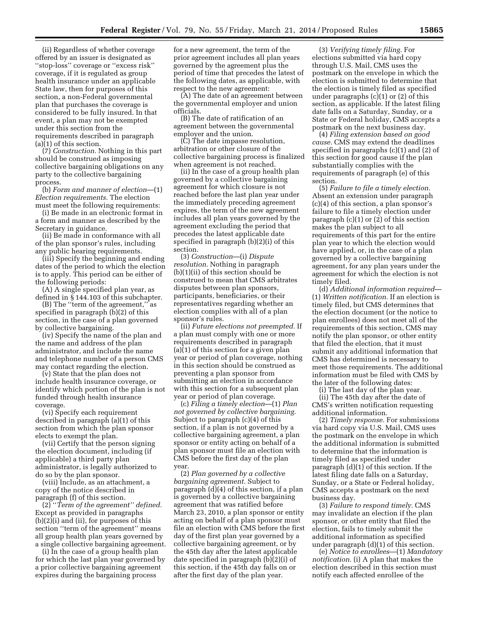(ii) Regardless of whether coverage offered by an issuer is designated as ''stop-loss'' coverage or ''excess risk'' coverage, if it is regulated as group health insurance under an applicable State law, then for purposes of this section, a non-Federal governmental plan that purchases the coverage is considered to be fully insured. In that event, a plan may not be exempted under this section from the requirements described in paragraph (a)(1) of this section.

(7) *Construction.* Nothing in this part should be construed as imposing collective bargaining obligations on any party to the collective bargaining process.

(b) *Form and manner of election*—(1) *Election requirements.* The election must meet the following requirements:

(i) Be made in an electronic format in a form and manner as described by the Secretary in guidance.

(ii) Be made in conformance with all of the plan sponsor's rules, including any public hearing requirements.

(iii) Specify the beginning and ending dates of the period to which the election is to apply. This period can be either of the following periods:

(A) A single specified plan year, as defined in § 144.103 of this subchapter.

(B) The ''term of the agreement,'' as specified in paragraph (b)(2) of this section, in the case of a plan governed by collective bargaining.

(iv) Specify the name of the plan and the name and address of the plan administrator, and include the name and telephone number of a person CMS may contact regarding the election.

(v) State that the plan does not include health insurance coverage, or identify which portion of the plan is not funded through health insurance coverage.

(vi) Specify each requirement described in paragraph (a)(1) of this section from which the plan sponsor elects to exempt the plan.

(vii) Certify that the person signing the election document, including (if applicable) a third party plan administrator, is legally authorized to do so by the plan sponsor.

(viii) Include, as an attachment, a copy of the notice described in paragraph (f) of this section.

(2) ''*Term of the agreement'' defined.*  Except as provided in paragraphs (b)(2)(i) and (ii), for purposes of this section ''term of the agreement'' means all group health plan years governed by a single collective bargaining agreement.

(i) In the case of a group health plan for which the last plan year governed by a prior collective bargaining agreement expires during the bargaining process

for a new agreement, the term of the prior agreement includes all plan years governed by the agreement plus the period of time that precedes the latest of the following dates, as applicable, with respect to the new agreement:

(A) The date of an agreement between the governmental employer and union officials.

(B) The date of ratification of an agreement between the governmental employer and the union.

(C) The date impasse resolution, arbitration or other closure of the collective bargaining process is finalized when agreement is not reached.

(ii) In the case of a group health plan governed by a collective bargaining agreement for which closure is not reached before the last plan year under the immediately preceding agreement expires, the term of the new agreement includes all plan years governed by the agreement excluding the period that precedes the latest applicable date specified in paragraph (b)(2)(i) of this section.

(3) *Construction*—(i) *Dispute resolution.* Nothing in paragraph (b)(1)(ii) of this section should be construed to mean that CMS arbitrates disputes between plan sponsors, participants, beneficiaries, or their representatives regarding whether an election complies with all of a plan sponsor's rules.

(ii) *Future elections not preempted.* If a plan must comply with one or more requirements described in paragraph (a)(1) of this section for a given plan year or period of plan coverage, nothing in this section should be construed as preventing a plan sponsor from submitting an election in accordance with this section for a subsequent plan year or period of plan coverage.

(c) *Filing a timely election*—(1) *Plan not governed by collective bargaining.*  Subject to paragraph (c)(4) of this section, if a plan is not governed by a collective bargaining agreement, a plan sponsor or entity acting on behalf of a plan sponsor must file an election with CMS before the first day of the plan year.

(2) *Plan governed by a collective bargaining agreement.* Subject to paragraph (d)(4) of this section, if a plan is governed by a collective bargaining agreement that was ratified before March 23, 2010, a plan sponsor or entity acting on behalf of a plan sponsor must file an election with CMS before the first day of the first plan year governed by a collective bargaining agreement, or by the 45th day after the latest applicable date specified in paragraph (b)(2)(i) of this section, if the 45th day falls on or after the first day of the plan year.

(3) *Verifying timely filing.* For elections submitted via hard copy through U.S. Mail, CMS uses the postmark on the envelope in which the election is submitted to determine that the election is timely filed as specified under paragraphs (c)(1) or (2) of this section, as applicable. If the latest filing date falls on a Saturday, Sunday, or a State or Federal holiday, CMS accepts a postmark on the next business day.

(4) *Filing extension based on good cause.* CMS may extend the deadlines specified in paragraphs (c)(1) and (2) of this section for good cause if the plan substantially complies with the requirements of paragraph (e) of this section.

(5) *Failure to file a timely election.*  Absent an extension under paragraph (c)(4) of this section, a plan sponsor's failure to file a timely election under paragraph (c)(1) or (2) of this section makes the plan subject to all requirements of this part for the entire plan year to which the election would have applied, or, in the case of a plan governed by a collective bargaining agreement, for any plan years under the agreement for which the election is not timely filed.

(d) *Additional information required*— (1) *Written notification.* If an election is timely filed, but CMS determines that the election document (or the notice to plan enrollees) does not meet all of the requirements of this section, CMS may notify the plan sponsor, or other entity that filed the election, that it must submit any additional information that CMS has determined is necessary to meet those requirements. The additional information must be filed with CMS by the later of the following dates:

(i) The last day of the plan year.

(ii) The 45th day after the date of CMS's written notification requesting additional information.

(2) *Timely response.* For submissions via hard copy via U.S. Mail, CMS uses the postmark on the envelope in which the additional information is submitted to determine that the information is timely filed as specified under paragraph (d)(1) of this section. If the latest filing date falls on a Saturday, Sunday, or a State or Federal holiday, CMS accepts a postmark on the next business day.

(3) *Failure to respond timely.* CMS may invalidate an election if the plan sponsor, or other entity that filed the election, fails to timely submit the additional information as specified under paragraph (d)(1) of this section.

(e) *Notice to enrollees*—(1) *Mandatory notification.* (i) A plan that makes the election described in this section must notify each affected enrollee of the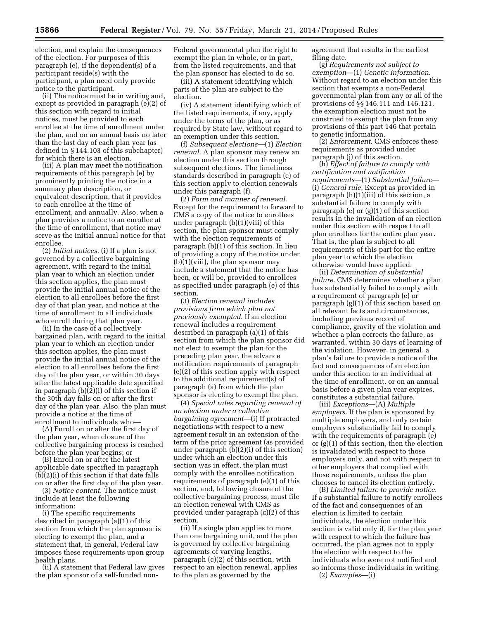election, and explain the consequences of the election. For purposes of this paragraph (e), if the dependent(s) of a participant reside(s) with the participant, a plan need only provide notice to the participant.

(ii) The notice must be in writing and, except as provided in paragraph (e)(2) of this section with regard to initial notices, must be provided to each enrollee at the time of enrollment under the plan, and on an annual basis no later than the last day of each plan year (as defined in § 144.103 of this subchapter) for which there is an election.

(iii) A plan may meet the notification requirements of this paragraph (e) by prominently printing the notice in a summary plan description, or equivalent description, that it provides to each enrollee at the time of enrollment, and annually. Also, when a plan provides a notice to an enrollee at the time of enrollment, that notice may serve as the initial annual notice for that enrollee.

(2) *Initial notices.* (i) If a plan is not governed by a collective bargaining agreement, with regard to the initial plan year to which an election under this section applies, the plan must provide the initial annual notice of the election to all enrollees before the first day of that plan year, and notice at the time of enrollment to all individuals who enroll during that plan year.

(ii) In the case of a collectively bargained plan, with regard to the initial plan year to which an election under this section applies, the plan must provide the initial annual notice of the election to all enrollees before the first day of the plan year, or within 30 days after the latest applicable date specified in paragraph (b)(2)(i) of this section if the 30th day falls on or after the first day of the plan year. Also, the plan must provide a notice at the time of enrollment to individuals who—

(A) Enroll on or after the first day of the plan year, when closure of the collective bargaining process is reached before the plan year begins; or

(B) Enroll on or after the latest applicable date specified in paragraph (b)(2)(i) of this section if that date falls on or after the first day of the plan year.

(3) *Notice content.* The notice must include at least the following information:

(i) The specific requirements described in paragraph (a)(1) of this section from which the plan sponsor is electing to exempt the plan, and a statement that, in general, Federal law imposes these requirements upon group health plans.

(ii) A statement that Federal law gives the plan sponsor of a self-funded nonFederal governmental plan the right to exempt the plan in whole, or in part, from the listed requirements, and that the plan sponsor has elected to do so.

(iii) A statement identifying which parts of the plan are subject to the election.

(iv) A statement identifying which of the listed requirements, if any, apply under the terms of the plan, or as required by State law, without regard to an exemption under this section.

(f) *Subsequent elections*—(1) *Election renewal*. A plan sponsor may renew an election under this section through subsequent elections. The timeliness standards described in paragraph (c) of this section apply to election renewals under this paragraph (f).

(2) *Form and manner of renewal*. Except for the requirement to forward to CMS a copy of the notice to enrollees under paragraph (b)(1)(viii) of this section, the plan sponsor must comply with the election requirements of paragraph (b)(1) of this section. In lieu of providing a copy of the notice under  $(b)(1)(viii)$ , the plan sponsor may include a statement that the notice has been, or will be, provided to enrollees as specified under paragraph (e) of this section.

(3) *Election renewal includes provisions from which plan not previously exempted*. If an election renewal includes a requirement described in paragraph (a)(1) of this section from which the plan sponsor did not elect to exempt the plan for the preceding plan year, the advance notification requirements of paragraph (e)(2) of this section apply with respect to the additional requirement(s) of paragraph (a) from which the plan sponsor is electing to exempt the plan.

(4) *Special rules regarding renewal of an election under a collective bargaining agreement*—(i) If protracted negotiations with respect to a new agreement result in an extension of the term of the prior agreement (as provided under paragraph (b)(2)(i) of this section) under which an election under this section was in effect, the plan must comply with the enrollee notification requirements of paragraph (e)(1) of this section, and, following closure of the collective bargaining process, must file an election renewal with CMS as provided under paragraph (c)(2) of this section.

(ii) If a single plan applies to more than one bargaining unit, and the plan is governed by collective bargaining agreements of varying lengths, paragraph (c)(2) of this section, with respect to an election renewal, applies to the plan as governed by the

agreement that results in the earliest filing date.

(g) *Requirements not subject to exemption*—(1) *Genetic information*. Without regard to an election under this section that exempts a non-Federal governmental plan from any or all of the provisions of §§ 146.111 and 146.121, the exemption election must not be construed to exempt the plan from any provisions of this part 146 that pertain to genetic information.

(2) *Enforcement*. CMS enforces these requirements as provided under paragraph (j) of this section.

(h) *Effect of failure to comply with certification and notification requirements*—(1) *Substantial failure*— (i) *General rule*. Except as provided in paragraph (h)(1)(iii) of this section, a substantial failure to comply with paragraph (e) or (g)(1) of this section results in the invalidation of an election under this section with respect to all plan enrollees for the entire plan year. That is, the plan is subject to all requirements of this part for the entire plan year to which the election otherwise would have applied.

(ii) *Determination of substantial failure*. CMS determines whether a plan has substantially failed to comply with a requirement of paragraph (e) or paragraph (g)(1) of this section based on all relevant facts and circumstances, including previous record of compliance, gravity of the violation and whether a plan corrects the failure, as warranted, within 30 days of learning of the violation. However, in general, a plan's failure to provide a notice of the fact and consequences of an election under this section to an individual at the time of enrollment, or on an annual basis before a given plan year expires, constitutes a substantial failure.

(iii) *Exceptions*—(A) *Multiple employers*. If the plan is sponsored by multiple employers, and only certain employers substantially fail to comply with the requirements of paragraph (e) or (g)(1) of this section, then the election is invalidated with respect to those employers only, and not with respect to other employers that complied with those requirements, unless the plan chooses to cancel its election entirely.

(B) *Limited failure to provide notice*. If a substantial failure to notify enrollees of the fact and consequences of an election is limited to certain individuals, the election under this section is valid only if, for the plan year with respect to which the failure has occurred, the plan agrees not to apply the election with respect to the individuals who were not notified and so informs those individuals in writing. (2) *Examples*—(i)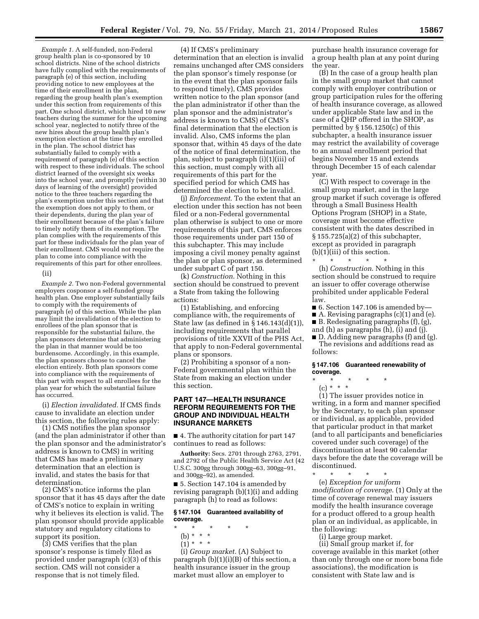*Example 1.* A self-funded, non-Federal group health plan is co-sponsored by 10 school districts. Nine of the school districts have fully complied with the requirements of paragraph (e) of this section, including providing notice to new employees at the time of their enrollment in the plan, regarding the group health plan's exemption under this section from requirements of this part. One school district, which hired 10 new teachers during the summer for the upcoming school year, neglected to notify three of the new hires about the group health plan's exemption election at the time they enrolled in the plan. The school district has substantially failed to comply with a requirement of paragraph (e) of this section with respect to these individuals. The school district learned of the oversight six weeks into the school year, and promptly (within 30 days of learning of the oversight) provided notice to the three teachers regarding the plan's exemption under this section and that the exemption does not apply to them, or their dependents, during the plan year of their enrollment because of the plan's failure to timely notify them of its exemption. The plan complies with the requirements of this part for these individuals for the plan year of their enrollment. CMS would not require the plan to come into compliance with the requirements of this part for other enrollees.

### (ii)

*Example 2.* Two non-Federal governmental employers cosponsor a self-funded group health plan. One employer substantially fails to comply with the requirements of paragraph (e) of this section. While the plan may limit the invalidation of the election to enrollees of the plan sponsor that is responsible for the substantial failure, the plan sponsors determine that administering the plan in that manner would be too burdensome. Accordingly, in this example, the plan sponsors choose to cancel the election entirely. Both plan sponsors come into compliance with the requirements of this part with respect to all enrollees for the plan year for which the substantial failure has occurred.

(i) *Election invalidated.* If CMS finds cause to invalidate an election under this section, the following rules apply:

(1) CMS notifies the plan sponsor (and the plan administrator if other than the plan sponsor and the administrator's address is known to CMS) in writing that CMS has made a preliminary determination that an election is invalid, and states the basis for that determination.

(2) CMS's notice informs the plan sponsor that it has 45 days after the date of CMS's notice to explain in writing why it believes its election is valid. The plan sponsor should provide applicable statutory and regulatory citations to support its position.

(3) CMS verifies that the plan sponsor's response is timely filed as provided under paragraph (c)(3) of this section. CMS will not consider a response that is not timely filed.

(4) If CMS's preliminary determination that an election is invalid remains unchanged after CMS considers the plan sponsor's timely response (or in the event that the plan sponsor fails to respond timely), CMS provides written notice to the plan sponsor (and the plan administrator if other than the plan sponsor and the administrator's address is known to CMS) of CMS's final determination that the election is invalid. Also, CMS informs the plan sponsor that, within 45 days of the date of the notice of final determination, the plan, subject to paragraph (i)(1)(iii) of this section, must comply with all requirements of this part for the specified period for which CMS has determined the election to be invalid.

(j) *Enforcement*. To the extent that an election under this section has not been filed or a non-Federal governmental plan otherwise is subject to one or more requirements of this part, CMS enforces those requirements under part 150 of this subchapter. This may include imposing a civil money penalty against the plan or plan sponsor, as determined under subpart C of part 150.

(k) *Construction*. Nothing in this section should be construed to prevent a State from taking the following actions:

(1) Establishing, and enforcing compliance with, the requirements of State law (as defined in § 146.143(d)(1)), including requirements that parallel provisions of title XXVII of the PHS Act, that apply to non-Federal governmental plans or sponsors.

(2) Prohibiting a sponsor of a non-Federal governmental plan within the State from making an election under this section.

# **PART 147—HEALTH INSURANCE REFORM REQUIREMENTS FOR THE GROUP AND INDIVIDUAL HEALTH INSURANCE MARKETS**

■ 4. The authority citation for part 147 continues to read as follows:

**Authority:** Secs. 2701 through 2763, 2791, and 2792 of the Public Health Service Act (42 U.S.C. 300gg through 300gg–63, 300gg–91, and 300gg–92), as amended.

■ 5. Section 147.104 is amended by revising paragraph (b)(1)(i) and adding paragraph (h) to read as follows:

#### **§ 147.104 Guaranteed availability of coverage.**

- \* \* \* \* \*
- (b) \* \* \*
- $(1) * * * *$

(i) *Group market.* (A) Subject to paragraph  $(b)(1)(i)(B)$  of this section, a health insurance issuer in the group market must allow an employer to

purchase health insurance coverage for a group health plan at any point during the year.

(B) In the case of a group health plan in the small group market that cannot comply with employer contribution or group participation rules for the offering of health insurance coverage, as allowed under applicable State law and in the case of a QHP offered in the SHOP, as permitted by § 156.1250(c) of this subchapter, a health insurance issuer may restrict the availability of coverage to an annual enrollment period that begins November 15 and extends through December 15 of each calendar year.

(C) With respect to coverage in the small group market, and in the large group market if such coverage is offered through a Small Business Health Options Program (SHOP) in a State, coverage must become effective consistent with the dates described in § 155.725(a)(2) of this subchapter, except as provided in paragraph (b)(1)(iii) of this section.

\* \* \* \* \* (h) *Construction*. Nothing in this section should be construed to require an issuer to offer coverage otherwise prohibited under applicable Federal law.

- $\blacksquare$  6. Section 147.106 is amended by-
- A. Revising paragraphs (c)(1) and (e). ■ B. Redesignating paragraphs (f), (g), and (h) as paragraphs (h), (i) and (j).
- D. Adding new paragraphs (f) and (g).
- The revisions and additions read as follows:

#### **§ 147.106 Guaranteed renewability of coverage.**

- \* \* \* \* \*
- (c) \* \* \*

(1) The issuer provides notice in writing, in a form and manner specified by the Secretary, to each plan sponsor or individual, as applicable, provided that particular product in that market (and to all participants and beneficiaries covered under such coverage) of the discontinuation at least 90 calendar days before the date the coverage will be discontinued.

\* \* \* \* \* (e) *Exception for uniform modification of coverage*. (1) Only at the time of coverage renewal may issuers modify the health insurance coverage for a product offered to a group health plan or an individual, as applicable, in the following:

(i) Large group market.

(ii) Small group market if, for coverage available in this market (other than only through one or more bona fide associations), the modification is consistent with State law and is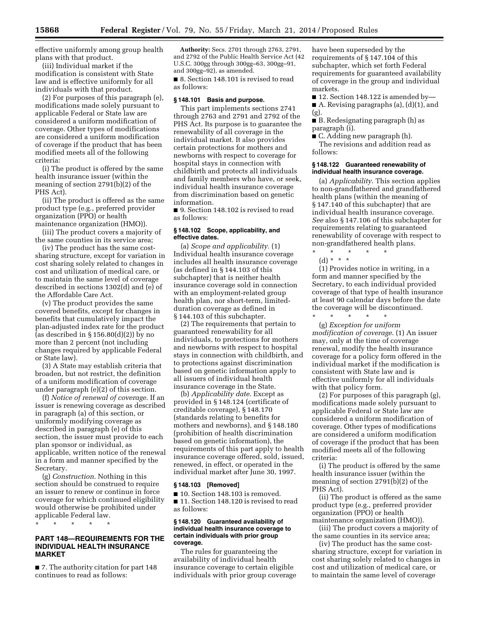effective uniformly among group health plans with that product.

(iii) Individual market if the modification is consistent with State law and is effective uniformly for all individuals with that product.

(2) For purposes of this paragraph (e), modifications made solely pursuant to applicable Federal or State law are considered a uniform modification of coverage. Other types of modifications are considered a uniform modification of coverage if the product that has been modified meets all of the following criteria:

(i) The product is offered by the same health insurance issuer (within the meaning of section 2791(b)(2) of the PHS Act).

(ii) The product is offered as the same product type (e.g., preferred provider organization (PPO) or health maintenance organization (HMO)).

(iii) The product covers a majority of the same counties in its service area;

(iv) The product has the same costsharing structure, except for variation in cost sharing solely related to changes in cost and utilization of medical care, or to maintain the same level of coverage described in sections 1302(d) and (e) of the Affordable Care Act.

(v) The product provides the same covered benefits, except for changes in benefits that cumulatively impact the plan-adjusted index rate for the product (as described in  $\S 156.80(d)(2)$ ) by no more than 2 percent (not including changes required by applicable Federal or State law).

(3) A State may establish criteria that broaden, but not restrict, the definition of a uniform modification of coverage under paragraph (e)(2) of this section.

(f) *Notice of renewal of coverage*. If an issuer is renewing coverage as described in paragraph (a) of this section, or uniformly modifying coverage as described in paragraph (e) of this section, the issuer must provide to each plan sponsor or individual, as applicable, written notice of the renewal in a form and manner specified by the Secretary.

(g) *Construction*. Nothing in this section should be construed to require an issuer to renew or continue in force coverage for which continued eligibility would otherwise be prohibited under applicable Federal law.

\* \* \* \* \*

# **PART 148—REQUIREMENTS FOR THE INDIVIDUAL HEALTH INSURANCE MARKET**

■ 7. The authority citation for part 148 continues to read as follows:

**Authority:** Secs. 2701 through 2763, 2791, and 2792 of the Public Health Service Act (42 U.S.C. 300gg through 300gg–63, 300gg–91, and 300gg–92), as amended.

■ 8. Section 148.101 is revised to read as follows:

#### **§ 148.101 Basis and purpose.**

This part implements sections 2741 through 2763 and 2791 and 2792 of the PHS Act. Its purpose is to guarantee the renewability of all coverage in the individual market. It also provides certain protections for mothers and newborns with respect to coverage for hospital stays in connection with childbirth and protects all individuals and family members who have, or seek, individual health insurance coverage from discrimination based on genetic information.

■ 9. Section 148.102 is revised to read as follows:

# **§ 148.102 Scope, applicability, and effective dates.**

(a) *Scope and applicability.* (1) Individual health insurance coverage includes all health insurance coverage (as defined in § 144.103 of this subchapter) that is neither health insurance coverage sold in connection with an employment-related group health plan, nor short-term, limitedduration coverage as defined in § 144.103 of this subchapter.

(2) The requirements that pertain to guaranteed renewability for all individuals, to protections for mothers and newborns with respect to hospital stays in connection with childbirth, and to protections against discrimination based on genetic information apply to all issuers of individual health insurance coverage in the State.

(b) *Applicability date*. Except as provided in § 148.124 (certificate of creditable coverage), § 148.170 (standards relating to benefits for mothers and newborns), and § 148.180 (prohibition of health discrimination based on genetic information), the requirements of this part apply to health insurance coverage offered, sold, issued, renewed, in effect, or operated in the individual market after June 30, 1997.

#### **§ 148.103 [Removed]**

■ 10. Section 148.103 is removed. ■ 11. Section 148.120 is revised to read as follows:

#### **§ 148.120 Guaranteed availability of individual health insurance coverage to certain individuals with prior group coverage.**

The rules for guaranteeing the availability of individual health insurance coverage to certain eligible individuals with prior group coverage have been superseded by the requirements of § 147.104 of this subchapter, which set forth Federal requirements for guaranteed availability of coverage in the group and individual markets.

 $\blacksquare$  12. Section 148.122 is amended by-A. Revising paragraphs (a),  $(d)(1)$ , and

(g).

■ B. Redesignating paragraph (h) as paragraph (i).

■ C. Adding new paragraph (h). The revisions and addition read as follows:

### **§ 148.122 Guaranteed renewability of individual health insurance coverage.**

(a) *Applicability*. This section applies to non-grandfathered and grandfathered health plans (within the meaning of § 147.140 of this subchapter) that are individual health insurance coverage. *See* also § 147.106 of this subchapter for requirements relating to guaranteed renewability of coverage with respect to non-grandfathered health plans.

(d) \* \* \*

\* \* \* \* \*

(1) Provides notice in writing, in a form and manner specified by the Secretary, to each individual provided coverage of that type of health insurance at least 90 calendar days before the date the coverage will be discontinued. \* \* \* \* \*

(g) *Exception for uniform modification of coverage*. (1) An issuer may, only at the time of coverage renewal, modify the health insurance coverage for a policy form offered in the individual market if the modification is consistent with State law and is effective uniformly for all individuals with that policy form.

(2) For purposes of this paragraph (g), modifications made solely pursuant to applicable Federal or State law are considered a uniform modification of coverage. Other types of modifications are considered a uniform modification of coverage if the product that has been modified meets all of the following criteria:

(i) The product is offered by the same health insurance issuer (within the meaning of section 2791(b)(2) of the PHS Act).

(ii) The product is offered as the same product type (e.g., preferred provider organization (PPO) or health maintenance organization (HMO)).

(iii) The product covers a majority of the same counties in its service area;

(iv) The product has the same costsharing structure, except for variation in cost sharing solely related to changes in cost and utilization of medical care, or to maintain the same level of coverage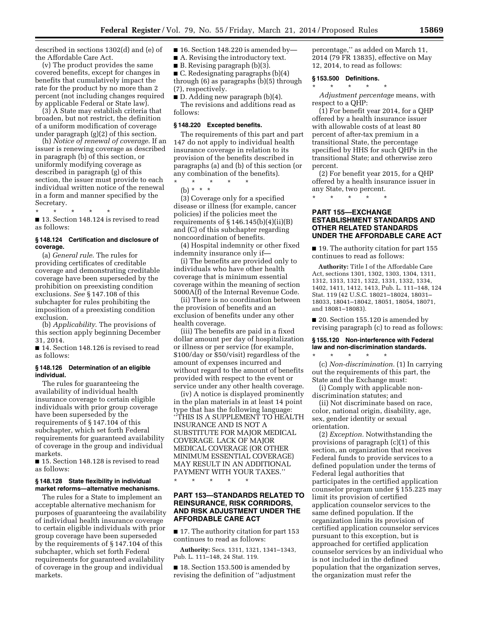described in sections 1302(d) and (e) of the Affordable Care Act.

(v) The product provides the same covered benefits, except for changes in benefits that cumulatively impact the rate for the product by no more than 2 percent (not including changes required by applicable Federal or State law).

(3) A State may establish criteria that broaden, but not restrict, the definition of a uniform modification of coverage under paragraph (g)(2) of this section.

(h) *Notice of renewal of coverage*. If an issuer is renewing coverage as described in paragraph (b) of this section, or uniformly modifying coverage as described in paragraph (g) of this section, the issuer must provide to each individual written notice of the renewal in a form and manner specified by the Secretary.

\* \* \* \* \*

■ 13. Section 148.124 is revised to read as follows:

# **§ 148.124 Certification and disclosure of coverage.**

(a) *General rule*. The rules for providing certificates of creditable coverage and demonstrating creditable coverage have been superseded by the prohibition on preexisting condition exclusions. *See* § 147.108 of this subchapter for rules prohibiting the imposition of a preexisting condition exclusion.

(b) *Applicability*. The provisions of this section apply beginning December 31, 2014.

■ 14. Section 148.126 is revised to read as follows:

# **§ 148.126 Determination of an eligible individual.**

The rules for guaranteeing the availability of individual health insurance coverage to certain eligible individuals with prior group coverage have been superseded by the requirements of § 147.104 of this subchapter, which set forth Federal requirements for guaranteed availability of coverage in the group and individual markets.

■ 15. Section 148.128 is revised to read as follows:

### **§ 148.128 State flexibility in individual market reforms—alternative mechanisms.**

The rules for a State to implement an acceptable alternative mechanism for purposes of guaranteeing the availability of individual health insurance coverage to certain eligible individuals with prior group coverage have been superseded by the requirements of § 147.104 of this subchapter, which set forth Federal requirements for guaranteed availability of coverage in the group and individual markets.

■ 16. Section 148.220 is amended by-

■ A. Revising the introductory text.

■ B. Revising paragraph (b)(3).

■ C. Redesignating paragraphs (b)(4) through (6) as paragraphs (b)(5) through (7), respectively.

■ D. Adding new paragraph (b)(4).

The revisions and additions read as follows:

#### **§ 148.220 Excepted benefits.**

The requirements of this part and part 147 do not apply to individual health insurance coverage in relation to its provision of the benefits described in paragraphs (a) and (b) of this section (or any combination of the benefits).

\* \* \* \* \* (b) \* \* \*

(3) Coverage only for a specified disease or illness (for example, cancer policies) if the policies meet the requirements of  $\S 146.145(b)(4)(ii)(B)$ and (C) of this subchapter regarding noncoordination of benefits.

(4) Hospital indemnity or other fixed indemnity insurance only if—

(i) The benefits are provided only to individuals who have other health coverage that is minimum essential coverage within the meaning of section 5000A(f) of the Internal Revenue Code.

(ii) There is no coordination between the provision of benefits and an exclusion of benefits under any other health coverage.

(iii) The benefits are paid in a fixed dollar amount per day of hospitalization or illness or per service (for example, \$100/day or \$50/visit) regardless of the amount of expenses incurred and without regard to the amount of benefits provided with respect to the event or service under any other health coverage.

(iv) A notice is displayed prominently in the plan materials in at least 14 point type that has the following language: ''THIS IS A SUPPLEMENT TO HEALTH INSURANCE AND IS NOT A SUBSTITUTE FOR MAJOR MEDICAL COVERAGE. LACK OF MAJOR MEDICAL COVERAGE (OR OTHER MINIMUM ESSENTIAL COVERAGE) MAY RESULT IN AN ADDITIONAL PAYMENT WITH YOUR TAXES.''

\* \* \* \* \*

# **PART 153—STANDARDS RELATED TO REINSURANCE, RISK CORRIDORS, AND RISK ADJUSTMENT UNDER THE AFFORDABLE CARE ACT**

■ 17. The authority citation for part 153 continues to read as follows:

**Authority:** Secs. 1311, 1321, 1341–1343, Pub. L. 111–148, 24 Stat. 119.

■ 18. Section 153.500 is amended by revising the definition of ''adjustment percentage,'' as added on March 11, 2014 (79 FR 13835), effective on May 12, 2014, to read as follows:

#### **§ 153.500 Definitions.**

\* \* \* \* \*

*Adjustment percentage* means, with respect to a QHP:

(1) For benefit year 2014, for a QHP offered by a health insurance issuer with allowable costs of at least 80 percent of after-tax premium in a transitional State, the percentage specified by HHS for such QHPs in the transitional State; and otherwise zero percent.

(2) For benefit year 2015, for a QHP offered by a health insurance issuer in any State, two percent.

\* \* \* \* \*

# **PART 155—EXCHANGE ESTABLISHMENT STANDARDS AND OTHER RELATED STANDARDS UNDER THE AFFORDABLE CARE ACT**

■ 19. The authority citation for part 155 continues to read as follows:

**Authority:** Title I of the Affordable Care Act, sections 1301, 1302, 1303, 1304, 1311, 1312, 1313, 1321, 1322, 1331, 1332, 1334, 1402, 1411, 1412, 1413, Pub. L. 111–148, 124 Stat. 119 (42 U.S.C. 18021–18024, 18031– 18033, 18041–18042, 18051, 18054, 18071, and 18081–18083).

■ 20. Section 155.120 is amended by revising paragraph (c) to read as follows:

# **§ 155.120 Non-interference with Federal law and non-discrimination standards.**

\* \* \* \* \* (c) *Non-discrimination.* (1) In carrying out the requirements of this part, the State and the Exchange must:

(i) Comply with applicable nondiscrimination statutes; and

(ii) Not discriminate based on race, color, national origin, disability, age, sex, gender identity or sexual orientation.

(2) *Exception.* Notwithstanding the provisions of paragraph (c)(1) of this section, an organization that receives Federal funds to provide services to a defined population under the terms of Federal legal authorities that participates in the certified application counselor program under § 155.225 may limit its provision of certified application counselor services to the same defined population. If the organization limits its provision of certified application counselor services pursuant to this exception, but is approached for certified application counselor services by an individual who is not included in the defined population that the organization serves, the organization must refer the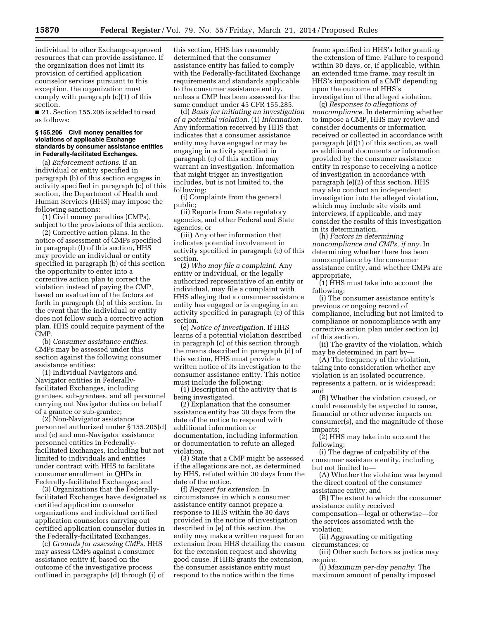individual to other Exchange-approved resources that can provide assistance. If the organization does not limit its provision of certified application counselor services pursuant to this exception, the organization must comply with paragraph (c)(1) of this section.

■ 21. Section 155.206 is added to read as follows:

### **§ 155.206 Civil money penalties for violations of applicable Exchange standards by consumer assistance entities in Federally-facilitated Exchanges.**

(a) *Enforcement actions.* If an individual or entity specified in paragraph (b) of this section engages in activity specified in paragraph (c) of this section, the Department of Health and Human Services (HHS) may impose the following sanctions:

(1) Civil money penalties (CMPs), subject to the provisions of this section.

(2) Corrective action plans. In the notice of assessment of CMPs specified in paragraph (l) of this section, HHS may provide an individual or entity specified in paragraph (b) of this section the opportunity to enter into a corrective action plan to correct the violation instead of paying the CMP, based on evaluation of the factors set forth in paragraph (h) of this section. In the event that the individual or entity does not follow such a corrective action plan, HHS could require payment of the CMP.

(b) *Consumer assistance entities.*  CMPs may be assessed under this section against the following consumer assistance entities:

(1) Individual Navigators and Navigator entities in Federallyfacilitated Exchanges, including grantees, sub-grantees, and all personnel carrying out Navigator duties on behalf of a grantee or sub-grantee;

(2) Non-Navigator assistance personnel authorized under § 155.205(d) and (e) and non-Navigator assistance personnel entities in Federallyfacilitated Exchanges, including but not limited to individuals and entities under contract with HHS to facilitate consumer enrollment in QHPs in Federally-facilitated Exchanges; and

(3) Organizations that the Federallyfacilitated Exchanges have designated as certified application counselor organizations and individual certified application counselors carrying out certified application counselor duties in the Federally-facilitated Exchanges.

(c) *Grounds for assessing CMPs.* HHS may assess CMPs against a consumer assistance entity if, based on the outcome of the investigative process outlined in paragraphs (d) through (i) of this section, HHS has reasonably determined that the consumer assistance entity has failed to comply with the Federally-facilitated Exchange requirements and standards applicable to the consumer assistance entity, unless a CMP has been assessed for the same conduct under 45 CFR 155.285.

(d) *Basis for initiating an investigation of a potential violation.* (1) *Information.*  Any information received by HHS that indicates that a consumer assistance entity may have engaged or may be engaging in activity specified in paragraph (c) of this section may warrant an investigation. Information that might trigger an investigation includes, but is not limited to, the following:

(i) Complaints from the general public;

(ii) Reports from State regulatory agencies, and other Federal and State agencies; or

(iii) Any other information that indicates potential involvement in activity specified in paragraph (c) of this section.

(2) *Who may file a complaint.* Any entity or individual, or the legally authorized representative of an entity or individual, may file a complaint with HHS alleging that a consumer assistance entity has engaged or is engaging in an activity specified in paragraph (c) of this section.

(e) *Notice of investigation.* If HHS learns of a potential violation described in paragraph (c) of this section through the means described in paragraph (d) of this section, HHS must provide a written notice of its investigation to the consumer assistance entity. This notice must include the following:

(1) Description of the activity that is being investigated.

(2) Explanation that the consumer assistance entity has 30 days from the date of the notice to respond with additional information or documentation, including information or documentation to refute an alleged violation.

(3) State that a CMP might be assessed if the allegations are not, as determined by HHS, refuted within 30 days from the date of the notice.

(f) *Request for extension.* In circumstances in which a consumer assistance entity cannot prepare a response to HHS within the 30 days provided in the notice of investigation described in (e) of this section, the entity may make a written request for an extension from HHS detailing the reason for the extension request and showing good cause. If HHS grants the extension, the consumer assistance entity must respond to the notice within the time

frame specified in HHS's letter granting the extension of time. Failure to respond within 30 days, or, if applicable, within an extended time frame, may result in HHS's imposition of a CMP depending upon the outcome of HHS's investigation of the alleged violation.

(g) *Responses to allegations of noncompliance.* In determining whether to impose a CMP, HHS may review and consider documents or information received or collected in accordance with paragraph (d)(1) of this section, as well as additional documents or information provided by the consumer assistance entity in response to receiving a notice of investigation in accordance with paragraph (e)(2) of this section. HHS may also conduct an independent investigation into the alleged violation, which may include site visits and interviews, if applicable, and may consider the results of this investigation in its determination.

(h) *Factors in determining noncompliance and CMPs, if any.* In determining whether there has been noncompliance by the consumer assistance entity, and whether CMPs are appropriate,

(1) HHS must take into account the following:

(i) The consumer assistance entity's previous or ongoing record of compliance, including but not limited to compliance or noncompliance with any corrective action plan under section (c) of this section.

(ii) The gravity of the violation, which may be determined in part by—

(A) The frequency of the violation, taking into consideration whether any violation is an isolated occurrence, represents a pattern, or is widespread; and

(B) Whether the violation caused, or could reasonably be expected to cause, financial or other adverse impacts on consumer(s), and the magnitude of those impacts;

(2) HHS may take into account the following:

(i) The degree of culpability of the consumer assistance entity, including but not limited to—

(A) Whether the violation was beyond the direct control of the consumer assistance entity; and

(B) The extent to which the consumer assistance entity received compensation—legal or otherwise—for the services associated with the violation;

(ii) Aggravating or mitigating circumstances; or

(iii) Other such factors as justice may require.

(i) *Maximum per-day penalty.* The maximum amount of penalty imposed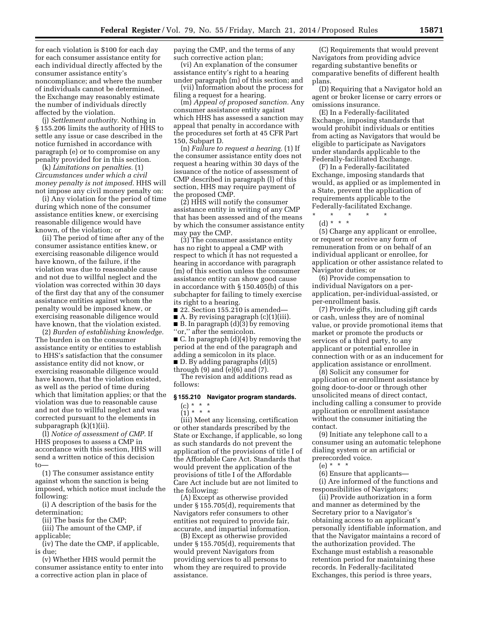for each violation is \$100 for each day for each consumer assistance entity for each individual directly affected by the consumer assistance entity's noncompliance; and where the number of individuals cannot be determined, the Exchange may reasonably estimate the number of individuals directly affected by the violation.

(j) *Settlement authority.* Nothing in § 155.206 limits the authority of HHS to settle any issue or case described in the notice furnished in accordance with paragraph (e) or to compromise on any penalty provided for in this section.

(k) *Limitations on penalties.* (1) *Circumstances under which a civil money penalty is not imposed.* HHS will not impose any civil money penalty on:

(i) Any violation for the period of time during which none of the consumer assistance entities knew, or exercising reasonable diligence would have known, of the violation; or

(ii) The period of time after any of the consumer assistance entities knew, or exercising reasonable diligence would have known, of the failure, if the violation was due to reasonable cause and not due to willful neglect and the violation was corrected within 30 days of the first day that any of the consumer assistance entities against whom the penalty would be imposed knew, or exercising reasonable diligence would have known, that the violation existed.

(2) *Burden of establishing knowledge.*  The burden is on the consumer assistance entity or entities to establish to HHS's satisfaction that the consumer assistance entity did not know, or exercising reasonable diligence would have known, that the violation existed, as well as the period of time during which that limitation applies; or that the violation was due to reasonable cause and not due to willful neglect and was corrected pursuant to the elements in subparagraph (k)(1)(ii).

(l) *Notice of assessment of CMP.* If HHS proposes to assess a CMP in accordance with this section, HHS will send a written notice of this decision to—

(1) The consumer assistance entity against whom the sanction is being imposed, which notice must include the following:

(i) A description of the basis for the determination;

(ii) The basis for the CMP;

(iii) The amount of the CMP, if applicable;

(iv) The date the CMP, if applicable, is due;

(v) Whether HHS would permit the consumer assistance entity to enter into a corrective action plan in place of

paying the CMP, and the terms of any such corrective action plan;

(vi) An explanation of the consumer assistance entity's right to a hearing under paragraph (m) of this section; and

(vii) Information about the process for filing a request for a hearing.

(m) *Appeal of proposed sanction.* Any consumer assistance entity against which HHS has assessed a sanction may appeal that penalty in accordance with the procedures set forth at 45 CFR Part 150, Subpart D.

(n) *Failure to request a hearing.* (1) If the consumer assistance entity does not request a hearing within 30 days of the issuance of the notice of assessment of CMP described in paragraph (l) of this section, HHS may require payment of the proposed CMP.

(2) HHS will notify the consumer assistance entity in writing of any CMP that has been assessed and of the means by which the consumer assistance entity may pay the CMP.

(3) The consumer assistance entity has no right to appeal a CMP with respect to which it has not requested a hearing in accordance with paragraph (m) of this section unless the consumer assistance entity can show good cause in accordance with § 150.405(b) of this subchapter for failing to timely exercise its right to a hearing.

■ 22. Section 155.210 is amended—

■ A. By revising paragraph (c)(1)(iii). ■ B. In paragraph (d)(3) by removing ''or,'' after the semicolon.

■ C. In paragraph (d)(4) by removing the period at the end of the paragraph and adding a semicolon in its place. ■ D. By adding paragraphs (d)(5)

through (9) and (e)(6) and (7).

The revision and additions read as follows:

#### **§ 155.210 Navigator program standards.**

# $(c) * * * *$

 $(1) * * * *$ 

(iii) Meet any licensing, certification or other standards prescribed by the State or Exchange, if applicable, so long as such standards do not prevent the application of the provisions of title I of the Affordable Care Act. Standards that would prevent the application of the provisions of title I of the Affordable Care Act include but are not limited to the following:

(A) Except as otherwise provided under § 155.705(d), requirements that Navigators refer consumers to other entities not required to provide fair, accurate, and impartial information.

(B) Except as otherwise provided under § 155.705(d), requirements that would prevent Navigators from providing services to all persons to whom they are required to provide assistance.

(C) Requirements that would prevent Navigators from providing advice regarding substantive benefits or comparative benefits of different health plans.

(D) Requiring that a Navigator hold an agent or broker license or carry errors or omissions insurance.

(E) In a Federally-facilitated Exchange, imposing standards that would prohibit individuals or entities from acting as Navigators that would be eligible to participate as Navigators under standards applicable to the Federally-facilitated Exchange.

(F) In a Federally-facilitated Exchange, imposing standards that would, as applied or as implemented in a State, prevent the application of requirements applicable to the Federally-facilitated Exchange.

\* \* \* \* \* (d) \* \* \*

(5) Charge any applicant or enrollee, or request or receive any form of remuneration from or on behalf of an individual applicant or enrollee, for application or other assistance related to Navigator duties; or

(6) Provide compensation to individual Navigators on a perapplication, per-individual-assisted, or per-enrollment basis.

(7) Provide gifts, including gift cards or cash, unless they are of nominal value, or provide promotional items that market or promote the products or services of a third party, to any applicant or potential enrollee in connection with or as an inducement for application assistance or enrollment.

(8) Solicit any consumer for application or enrollment assistance by going door-to-door or through other unsolicited means of direct contact, including calling a consumer to provide application or enrollment assistance without the consumer initiating the contact.

(9) Initiate any telephone call to a consumer using an automatic telephone dialing system or an artificial or prerecorded voice.

(e) \* \* \*

(6) Ensure that applicants—

(i) Are informed of the functions and responsibilities of Navigators;

(ii) Provide authorization in a form and manner as determined by the Secretary prior to a Navigator's obtaining access to an applicant's personally identifiable information, and that the Navigator maintains a record of the authorization provided. The Exchange must establish a reasonable retention period for maintaining these records. In Federally-facilitated Exchanges, this period is three years,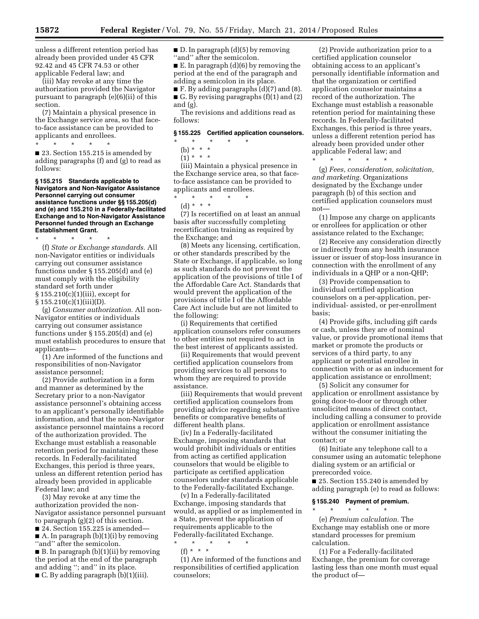unless a different retention period has already been provided under 45 CFR 92.42 and 45 CFR 74.53 or other applicable Federal law; and

(iii) May revoke at any time the authorization provided the Navigator pursuant to paragraph (e)(6)(ii) of this section.

(7) Maintain a physical presence in the Exchange service area, so that faceto-face assistance can be provided to applicants and enrollees.

\* \* \* \* \*

■ 23. Section 155.215 is amended by adding paragraphs (f) and (g) to read as follows:

#### **§ 155.215 Standards applicable to Navigators and Non-Navigator Assistance Personnel carrying out consumer assistance functions under §§ 155.205(d) and (e) and 155.210 in a Federally-facilitated Exchange and to Non-Navigator Assistance Personnel funded through an Exchange Establishment Grant.**

\* \* \* \* \*

(f) *State or Exchange standards.* All non-Navigator entities or individuals carrying out consumer assistance functions under § 155.205(d) and (e) must comply with the eligibility standard set forth under § 155.210(c)(1)(iii), except for  $§ 155.210(c)(1)(iii)(D).$ 

(g) *Consumer authorization.* All non-Navigator entities or individuals carrying out consumer assistance functions under § 155.205(d) and (e) must establish procedures to ensure that applicants—

(1) Are informed of the functions and responsibilities of non-Navigator assistance personnel;

(2) Provide authorization in a form and manner as determined by the Secretary prior to a non-Navigator assistance personnel's obtaining access to an applicant's personally identifiable information, and that the non-Navigator assistance personnel maintains a record of the authorization provided. The Exchange must establish a reasonable retention period for maintaining these records. In Federally-facilitated Exchanges, this period is three years, unless an different retention period has already been provided in applicable Federal law; and

(3) May revoke at any time the authorization provided the non-Navigator assistance personnel pursuant to paragraph (g)(2) of this section.

■ 24. Section 155.225 is amended–

A. In paragraph  $(b)(1)(i)$  by removing ''and'' after the semicolon.

■ B. In paragraph (b)(1)(ii) by removing the period at the end of the paragraph and adding ''; and'' in its place. ■ C. By adding paragraph (b)(1)(iii).

■ D. In paragraph (d)(5) by removing ''and'' after the semicolon.

 $\blacksquare$  E. In paragraph (d)(6) by removing the period at the end of the paragraph and adding a semicolon in its place.

■ F. By adding paragraphs (d)(7) and (8).  $\blacksquare$  G. By revising paragraphs (f)(1) and (2) and (g).

The revisions and additions read as follows:

### **§ 155.225 Certified application counselors.**

- \* \* \* \* \*
- (b) \* \* \*
- $(1) * * * *$

(iii) Maintain a physical presence in the Exchange service area, so that faceto-face assistance can be provided to applicants and enrollees.

 $\star$   $\star$   $\star$ 

(d) \* \* \*

(7) Is recertified on at least an annual basis after successfully completing recertification training as required by the Exchange; and

(8) Meets any licensing, certification, or other standards prescribed by the State or Exchange, if applicable, so long as such standards do not prevent the application of the provisions of title I of the Affordable Care Act. Standards that would prevent the application of the provisions of title I of the Affordable Care Act include but are not limited to the following:

(i) Requirements that certified application counselors refer consumers to other entities not required to act in the best interest of applicants assisted.

(ii) Requirements that would prevent certified application counselors from providing services to all persons to whom they are required to provide assistance.

(iii) Requirements that would prevent certified application counselors from providing advice regarding substantive benefits or comparative benefits of different health plans.

(iv) In a Federally-facilitated Exchange, imposing standards that would prohibit individuals or entities from acting as certified application counselors that would be eligible to participate as certified application counselors under standards applicable to the Federally-facilitated Exchange.

(v) In a Federally-facilitated Exchange, imposing standards that would, as applied or as implemented in a State, prevent the application of requirements applicable to the Federally-facilitated Exchange.

\* \* \* \* \* (f) \* \* \*

(1) Are informed of the functions and responsibilities of certified application counselors;

(2) Provide authorization prior to a certified application counselor obtaining access to an applicant's personally identifiable information and that the organization or certified application counselor maintains a record of the authorization. The Exchange must establish a reasonable retention period for maintaining these records. In Federally-facilitated Exchanges, this period is three years, unless a different retention period has already been provided under other applicable Federal law; and \* \* \* \* \*

(g) *Fees, consideration, solicitation, and marketing.* Organizations designated by the Exchange under paragraph (b) of this section and certified application counselors must not—

(1) Impose any charge on applicants or enrollees for application or other assistance related to the Exchange;

(2) Receive any consideration directly or indirectly from any health insurance issuer or issuer of stop-loss insurance in connection with the enrollment of any individuals in a QHP or a non-QHP;

(3) Provide compensation to individual certified application counselors on a per-application, perindividual- assisted, or per-enrollment basis;

(4) Provide gifts, including gift cards or cash, unless they are of nominal value, or provide promotional items that market or promote the products or services of a third party, to any applicant or potential enrollee in connection with or as an inducement for application assistance or enrollment;

(5) Solicit any consumer for application or enrollment assistance by going door-to-door or through other unsolicited means of direct contact, including calling a consumer to provide application or enrollment assistance without the consumer initiating the contact; or

(6) Initiate any telephone call to a consumer using an automatic telephone dialing system or an artificial or prerecorded voice.

■ 25. Section 155.240 is amended by adding paragraph (e) to read as follows:

# **§ 155.240 Payment of premium.**

\* \* \* \* \*

(e) *Premium calculation.* The Exchange may establish one or more standard processes for premium calculation.

(1) For a Federally-facilitated Exchange, the premium for coverage lasting less than one month must equal the product of—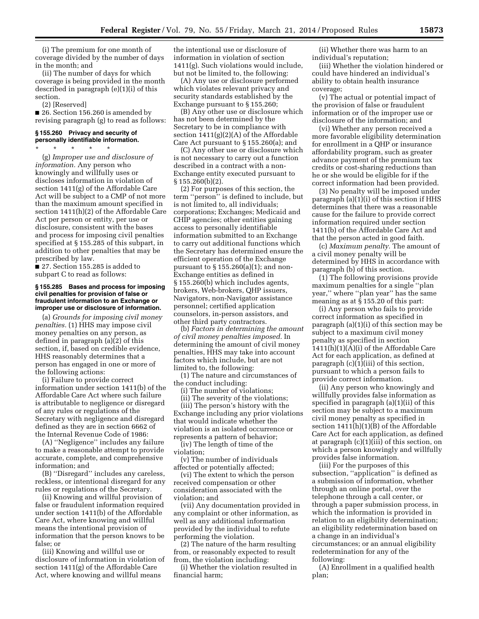(i) The premium for one month of coverage divided by the number of days in the month; and

(ii) The number of days for which coverage is being provided in the month described in paragraph (e)(1)(i) of this section.

(2) [Reserved]

■ 26. Section 156.260 is amended by revising paragraph (g) to read as follows:

# **§ 155.260 Privacy and security of personally identifiable information.**

\* \* \* \* \* (g) *Improper use and disclosure of information.* Any person who knowingly and willfully uses or discloses information in violation of section 1411(g) of the Affordable Care Act will be subject to a CMP of not more than the maximum amount specified in section 1411(h)(2) of the Affordable Care Act per person or entity, per use or disclosure, consistent with the bases and process for imposing civil penalties specified at § 155.285 of this subpart, in addition to other penalties that may be prescribed by law.

■ 27. Section 155.285 is added to subpart C to read as follows:

#### **§ 155.285 Bases and process for imposing civil penalties for provision of false or fraudulent information to an Exchange or improper use or disclosure of information.**

(a) *Grounds for imposing civil money penalties.* (1) HHS may impose civil money penalties on any person, as defined in paragraph (a)(2) of this section, if, based on credible evidence, HHS reasonably determines that a person has engaged in one or more of the following actions:

(i) Failure to provide correct information under section 1411(b) of the Affordable Care Act where such failure is attributable to negligence or disregard of any rules or regulations of the Secretary with negligence and disregard defined as they are in section 6662 of the Internal Revenue Code of 1986:

(A) ''Negligence'' includes any failure to make a reasonable attempt to provide accurate, complete, and comprehensive information; and

(B) ''Disregard'' includes any careless, reckless, or intentional disregard for any rules or regulations of the Secretary.

(ii) Knowing and willful provision of false or fraudulent information required under section 1411(b) of the Affordable Care Act, where knowing and willful means the intentional provision of information that the person knows to be false; or

(iii) Knowing and willful use or disclosure of information in violation of section 1411(g) of the Affordable Care Act, where knowing and willful means

the intentional use or disclosure of information in violation of section 1411(g). Such violations would include, but not be limited to, the following:

(A) Any use or disclosure performed which violates relevant privacy and security standards established by the Exchange pursuant to § 155.260;

(B) Any other use or disclosure which has not been determined by the Secretary to be in compliance with section  $1411(g)(2)(A)$  of the Affordable Care Act pursuant to § 155.260(a); and

(C) Any other use or disclosure which is not necessary to carry out a function described in a contract with a non-Exchange entity executed pursuant to  $§ 155.260(b)(2).$ 

(2) For purposes of this section, the term ''person'' is defined to include, but is not limited to, all individuals; corporations; Exchanges; Medicaid and CHIP agencies; other entities gaining access to personally identifiable information submitted to an Exchange to carry out additional functions which the Secretary has determined ensure the efficient operation of the Exchange pursuant to § 155.260(a)(1); and non-Exchange entities as defined in § 155.260(b) which includes agents, brokers, Web-brokers, QHP issuers, Navigators, non-Navigator assistance personnel; certified application counselors, in-person assistors, and other third party contractors.

(b) *Factors in determining the amount of civil money penalties imposed.* In determining the amount of civil money penalties, HHS may take into account factors which include, but are not limited to, the following:

(1) The nature and circumstances of the conduct including:

(i) The number of violations;

(ii) The severity of the violations; (iii) The person's history with the

Exchange including any prior violations that would indicate whether the violation is an isolated occurrence or represents a pattern of behavior;

(iv) The length of time of the violation;

(v) The number of individuals affected or potentially affected;

(vi) The extent to which the person received compensation or other consideration associated with the violation; and

(vii) Any documentation provided in any complaint or other information, as well as any additional information provided by the individual to refute performing the violation.

(2) The nature of the harm resulting from, or reasonably expected to result from, the violation including:

(i) Whether the violation resulted in financial harm;

(ii) Whether there was harm to an individual's reputation;

(iii) Whether the violation hindered or could have hindered an individual's ability to obtain health insurance coverage;

(v) The actual or potential impact of the provision of false or fraudulent information or of the improper use or disclosure of the information; and

(vi) Whether any person received a more favorable eligibility determination for enrollment in a QHP or insurance affordability program, such as greater advance payment of the premium tax credits or cost-sharing reductions than he or she would be eligible for if the correct information had been provided.

(3) No penalty will be imposed under paragraph (a)(1)(i) of this section if HHS determines that there was a reasonable cause for the failure to provide correct information required under section 1411(b) of the Affordable Care Act and that the person acted in good faith.

(c) *Maximum penalty.* The amount of a civil money penalty will be determined by HHS in accordance with paragraph (b) of this section.

(1) The following provisions provide maximum penalties for a single ''plan year,'' where ''plan year'' has the same meaning as at § 155.20 of this part:

(i) Any person who fails to provide correct information as specified in paragraph (a)(1)(i) of this section may be subject to a maximum civil money penalty as specified in section 1411(h)(1)(A)(i) of the Affordable Care Act for each application, as defined at paragraph (c)(1)(iii) of this section, pursuant to which a person fails to provide correct information.

(ii) Any person who knowingly and willfully provides false information as specified in paragraph (a)(1)(ii) of this section may be subject to a maximum civil money penalty as specified in section 1411(h)(1)(B) of the Affordable Care Act for each application, as defined at paragraph (c)(1)(iii) of this section, on which a person knowingly and willfully provides false information.

(iii) For the purposes of this subsection, "application" is defined as a submission of information, whether through an online portal, over the telephone through a call center, or through a paper submission process, in which the information is provided in relation to an eligibility determination; an eligibility redetermination based on a change in an individual's circumstances; or an annual eligibility redetermination for any of the following:

(A) Enrollment in a qualified health plan;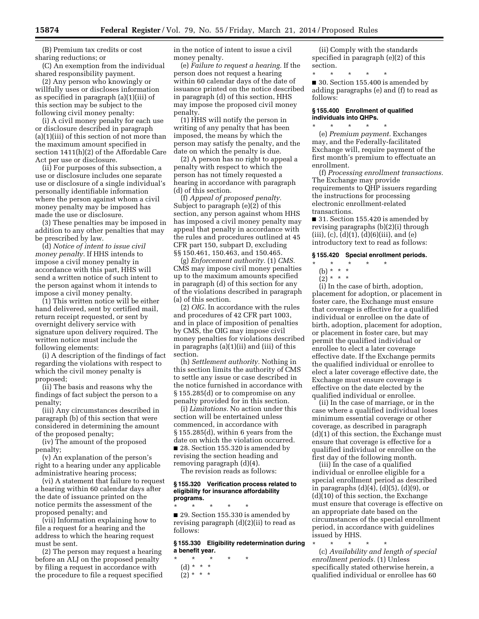(B) Premium tax credits or cost sharing reductions; or

(C) An exemption from the individual shared responsibility payment.

(2) Any person who knowingly or willfully uses or discloses information as specified in paragraph (a)(1)(iii) of this section may be subject to the following civil money penalty:

(i) A civil money penalty for each use or disclosure described in paragraph (a)(1)(iii) of this section of not more than the maximum amount specified in section 1411(h)(2) of the Affordable Care Act per use or disclosure.

(ii) For purposes of this subsection, a use or disclosure includes one separate use or disclosure of a single individual's personally identifiable information where the person against whom a civil money penalty may be imposed has made the use or disclosure.

(3) These penalties may be imposed in addition to any other penalties that may be prescribed by law.

(d) *Notice of intent to issue civil money penalty.* If HHS intends to impose a civil money penalty in accordance with this part, HHS will send a written notice of such intent to the person against whom it intends to impose a civil money penalty.

(1) This written notice will be either hand delivered, sent by certified mail, return receipt requested, or sent by overnight delivery service with signature upon delivery required. The written notice must include the following elements:

(i) A description of the findings of fact regarding the violations with respect to which the civil money penalty is proposed;

(ii) The basis and reasons why the findings of fact subject the person to a penalty;

(iii) Any circumstances described in paragraph (b) of this section that were considered in determining the amount of the proposed penalty;

(iv) The amount of the proposed penalty;

(v) An explanation of the person's right to a hearing under any applicable administrative hearing process;

(vi) A statement that failure to request a hearing within 60 calendar days after the date of issuance printed on the notice permits the assessment of the proposed penalty; and

(vii) Information explaining how to file a request for a hearing and the address to which the hearing request must be sent.

(2) The person may request a hearing before an ALJ on the proposed penalty by filing a request in accordance with the procedure to file a request specified in the notice of intent to issue a civil money penalty.

(e) *Failure to request a hearing.* If the person does not request a hearing within 60 calendar days of the date of issuance printed on the notice described in paragraph (d) of this section, HHS may impose the proposed civil money penalty.

(1) HHS will notify the person in writing of any penalty that has been imposed, the means by which the person may satisfy the penalty, and the date on which the penalty is due.

(2) A person has no right to appeal a penalty with respect to which the person has not timely requested a hearing in accordance with paragraph (d) of this section.

(f) *Appeal of proposed penalty.*  Subject to paragraph (e)(2) of this section, any person against whom HHS has imposed a civil money penalty may appeal that penalty in accordance with the rules and procedures outlined at 45 CFR part 150, subpart D, excluding §§ 150.461, 150.463, and 150.465.

(g) *Enforcement authority.* (1) *CMS.*  CMS may impose civil money penalties up to the maximum amounts specified in paragraph (d) of this section for any of the violations described in paragraph (a) of this section.

(2) *OIG.* In accordance with the rules and procedures of 42 CFR part 1003, and in place of imposition of penalties by CMS, the OIG may impose civil money penalties for violations described in paragraphs (a)(1)(ii) and (iii) of this section.

(h) *Settlement authority.* Nothing in this section limits the authority of CMS to settle any issue or case described in the notice furnished in accordance with § 155.285(d) or to compromise on any penalty provided for in this section.

(i) *Limitations.* No action under this section will be entertained unless commenced, in accordance with § 155.285(d), within 6 years from the date on which the violation occurred. ■ 28. Section 155.320 is amended by revising the section heading and removing paragraph (d)(4).

The revision reads as follows:

# **§ 155.320 Verification process related to eligibility for insurance affordability programs.**

\* \* \* \* \* ■ 29. Section 155.330 is amended by revising paragraph (d)(2)(ii) to read as follows:

**§ 155.330 Eligibility redetermination during a benefit year.** 

- \* \* \* \* \*
	- (d) \* \* \*
	- $(2) * * * *$

(ii) Comply with the standards specified in paragraph (e)(2) of this section.

\* \* \* \* \* ■ 30. Section 155.400 is amended by adding paragraphs (e) and (f) to read as follows:

# **§ 155.400 Enrollment of qualified individuals into QHPs.**

\* \* \* \* \* (e) *Premium payment.* Exchanges may, and the Federally-facilitated Exchange will, require payment of the first month's premium to effectuate an enrollment.

(f) *Processing enrollment transactions.*  The Exchange may provide requirements to QHP issuers regarding the instructions for processing electronic enrollment-related transactions.

■ 31. Section 155.420 is amended by revising paragraphs (b)(2)(i) through  $(iii)$ ,  $(c)$ ,  $(d)(1)$ ,  $(d)(6)(iii)$ , and  $(e)$ introductory text to read as follows:

#### **§ 155.420 Special enrollment periods.**

# \* \* \* \* \*

- (b) \* \* \*
- $(2)^*$  \* \* \*

(i) In the case of birth, adoption, placement for adoption, or placement in foster care, the Exchange must ensure that coverage is effective for a qualified individual or enrollee on the date of birth, adoption, placement for adoption, or placement in foster care, but may permit the qualified individual or enrollee to elect a later coverage effective date. If the Exchange permits the qualified individual or enrollee to elect a later coverage effective date, the Exchange must ensure coverage is effective on the date elected by the qualified individual or enrollee.

(ii) In the case of marriage, or in the case where a qualified individual loses minimum essential coverage or other coverage, as described in paragraph (d)(1) of this section, the Exchange must ensure that coverage is effective for a qualified individual or enrollee on the first day of the following month.

(iii) In the case of a qualified individual or enrollee eligible for a special enrollment period as described in paragraphs  $(d)(4)$ ,  $(d)(5)$ ,  $(d)(9)$ , or (d)(10) of this section, the Exchange must ensure that coverage is effective on an appropriate date based on the circumstances of the special enrollment period, in accordance with guidelines issued by HHS.

\* \* \* \* \* (c) *Availability and length of special enrollment periods.* (1) Unless specifically stated otherwise herein, a qualified individual or enrollee has 60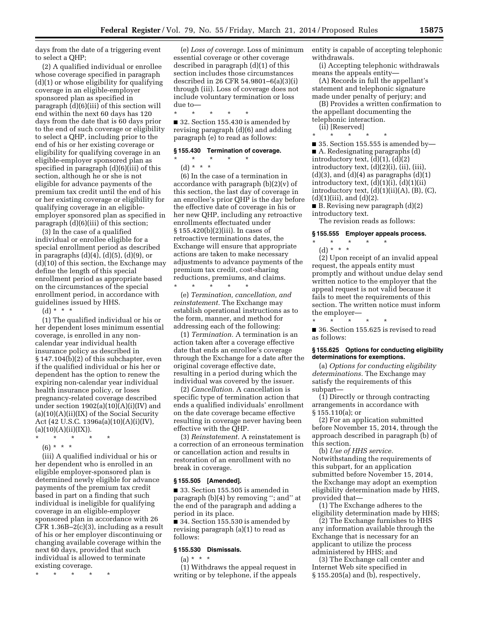days from the date of a triggering event to select a QHP;

(2) A qualified individual or enrollee whose coverage specified in paragraph (d)(1) or whose eligibility for qualifying coverage in an eligible-employer sponsored plan as specified in paragraph (d)(6)(iii) of this section will end within the next 60 days has 120 days from the date that is 60 days prior to the end of such coverage or eligibility to select a QHP, including prior to the end of his or her existing coverage or eligibility for qualifying coverage in an eligible-employer sponsored plan as specified in paragraph (d)(6)(iii) of this section, although he or she is not eligible for advance payments of the premium tax credit until the end of his or her existing coverage or eligibility for qualifying coverage in an eligibleemployer sponsored plan as specified in paragraph (d)(6)(iii) of this section;

(3) In the case of a qualified individual or enrollee eligible for a special enrollment period as described in paragraphs (d)(4), (d)(5), (d)(9), or (d)(10) of this section, the Exchange may define the length of this special enrollment period as appropriate based on the circumstances of the special enrollment period, in accordance with guidelines issued by HHS.

 $(d) * * * *$ 

(1) The qualified individual or his or her dependent loses minimum essential coverage, is enrolled in any noncalendar year individual health insurance policy as described in § 147.104(b)(2) of this subchapter, even if the qualified individual or his her or dependent has the option to renew the expiring non-calendar year individual health insurance policy, or loses pregnancy-related coverage described under section  $1902(a)(10)(A)(i)(IV)$  and  $(a)(10)(A)(ii)(IX)$  of the Social Security Act (42 U.S.C. 1396a(a)(10)(A)(i)(IV),  $(a)(10)(A)(ii)(IX)).$ 

- \* \* \* \* \*
	- (6) \* \* \*

(iii) A qualified individual or his or her dependent who is enrolled in an eligible employer-sponsored plan is determined newly eligible for advance payments of the premium tax credit based in part on a finding that such individual is ineligible for qualifying coverage in an eligible-employer sponsored plan in accordance with 26 CFR 1.36B–2(c)(3), including as a result of his or her employer discontinuing or changing available coverage within the next 60 days, provided that such individual is allowed to terminate existing coverage.

\* \* \* \* \*

(e) *Loss of coverage.* Loss of minimum essential coverage or other coverage described in paragraph (d)(1) of this section includes those circumstances described in 26 CFR 54.9801–6(a)(3)(i) through (iii). Loss of coverage does not include voluntary termination or loss due to—

\* \* \* \* \* ■ 32. Section 155.430 is amended by revising paragraph (d)(6) and adding paragraph (e) to read as follows:

#### **§ 155.430 Termination of coverage.**

\* \* \* \* \*

(d) \* \* \* (6) In the case of a termination in accordance with paragraph (b)(2)(v) of this section, the last day of coverage in an enrollee's prior QHP is the day before the effective date of coverage in his or her new QHP, including any retroactive enrollments effectuated under § 155.420(b)(2)(iii). In cases of retroactive terminations dates, the Exchange will ensure that appropriate actions are taken to make necessary adjustments to advance payments of the premium tax credit, cost-sharing reductions, premiums, and claims. \* \* \* \* \*

(e) *Termination, cancellation, and reinstatement.* The Exchange may establish operational instructions as to the form, manner, and method for addressing each of the following:

(1) *Termination.* A termination is an action taken after a coverage effective date that ends an enrollee's coverage through the Exchange for a date after the original coverage effective date, resulting in a period during which the individual was covered by the issuer.

(2) *Cancellation.* A cancellation is specific type of termination action that ends a qualified individuals' enrollment on the date coverage became effective resulting in coverage never having been effective with the QHP.

(3) *Reinstatement.* A reinstatement is a correction of an erroneous termination or cancellation action and results in restoration of an enrollment with no break in coverage.

## **§ 155.505 [Amended].**

■ 33. Section 155.505 is amended in paragraph (b)(4) by removing ''; and'' at the end of the paragraph and adding a period in its place.

■ 34. Section 155.530 is amended by revising paragraph (a)(1) to read as follows:

#### **§ 155.530 Dismissals.**

 $(a) * * * *$ 

(1) Withdraws the appeal request in writing or by telephone, if the appeals entity is capable of accepting telephonic withdrawals.

(i) Accepting telephonic withdrawals means the appeals entity—

(A) Records in full the appellant's statement and telephonic signature made under penalty of perjury; and

(B) Provides a written confirmation to the appellant documenting the telephonic interaction.

(ii) [Reserved]

\* \* \* \* \*  $\blacksquare$  35. Section 155.555 is amended by-■ A. Redesignating paragraphs (d) introductory text,  $(d)(1)$ ,  $(d)(2)$ introductory text, (d)(2)(i), (ii), (iii),  $(d)(3)$ , and  $(d)(4)$  as paragraphs  $(d)(1)$ introductory text,  $(d)(1)(i)$ ,  $(d)(1)(ii)$ introductory text,  $(d)(1)(ii)(A)$ ,  $(B)$ ,  $(C)$ ,  $(d)(1)(iii)$ , and  $(d)(2)$ .

■ B. Revising new paragraph (d)(2) introductory text.

The revision reads as follows:

#### **§ 155.555 Employer appeals process.**

 $*$  \* (d) \* \* \*

(2) Upon receipt of an invalid appeal request, the appeals entity must promptly and without undue delay send written notice to the employer that the appeal request is not valid because it fails to meet the requirements of this section. The written notice must inform the employer—

\* \* \* \* \* ■ 36. Section 155.625 is revised to read as follows:

#### **§ 155.625 Options for conducting eligibility determinations for exemptions.**

(a) *Options for conducting eligibility determinations.* The Exchange may satisfy the requirements of this subpart—

(1) Directly or through contracting arrangements in accordance with § 155.110(a); or

(2) For an application submitted before November 15, 2014, through the approach described in paragraph (b) of this section.

(b) *Use of HHS service.*  Notwithstanding the requirements of this subpart, for an application submitted before November 15, 2014, the Exchange may adopt an exemption eligibility determination made by HHS, provided that—

(1) The Exchange adheres to the eligibility determination made by HHS;

(2) The Exchange furnishes to HHS any information available through the Exchange that is necessary for an applicant to utilize the process administered by HHS; and

(3) The Exchange call center and Internet Web site specified in § 155.205(a) and (b), respectively,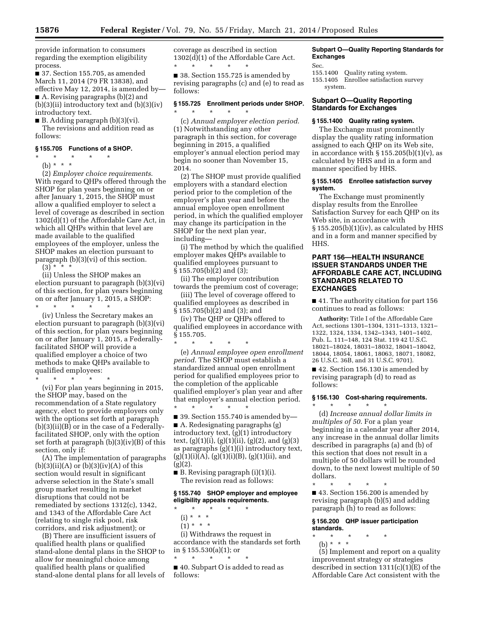provide information to consumers regarding the exemption eligibility process.

■ 37. Section 155.705, as amended March 11, 2014 (79 FR 13838), and effective May 12, 2014, is amended by— ■ A. Revising paragraphs (b)(2) and  $(b)(3)(ii)$  introductory text and  $(b)(3)(iv)$ introductory text.

■ B. Adding paragraph (b)(3)(vi).

The revisions and addition read as follows:

# **§ 155.705 Functions of a SHOP.**

\* \* \* \* \* (b) \* \* \*

(2) *Employer choice requirements*. With regard to QHPs offered through the SHOP for plan years beginning on or after January 1, 2015, the SHOP must allow a qualified employer to select a level of coverage as described in section 1302(d)(1) of the Affordable Care Act, in which all QHPs within that level are made available to the qualified employees of the employer, unless the SHOP makes an election pursuant to paragraph (b)(3)(vi) of this section.

 $(3)^{x}$  \* \* \*

(ii) Unless the SHOP makes an election pursuant to paragraph (b)(3)(vi) of this section, for plan years beginning on or after January 1, 2015, a SHOP:

\* \* \* \* \*

(iv) Unless the Secretary makes an election pursuant to paragraph (b)(3)(vi) of this section, for plan years beginning on or after January 1, 2015, a Federallyfacilitated SHOP will provide a qualified employer a choice of two methods to make QHPs available to qualified employees:

\* \* \* \* \*

(vi) For plan years beginning in 2015, the SHOP may, based on the recommendation of a State regulatory agency, elect to provide employers only with the options set forth at paragraph (b)(3)(ii)(B) or in the case of a Federallyfacilitated SHOP, only with the option set forth at paragraph (b)(3)(iv)(B) of this section, only if:

(A) The implementation of paragraphs  $(b)(3)(ii)(A)$  or  $(b)(3)(iv)(A)$  of this section would result in significant adverse selection in the State's small group market resulting in market disruptions that could not be remediated by sections 1312(c), 1342, and 1343 of the Affordable Care Act (relating to single risk pool, risk corridors, and risk adjustment); or

(B) There are insufficient issuers of qualified health plans or qualified stand-alone dental plans in the SHOP to allow for meaningful choice among qualified health plans or qualified stand-alone dental plans for all levels of coverage as described in section 1302(d)(1) of the Affordable Care Act. \* \* \* \* \*

■ 38. Section 155.725 is amended by revising paragraphs (c) and (e) to read as follows:

# **§ 155.725 Enrollment periods under SHOP.**  \* \* \* \* \*

(c) *Annual employer election period*. (1) Notwithstanding any other paragraph in this section, for coverage beginning in 2015, a qualified employer's annual election period may begin no sooner than November 15, 2014.

(2) The SHOP must provide qualified employers with a standard election period prior to the completion of the employer's plan year and before the annual employee open enrollment period, in which the qualified employer may change its participation in the SHOP for the next plan year, including—

(i) The method by which the qualified employer makes QHPs available to qualified employees pursuant to § 155.705(b)(2) and (3);

(ii) The employer contribution towards the premium cost of coverage;

(iii) The level of coverage offered to qualified employees as described in § 155.705(b)(2) and (3); and

(iv) The QHP or QHPs offered to qualified employees in accordance with  $§ 155.705.$ 

\* \* \* \* \* (e) *Annual employee open enrollment period*. The SHOP must establish a standardized annual open enrollment period for qualified employees prior to the completion of the applicable qualified employer's plan year and after that employer's annual election period.

\* \* \* \* \*  $\blacksquare$  39. Section 155.740 is amended by-

■ A. Redesignating paragraphs (g) introductory text, (g)(1) introductory text,  $(g)(1)(i)$ ,  $(g)(1)(ii)$ ,  $(g)(2)$ , and  $(g)(3)$ as paragraphs (g)(1)(i) introductory text,  $(g)(1)(i)(A), (g)(1)(i)(B), (g)(1)(ii), and$  $(g)(2)$ .

■ B. Revising paragraph (i)(1)(i). The revision read as follows:

# **§ 155.740 SHOP employer and employee eligibility appeals requirements.**

- \* \* \* \* \*
	- (i) \* \* \*
	- $(1) * * * *$

(i) Withdraws the request in accordance with the standards set forth in § 155.530(a)(1); or

\* \* \* \* \* ■ 40. Subpart O is added to read as follows:

# **Subpart O—Quality Reporting Standards for Exchanges**

Sec.

155.1400 Quality rating system.

155.1405 Enrollee satisfaction survey system.

# **Subpart O—Quality Reporting Standards for Exchanges**

# **§ 155.1400 Quality rating system.**

The Exchange must prominently display the quality rating information assigned to each QHP on its Web site, in accordance with  $\S 155.205(b)(1)(v)$ , as calculated by HHS and in a form and manner specified by HHS.

# **§ 155.1405 Enrollee satisfaction survey system.**

The Exchange must prominently display results from the Enrollee Satisfaction Survey for each QHP on its Web site, in accordance with  $\S 155.205(b)(1)(iv)$ , as calculated by HHS and in a form and manner specified by HHS.

# **PART 156—HEALTH INSURANCE ISSUER STANDARDS UNDER THE AFFORDABLE CARE ACT, INCLUDING STANDARDS RELATED TO EXCHANGES**

■ 41. The authority citation for part 156 continues to read as follows:

**Authority:** Title I of the Affordable Care Act, sections 1301–1304, 1311–1313, 1321– 1322, 1324, 1334, 1342–1343, 1401–1402, Pub. L. 111–148, 124 Stat. 119 42 U.S.C. 18021–18024, 18031–18032, 18041–18042, 18044, 18054, 18061, 18063, 18071, 18082, 26 U.S.C. 36B, and 31 U.S.C. 9701).

■ 42. Section 156.130 is amended by revising paragraph (d) to read as follows:

### **§ 156.130 Cost-sharing requirements.**

\* \* \* \* \* (d) *Increase annual dollar limits in multiples of 50*. For a plan year beginning in a calendar year after 2014, any increase in the annual dollar limits described in paragraphs (a) and (b) of this section that does not result in a multiple of 50 dollars will be rounded down, to the next lowest multiple of 50 dollars.

\* \* \* \* \* ■ 43. Section 156.200 is amended by revising paragraph (b)(5) and adding paragraph (h) to read as follows:

## **§ 156.200 QHP issuer participation standards.**

- \* \* \* \* \* (b) \* \* \*
- (5) Implement and report on a quality improvement strategy or strategies described in section  $1311(c)(1)(E)$  of the Affordable Care Act consistent with the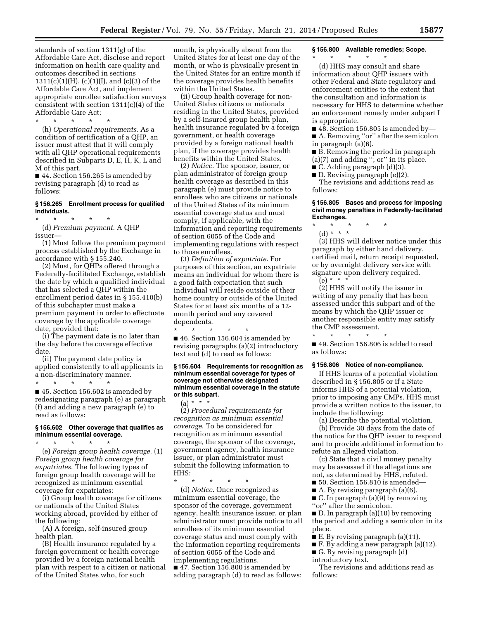standards of section 1311(g) of the Affordable Care Act, disclose and report information on health care quality and outcomes described in sections 1311(c)(1)(H), (c)(1)(I), and (c)(3) of the Affordable Care Act, and implement appropriate enrollee satisfaction surveys consistent with section 1311(c)(4) of the Affordable Care Act;

\* \* \* \* \*

(h) *Operational requirements*. As a condition of certification of a QHP, an issuer must attest that it will comply with all QHP operational requirements described in Subparts D, E, H, K, L and M of this part.

■ 44. Section 156.265 is amended by revising paragraph (d) to read as follows:

# **§ 156.265 Enrollment process for qualified individuals.**

\* \* \* \* \* (d) *Premium payment*. A QHP issuer—

(1) Must follow the premium payment process established by the Exchange in accordance with § 155.240.

(2) Must, for QHPs offered through a Federally-facilitated Exchange, establish the date by which a qualified individual that has selected a QHP within the enrollment period dates in § 155.410(b) of this subchapter must make a premium payment in order to effectuate coverage by the applicable coverage date, provided that:

(i) The payment date is no later than the day before the coverage effective date.

(ii) The payment date policy is applied consistently to all applicants in a non-discriminatory manner. \* \* \* \* \*

■ 45. Section 156.602 is amended by redesignating paragraph (e) as paragraph (f) and adding a new paragraph (e) to read as follows:

# **§ 156.602 Other coverage that qualifies as minimum essential coverage.**

\* \* \* \* \* (e) *Foreign group health coverage*. (1) *Foreign group health coverage for expatriates*. The following types of foreign group health coverage will be recognized as minimum essential coverage for expatriates:

(i) Group health coverage for citizens or nationals of the United States working abroad, provided by either of the following:

(A) A foreign, self-insured group health plan.

(B) Health insurance regulated by a foreign government or health coverage provided by a foreign national health plan with respect to a citizen or national of the United States who, for such

month, is physically absent from the United States for at least one day of the month, or who is physically present in the United States for an entire month if the coverage provides health benefits within the United States.

(ii) Group health coverage for non-United States citizens or nationals residing in the United States, provided by a self-insured group health plan, health insurance regulated by a foreign government, or health coverage provided by a foreign national health plan, if the coverage provides health benefits within the United States.

(2) *Notice*. The sponsor, issuer, or plan administrator of foreign group health coverage as described in this paragraph (e) must provide notice to enrollees who are citizens or nationals of the United States of its minimum essential coverage status and must comply, if applicable, with the information and reporting requirements of section 6055 of the Code and implementing regulations with respect to those enrollees.

(3) *Definition of expatriate*. For purposes of this section, an expatriate means an individual for whom there is a good faith expectation that such individual will reside outside of their home country or outside of the United States for at least six months of a 12 month period and any covered dependents.

\* \* \* \* \* ■ 46. Section 156.604 is amended by revising paragraphs (a)(2) introductory text and (d) to read as follows:

### **§ 156.604 Requirements for recognition as minimum essential coverage for types of coverage not otherwise designated minimum essential coverage in the statute or this subpart.**

 $(a) * * * *$ (2) *Procedural requirements for recognition as minimum essential coverage*. To be considered for recognition as minimum essential coverage, the sponsor of the coverage, government agency, health insurance issuer, or plan administrator must submit the following information to HHS:

\* \* \* \* \*

(d) *Notice*. Once recognized as minimum essential coverage, the sponsor of the coverage, government agency, health insurance issuer, or plan administrator must provide notice to all enrollees of its minimum essential coverage status and must comply with the information reporting requirements of section 6055 of the Code and implementing regulations. ■ 47. Section 156.800 is amended by adding paragraph (d) to read as follows:

**§ 156.800 Available remedies; Scope.** 

\* \* \* \* \* (d) HHS may consult and share information about QHP issuers with other Federal and State regulatory and enforcement entities to the extent that the consultation and information is necessary for HHS to determine whether an enforcement remedy under subpart I is appropriate.

 $\blacksquare$  48. Section 156.805 is amended by—

■ A. Removing "or" after the semicolon in paragraph (a)(6).

■ B. Removing the period in paragraph (a)(7) and adding ''; or'' in its place.

■ C. Adding paragraph (d)(3).

■ D. Revising paragraph (e)(2).

The revisions and additions read as follows:

### **§ 156.805 Bases and process for imposing civil money penalties in Federally-facilitated Exchanges.**

\* \* \* \* \* (d) \* \* \*

(3) HHS will deliver notice under this paragraph by either hand delivery, certified mail, return receipt requested, or by overnight delivery service with signature upon delivery required.  $(e) * * * *$ 

(2) HHS will notify the issuer in writing of any penalty that has been assessed under this subpart and of the means by which the QHP issuer or another responsible entity may satisfy the CMP assessment.

\* \* \* \* \* ■ 49. Section 156.806 is added to read as follows:

#### **§ 156.806 Notice of non-compliance.**

If HHS learns of a potential violation described in § 156.805 or if a State informs HHS of a potential violation, prior to imposing any CMPs, HHS must provide a written notice to the issuer, to include the following:

(a) Describe the potential violation.

(b) Provide 30 days from the date of the notice for the QHP issuer to respond and to provide additional information to refute an alleged violation.

(c) State that a civil money penalty may be assessed if the allegations are not, as determined by HHS, refuted.

 $\blacksquare$  50. Section 156.810 is amended—

■ A. By revising paragraph (a)(6).

 $\blacksquare$  C. In paragraph (a)(9) by removing ''or'' after the semicolon.

■ D. In paragraph (a)(10) by removing the period and adding a semicolon in its place.

■ E. By revising paragraph (a)(11).

■ F. By adding a new paragraph (a)(12).

■ G. By revising paragraph (d) introductory text.

The revisions and additions read as follows: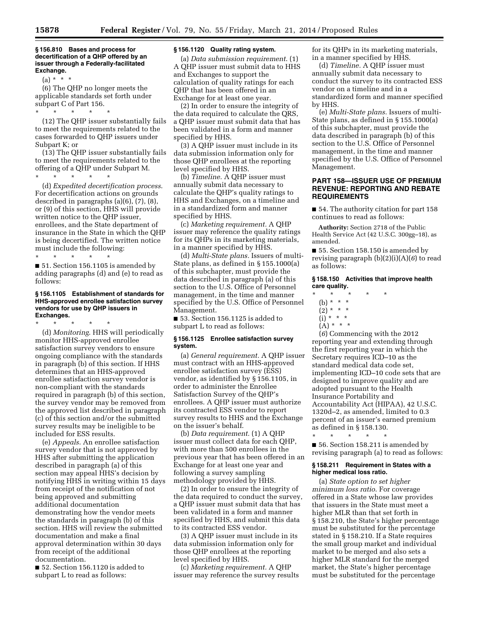**§ 156.810 Bases and process for decertification of a QHP offered by an issuer through a Federally-facilitated Exchange.** 

(a) \* \* \*

(6) The QHP no longer meets the applicable standards set forth under subpart C of Part 156.

\* \* \* \* \*

(12) The QHP issuer substantially fails to meet the requirements related to the cases forwarded to QHP issuers under Subpart K; or

(13) The QHP issuer substantially fails to meet the requirements related to the offering of a QHP under Subpart M.

\* \* \* \* \* (d) *Expedited decertification process*. For decertification actions on grounds described in paragraphs (a)(6), (7), (8), or (9) of this section, HHS will provide written notice to the QHP issuer, enrollees, and the State department of insurance in the State in which the QHP is being decertified. The written notice must include the following:

\* \* \* \* \*

■ 51. Section 156.1105 is amended by adding paragraphs (d) and (e) to read as follows:

# **§ 156.1105 Establishment of standards for HHS-approved enrollee satisfaction survey vendors for use by QHP issuers in Exchanges.**

\* \* \* \* \*

(d) *Monitoring*. HHS will periodically monitor HHS-approved enrollee satisfaction survey vendors to ensure ongoing compliance with the standards in paragraph (b) of this section. If HHS determines that an HHS-approved enrollee satisfaction survey vendor is non-compliant with the standards required in paragraph (b) of this section, the survey vendor may be removed from the approved list described in paragraph (c) of this section and/or the submitted survey results may be ineligible to be included for ESS results.

(e) *Appeals*. An enrollee satisfaction survey vendor that is not approved by HHS after submitting the application described in paragraph (a) of this section may appeal HHS's decision by notifying HHS in writing within 15 days from receipt of the notification of not being approved and submitting additional documentation demonstrating how the vendor meets the standards in paragraph (b) of this section. HHS will review the submitted documentation and make a final approval determination within 30 days from receipt of the additional documentation.

■ 52. Section 156.1120 is added to subpart L to read as follows:

# **§ 156.1120 Quality rating system.**

(a) *Data submission requirement*. (1) A QHP issuer must submit data to HHS and Exchanges to support the calculation of quality ratings for each QHP that has been offered in an Exchange for at least one year.

(2) In order to ensure the integrity of the data required to calculate the QRS, a QHP issuer must submit data that has been validated in a form and manner specified by HHS.

(3) A QHP issuer must include in its data submission information only for those QHP enrollees at the reporting level specified by HHS.

(b) *Timeline.* A QHP issuer must annually submit data necessary to calculate the QHP's quality ratings to HHS and Exchanges, on a timeline and in a standardized form and manner specified by HHS.

(c) *Marketing requirement.* A QHP issuer may reference the quality ratings for its QHPs in its marketing materials, in a manner specified by HHS.

(d) *Multi-State plans.* Issuers of multi-State plans, as defined in § 155.1000(a) of this subchapter, must provide the data described in paragraph (a) of this section to the U.S. Office of Personnel management, in the time and manner specified by the U.S. Office of Personnel Management.

■ 53. Section 156.1125 is added to subpart L to read as follows:

### **§ 156.1125 Enrollee satisfaction survey system.**

(a) *General requirement.* A QHP issuer must contract with an HHS-approved enrollee satisfaction survey (ESS) vendor, as identified by § 156.1105, in order to administer the Enrollee Satisfaction Survey of the QHP's enrollees. A QHP issuer must authorize its contracted ESS vendor to report survey results to HHS and the Exchange on the issuer's behalf.

(b) *Data requirement.* (1) A QHP issuer must collect data for each QHP, with more than 500 enrollees in the previous year that has been offered in an Exchange for at least one year and following a survey sampling methodology provided by HHS.

(2) In order to ensure the integrity of the data required to conduct the survey, a QHP issuer must submit data that has been validated in a form and manner specified by HHS, and submit this data to its contracted ESS vendor.

(3) A QHP issuer must include in its data submission information only for those QHP enrollees at the reporting level specified by HHS.

(c) *Marketing requirement.* A QHP issuer may reference the survey results for its QHPs in its marketing materials, in a manner specified by HHS.

(d) *Timeline.* A QHP issuer must annually submit data necessary to conduct the survey to its contracted ESS vendor on a timeline and in a standardized form and manner specified by HHS.

(e) *Multi-State plans.* Issuers of multi-State plans, as defined in § 155.1000(a) of this subchapter, must provide the data described in paragraph (b) of this section to the U.S. Office of Personnel management, in the time and manner specified by the U.S. Office of Personnel Management.

# **PART 158—ISSUER USE OF PREMIUM REVENUE: REPORTING AND REBATE REQUIREMENTS**

■ 54. The authority citation for part 158 continues to read as follows:

**Authority:** Section 2718 of the Public Health Service Act (42 U.S.C. 300gg–18), as amended.

■ 55. Section 158.150 is amended by revising paragraph (b)(2)(i)(A)(*6*) to read as follows:

# **§ 158.150 Activities that improve health care quality.**

- \* \* \* \* \*
	- (b) \* \* \*
	- $(2) * * * *$
- $(i) * * * *$  $(A) * * * *$
- 

(*6*) Commencing with the 2012 reporting year and extending through the first reporting year in which the Secretary requires ICD–10 as the standard medical data code set, implementing ICD–10 code sets that are designed to improve quality and are adopted pursuant to the Health Insurance Portability and Accountability Act (HIPAA), 42 U.S.C. 1320d–2, as amended, limited to 0.3 percent of an issuer's earned premium as defined in § 158.130.

\* \* \* \* \* ■ 56. Section 158.211 is amended by revising paragraph (a) to read as follows:

## **§ 158.211 Requirement in States with a higher medical loss ratio.**

(a) *State option to set higher minimum loss ratio*. For coverage offered in a State whose law provides that issuers in the State must meet a higher MLR than that set forth in § 158.210, the State's higher percentage must be substituted for the percentage stated in § 158.210. If a State requires the small group market and individual market to be merged and also sets a higher MLR standard for the merged market, the State's higher percentage must be substituted for the percentage